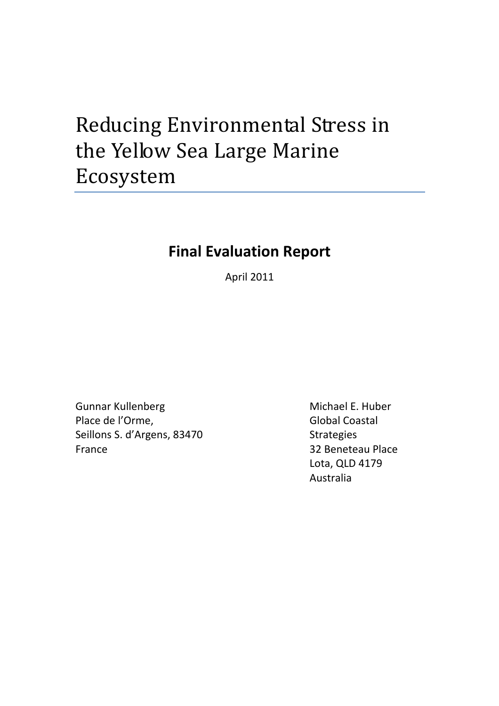# Reducing Environmental Stress in the Yellow Sea Large Marine Ecosystem

# **Final Evaluation Report**

April 2011

Gunnar Kullenberg Place de l'Orme, Seillons S. d'Argens, 83470 France

Michael E. Huber Global Coastal **Strategies** 32 Beneteau Place Lota, QLD 4179 Australia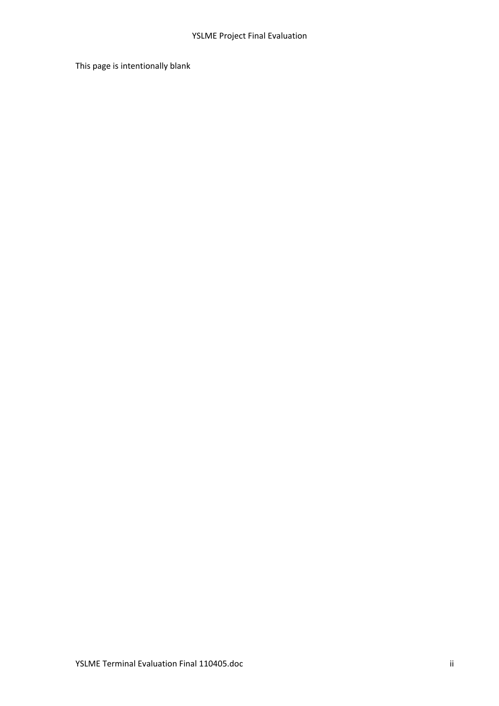This page is intentionally blank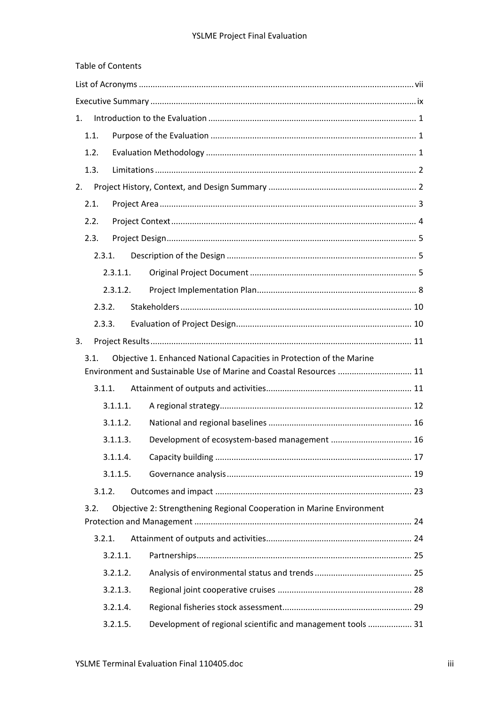| <b>Table of Contents</b> |        |          |                                                                       |  |
|--------------------------|--------|----------|-----------------------------------------------------------------------|--|
|                          |        |          |                                                                       |  |
|                          |        |          |                                                                       |  |
| 1.                       |        |          |                                                                       |  |
| 1.1.                     |        |          |                                                                       |  |
| 1.2.                     |        |          |                                                                       |  |
| 1.3.                     |        |          |                                                                       |  |
| 2.                       |        |          |                                                                       |  |
| 2.1.                     |        |          |                                                                       |  |
| 2.2.                     |        |          |                                                                       |  |
| 2.3.                     |        |          |                                                                       |  |
|                          | 2.3.1. |          |                                                                       |  |
|                          |        | 2.3.1.1. |                                                                       |  |
|                          |        | 2.3.1.2. |                                                                       |  |
|                          | 2.3.2. |          |                                                                       |  |
|                          | 2.3.3. |          |                                                                       |  |
| 3.                       |        |          |                                                                       |  |
| 3.1.                     |        |          | Objective 1. Enhanced National Capacities in Protection of the Marine |  |
|                          |        |          | Environment and Sustainable Use of Marine and Coastal Resources  11   |  |
|                          | 3.1.1. |          |                                                                       |  |
|                          |        | 3.1.1.1. |                                                                       |  |
|                          |        | 3.1.1.2. |                                                                       |  |
|                          |        | 3.1.1.3. |                                                                       |  |
|                          |        | 3.1.1.4. |                                                                       |  |
|                          |        | 3.1.1.5. |                                                                       |  |
|                          | 3.1.2. |          |                                                                       |  |
| 3.2.                     |        |          | Objective 2: Strengthening Regional Cooperation in Marine Environment |  |
|                          | 3.2.1. |          |                                                                       |  |
|                          |        | 3.2.1.1. |                                                                       |  |
|                          |        | 3.2.1.2. |                                                                       |  |
|                          |        | 3.2.1.3. |                                                                       |  |
|                          |        | 3.2.1.4. |                                                                       |  |
|                          |        | 3.2.1.5. | Development of regional scientific and management tools  31           |  |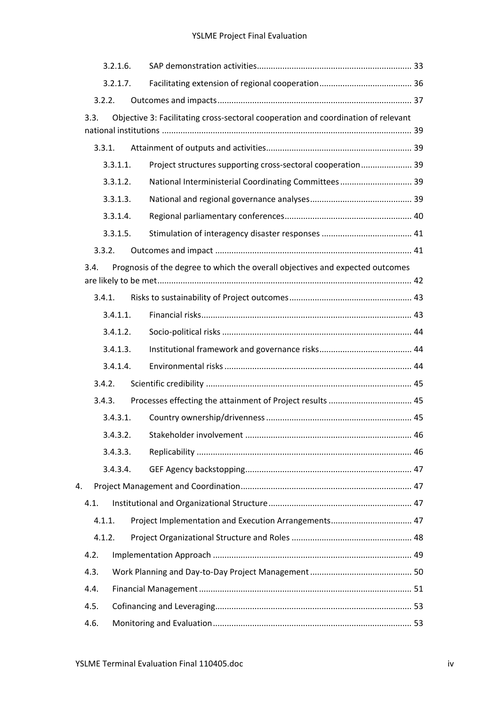|    |        | 3.2.1.6. |                                                                                   |  |
|----|--------|----------|-----------------------------------------------------------------------------------|--|
|    |        | 3.2.1.7. |                                                                                   |  |
|    | 3.2.2. |          |                                                                                   |  |
|    | 3.3.   |          | Objective 3: Facilitating cross-sectoral cooperation and coordination of relevant |  |
|    |        |          |                                                                                   |  |
|    | 3.3.1. |          |                                                                                   |  |
|    |        | 3.3.1.1. | Project structures supporting cross-sectoral cooperation 39                       |  |
|    |        | 3.3.1.2. | National Interministerial Coordinating Committees 39                              |  |
|    |        | 3.3.1.3. |                                                                                   |  |
|    |        | 3.3.1.4. |                                                                                   |  |
|    |        | 3.3.1.5. |                                                                                   |  |
|    | 3.3.2. |          |                                                                                   |  |
|    | 3.4.   |          | Prognosis of the degree to which the overall objectives and expected outcomes     |  |
|    |        |          |                                                                                   |  |
|    | 3.4.1. |          |                                                                                   |  |
|    |        | 3.4.1.1. |                                                                                   |  |
|    |        | 3.4.1.2. |                                                                                   |  |
|    |        | 3.4.1.3. |                                                                                   |  |
|    |        | 3.4.1.4. |                                                                                   |  |
|    | 3.4.2. |          |                                                                                   |  |
|    | 3.4.3. |          |                                                                                   |  |
|    |        | 3.4.3.1. |                                                                                   |  |
|    |        |          |                                                                                   |  |
|    |        | 3.4.3.3. |                                                                                   |  |
|    |        | 3.4.3.4. |                                                                                   |  |
| 4. |        |          |                                                                                   |  |
|    | 4.1.   |          |                                                                                   |  |
|    | 4.1.1. |          |                                                                                   |  |
|    | 4.1.2. |          |                                                                                   |  |
|    | 4.2.   |          |                                                                                   |  |
|    | 4.3.   |          |                                                                                   |  |
|    | 4.4.   |          |                                                                                   |  |
|    | 4.5.   |          |                                                                                   |  |
|    | 4.6.   |          |                                                                                   |  |
|    |        |          |                                                                                   |  |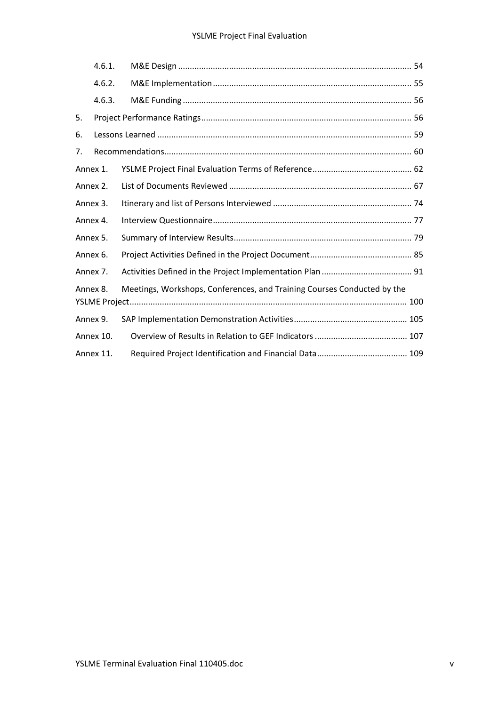### YSLME Project Final Evaluation

|           | 4.6.1.    |                                                                         |  |  |
|-----------|-----------|-------------------------------------------------------------------------|--|--|
|           | 4.6.2.    |                                                                         |  |  |
|           | 4.6.3.    |                                                                         |  |  |
| 5.        |           |                                                                         |  |  |
| 6.        |           |                                                                         |  |  |
| 7.        |           |                                                                         |  |  |
|           | Annex 1.  |                                                                         |  |  |
|           | Annex 2.  |                                                                         |  |  |
|           | Annex 3.  |                                                                         |  |  |
| Annex 4.  |           |                                                                         |  |  |
| Annex 5.  |           |                                                                         |  |  |
| Annex 6.  |           |                                                                         |  |  |
|           | Annex 7.  |                                                                         |  |  |
| Annex 8.  |           | Meetings, Workshops, Conferences, and Training Courses Conducted by the |  |  |
|           |           |                                                                         |  |  |
|           | Annex 9.  |                                                                         |  |  |
|           | Annex 10. |                                                                         |  |  |
| Annex 11. |           |                                                                         |  |  |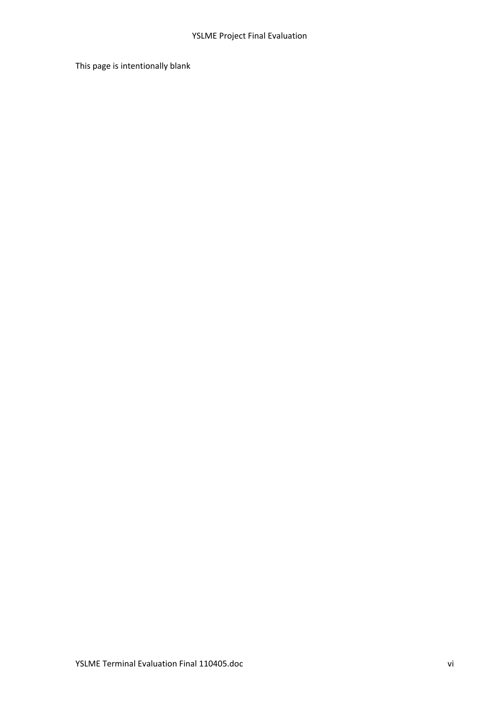This page is intentionally blank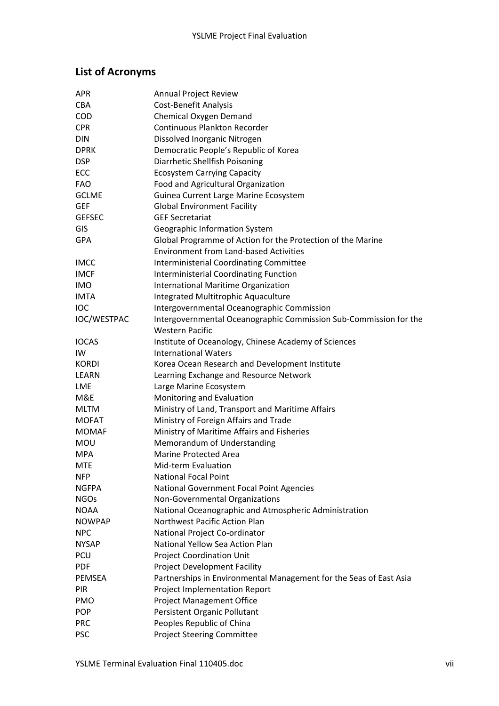## **List of Acronyms**

| APR           | Annual Project Review                                              |
|---------------|--------------------------------------------------------------------|
| <b>CBA</b>    | Cost-Benefit Analysis                                              |
| COD           | <b>Chemical Oxygen Demand</b>                                      |
| <b>CPR</b>    | <b>Continuous Plankton Recorder</b>                                |
| DIN           | Dissolved Inorganic Nitrogen                                       |
| <b>DPRK</b>   | Democratic People's Republic of Korea                              |
| <b>DSP</b>    | Diarrhetic Shellfish Poisoning                                     |
| ECC           | <b>Ecosystem Carrying Capacity</b>                                 |
| <b>FAO</b>    | Food and Agricultural Organization                                 |
| <b>GCLME</b>  | Guinea Current Large Marine Ecosystem                              |
| <b>GEF</b>    | <b>Global Environment Facility</b>                                 |
| <b>GEFSEC</b> | <b>GEF Secretariat</b>                                             |
| GIS           | Geographic Information System                                      |
| <b>GPA</b>    | Global Programme of Action for the Protection of the Marine        |
|               | <b>Environment from Land-based Activities</b>                      |
| <b>IMCC</b>   | <b>Interministerial Coordinating Committee</b>                     |
| <b>IMCF</b>   | Interministerial Coordinating Function                             |
| <b>IMO</b>    | International Maritime Organization                                |
| <b>IMTA</b>   | Integrated Multitrophic Aquaculture                                |
| IOC           | Intergovernmental Oceanographic Commission                         |
| IOC/WESTPAC   | Intergovernmental Oceanographic Commission Sub-Commission for the  |
|               | <b>Western Pacific</b>                                             |
| <b>IOCAS</b>  | Institute of Oceanology, Chinese Academy of Sciences               |
| IW            | <b>International Waters</b>                                        |
| <b>KORDI</b>  | Korea Ocean Research and Development Institute                     |
| LEARN         | Learning Exchange and Resource Network                             |
| LME           | Large Marine Ecosystem                                             |
| M&E           | Monitoring and Evaluation                                          |
| <b>MLTM</b>   | Ministry of Land, Transport and Maritime Affairs                   |
| <b>MOFAT</b>  | Ministry of Foreign Affairs and Trade                              |
| <b>MOMAF</b>  | Ministry of Maritime Affairs and Fisheries                         |
| MOU           | Memorandum of Understanding                                        |
| <b>MPA</b>    | <b>Marine Protected Area</b>                                       |
| <b>MTE</b>    | Mid-term Evaluation                                                |
| <b>NFP</b>    | <b>National Focal Point</b>                                        |
| <b>NGFPA</b>  | National Government Focal Point Agencies                           |
| <b>NGOs</b>   | Non-Governmental Organizations                                     |
| <b>NOAA</b>   | National Oceanographic and Atmospheric Administration              |
| <b>NOWPAP</b> | Northwest Pacific Action Plan                                      |
| <b>NPC</b>    | National Project Co-ordinator                                      |
| <b>NYSAP</b>  | National Yellow Sea Action Plan                                    |
| PCU           | <b>Project Coordination Unit</b>                                   |
| <b>PDF</b>    | <b>Project Development Facility</b>                                |
| PEMSEA        | Partnerships in Environmental Management for the Seas of East Asia |
| <b>PIR</b>    | Project Implementation Report                                      |
| <b>PMO</b>    | <b>Project Management Office</b>                                   |
| <b>POP</b>    | Persistent Organic Pollutant                                       |
| PRC           | Peoples Republic of China                                          |
| <b>PSC</b>    | <b>Project Steering Committee</b>                                  |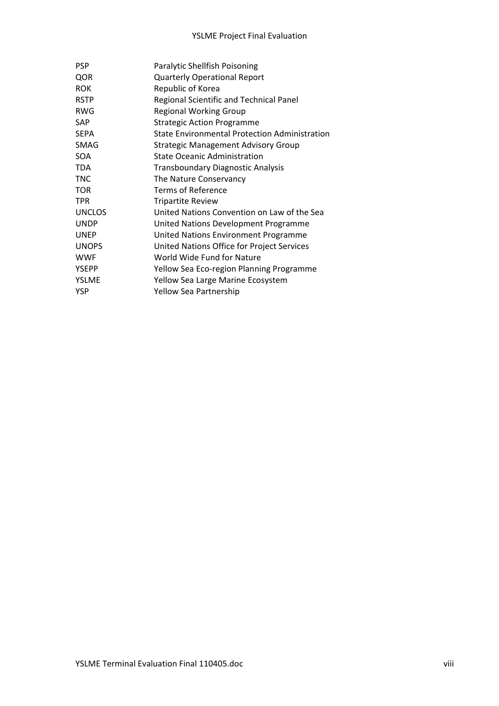| <b>PSP</b>    | Paralytic Shellfish Poisoning                        |
|---------------|------------------------------------------------------|
| QOR           | <b>Quarterly Operational Report</b>                  |
| <b>ROK</b>    | Republic of Korea                                    |
| <b>RSTP</b>   | <b>Regional Scientific and Technical Panel</b>       |
| <b>RWG</b>    | <b>Regional Working Group</b>                        |
| SAP           | <b>Strategic Action Programme</b>                    |
| SEPA          | <b>State Environmental Protection Administration</b> |
| SMAG          | <b>Strategic Management Advisory Group</b>           |
| SOA           | <b>State Oceanic Administration</b>                  |
| TDA           | <b>Transboundary Diagnostic Analysis</b>             |
| TNC           | The Nature Conservancy                               |
| TOR           | Terms of Reference                                   |
| TPR           | <b>Tripartite Review</b>                             |
| <b>UNCLOS</b> | United Nations Convention on Law of the Sea          |
| <b>UNDP</b>   | United Nations Development Programme                 |
| <b>UNEP</b>   | United Nations Environment Programme                 |
| <b>UNOPS</b>  | United Nations Office for Project Services           |
| <b>WWF</b>    | World Wide Fund for Nature                           |
| YSEPP         | Yellow Sea Eco-region Planning Programme             |
| YSLME         | Yellow Sea Large Marine Ecosystem                    |
| YSP           | Yellow Sea Partnership                               |
|               |                                                      |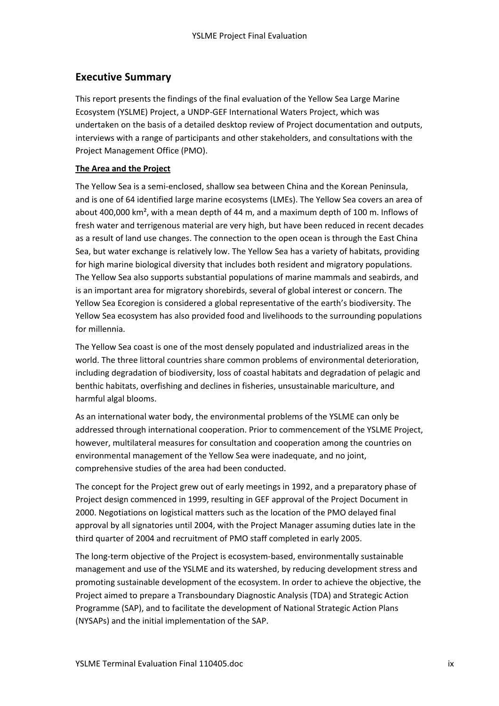### **Executive Summary**

This report presents the findings of the final evaluation of the Yellow Sea Large Marine Ecosystem (YSLME) Project, a UNDP‐GEF International Waters Project, which was undertaken on the basis of a detailed desktop review of Project documentation and outputs, interviews with a range of participants and other stakeholders, and consultations with the Project Management Office (PMO).

### **The Area and the Project**

The Yellow Sea is a semi‐enclosed, shallow sea between China and the Korean Peninsula, and is one of 64 identified large marine ecosystems (LMEs). The Yellow Sea covers an area of about 400,000 km², with a mean depth of 44 m, and a maximum depth of 100 m. Inflows of fresh water and terrigenous material are very high, but have been reduced in recent decades as a result of land use changes. The connection to the open ocean is through the East China Sea, but water exchange is relatively low. The Yellow Sea has a variety of habitats, providing for high marine biological diversity that includes both resident and migratory populations. The Yellow Sea also supports substantial populations of marine mammals and seabirds, and is an important area for migratory shorebirds, several of global interest or concern. The Yellow Sea Ecoregion is considered a global representative of the earth's biodiversity. The Yellow Sea ecosystem has also provided food and livelihoods to the surrounding populations for millennia.

The Yellow Sea coast is one of the most densely populated and industrialized areas in the world. The three littoral countries share common problems of environmental deterioration, including degradation of biodiversity, loss of coastal habitats and degradation of pelagic and benthic habitats, overfishing and declines in fisheries, unsustainable mariculture, and harmful algal blooms.

As an international water body, the environmental problems of the YSLME can only be addressed through international cooperation. Prior to commencement of the YSLME Project, however, multilateral measures for consultation and cooperation among the countries on environmental management of the Yellow Sea were inadequate, and no joint, comprehensive studies of the area had been conducted.

The concept for the Project grew out of early meetings in 1992, and a preparatory phase of Project design commenced in 1999, resulting in GEF approval of the Project Document in 2000. Negotiations on logistical matters such as the location of the PMO delayed final approval by all signatories until 2004, with the Project Manager assuming duties late in the third quarter of 2004 and recruitment of PMO staff completed in early 2005.

The long‐term objective of the Project is ecosystem‐based, environmentally sustainable management and use of the YSLME and its watershed, by reducing development stress and promoting sustainable development of the ecosystem. In order to achieve the objective, the Project aimed to prepare a Transboundary Diagnostic Analysis (TDA) and Strategic Action Programme (SAP), and to facilitate the development of National Strategic Action Plans (NYSAPs) and the initial implementation of the SAP.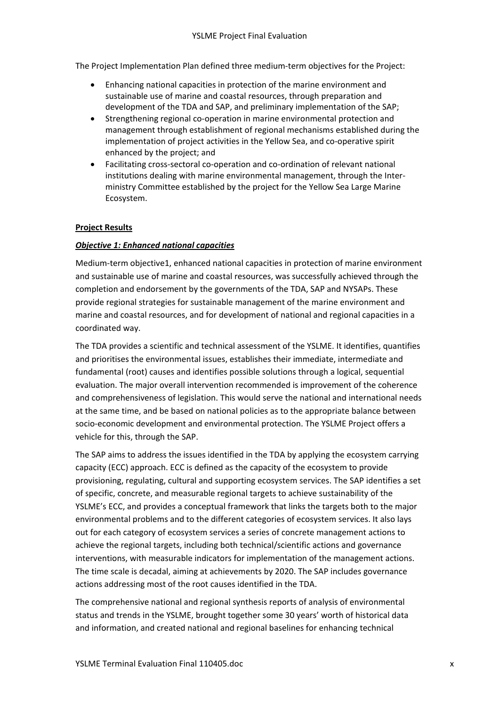The Project Implementation Plan defined three medium-term objectives for the Project:

- Enhancing national capacities in protection of the marine environment and sustainable use of marine and coastal resources, through preparation and development of the TDA and SAP, and preliminary implementation of the SAP;
- Strengthening regional co-operation in marine environmental protection and management through establishment of regional mechanisms established during the implementation of project activities in the Yellow Sea, and co-operative spirit enhanced by the project; and
- Facilitating cross-sectoral co-operation and co-ordination of relevant national institutions dealing with marine environmental management, through the Inter‐ ministry Committee established by the project for the Yellow Sea Large Marine Ecosystem.

#### **Project Results**

#### *Objective 1: Enhanced national capacities*

Medium‐term objective1, enhanced national capacities in protection of marine environment and sustainable use of marine and coastal resources, was successfully achieved through the completion and endorsement by the governments of the TDA, SAP and NYSAPs. These provide regional strategies for sustainable management of the marine environment and marine and coastal resources, and for development of national and regional capacities in a coordinated way.

The TDA provides a scientific and technical assessment of the YSLME. It identifies, quantifies and prioritises the environmental issues, establishes their immediate, intermediate and fundamental (root) causes and identifies possible solutions through a logical, sequential evaluation. The major overall intervention recommended is improvement of the coherence and comprehensiveness of legislation. This would serve the national and international needs at the same time, and be based on national policies as to the appropriate balance between socio‐economic development and environmental protection. The YSLME Project offers a vehicle for this, through the SAP.

The SAP aims to address the issues identified in the TDA by applying the ecosystem carrying capacity (ECC) approach. ECC is defined as the capacity of the ecosystem to provide provisioning, regulating, cultural and supporting ecosystem services. The SAP identifies a set of specific, concrete, and measurable regional targets to achieve sustainability of the YSLME's ECC, and provides a conceptual framework that links the targets both to the major environmental problems and to the different categories of ecosystem services. It also lays out for each category of ecosystem services a series of concrete management actions to achieve the regional targets, including both technical/scientific actions and governance interventions, with measurable indicators for implementation of the management actions. The time scale is decadal, aiming at achievements by 2020. The SAP includes governance actions addressing most of the root causes identified in the TDA.

The comprehensive national and regional synthesis reports of analysis of environmental status and trends in the YSLME, brought together some 30 years' worth of historical data and information, and created national and regional baselines for enhancing technical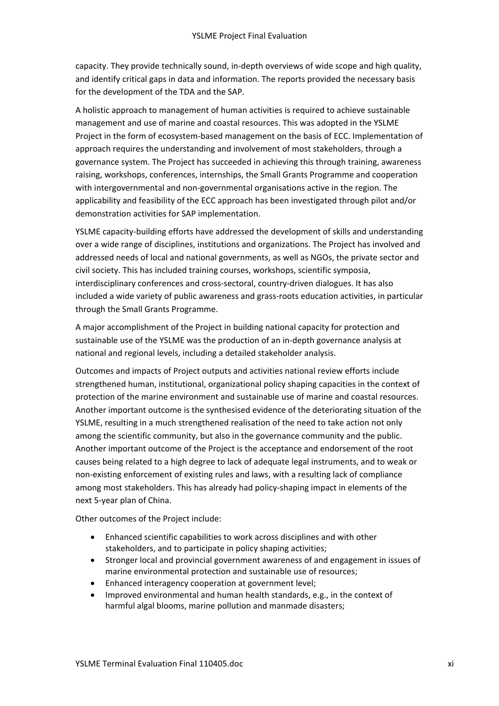capacity. They provide technically sound, in‐depth overviews of wide scope and high quality, and identify critical gaps in data and information. The reports provided the necessary basis for the development of the TDA and the SAP.

A holistic approach to management of human activities is required to achieve sustainable management and use of marine and coastal resources. This was adopted in the YSLME Project in the form of ecosystem‐based management on the basis of ECC. Implementation of approach requires the understanding and involvement of most stakeholders, through a governance system. The Project has succeeded in achieving this through training, awareness raising, workshops, conferences, internships, the Small Grants Programme and cooperation with intergovernmental and non-governmental organisations active in the region. The applicability and feasibility of the ECC approach has been investigated through pilot and/or demonstration activities for SAP implementation.

YSLME capacity‐building efforts have addressed the development of skills and understanding over a wide range of disciplines, institutions and organizations. The Project has involved and addressed needs of local and national governments, as well as NGOs, the private sector and civil society. This has included training courses, workshops, scientific symposia, interdisciplinary conferences and cross-sectoral, country-driven dialogues. It has also included a wide variety of public awareness and grass‐roots education activities, in particular through the Small Grants Programme.

A major accomplishment of the Project in building national capacity for protection and sustainable use of the YSLME was the production of an in‐depth governance analysis at national and regional levels, including a detailed stakeholder analysis.

Outcomes and impacts of Project outputs and activities national review efforts include strengthened human, institutional, organizational policy shaping capacities in the context of protection of the marine environment and sustainable use of marine and coastal resources. Another important outcome is the synthesised evidence of the deteriorating situation of the YSLME, resulting in a much strengthened realisation of the need to take action not only among the scientific community, but also in the governance community and the public. Another important outcome of the Project is the acceptance and endorsement of the root causes being related to a high degree to lack of adequate legal instruments, and to weak or non‐existing enforcement of existing rules and laws, with a resulting lack of compliance among most stakeholders. This has already had policy‐shaping impact in elements of the next 5‐year plan of China.

Other outcomes of the Project include:

- Enhanced scientific capabilities to work across disciplines and with other stakeholders, and to participate in policy shaping activities;
- Stronger local and provincial government awareness of and engagement in issues of marine environmental protection and sustainable use of resources;
- Enhanced interagency cooperation at government level;
- Improved environmental and human health standards, e.g., in the context of harmful algal blooms, marine pollution and manmade disasters;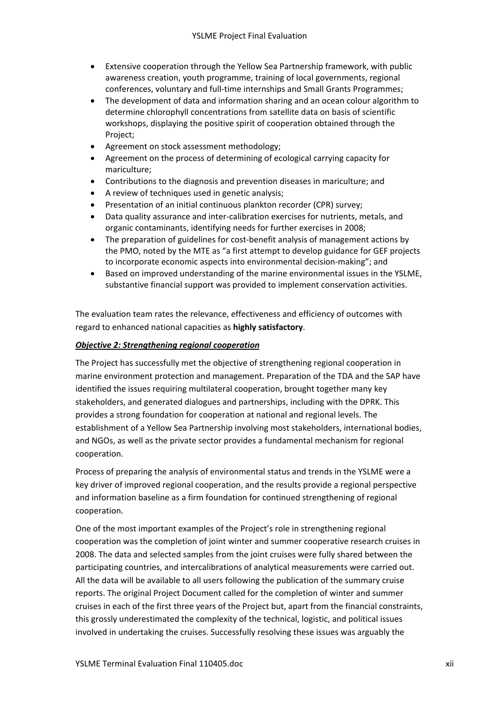- Extensive cooperation through the Yellow Sea Partnership framework, with public awareness creation, youth programme, training of local governments, regional conferences, voluntary and full‐time internships and Small Grants Programmes;
- The development of data and information sharing and an ocean colour algorithm to determine chlorophyll concentrations from satellite data on basis of scientific workshops, displaying the positive spirit of cooperation obtained through the Project;
- Agreement on stock assessment methodology;
- Agreement on the process of determining of ecological carrying capacity for mariculture;
- Contributions to the diagnosis and prevention diseases in mariculture; and
- A review of techniques used in genetic analysis;
- Presentation of an initial continuous plankton recorder (CPR) survey;
- Data quality assurance and inter‐calibration exercises for nutrients, metals, and organic contaminants, identifying needs for further exercises in 2008;
- The preparation of guidelines for cost‐benefit analysis of management actions by the PMO, noted by the MTE as "a first attempt to develop guidance for GEF projects to incorporate economic aspects into environmental decision‐making"; and
- Based on improved understanding of the marine environmental issues in the YSLME, substantive financial support was provided to implement conservation activities.

The evaluation team rates the relevance, effectiveness and efficiency of outcomes with regard to enhanced national capacities as **highly satisfactory**.

#### *Objective 2: Strengthening regional cooperation*

The Project has successfully met the objective of strengthening regional cooperation in marine environment protection and management. Preparation of the TDA and the SAP have identified the issues requiring multilateral cooperation, brought together many key stakeholders, and generated dialogues and partnerships, including with the DPRK. This provides a strong foundation for cooperation at national and regional levels. The establishment of a Yellow Sea Partnership involving most stakeholders, international bodies, and NGOs, as well as the private sector provides a fundamental mechanism for regional cooperation.

Process of preparing the analysis of environmental status and trends in the YSLME were a key driver of improved regional cooperation, and the results provide a regional perspective and information baseline as a firm foundation for continued strengthening of regional cooperation.

One of the most important examples of the Project's role in strengthening regional cooperation was the completion of joint winter and summer cooperative research cruises in 2008. The data and selected samples from the joint cruises were fully shared between the participating countries, and intercalibrations of analytical measurements were carried out. All the data will be available to all users following the publication of the summary cruise reports. The original Project Document called for the completion of winter and summer cruises in each of the first three years of the Project but, apart from the financial constraints, this grossly underestimated the complexity of the technical, logistic, and political issues involved in undertaking the cruises. Successfully resolving these issues was arguably the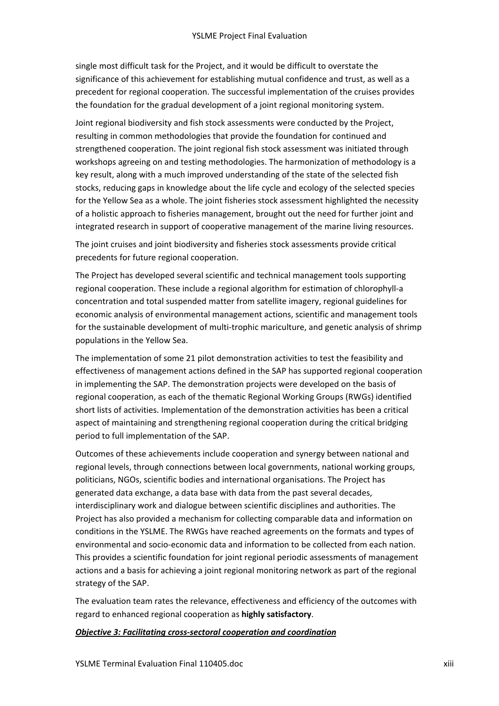single most difficult task for the Project, and it would be difficult to overstate the significance of this achievement for establishing mutual confidence and trust, as well as a precedent for regional cooperation. The successful implementation of the cruises provides the foundation for the gradual development of a joint regional monitoring system.

Joint regional biodiversity and fish stock assessments were conducted by the Project, resulting in common methodologies that provide the foundation for continued and strengthened cooperation. The joint regional fish stock assessment was initiated through workshops agreeing on and testing methodologies. The harmonization of methodology is a key result, along with a much improved understanding of the state of the selected fish stocks, reducing gaps in knowledge about the life cycle and ecology of the selected species for the Yellow Sea as a whole. The joint fisheries stock assessment highlighted the necessity of a holistic approach to fisheries management, brought out the need for further joint and integrated research in support of cooperative management of the marine living resources.

The joint cruises and joint biodiversity and fisheries stock assessments provide critical precedents for future regional cooperation.

The Project has developed several scientific and technical management tools supporting regional cooperation. These include a regional algorithm for estimation of chlorophyll‐a concentration and total suspended matter from satellite imagery, regional guidelines for economic analysis of environmental management actions, scientific and management tools for the sustainable development of multi-trophic mariculture, and genetic analysis of shrimp populations in the Yellow Sea.

The implementation of some 21 pilot demonstration activities to test the feasibility and effectiveness of management actions defined in the SAP has supported regional cooperation in implementing the SAP. The demonstration projects were developed on the basis of regional cooperation, as each of the thematic Regional Working Groups (RWGs) identified short lists of activities. Implementation of the demonstration activities has been a critical aspect of maintaining and strengthening regional cooperation during the critical bridging period to full implementation of the SAP.

Outcomes of these achievements include cooperation and synergy between national and regional levels, through connections between local governments, national working groups, politicians, NGOs, scientific bodies and international organisations. The Project has generated data exchange, a data base with data from the past several decades, interdisciplinary work and dialogue between scientific disciplines and authorities. The Project has also provided a mechanism for collecting comparable data and information on conditions in the YSLME. The RWGs have reached agreements on the formats and types of environmental and socio‐economic data and information to be collected from each nation. This provides a scientific foundation for joint regional periodic assessments of management actions and a basis for achieving a joint regional monitoring network as part of the regional strategy of the SAP.

The evaluation team rates the relevance, effectiveness and efficiency of the outcomes with regard to enhanced regional cooperation as **highly satisfactory**.

#### *Objective 3: Facilitating cross‐sectoral cooperation and coordination*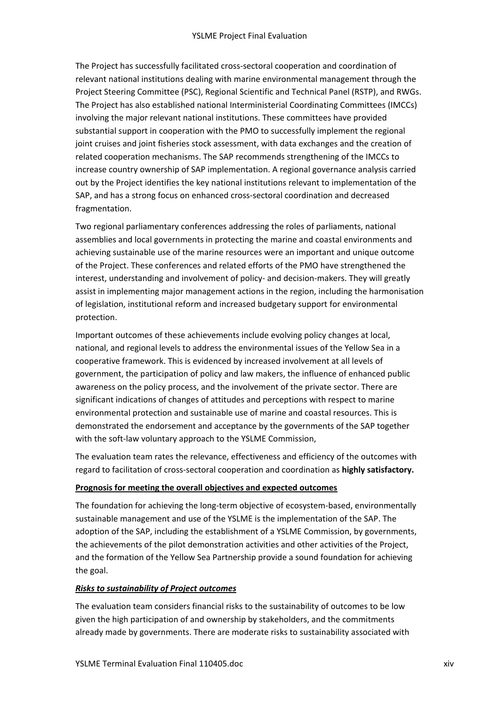The Project has successfully facilitated cross‐sectoral cooperation and coordination of relevant national institutions dealing with marine environmental management through the Project Steering Committee (PSC), Regional Scientific and Technical Panel (RSTP), and RWGs. The Project has also established national Interministerial Coordinating Committees (IMCCs) involving the major relevant national institutions. These committees have provided substantial support in cooperation with the PMO to successfully implement the regional joint cruises and joint fisheries stock assessment, with data exchanges and the creation of related cooperation mechanisms. The SAP recommends strengthening of the IMCCs to increase country ownership of SAP implementation. A regional governance analysis carried out by the Project identifies the key national institutions relevant to implementation of the SAP, and has a strong focus on enhanced cross‐sectoral coordination and decreased fragmentation.

Two regional parliamentary conferences addressing the roles of parliaments, national assemblies and local governments in protecting the marine and coastal environments and achieving sustainable use of the marine resources were an important and unique outcome of the Project. These conferences and related efforts of the PMO have strengthened the interest, understanding and involvement of policy- and decision-makers. They will greatly assist in implementing major management actions in the region, including the harmonisation of legislation, institutional reform and increased budgetary support for environmental protection.

Important outcomes of these achievements include evolving policy changes at local, national, and regional levels to address the environmental issues of the Yellow Sea in a cooperative framework. This is evidenced by increased involvement at all levels of government, the participation of policy and law makers, the influence of enhanced public awareness on the policy process, and the involvement of the private sector. There are significant indications of changes of attitudes and perceptions with respect to marine environmental protection and sustainable use of marine and coastal resources. This is demonstrated the endorsement and acceptance by the governments of the SAP together with the soft-law voluntary approach to the YSLME Commission,

The evaluation team rates the relevance, effectiveness and efficiency of the outcomes with regard to facilitation of cross‐sectoral cooperation and coordination as **highly satisfactory.**

### **Prognosis for meeting the overall objectives and expected outcomes**

The foundation for achieving the long-term objective of ecosystem-based, environmentally sustainable management and use of the YSLME is the implementation of the SAP. The adoption of the SAP, including the establishment of a YSLME Commission, by governments, the achievements of the pilot demonstration activities and other activities of the Project, and the formation of the Yellow Sea Partnership provide a sound foundation for achieving the goal.

### *Risks to sustainability of Project outcomes*

The evaluation team considers financial risks to the sustainability of outcomes to be low given the high participation of and ownership by stakeholders, and the commitments already made by governments. There are moderate risks to sustainability associated with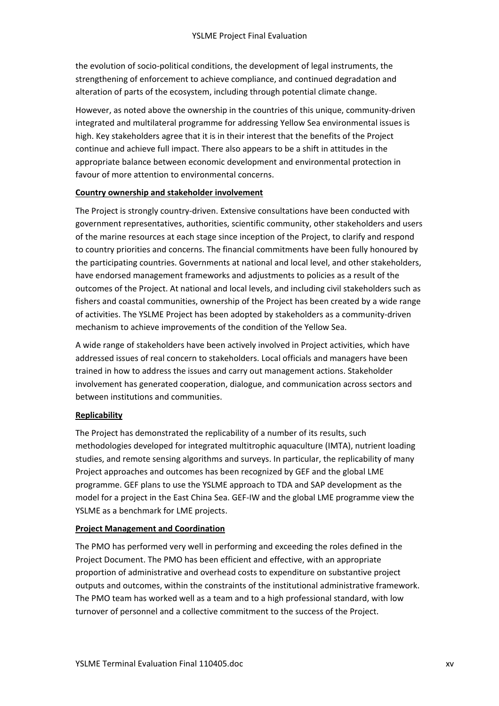the evolution of socio‐political conditions, the development of legal instruments, the strengthening of enforcement to achieve compliance, and continued degradation and alteration of parts of the ecosystem, including through potential climate change.

However, as noted above the ownership in the countries of this unique, community‐driven integrated and multilateral programme for addressing Yellow Sea environmental issues is high. Key stakeholders agree that it is in their interest that the benefits of the Project continue and achieve full impact. There also appears to be a shift in attitudes in the appropriate balance between economic development and environmental protection in favour of more attention to environmental concerns.

#### **Country ownership and stakeholder involvement**

The Project is strongly country‐driven. Extensive consultations have been conducted with government representatives, authorities, scientific community, other stakeholders and users of the marine resources at each stage since inception of the Project, to clarify and respond to country priorities and concerns. The financial commitments have been fully honoured by the participating countries. Governments at national and local level, and other stakeholders, have endorsed management frameworks and adjustments to policies as a result of the outcomes of the Project. At national and local levels, and including civil stakeholders such as fishers and coastal communities, ownership of the Project has been created by a wide range of activities. The YSLME Project has been adopted by stakeholders as a community‐driven mechanism to achieve improvements of the condition of the Yellow Sea.

A wide range of stakeholders have been actively involved in Project activities, which have addressed issues of real concern to stakeholders. Local officials and managers have been trained in how to address the issues and carry out management actions. Stakeholder involvement has generated cooperation, dialogue, and communication across sectors and between institutions and communities.

### **Replicability**

The Project has demonstrated the replicability of a number of its results, such methodologies developed for integrated multitrophic aquaculture (IMTA), nutrient loading studies, and remote sensing algorithms and surveys. In particular, the replicability of many Project approaches and outcomes has been recognized by GEF and the global LME programme. GEF plans to use the YSLME approach to TDA and SAP development as the model for a project in the East China Sea. GEF‐IW and the global LME programme view the YSLME as a benchmark for LME projects.

### **Project Management and Coordination**

The PMO has performed very well in performing and exceeding the roles defined in the Project Document. The PMO has been efficient and effective, with an appropriate proportion of administrative and overhead costs to expenditure on substantive project outputs and outcomes, within the constraints of the institutional administrative framework. The PMO team has worked well as a team and to a high professional standard, with low turnover of personnel and a collective commitment to the success of the Project.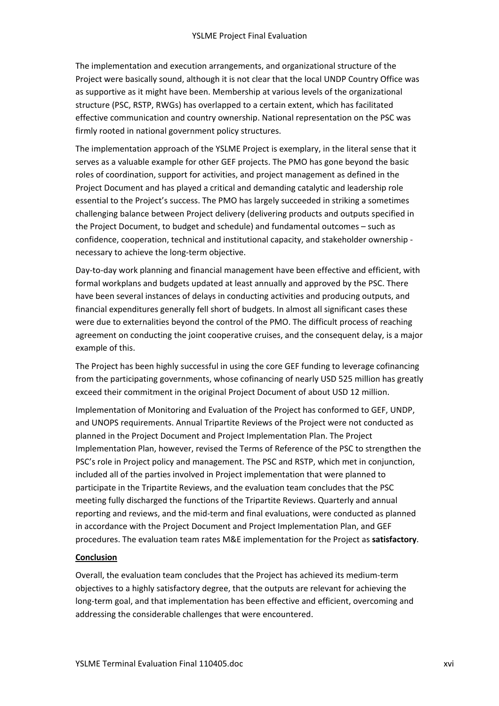The implementation and execution arrangements, and organizational structure of the Project were basically sound, although it is not clear that the local UNDP Country Office was as supportive as it might have been. Membership at various levels of the organizational structure (PSC, RSTP, RWGs) has overlapped to a certain extent, which has facilitated effective communication and country ownership. National representation on the PSC was firmly rooted in national government policy structures.

The implementation approach of the YSLME Project is exemplary, in the literal sense that it serves as a valuable example for other GEF projects. The PMO has gone beyond the basic roles of coordination, support for activities, and project management as defined in the Project Document and has played a critical and demanding catalytic and leadership role essential to the Project's success. The PMO has largely succeeded in striking a sometimes challenging balance between Project delivery (delivering products and outputs specified in the Project Document, to budget and schedule) and fundamental outcomes – such as confidence, cooperation, technical and institutional capacity, and stakeholder ownership ‐ necessary to achieve the long‐term objective.

Day-to-day work planning and financial management have been effective and efficient, with formal workplans and budgets updated at least annually and approved by the PSC. There have been several instances of delays in conducting activities and producing outputs, and financial expenditures generally fell short of budgets. In almost all significant cases these were due to externalities beyond the control of the PMO. The difficult process of reaching agreement on conducting the joint cooperative cruises, and the consequent delay, is a major example of this.

The Project has been highly successful in using the core GEF funding to leverage cofinancing from the participating governments, whose cofinancing of nearly USD 525 million has greatly exceed their commitment in the original Project Document of about USD 12 million.

Implementation of Monitoring and Evaluation of the Project has conformed to GEF, UNDP, and UNOPS requirements. Annual Tripartite Reviews of the Project were not conducted as planned in the Project Document and Project Implementation Plan. The Project Implementation Plan, however, revised the Terms of Reference of the PSC to strengthen the PSC's role in Project policy and management. The PSC and RSTP, which met in conjunction, included all of the parties involved in Project implementation that were planned to participate in the Tripartite Reviews, and the evaluation team concludes that the PSC meeting fully discharged the functions of the Tripartite Reviews. Quarterly and annual reporting and reviews, and the mid‐term and final evaluations, were conducted as planned in accordance with the Project Document and Project Implementation Plan, and GEF procedures. The evaluation team rates M&E implementation for the Project as **satisfactory**.

### **Conclusion**

Overall, the evaluation team concludes that the Project has achieved its medium‐term objectives to a highly satisfactory degree, that the outputs are relevant for achieving the long‐term goal, and that implementation has been effective and efficient, overcoming and addressing the considerable challenges that were encountered.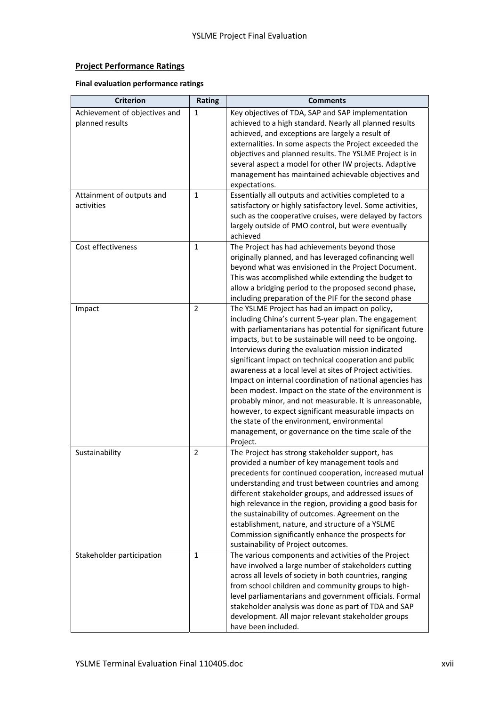#### **Project Performance Ratings**

#### **Final evaluation performance ratings**

| <b>Criterion</b>                                                                            | <b>Rating</b>                | <b>Comments</b>                                                                                                                                                                                                                                                                                                                                                                                                                                                                                                                                                                                                                                                                                                                                                          |
|---------------------------------------------------------------------------------------------|------------------------------|--------------------------------------------------------------------------------------------------------------------------------------------------------------------------------------------------------------------------------------------------------------------------------------------------------------------------------------------------------------------------------------------------------------------------------------------------------------------------------------------------------------------------------------------------------------------------------------------------------------------------------------------------------------------------------------------------------------------------------------------------------------------------|
| Achievement of objectives and<br>planned results<br>Attainment of outputs and<br>activities | $\mathbf{1}$<br>$\mathbf{1}$ | Key objectives of TDA, SAP and SAP implementation<br>achieved to a high standard. Nearly all planned results<br>achieved, and exceptions are largely a result of<br>externalities. In some aspects the Project exceeded the<br>objectives and planned results. The YSLME Project is in<br>several aspect a model for other IW projects. Adaptive<br>management has maintained achievable objectives and<br>expectations.<br>Essentially all outputs and activities completed to a<br>satisfactory or highly satisfactory level. Some activities,<br>such as the cooperative cruises, were delayed by factors                                                                                                                                                             |
| Cost effectiveness                                                                          | $\mathbf{1}$                 | largely outside of PMO control, but were eventually<br>achieved<br>The Project has had achievements beyond those<br>originally planned, and has leveraged cofinancing well<br>beyond what was envisioned in the Project Document.<br>This was accomplished while extending the budget to<br>allow a bridging period to the proposed second phase,<br>including preparation of the PIF for the second phase                                                                                                                                                                                                                                                                                                                                                               |
| Impact                                                                                      | $\overline{2}$               | The YSLME Project has had an impact on policy,<br>including China's current 5-year plan. The engagement<br>with parliamentarians has potential for significant future<br>impacts, but to be sustainable will need to be ongoing.<br>Interviews during the evaluation mission indicated<br>significant impact on technical cooperation and public<br>awareness at a local level at sites of Project activities.<br>Impact on internal coordination of national agencies has<br>been modest. Impact on the state of the environment is<br>probably minor, and not measurable. It is unreasonable,<br>however, to expect significant measurable impacts on<br>the state of the environment, environmental<br>management, or governance on the time scale of the<br>Project. |
| Sustainability                                                                              | $\overline{2}$               | The Project has strong stakeholder support, has<br>provided a number of key management tools and<br>precedents for continued cooperation, increased mutual<br>understanding and trust between countries and among<br>different stakeholder groups, and addressed issues of<br>high relevance in the region, providing a good basis for<br>the sustainability of outcomes. Agreement on the<br>establishment, nature, and structure of a YSLME<br>Commission significantly enhance the prospects for<br>sustainability of Project outcomes.                                                                                                                                                                                                                               |
| Stakeholder participation                                                                   | 1                            | The various components and activities of the Project<br>have involved a large number of stakeholders cutting<br>across all levels of society in both countries, ranging<br>from school children and community groups to high-<br>level parliamentarians and government officials. Formal<br>stakeholder analysis was done as part of TDA and SAP<br>development. All major relevant stakeholder groups<br>have been included.                                                                                                                                                                                                                                                                                                                                            |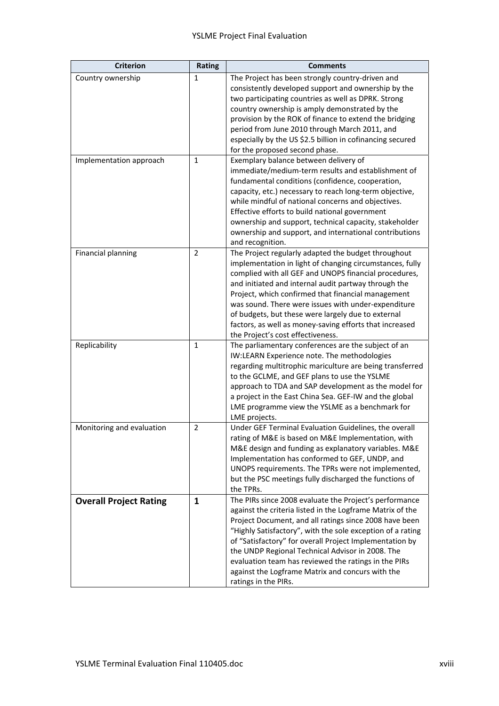### YSLME Project Final Evaluation

| <b>Criterion</b>              | Rating         | <b>Comments</b>                                                                                                                                                                                                                                                                                                                                                                                                                                                                                     |
|-------------------------------|----------------|-----------------------------------------------------------------------------------------------------------------------------------------------------------------------------------------------------------------------------------------------------------------------------------------------------------------------------------------------------------------------------------------------------------------------------------------------------------------------------------------------------|
| Country ownership             | $\mathbf{1}$   | The Project has been strongly country-driven and<br>consistently developed support and ownership by the<br>two participating countries as well as DPRK. Strong<br>country ownership is amply demonstrated by the<br>provision by the ROK of finance to extend the bridging<br>period from June 2010 through March 2011, and<br>especially by the US \$2.5 billion in cofinancing secured<br>for the proposed second phase.                                                                          |
| Implementation approach       | $\mathbf{1}$   | Exemplary balance between delivery of<br>immediate/medium-term results and establishment of<br>fundamental conditions (confidence, cooperation,<br>capacity, etc.) necessary to reach long-term objective,<br>while mindful of national concerns and objectives.<br>Effective efforts to build national government<br>ownership and support, technical capacity, stakeholder<br>ownership and support, and international contributions<br>and recognition.                                          |
| Financial planning            | $\overline{2}$ | The Project regularly adapted the budget throughout<br>implementation in light of changing circumstances, fully<br>complied with all GEF and UNOPS financial procedures,<br>and initiated and internal audit partway through the<br>Project, which confirmed that financial management<br>was sound. There were issues with under-expenditure<br>of budgets, but these were largely due to external<br>factors, as well as money-saving efforts that increased<br>the Project's cost effectiveness. |
| Replicability                 | $\mathbf{1}$   | The parliamentary conferences are the subject of an<br>IW:LEARN Experience note. The methodologies<br>regarding multitrophic mariculture are being transferred<br>to the GCLME, and GEF plans to use the YSLME<br>approach to TDA and SAP development as the model for<br>a project in the East China Sea. GEF-IW and the global<br>LME programme view the YSLME as a benchmark for<br>LME projects.                                                                                                |
| Monitoring and evaluation     | 2              | Under GEF Terminal Evaluation Guidelines, the overall<br>rating of M&E is based on M&E Implementation, with<br>M&E design and funding as explanatory variables. M&E<br>Implementation has conformed to GEF, UNDP, and<br>UNOPS requirements. The TPRs were not implemented,<br>but the PSC meetings fully discharged the functions of<br>the TPRs.                                                                                                                                                  |
| <b>Overall Project Rating</b> | 1              | The PIRs since 2008 evaluate the Project's performance<br>against the criteria listed in the Logframe Matrix of the<br>Project Document, and all ratings since 2008 have been<br>"Highly Satisfactory", with the sole exception of a rating<br>of "Satisfactory" for overall Project Implementation by<br>the UNDP Regional Technical Advisor in 2008. The<br>evaluation team has reviewed the ratings in the PIRs<br>against the Logframe Matrix and concurs with the<br>ratings in the PIRs.      |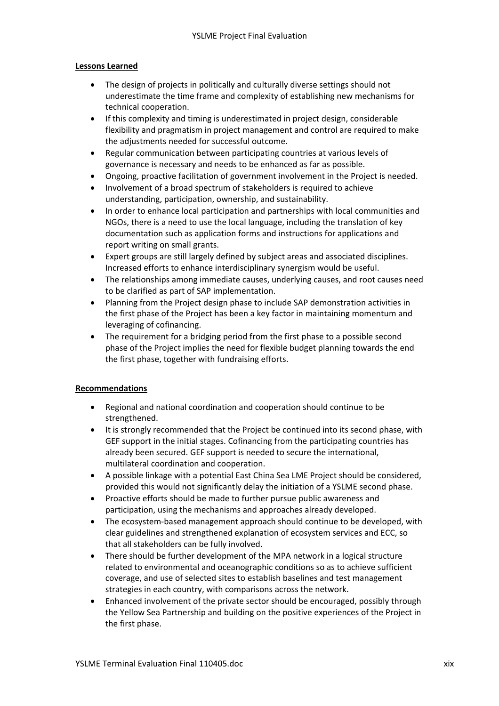### **Lessons Learned**

- The design of projects in politically and culturally diverse settings should not underestimate the time frame and complexity of establishing new mechanisms for technical cooperation.
- If this complexity and timing is underestimated in project design, considerable flexibility and pragmatism in project management and control are required to make the adjustments needed for successful outcome.
- Regular communication between participating countries at various levels of governance is necessary and needs to be enhanced as far as possible.
- Ongoing, proactive facilitation of government involvement in the Project is needed.
- Involvement of a broad spectrum of stakeholders is required to achieve understanding, participation, ownership, and sustainability.
- In order to enhance local participation and partnerships with local communities and NGOs, there is a need to use the local language, including the translation of key documentation such as application forms and instructions for applications and report writing on small grants.
- Expert groups are still largely defined by subject areas and associated disciplines. Increased efforts to enhance interdisciplinary synergism would be useful.
- The relationships among immediate causes, underlying causes, and root causes need to be clarified as part of SAP implementation.
- Planning from the Project design phase to include SAP demonstration activities in the first phase of the Project has been a key factor in maintaining momentum and leveraging of cofinancing.
- The requirement for a bridging period from the first phase to a possible second phase of the Project implies the need for flexible budget planning towards the end the first phase, together with fundraising efforts.

### **Recommendations**

- Regional and national coordination and cooperation should continue to be strengthened.
- It is strongly recommended that the Project be continued into its second phase, with GEF support in the initial stages. Cofinancing from the participating countries has already been secured. GEF support is needed to secure the international, multilateral coordination and cooperation.
- A possible linkage with a potential East China Sea LME Project should be considered, provided this would not significantly delay the initiation of a YSLME second phase.
- Proactive efforts should be made to further pursue public awareness and participation, using the mechanisms and approaches already developed.
- The ecosystem‐based management approach should continue to be developed, with clear guidelines and strengthened explanation of ecosystem services and ECC, so that all stakeholders can be fully involved.
- There should be further development of the MPA network in a logical structure related to environmental and oceanographic conditions so as to achieve sufficient coverage, and use of selected sites to establish baselines and test management strategies in each country, with comparisons across the network.
- Enhanced involvement of the private sector should be encouraged, possibly through the Yellow Sea Partnership and building on the positive experiences of the Project in the first phase.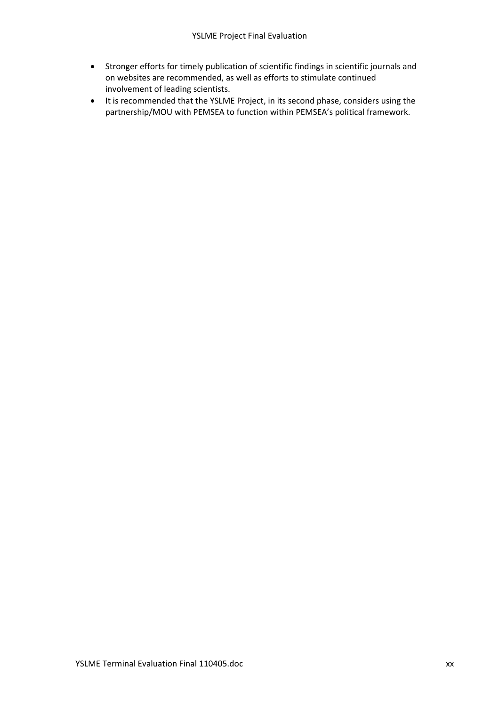- Stronger efforts for timely publication of scientific findings in scientific journals and on websites are recommended, as well as efforts to stimulate continued involvement of leading scientists.
- It is recommended that the YSLME Project, in its second phase, considers using the partnership/MOU with PEMSEA to function within PEMSEA's political framework.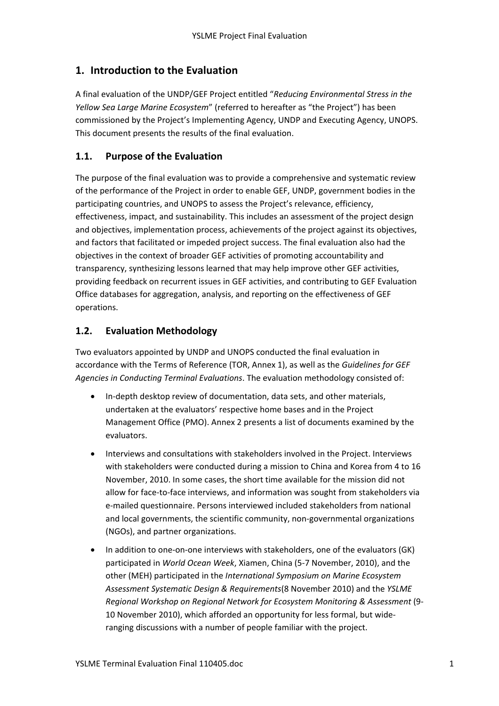### **1. Introduction to the Evaluation**

A final evaluation of the UNDP/GEF Project entitled "*Reducing Environmental Stress in the Yellow Sea Large Marine Ecosystem*" (referred to hereafter as "the Project") has been commissioned by the Project's Implementing Agency, UNDP and Executing Agency, UNOPS. This document presents the results of the final evaluation.

### **1.1. Purpose of the Evaluation**

The purpose of the final evaluation was to provide a comprehensive and systematic review of the performance of the Project in order to enable GEF, UNDP, government bodies in the participating countries, and UNOPS to assess the Project's relevance, efficiency, effectiveness, impact, and sustainability. This includes an assessment of the project design and objectives, implementation process, achievements of the project against its objectives, and factors that facilitated or impeded project success. The final evaluation also had the objectives in the context of broader GEF activities of promoting accountability and transparency, synthesizing lessons learned that may help improve other GEF activities, providing feedback on recurrent issues in GEF activities, and contributing to GEF Evaluation Office databases for aggregation, analysis, and reporting on the effectiveness of GEF operations.

### **1.2. Evaluation Methodology**

Two evaluators appointed by UNDP and UNOPS conducted the final evaluation in accordance with the Terms of Reference (TOR, Annex 1), as well as the *Guidelines for GEF Agencies in Conducting Terminal Evaluations*. The evaluation methodology consisted of:

- In‐depth desktop review of documentation, data sets, and other materials, undertaken at the evaluators' respective home bases and in the Project Management Office (PMO). Annex 2 presents a list of documents examined by the evaluators.
- Interviews and consultations with stakeholders involved in the Project. Interviews with stakeholders were conducted during a mission to China and Korea from 4 to 16 November, 2010. In some cases, the short time available for the mission did not allow for face‐to‐face interviews, and information was sought from stakeholders via e-mailed questionnaire. Persons interviewed included stakeholders from national and local governments, the scientific community, non‐governmental organizations (NGOs), and partner organizations.
- In addition to one-on-one interviews with stakeholders, one of the evaluators (GK) participated in *World Ocean Week*, Xiamen, China (5‐7 November, 2010), and the other (MEH) participated in the *International Symposium on Marine Ecosystem Assessment Systematic Design & Requirements*(8 November 2010) and the *YSLME Regional Workshop on Regional Network for Ecosystem Monitoring & Assessment* (9‐ 10 November 2010), which afforded an opportunity for less formal, but wide‐ ranging discussions with a number of people familiar with the project.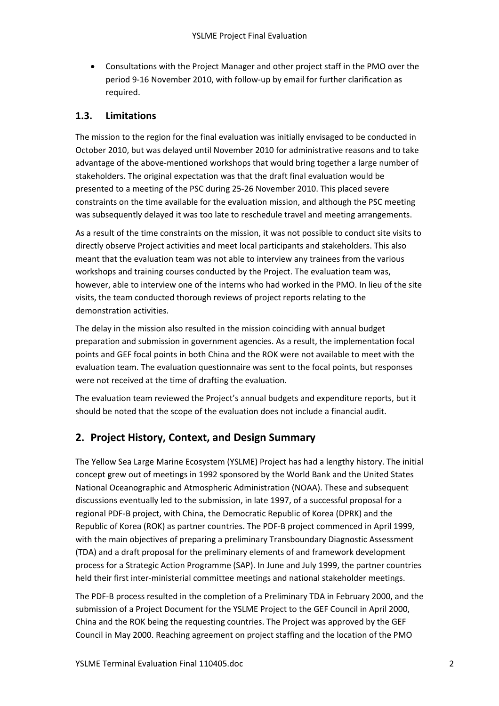Consultations with the Project Manager and other project staff in the PMO over the period 9‐16 November 2010, with follow‐up by email for further clarification as required.

### **1.3. Limitations**

The mission to the region for the final evaluation was initially envisaged to be conducted in October 2010, but was delayed until November 2010 for administrative reasons and to take advantage of the above‐mentioned workshops that would bring together a large number of stakeholders. The original expectation was that the draft final evaluation would be presented to a meeting of the PSC during 25‐26 November 2010. This placed severe constraints on the time available for the evaluation mission, and although the PSC meeting was subsequently delayed it was too late to reschedule travel and meeting arrangements.

As a result of the time constraints on the mission, it was not possible to conduct site visits to directly observe Project activities and meet local participants and stakeholders. This also meant that the evaluation team was not able to interview any trainees from the various workshops and training courses conducted by the Project. The evaluation team was, however, able to interview one of the interns who had worked in the PMO. In lieu of the site visits, the team conducted thorough reviews of project reports relating to the demonstration activities.

The delay in the mission also resulted in the mission coinciding with annual budget preparation and submission in government agencies. As a result, the implementation focal points and GEF focal points in both China and the ROK were not available to meet with the evaluation team. The evaluation questionnaire was sent to the focal points, but responses were not received at the time of drafting the evaluation.

The evaluation team reviewed the Project's annual budgets and expenditure reports, but it should be noted that the scope of the evaluation does not include a financial audit.

### **2. Project History, Context, and Design Summary**

The Yellow Sea Large Marine Ecosystem (YSLME) Project has had a lengthy history. The initial concept grew out of meetings in 1992 sponsored by the World Bank and the United States National Oceanographic and Atmospheric Administration (NOAA). These and subsequent discussions eventually led to the submission, in late 1997, of a successful proposal for a regional PDF‐B project, with China, the Democratic Republic of Korea (DPRK) and the Republic of Korea (ROK) as partner countries. The PDF‐B project commenced in April 1999, with the main objectives of preparing a preliminary Transboundary Diagnostic Assessment (TDA) and a draft proposal for the preliminary elements of and framework development process for a Strategic Action Programme (SAP). In June and July 1999, the partner countries held their first inter-ministerial committee meetings and national stakeholder meetings.

The PDF‐B process resulted in the completion of a Preliminary TDA in February 2000, and the submission of a Project Document for the YSLME Project to the GEF Council in April 2000, China and the ROK being the requesting countries. The Project was approved by the GEF Council in May 2000. Reaching agreement on project staffing and the location of the PMO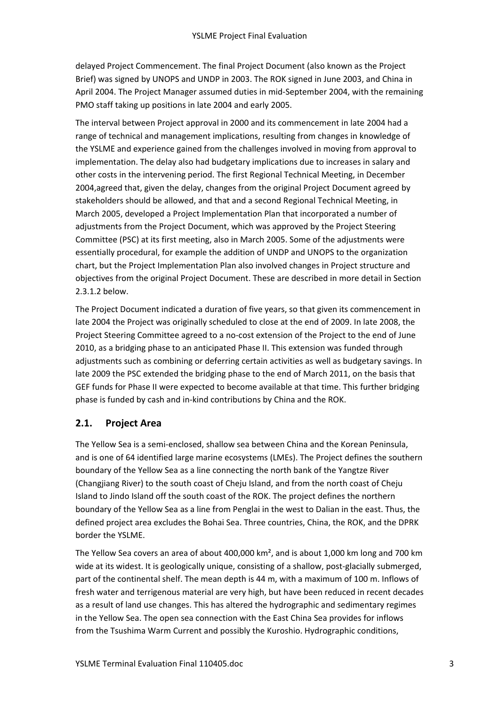delayed Project Commencement. The final Project Document (also known as the Project Brief) was signed by UNOPS and UNDP in 2003. The ROK signed in June 2003, and China in April 2004. The Project Manager assumed duties in mid‐September 2004, with the remaining PMO staff taking up positions in late 2004 and early 2005.

The interval between Project approval in 2000 and its commencement in late 2004 had a range of technical and management implications, resulting from changes in knowledge of the YSLME and experience gained from the challenges involved in moving from approval to implementation. The delay also had budgetary implications due to increases in salary and other costs in the intervening period. The first Regional Technical Meeting, in December 2004,agreed that, given the delay, changes from the original Project Document agreed by stakeholders should be allowed, and that and a second Regional Technical Meeting, in March 2005, developed a Project Implementation Plan that incorporated a number of adjustments from the Project Document, which was approved by the Project Steering Committee (PSC) at its first meeting, also in March 2005. Some of the adjustments were essentially procedural, for example the addition of UNDP and UNOPS to the organization chart, but the Project Implementation Plan also involved changes in Project structure and objectives from the original Project Document. These are described in more detail in Section 2.3.1.2 below.

The Project Document indicated a duration of five years, so that given its commencement in late 2004 the Project was originally scheduled to close at the end of 2009. In late 2008, the Project Steering Committee agreed to a no‐cost extension of the Project to the end of June 2010, as a bridging phase to an anticipated Phase II. This extension was funded through adjustments such as combining or deferring certain activities as well as budgetary savings. In late 2009 the PSC extended the bridging phase to the end of March 2011, on the basis that GEF funds for Phase II were expected to become available at that time. This further bridging phase is funded by cash and in‐kind contributions by China and the ROK.

### **2.1. Project Area**

The Yellow Sea is a semi‐enclosed, shallow sea between China and the Korean Peninsula, and is one of 64 identified large marine ecosystems (LMEs). The Project defines the southern boundary of the Yellow Sea as a line connecting the north bank of the Yangtze River (Changjiang River) to the south coast of Cheju Island, and from the north coast of Cheju Island to Jindo Island off the south coast of the ROK. The project defines the northern boundary of the Yellow Sea as a line from Penglai in the west to Dalian in the east. Thus, the defined project area excludes the Bohai Sea. Three countries, China, the ROK, and the DPRK border the YSLME.

The Yellow Sea covers an area of about 400,000 km², and is about 1,000 km long and 700 km wide at its widest. It is geologically unique, consisting of a shallow, post-glacially submerged, part of the continental shelf. The mean depth is 44 m, with a maximum of 100 m. Inflows of fresh water and terrigenous material are very high, but have been reduced in recent decades as a result of land use changes. This has altered the hydrographic and sedimentary regimes in the Yellow Sea. The open sea connection with the East China Sea provides for inflows from the Tsushima Warm Current and possibly the Kuroshio. Hydrographic conditions,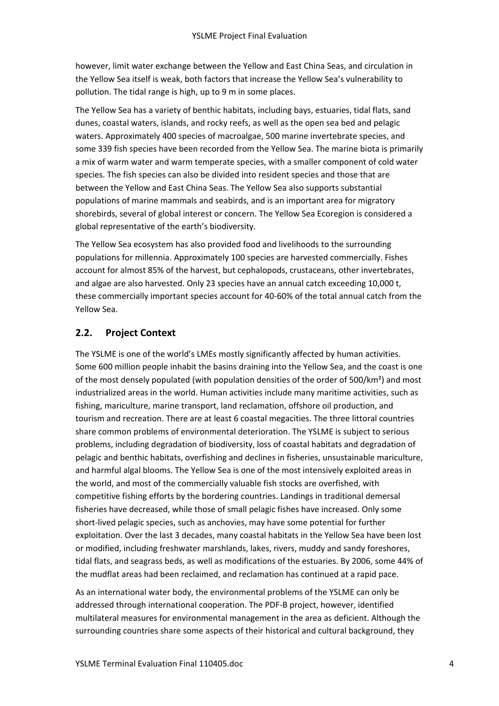however, limit water exchange between the Yellow and East China Seas, and circulation in the Yellow Sea itself is weak, both factors that increase the Yellow Sea's vulnerability to pollution. The tidal range is high, up to 9 m in some places.

The Yellow Sea has a variety of benthic habitats, including bays, estuaries, tidal flats, sand dunes, coastal waters, islands, and rocky reefs, as well as the open sea bed and pelagic waters. Approximately 400 species of macroalgae, 500 marine invertebrate species, and some 339 fish species have been recorded from the Yellow Sea. The marine biota is primarily a mix of warm water and warm temperate species, with a smaller component of cold water species. The fish species can also be divided into resident species and those that are between the Yellow and East China Seas. The Yellow Sea also supports substantial populations of marine mammals and seabirds, and is an important area for migratory shorebirds, several of global interest or concern. The Yellow Sea Ecoregion is considered a global representative of the earth's biodiversity.

The Yellow Sea ecosystem has also provided food and livelihoods to the surrounding populations for millennia. Approximately 100 species are harvested commercially. Fishes account for almost 85% of the harvest, but cephalopods, crustaceans, other invertebrates, and algae are also harvested. Only 23 species have an annual catch exceeding 10,000 t, these commercially important species account for 40‐60% of the total annual catch from the Yellow Sea.

### **2.2. Project Context**

The YSLME is one of the world's LMEs mostly significantly affected by human activities. Some 600 million people inhabit the basins draining into the Yellow Sea, and the coast is one of the most densely populated (with population densities of the order of 500/km²) and most industrialized areas in the world. Human activities include many maritime activities, such as fishing, mariculture, marine transport, land reclamation, offshore oil production, and tourism and recreation. There are at least 6 coastal megacities. The three littoral countries share common problems of environmental deterioration. The YSLME is subject to serious problems, including degradation of biodiversity, loss of coastal habitats and degradation of pelagic and benthic habitats, overfishing and declines in fisheries, unsustainable mariculture, and harmful algal blooms. The Yellow Sea is one of the most intensively exploited areas in the world, and most of the commercially valuable fish stocks are overfished, with competitive fishing efforts by the bordering countries. Landings in traditional demersal fisheries have decreased, while those of small pelagic fishes have increased. Only some short‐lived pelagic species, such as anchovies, may have some potential for further exploitation. Over the last 3 decades, many coastal habitats in the Yellow Sea have been lost or modified, including freshwater marshlands, lakes, rivers, muddy and sandy foreshores, tidal flats, and seagrass beds, as well as modifications of the estuaries. By 2006, some 44% of the mudflat areas had been reclaimed, and reclamation has continued at a rapid pace.

As an international water body, the environmental problems of the YSLME can only be addressed through international cooperation. The PDF‐B project, however, identified multilateral measures for environmental management in the area as deficient. Although the surrounding countries share some aspects of their historical and cultural background, they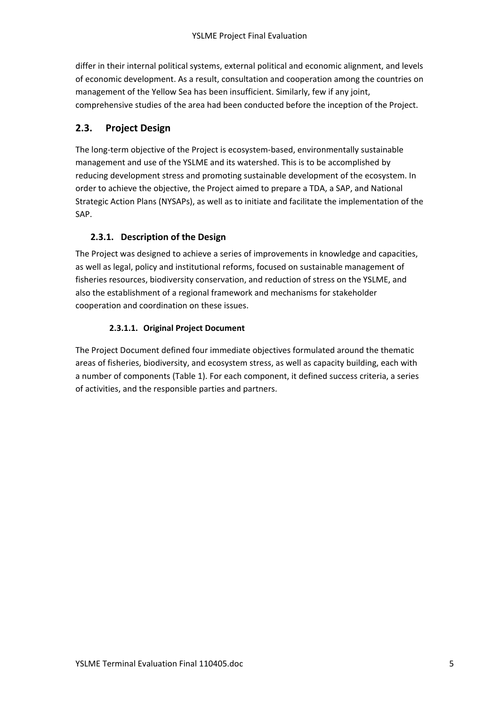differ in their internal political systems, external political and economic alignment, and levels of economic development. As a result, consultation and cooperation among the countries on management of the Yellow Sea has been insufficient. Similarly, few if any joint, comprehensive studies of the area had been conducted before the inception of the Project.

### **2.3. Project Design**

The long‐term objective of the Project is ecosystem‐based, environmentally sustainable management and use of the YSLME and its watershed. This is to be accomplished by reducing development stress and promoting sustainable development of the ecosystem. In order to achieve the objective, the Project aimed to prepare a TDA, a SAP, and National Strategic Action Plans (NYSAPs), as well as to initiate and facilitate the implementation of the SAP.

### **2.3.1. Description of the Design**

The Project was designed to achieve a series of improvements in knowledge and capacities, as well as legal, policy and institutional reforms, focused on sustainable management of fisheries resources, biodiversity conservation, and reduction of stress on the YSLME, and also the establishment of a regional framework and mechanisms for stakeholder cooperation and coordination on these issues.

### **2.3.1.1. Original Project Document**

The Project Document defined four immediate objectives formulated around the thematic areas of fisheries, biodiversity, and ecosystem stress, as well as capacity building, each with a number of components (Table 1). For each component, it defined success criteria, a series of activities, and the responsible parties and partners.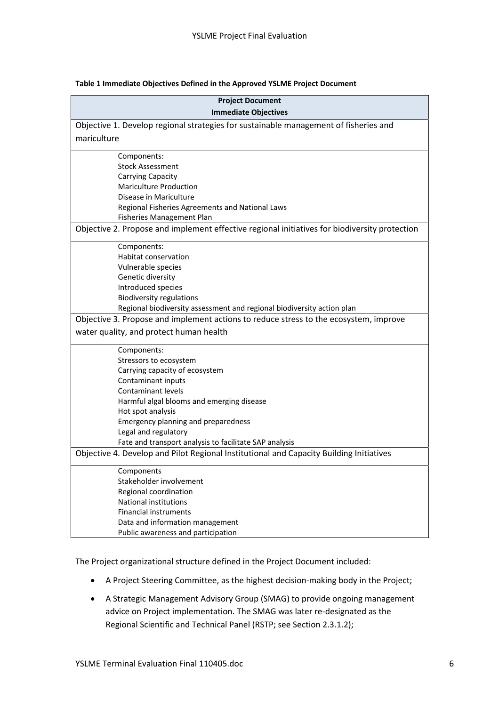| <b>Project Document</b>                                                                       |  |  |
|-----------------------------------------------------------------------------------------------|--|--|
| <b>Immediate Objectives</b>                                                                   |  |  |
| Objective 1. Develop regional strategies for sustainable management of fisheries and          |  |  |
| mariculture                                                                                   |  |  |
|                                                                                               |  |  |
| Components:                                                                                   |  |  |
| <b>Stock Assessment</b>                                                                       |  |  |
| Carrying Capacity<br><b>Mariculture Production</b>                                            |  |  |
| Disease in Mariculture                                                                        |  |  |
| Regional Fisheries Agreements and National Laws                                               |  |  |
| Fisheries Management Plan                                                                     |  |  |
| Objective 2. Propose and implement effective regional initiatives for biodiversity protection |  |  |
|                                                                                               |  |  |
| Components:                                                                                   |  |  |
| Habitat conservation                                                                          |  |  |
| Vulnerable species                                                                            |  |  |
| Genetic diversity                                                                             |  |  |
| Introduced species                                                                            |  |  |
| <b>Biodiversity regulations</b>                                                               |  |  |
| Regional biodiversity assessment and regional biodiversity action plan                        |  |  |
| Objective 3. Propose and implement actions to reduce stress to the ecosystem, improve         |  |  |
| water quality, and protect human health                                                       |  |  |
| Components:                                                                                   |  |  |
| Stressors to ecosystem                                                                        |  |  |
| Carrying capacity of ecosystem                                                                |  |  |
| Contaminant inputs                                                                            |  |  |
| <b>Contaminant levels</b>                                                                     |  |  |
| Harmful algal blooms and emerging disease                                                     |  |  |
| Hot spot analysis                                                                             |  |  |
| Emergency planning and preparedness                                                           |  |  |
| Legal and regulatory                                                                          |  |  |
| Fate and transport analysis to facilitate SAP analysis                                        |  |  |
| Objective 4. Develop and Pilot Regional Institutional and Capacity Building Initiatives       |  |  |
| Components                                                                                    |  |  |
| Stakeholder involvement                                                                       |  |  |
| Regional coordination                                                                         |  |  |
| National institutions                                                                         |  |  |
| <b>Financial instruments</b>                                                                  |  |  |
| Data and information management                                                               |  |  |
| Public awareness and participation                                                            |  |  |

#### **Table 1 Immediate Objectives Defined in the Approved YSLME Project Document**

The Project organizational structure defined in the Project Document included:

- A Project Steering Committee, as the highest decision‐making body in the Project;
- A Strategic Management Advisory Group (SMAG) to provide ongoing management advice on Project implementation. The SMAG was later re‐designated as the Regional Scientific and Technical Panel (RSTP; see Section 2.3.1.2);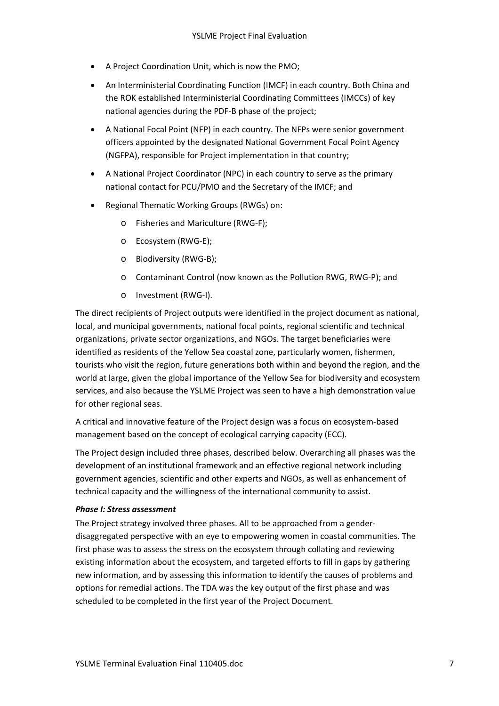- A Project Coordination Unit, which is now the PMO;
- An Interministerial Coordinating Function (IMCF) in each country. Both China and the ROK established Interministerial Coordinating Committees (IMCCs) of key national agencies during the PDF‐B phase of the project;
- A National Focal Point (NFP) in each country. The NFPs were senior government officers appointed by the designated National Government Focal Point Agency (NGFPA), responsible for Project implementation in that country;
- A National Project Coordinator (NPC) in each country to serve as the primary national contact for PCU/PMO and the Secretary of the IMCF; and
- Regional Thematic Working Groups (RWGs) on:
	- o Fisheries and Mariculture (RWG‐F);
	- o Ecosystem (RWG‐E);
	- o Biodiversity (RWG‐B);
	- o Contaminant Control (now known as the Pollution RWG, RWG‐P); and
	- o Investment (RWG‐I).

The direct recipients of Project outputs were identified in the project document as national, local, and municipal governments, national focal points, regional scientific and technical organizations, private sector organizations, and NGOs. The target beneficiaries were identified as residents of the Yellow Sea coastal zone, particularly women, fishermen, tourists who visit the region, future generations both within and beyond the region, and the world at large, given the global importance of the Yellow Sea for biodiversity and ecosystem services, and also because the YSLME Project was seen to have a high demonstration value for other regional seas.

A critical and innovative feature of the Project design was a focus on ecosystem‐based management based on the concept of ecological carrying capacity (ECC).

The Project design included three phases, described below. Overarching all phases was the development of an institutional framework and an effective regional network including government agencies, scientific and other experts and NGOs, as well as enhancement of technical capacity and the willingness of the international community to assist.

#### *Phase I: Stress assessment*

The Project strategy involved three phases. All to be approached from a gender‐ disaggregated perspective with an eye to empowering women in coastal communities. The first phase was to assess the stress on the ecosystem through collating and reviewing existing information about the ecosystem, and targeted efforts to fill in gaps by gathering new information, and by assessing this information to identify the causes of problems and options for remedial actions. The TDA was the key output of the first phase and was scheduled to be completed in the first year of the Project Document.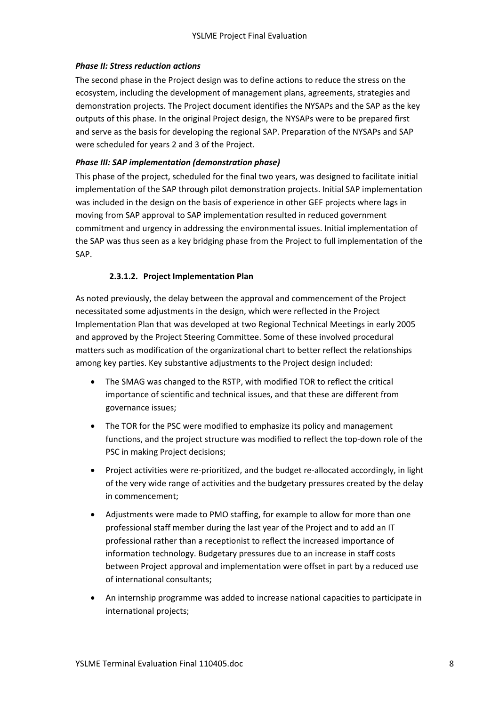### *Phase II: Stress reduction actions*

The second phase in the Project design was to define actions to reduce the stress on the ecosystem, including the development of management plans, agreements, strategies and demonstration projects. The Project document identifies the NYSAPs and the SAP as the key outputs of this phase. In the original Project design, the NYSAPs were to be prepared first and serve as the basis for developing the regional SAP. Preparation of the NYSAPs and SAP were scheduled for years 2 and 3 of the Project.

### *Phase III: SAP implementation (demonstration phase)*

This phase of the project, scheduled for the final two years, was designed to facilitate initial implementation of the SAP through pilot demonstration projects. Initial SAP implementation was included in the design on the basis of experience in other GEF projects where lags in moving from SAP approval to SAP implementation resulted in reduced government commitment and urgency in addressing the environmental issues. Initial implementation of the SAP was thus seen as a key bridging phase from the Project to full implementation of the SAP.

### **2.3.1.2. Project Implementation Plan**

As noted previously, the delay between the approval and commencement of the Project necessitated some adjustments in the design, which were reflected in the Project Implementation Plan that was developed at two Regional Technical Meetings in early 2005 and approved by the Project Steering Committee. Some of these involved procedural matters such as modification of the organizational chart to better reflect the relationships among key parties. Key substantive adjustments to the Project design included:

- The SMAG was changed to the RSTP, with modified TOR to reflect the critical importance of scientific and technical issues, and that these are different from governance issues;
- The TOR for the PSC were modified to emphasize its policy and management functions, and the project structure was modified to reflect the top-down role of the PSC in making Project decisions;
- Project activities were re-prioritized, and the budget re-allocated accordingly, in light of the very wide range of activities and the budgetary pressures created by the delay in commencement;
- Adjustments were made to PMO staffing, for example to allow for more than one professional staff member during the last year of the Project and to add an IT professional rather than a receptionist to reflect the increased importance of information technology. Budgetary pressures due to an increase in staff costs between Project approval and implementation were offset in part by a reduced use of international consultants;
- An internship programme was added to increase national capacities to participate in international projects;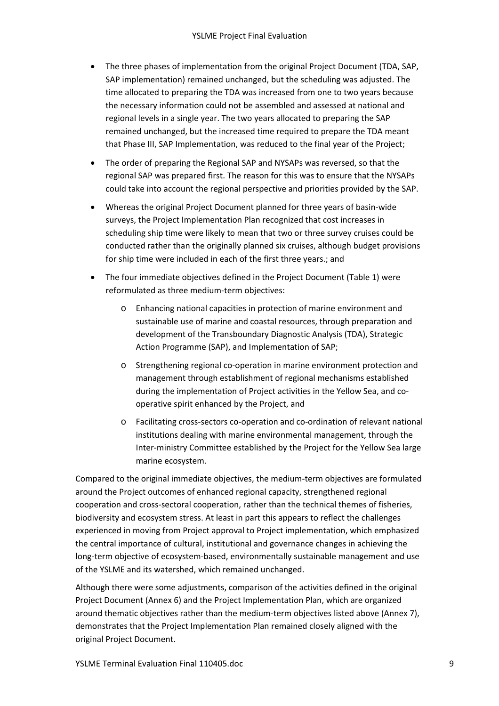- The three phases of implementation from the original Project Document (TDA, SAP, SAP implementation) remained unchanged, but the scheduling was adjusted. The time allocated to preparing the TDA was increased from one to two years because the necessary information could not be assembled and assessed at national and regional levels in a single year. The two years allocated to preparing the SAP remained unchanged, but the increased time required to prepare the TDA meant that Phase III, SAP Implementation, was reduced to the final year of the Project;
- The order of preparing the Regional SAP and NYSAPs was reversed, so that the regional SAP was prepared first. The reason for this was to ensure that the NYSAPs could take into account the regional perspective and priorities provided by the SAP.
- Whereas the original Project Document planned for three years of basin‐wide surveys, the Project Implementation Plan recognized that cost increases in scheduling ship time were likely to mean that two or three survey cruises could be conducted rather than the originally planned six cruises, although budget provisions for ship time were included in each of the first three years.; and
- The four immediate objectives defined in the Project Document (Table 1) were reformulated as three medium‐term objectives:
	- o Enhancing national capacities in protection of marine environment and sustainable use of marine and coastal resources, through preparation and development of the Transboundary Diagnostic Analysis (TDA), Strategic Action Programme (SAP), and Implementation of SAP;
	- o Strengthening regional co‐operation in marine environment protection and management through establishment of regional mechanisms established during the implementation of Project activities in the Yellow Sea, and co‐ operative spirit enhanced by the Project, and
	- o Facilitating cross‐sectors co‐operation and co‐ordination of relevant national institutions dealing with marine environmental management, through the Inter‐ministry Committee established by the Project for the Yellow Sea large marine ecosystem.

Compared to the original immediate objectives, the medium‐term objectives are formulated around the Project outcomes of enhanced regional capacity, strengthened regional cooperation and cross‐sectoral cooperation, rather than the technical themes of fisheries, biodiversity and ecosystem stress. At least in part this appears to reflect the challenges experienced in moving from Project approval to Project implementation, which emphasized the central importance of cultural, institutional and governance changes in achieving the long‐term objective of ecosystem‐based, environmentally sustainable management and use of the YSLME and its watershed, which remained unchanged.

Although there were some adjustments, comparison of the activities defined in the original Project Document (Annex 6) and the Project Implementation Plan, which are organized around thematic objectives rather than the medium‐term objectives listed above (Annex 7), demonstrates that the Project Implementation Plan remained closely aligned with the original Project Document.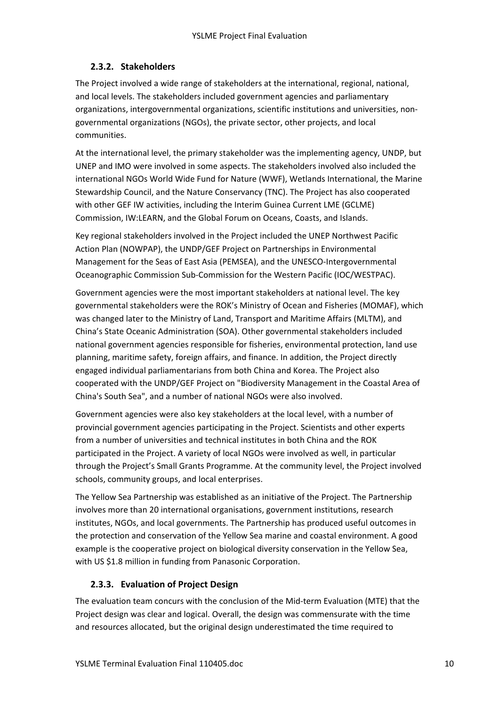### **2.3.2. Stakeholders**

The Project involved a wide range of stakeholders at the international, regional, national, and local levels. The stakeholders included government agencies and parliamentary organizations, intergovernmental organizations, scientific institutions and universities, non‐ governmental organizations (NGOs), the private sector, other projects, and local communities.

At the international level, the primary stakeholder was the implementing agency, UNDP, but UNEP and IMO were involved in some aspects. The stakeholders involved also included the international NGOs World Wide Fund for Nature (WWF), Wetlands International, the Marine Stewardship Council, and the Nature Conservancy (TNC). The Project has also cooperated with other GEF IW activities, including the Interim Guinea Current LME (GCLME) Commission, IW:LEARN, and the Global Forum on Oceans, Coasts, and Islands.

Key regional stakeholders involved in the Project included the UNEP Northwest Pacific Action Plan (NOWPAP), the UNDP/GEF Project on Partnerships in Environmental Management for the Seas of East Asia (PEMSEA), and the UNESCO‐Intergovernmental Oceanographic Commission Sub‐Commission for the Western Pacific (IOC/WESTPAC).

Government agencies were the most important stakeholders at national level. The key governmental stakeholders were the ROK's Ministry of Ocean and Fisheries (MOMAF), which was changed later to the Ministry of Land, Transport and Maritime Affairs (MLTM), and China's State Oceanic Administration (SOA). Other governmental stakeholders included national government agencies responsible for fisheries, environmental protection, land use planning, maritime safety, foreign affairs, and finance. In addition, the Project directly engaged individual parliamentarians from both China and Korea. The Project also cooperated with the UNDP/GEF Project on "Biodiversity Management in the Coastal Area of China's South Sea", and a number of national NGOs were also involved.

Government agencies were also key stakeholders at the local level, with a number of provincial government agencies participating in the Project. Scientists and other experts from a number of universities and technical institutes in both China and the ROK participated in the Project. A variety of local NGOs were involved as well, in particular through the Project's Small Grants Programme. At the community level, the Project involved schools, community groups, and local enterprises.

The Yellow Sea Partnership was established as an initiative of the Project. The Partnership involves more than 20 international organisations, government institutions, research institutes, NGOs, and local governments. The Partnership has produced useful outcomes in the protection and conservation of the Yellow Sea marine and coastal environment. A good example is the cooperative project on biological diversity conservation in the Yellow Sea, with US \$1.8 million in funding from Panasonic Corporation.

### **2.3.3. Evaluation of Project Design**

The evaluation team concurs with the conclusion of the Mid-term Evaluation (MTE) that the Project design was clear and logical. Overall, the design was commensurate with the time and resources allocated, but the original design underestimated the time required to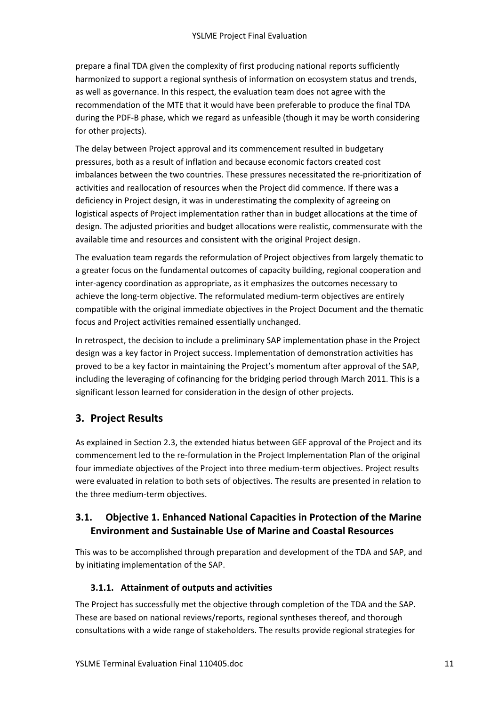prepare a final TDA given the complexity of first producing national reports sufficiently harmonized to support a regional synthesis of information on ecosystem status and trends, as well as governance. In this respect, the evaluation team does not agree with the recommendation of the MTE that it would have been preferable to produce the final TDA during the PDF‐B phase, which we regard as unfeasible (though it may be worth considering for other projects).

The delay between Project approval and its commencement resulted in budgetary pressures, both as a result of inflation and because economic factors created cost imbalances between the two countries. These pressures necessitated the re-prioritization of activities and reallocation of resources when the Project did commence. If there was a deficiency in Project design, it was in underestimating the complexity of agreeing on logistical aspects of Project implementation rather than in budget allocations at the time of design. The adjusted priorities and budget allocations were realistic, commensurate with the available time and resources and consistent with the original Project design.

The evaluation team regards the reformulation of Project objectives from largely thematic to a greater focus on the fundamental outcomes of capacity building, regional cooperation and inter-agency coordination as appropriate, as it emphasizes the outcomes necessary to achieve the long‐term objective. The reformulated medium‐term objectives are entirely compatible with the original immediate objectives in the Project Document and the thematic focus and Project activities remained essentially unchanged.

In retrospect, the decision to include a preliminary SAP implementation phase in the Project design was a key factor in Project success. Implementation of demonstration activities has proved to be a key factor in maintaining the Project's momentum after approval of the SAP, including the leveraging of cofinancing for the bridging period through March 2011. This is a significant lesson learned for consideration in the design of other projects.

### **3. Project Results**

As explained in Section 2.3, the extended hiatus between GEF approval of the Project and its commencement led to the re‐formulation in the Project Implementation Plan of the original four immediate objectives of the Project into three medium‐term objectives. Project results were evaluated in relation to both sets of objectives. The results are presented in relation to the three medium‐term objectives.

### **3.1. Objective 1. Enhanced National Capacities in Protection of the Marine Environment and Sustainable Use of Marine and Coastal Resources**

This was to be accomplished through preparation and development of the TDA and SAP, and by initiating implementation of the SAP.

### **3.1.1. Attainment of outputs and activities**

The Project has successfully met the objective through completion of the TDA and the SAP. These are based on national reviews/reports, regional syntheses thereof, and thorough consultations with a wide range of stakeholders. The results provide regional strategies for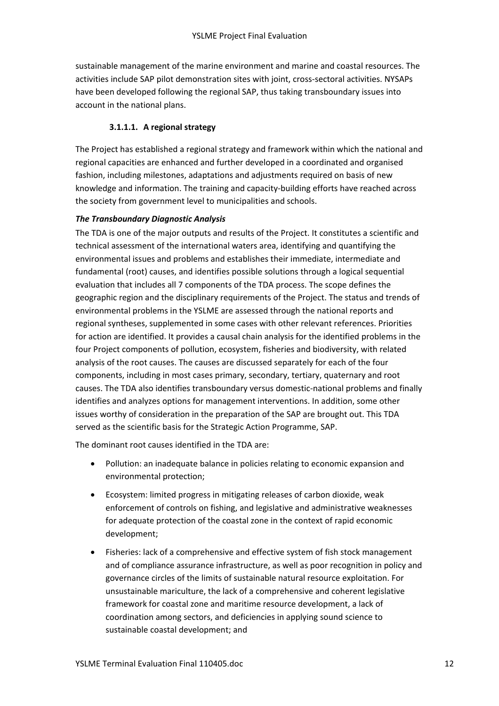sustainable management of the marine environment and marine and coastal resources. The activities include SAP pilot demonstration sites with joint, cross-sectoral activities. NYSAPs have been developed following the regional SAP, thus taking transboundary issues into account in the national plans.

### **3.1.1.1. A regional strategy**

The Project has established a regional strategy and framework within which the national and regional capacities are enhanced and further developed in a coordinated and organised fashion, including milestones, adaptations and adjustments required on basis of new knowledge and information. The training and capacity‐building efforts have reached across the society from government level to municipalities and schools.

### *The Transboundary Diagnostic Analysis*

The TDA is one of the major outputs and results of the Project. It constitutes a scientific and technical assessment of the international waters area, identifying and quantifying the environmental issues and problems and establishes their immediate, intermediate and fundamental (root) causes, and identifies possible solutions through a logical sequential evaluation that includes all 7 components of the TDA process. The scope defines the geographic region and the disciplinary requirements of the Project. The status and trends of environmental problems in the YSLME are assessed through the national reports and regional syntheses, supplemented in some cases with other relevant references. Priorities for action are identified. It provides a causal chain analysis for the identified problems in the four Project components of pollution, ecosystem, fisheries and biodiversity, with related analysis of the root causes. The causes are discussed separately for each of the four components, including in most cases primary, secondary, tertiary, quaternary and root causes. The TDA also identifies transboundary versus domestic-national problems and finally identifies and analyzes options for management interventions. In addition, some other issues worthy of consideration in the preparation of the SAP are brought out. This TDA served as the scientific basis for the Strategic Action Programme, SAP.

The dominant root causes identified in the TDA are:

- Pollution: an inadequate balance in policies relating to economic expansion and environmental protection;
- Ecosystem: limited progress in mitigating releases of carbon dioxide, weak enforcement of controls on fishing, and legislative and administrative weaknesses for adequate protection of the coastal zone in the context of rapid economic development;
- Fisheries: lack of a comprehensive and effective system of fish stock management and of compliance assurance infrastructure, as well as poor recognition in policy and governance circles of the limits of sustainable natural resource exploitation. For unsustainable mariculture, the lack of a comprehensive and coherent legislative framework for coastal zone and maritime resource development, a lack of coordination among sectors, and deficiencies in applying sound science to sustainable coastal development; and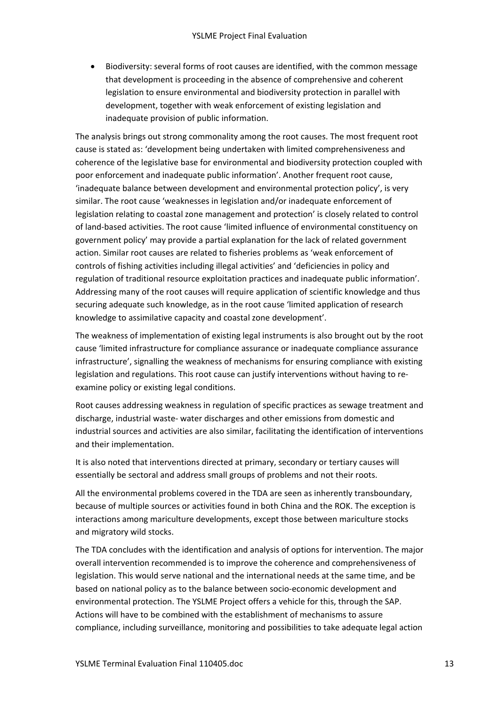Biodiversity: several forms of root causes are identified, with the common message that development is proceeding in the absence of comprehensive and coherent legislation to ensure environmental and biodiversity protection in parallel with development, together with weak enforcement of existing legislation and inadequate provision of public information.

The analysis brings out strong commonality among the root causes. The most frequent root cause is stated as: 'development being undertaken with limited comprehensiveness and coherence of the legislative base for environmental and biodiversity protection coupled with poor enforcement and inadequate public information'. Another frequent root cause, 'inadequate balance between development and environmental protection policy', is very similar. The root cause 'weaknesses in legislation and/or inadequate enforcement of legislation relating to coastal zone management and protection' is closely related to control of land‐based activities. The root cause 'limited influence of environmental constituency on government policy' may provide a partial explanation for the lack of related government action. Similar root causes are related to fisheries problems as 'weak enforcement of controls of fishing activities including illegal activities' and 'deficiencies in policy and regulation of traditional resource exploitation practices and inadequate public information'. Addressing many of the root causes will require application of scientific knowledge and thus securing adequate such knowledge, as in the root cause 'limited application of research knowledge to assimilative capacity and coastal zone development'.

The weakness of implementation of existing legal instruments is also brought out by the root cause 'limited infrastructure for compliance assurance or inadequate compliance assurance infrastructure', signalling the weakness of mechanisms for ensuring compliance with existing legislation and regulations. This root cause can justify interventions without having to re‐ examine policy or existing legal conditions.

Root causes addressing weakness in regulation of specific practices as sewage treatment and discharge, industrial waste‐ water discharges and other emissions from domestic and industrial sources and activities are also similar, facilitating the identification of interventions and their implementation.

It is also noted that interventions directed at primary, secondary or tertiary causes will essentially be sectoral and address small groups of problems and not their roots.

All the environmental problems covered in the TDA are seen as inherently transboundary, because of multiple sources or activities found in both China and the ROK. The exception is interactions among mariculture developments, except those between mariculture stocks and migratory wild stocks.

The TDA concludes with the identification and analysis of options for intervention. The major overall intervention recommended is to improve the coherence and comprehensiveness of legislation. This would serve national and the international needs at the same time, and be based on national policy as to the balance between socio‐economic development and environmental protection. The YSLME Project offers a vehicle for this, through the SAP. Actions will have to be combined with the establishment of mechanisms to assure compliance, including surveillance, monitoring and possibilities to take adequate legal action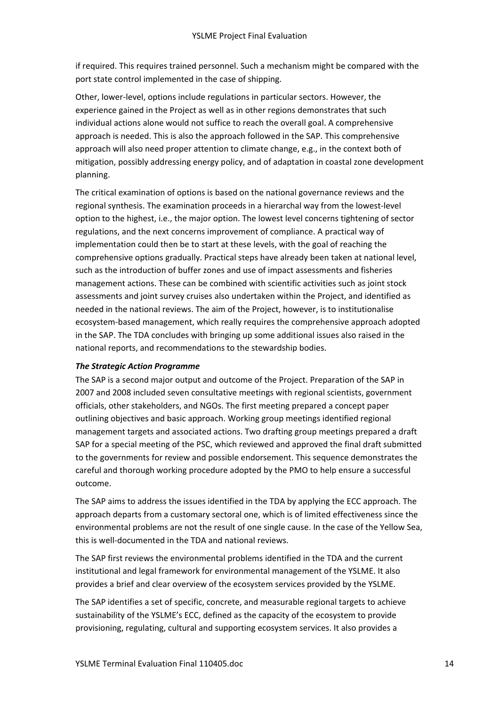if required. This requires trained personnel. Such a mechanism might be compared with the port state control implemented in the case of shipping.

Other, lower‐level, options include regulations in particular sectors. However, the experience gained in the Project as well as in other regions demonstrates that such individual actions alone would not suffice to reach the overall goal. A comprehensive approach is needed. This is also the approach followed in the SAP. This comprehensive approach will also need proper attention to climate change, e.g., in the context both of mitigation, possibly addressing energy policy, and of adaptation in coastal zone development planning.

The critical examination of options is based on the national governance reviews and the regional synthesis. The examination proceeds in a hierarchal way from the lowest‐level option to the highest, i.e., the major option. The lowest level concerns tightening of sector regulations, and the next concerns improvement of compliance. A practical way of implementation could then be to start at these levels, with the goal of reaching the comprehensive options gradually. Practical steps have already been taken at national level, such as the introduction of buffer zones and use of impact assessments and fisheries management actions. These can be combined with scientific activities such as joint stock assessments and joint survey cruises also undertaken within the Project, and identified as needed in the national reviews. The aim of the Project, however, is to institutionalise ecosystem‐based management, which really requires the comprehensive approach adopted in the SAP. The TDA concludes with bringing up some additional issues also raised in the national reports, and recommendations to the stewardship bodies.

### *The Strategic Action Programme*

The SAP is a second major output and outcome of the Project. Preparation of the SAP in 2007 and 2008 included seven consultative meetings with regional scientists, government officials, other stakeholders, and NGOs. The first meeting prepared a concept paper outlining objectives and basic approach. Working group meetings identified regional management targets and associated actions. Two drafting group meetings prepared a draft SAP for a special meeting of the PSC, which reviewed and approved the final draft submitted to the governments for review and possible endorsement. This sequence demonstrates the careful and thorough working procedure adopted by the PMO to help ensure a successful outcome.

The SAP aims to address the issues identified in the TDA by applying the ECC approach. The approach departs from a customary sectoral one, which is of limited effectiveness since the environmental problems are not the result of one single cause. In the case of the Yellow Sea, this is well‐documented in the TDA and national reviews.

The SAP first reviews the environmental problems identified in the TDA and the current institutional and legal framework for environmental management of the YSLME. It also provides a brief and clear overview of the ecosystem services provided by the YSLME.

The SAP identifies a set of specific, concrete, and measurable regional targets to achieve sustainability of the YSLME's ECC, defined as the capacity of the ecosystem to provide provisioning, regulating, cultural and supporting ecosystem services. It also provides a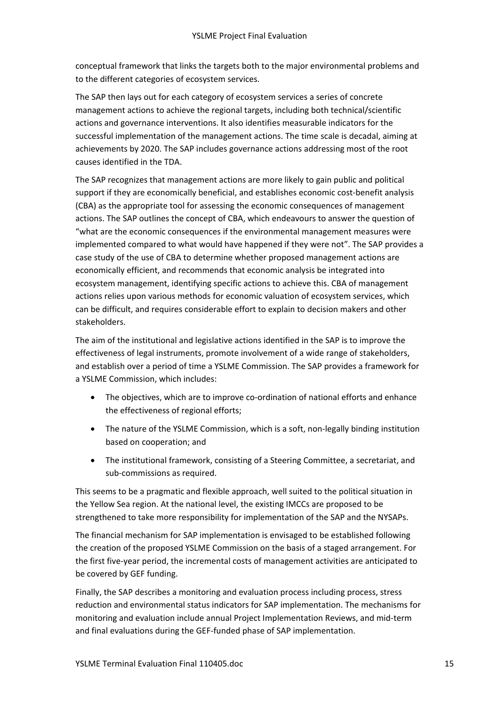conceptual framework that links the targets both to the major environmental problems and to the different categories of ecosystem services.

The SAP then lays out for each category of ecosystem services a series of concrete management actions to achieve the regional targets, including both technical/scientific actions and governance interventions. It also identifies measurable indicators for the successful implementation of the management actions. The time scale is decadal, aiming at achievements by 2020. The SAP includes governance actions addressing most of the root causes identified in the TDA.

The SAP recognizes that management actions are more likely to gain public and political support if they are economically beneficial, and establishes economic cost-benefit analysis (CBA) as the appropriate tool for assessing the economic consequences of management actions. The SAP outlines the concept of CBA, which endeavours to answer the question of "what are the economic consequences if the environmental management measures were implemented compared to what would have happened if they were not". The SAP provides a case study of the use of CBA to determine whether proposed management actions are economically efficient, and recommends that economic analysis be integrated into ecosystem management, identifying specific actions to achieve this. CBA of management actions relies upon various methods for economic valuation of ecosystem services, which can be difficult, and requires considerable effort to explain to decision makers and other stakeholders.

The aim of the institutional and legislative actions identified in the SAP is to improve the effectiveness of legal instruments, promote involvement of a wide range of stakeholders, and establish over a period of time a YSLME Commission. The SAP provides a framework for a YSLME Commission, which includes:

- The objectives, which are to improve co-ordination of national efforts and enhance the effectiveness of regional efforts;
- The nature of the YSLME Commission, which is a soft, non-legally binding institution based on cooperation; and
- The institutional framework, consisting of a Steering Committee, a secretariat, and sub‐commissions as required.

This seems to be a pragmatic and flexible approach, well suited to the political situation in the Yellow Sea region. At the national level, the existing IMCCs are proposed to be strengthened to take more responsibility for implementation of the SAP and the NYSAPs.

The financial mechanism for SAP implementation is envisaged to be established following the creation of the proposed YSLME Commission on the basis of a staged arrangement. For the first five‐year period, the incremental costs of management activities are anticipated to be covered by GEF funding.

Finally, the SAP describes a monitoring and evaluation process including process, stress reduction and environmental status indicators for SAP implementation. The mechanisms for monitoring and evaluation include annual Project Implementation Reviews, and mid‐term and final evaluations during the GEF‐funded phase of SAP implementation.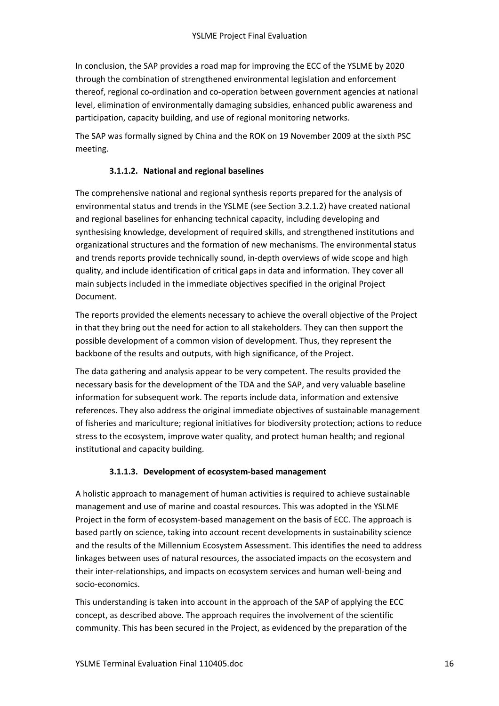In conclusion, the SAP provides a road map for improving the ECC of the YSLME by 2020 through the combination of strengthened environmental legislation and enforcement thereof, regional co‐ordination and co‐operation between government agencies at national level, elimination of environmentally damaging subsidies, enhanced public awareness and participation, capacity building, and use of regional monitoring networks.

The SAP was formally signed by China and the ROK on 19 November 2009 at the sixth PSC meeting.

### **3.1.1.2. National and regional baselines**

The comprehensive national and regional synthesis reports prepared for the analysis of environmental status and trends in the YSLME (see Section 3.2.1.2) have created national and regional baselines for enhancing technical capacity, including developing and synthesising knowledge, development of required skills, and strengthened institutions and organizational structures and the formation of new mechanisms. The environmental status and trends reports provide technically sound, in‐depth overviews of wide scope and high quality, and include identification of critical gaps in data and information. They cover all main subjects included in the immediate objectives specified in the original Project Document.

The reports provided the elements necessary to achieve the overall objective of the Project in that they bring out the need for action to all stakeholders. They can then support the possible development of a common vision of development. Thus, they represent the backbone of the results and outputs, with high significance, of the Project.

The data gathering and analysis appear to be very competent. The results provided the necessary basis for the development of the TDA and the SAP, and very valuable baseline information for subsequent work. The reports include data, information and extensive references. They also address the original immediate objectives of sustainable management of fisheries and mariculture; regional initiatives for biodiversity protection; actions to reduce stress to the ecosystem, improve water quality, and protect human health; and regional institutional and capacity building.

### **3.1.1.3. Development of ecosystem‐based management**

A holistic approach to management of human activities is required to achieve sustainable management and use of marine and coastal resources. This was adopted in the YSLME Project in the form of ecosystem‐based management on the basis of ECC. The approach is based partly on science, taking into account recent developments in sustainability science and the results of the Millennium Ecosystem Assessment. This identifies the need to address linkages between uses of natural resources, the associated impacts on the ecosystem and their inter‐relationships, and impacts on ecosystem services and human well‐being and socio‐economics.

This understanding is taken into account in the approach of the SAP of applying the ECC concept, as described above. The approach requires the involvement of the scientific community. This has been secured in the Project, as evidenced by the preparation of the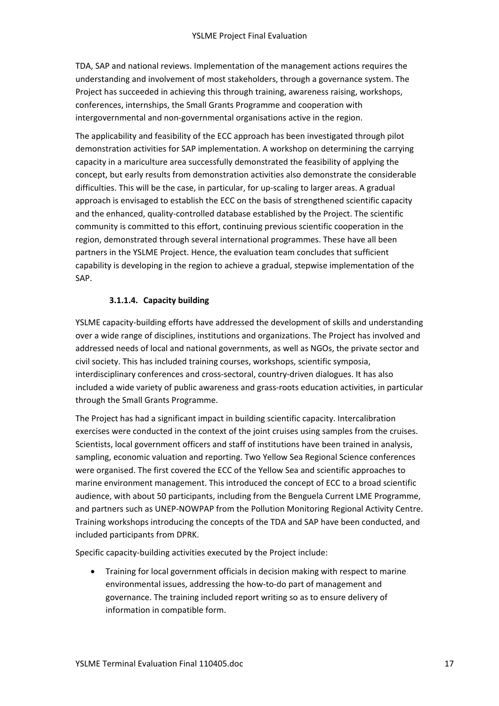TDA, SAP and national reviews. Implementation of the management actions requires the understanding and involvement of most stakeholders, through a governance system. The Project has succeeded in achieving this through training, awareness raising, workshops, conferences, internships, the Small Grants Programme and cooperation with intergovernmental and non‐governmental organisations active in the region.

The applicability and feasibility of the ECC approach has been investigated through pilot demonstration activities for SAP implementation. A workshop on determining the carrying capacity in a mariculture area successfully demonstrated the feasibility of applying the concept, but early results from demonstration activities also demonstrate the considerable difficulties. This will be the case, in particular, for up‐scaling to larger areas. A gradual approach is envisaged to establish the ECC on the basis of strengthened scientific capacity and the enhanced, quality‐controlled database established by the Project. The scientific community is committed to this effort, continuing previous scientific cooperation in the region, demonstrated through several international programmes. These have all been partners in the YSLME Project. Hence, the evaluation team concludes that sufficient capability is developing in the region to achieve a gradual, stepwise implementation of the SAP.

#### **3.1.1.4. Capacity building**

YSLME capacity-building efforts have addressed the development of skills and understanding over a wide range of disciplines, institutions and organizations. The Project has involved and addressed needs of local and national governments, as well as NGOs, the private sector and civil society. This has included training courses, workshops, scientific symposia, interdisciplinary conferences and cross‐sectoral, country‐driven dialogues. It has also included a wide variety of public awareness and grass-roots education activities, in particular through the Small Grants Programme.

The Project has had a significant impact in building scientific capacity. Intercalibration exercises were conducted in the context of the joint cruises using samples from the cruises. Scientists, local government officers and staff of institutions have been trained in analysis, sampling, economic valuation and reporting. Two Yellow Sea Regional Science conferences were organised. The first covered the ECC of the Yellow Sea and scientific approaches to marine environment management. This introduced the concept of ECC to a broad scientific audience, with about 50 participants, including from the Benguela Current LME Programme, and partners such as UNEP‐NOWPAP from the Pollution Monitoring Regional Activity Centre. Training workshops introducing the concepts of the TDA and SAP have been conducted, and included participants from DPRK.

Specific capacity‐building activities executed by the Project include:

 Training for local government officials in decision making with respect to marine environmental issues, addressing the how‐to‐do part of management and governance. The training included report writing so as to ensure delivery of information in compatible form.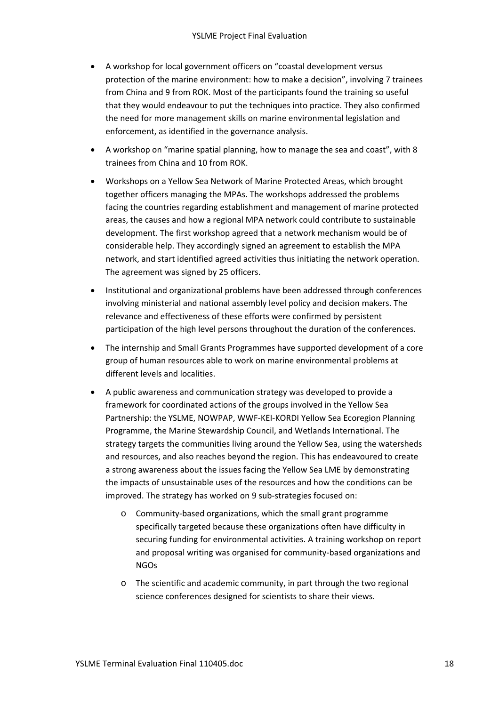- A workshop for local government officers on "coastal development versus protection of the marine environment: how to make a decision", involving 7 trainees from China and 9 from ROK. Most of the participants found the training so useful that they would endeavour to put the techniques into practice. They also confirmed the need for more management skills on marine environmental legislation and enforcement, as identified in the governance analysis.
- A workshop on "marine spatial planning, how to manage the sea and coast", with 8 trainees from China and 10 from ROK.
- Workshops on a Yellow Sea Network of Marine Protected Areas, which brought together officers managing the MPAs. The workshops addressed the problems facing the countries regarding establishment and management of marine protected areas, the causes and how a regional MPA network could contribute to sustainable development. The first workshop agreed that a network mechanism would be of considerable help. They accordingly signed an agreement to establish the MPA network, and start identified agreed activities thus initiating the network operation. The agreement was signed by 25 officers.
- Institutional and organizational problems have been addressed through conferences involving ministerial and national assembly level policy and decision makers. The relevance and effectiveness of these efforts were confirmed by persistent participation of the high level persons throughout the duration of the conferences.
- The internship and Small Grants Programmes have supported development of a core group of human resources able to work on marine environmental problems at different levels and localities.
- A public awareness and communication strategy was developed to provide a framework for coordinated actions of the groups involved in the Yellow Sea Partnership: the YSLME, NOWPAP, WWF‐KEI‐KORDI Yellow Sea Ecoregion Planning Programme, the Marine Stewardship Council, and Wetlands International. The strategy targets the communities living around the Yellow Sea, using the watersheds and resources, and also reaches beyond the region. This has endeavoured to create a strong awareness about the issues facing the Yellow Sea LME by demonstrating the impacts of unsustainable uses of the resources and how the conditions can be improved. The strategy has worked on 9 sub-strategies focused on:
	- o Community‐based organizations, which the small grant programme specifically targeted because these organizations often have difficulty in securing funding for environmental activities. A training workshop on report and proposal writing was organised for community‐based organizations and NGOs
	- o The scientific and academic community, in part through the two regional science conferences designed for scientists to share their views.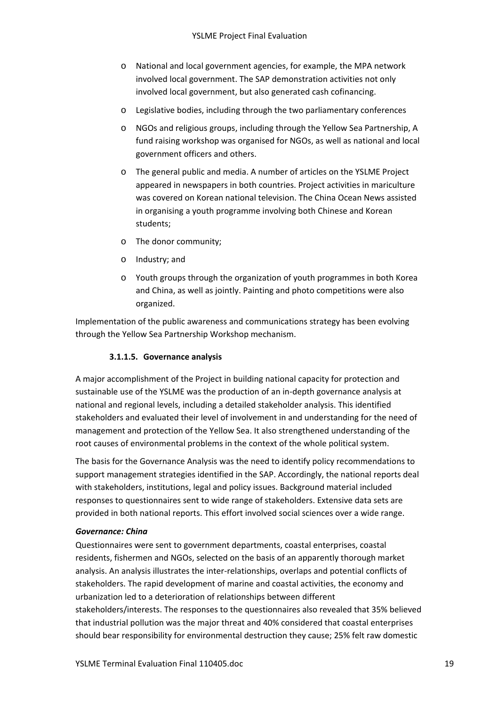- o National and local government agencies, for example, the MPA network involved local government. The SAP demonstration activities not only involved local government, but also generated cash cofinancing.
- o Legislative bodies, including through the two parliamentary conferences
- o NGOs and religious groups, including through the Yellow Sea Partnership, A fund raising workshop was organised for NGOs, as well as national and local government officers and others.
- o The general public and media. A number of articles on the YSLME Project appeared in newspapers in both countries. Project activities in mariculture was covered on Korean national television. The China Ocean News assisted in organising a youth programme involving both Chinese and Korean students;
- o The donor community;
- o Industry; and
- o Youth groups through the organization of youth programmes in both Korea and China, as well as jointly. Painting and photo competitions were also organized.

Implementation of the public awareness and communications strategy has been evolving through the Yellow Sea Partnership Workshop mechanism.

### **3.1.1.5. Governance analysis**

A major accomplishment of the Project in building national capacity for protection and sustainable use of the YSLME was the production of an in‐depth governance analysis at national and regional levels, including a detailed stakeholder analysis. This identified stakeholders and evaluated their level of involvement in and understanding for the need of management and protection of the Yellow Sea. It also strengthened understanding of the root causes of environmental problems in the context of the whole political system.

The basis for the Governance Analysis was the need to identify policy recommendations to support management strategies identified in the SAP. Accordingly, the national reports deal with stakeholders, institutions, legal and policy issues. Background material included responses to questionnaires sent to wide range of stakeholders. Extensive data sets are provided in both national reports. This effort involved social sciences over a wide range.

### *Governance: China*

Questionnaires were sent to government departments, coastal enterprises, coastal residents, fishermen and NGOs, selected on the basis of an apparently thorough market analysis. An analysis illustrates the inter‐relationships, overlaps and potential conflicts of stakeholders. The rapid development of marine and coastal activities, the economy and urbanization led to a deterioration of relationships between different stakeholders/interests. The responses to the questionnaires also revealed that 35% believed that industrial pollution was the major threat and 40% considered that coastal enterprises should bear responsibility for environmental destruction they cause; 25% felt raw domestic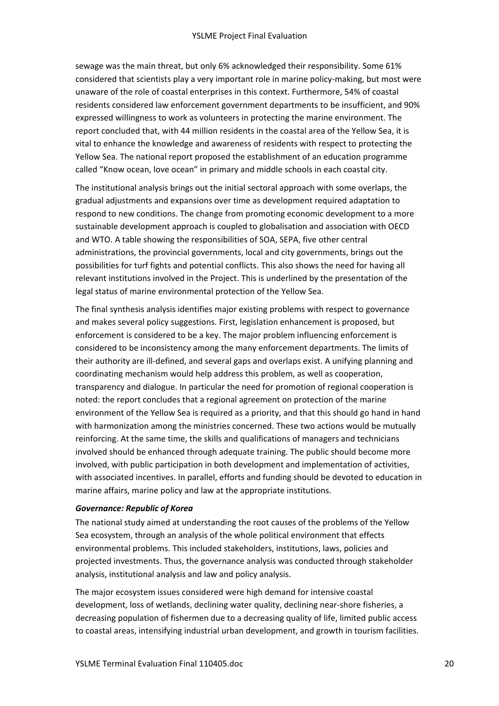sewage was the main threat, but only 6% acknowledged their responsibility. Some 61% considered that scientists play a very important role in marine policy‐making, but most were unaware of the role of coastal enterprises in this context. Furthermore, 54% of coastal residents considered law enforcement government departments to be insufficient, and 90% expressed willingness to work as volunteers in protecting the marine environment. The report concluded that, with 44 million residents in the coastal area of the Yellow Sea, it is vital to enhance the knowledge and awareness of residents with respect to protecting the Yellow Sea. The national report proposed the establishment of an education programme called "Know ocean, love ocean" in primary and middle schools in each coastal city.

The institutional analysis brings out the initial sectoral approach with some overlaps, the gradual adjustments and expansions over time as development required adaptation to respond to new conditions. The change from promoting economic development to a more sustainable development approach is coupled to globalisation and association with OECD and WTO. A table showing the responsibilities of SOA, SEPA, five other central administrations, the provincial governments, local and city governments, brings out the possibilities for turf fights and potential conflicts. This also shows the need for having all relevant institutions involved in the Project. This is underlined by the presentation of the legal status of marine environmental protection of the Yellow Sea.

The final synthesis analysis identifies major existing problems with respect to governance and makes several policy suggestions. First, legislation enhancement is proposed, but enforcement is considered to be a key. The major problem influencing enforcement is considered to be inconsistency among the many enforcement departments. The limits of their authority are ill-defined, and several gaps and overlaps exist. A unifying planning and coordinating mechanism would help address this problem, as well as cooperation, transparency and dialogue. In particular the need for promotion of regional cooperation is noted: the report concludes that a regional agreement on protection of the marine environment of the Yellow Sea is required as a priority, and that this should go hand in hand with harmonization among the ministries concerned. These two actions would be mutually reinforcing. At the same time, the skills and qualifications of managers and technicians involved should be enhanced through adequate training. The public should become more involved, with public participation in both development and implementation of activities, with associated incentives. In parallel, efforts and funding should be devoted to education in marine affairs, marine policy and law at the appropriate institutions.

#### *Governance: Republic of Korea*

The national study aimed at understanding the root causes of the problems of the Yellow Sea ecosystem, through an analysis of the whole political environment that effects environmental problems. This included stakeholders, institutions, laws, policies and projected investments. Thus, the governance analysis was conducted through stakeholder analysis, institutional analysis and law and policy analysis.

The major ecosystem issues considered were high demand for intensive coastal development, loss of wetlands, declining water quality, declining near‐shore fisheries, a decreasing population of fishermen due to a decreasing quality of life, limited public access to coastal areas, intensifying industrial urban development, and growth in tourism facilities.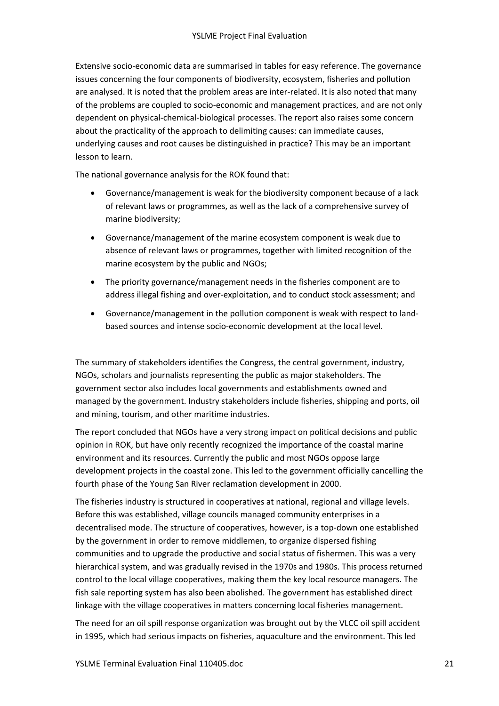Extensive socio‐economic data are summarised in tables for easy reference. The governance issues concerning the four components of biodiversity, ecosystem, fisheries and pollution are analysed. It is noted that the problem areas are inter-related. It is also noted that many of the problems are coupled to socio‐economic and management practices, and are not only dependent on physical‐chemical‐biological processes. The report also raises some concern about the practicality of the approach to delimiting causes: can immediate causes, underlying causes and root causes be distinguished in practice? This may be an important lesson to learn.

The national governance analysis for the ROK found that:

- Governance/management is weak for the biodiversity component because of a lack of relevant laws or programmes, as well as the lack of a comprehensive survey of marine biodiversity;
- Governance/management of the marine ecosystem component is weak due to absence of relevant laws or programmes, together with limited recognition of the marine ecosystem by the public and NGOs;
- The priority governance/management needs in the fisheries component are to address illegal fishing and over‐exploitation, and to conduct stock assessment; and
- Governance/management in the pollution component is weak with respect to land‐ based sources and intense socio‐economic development at the local level.

The summary of stakeholders identifies the Congress, the central government, industry, NGOs, scholars and journalists representing the public as major stakeholders. The government sector also includes local governments and establishments owned and managed by the government. Industry stakeholders include fisheries, shipping and ports, oil and mining, tourism, and other maritime industries.

The report concluded that NGOs have a very strong impact on political decisions and public opinion in ROK, but have only recently recognized the importance of the coastal marine environment and its resources. Currently the public and most NGOs oppose large development projects in the coastal zone. This led to the government officially cancelling the fourth phase of the Young San River reclamation development in 2000.

The fisheries industry is structured in cooperatives at national, regional and village levels. Before this was established, village councils managed community enterprises in a decentralised mode. The structure of cooperatives, however, is a top-down one established by the government in order to remove middlemen, to organize dispersed fishing communities and to upgrade the productive and social status of fishermen. This was a very hierarchical system, and was gradually revised in the 1970s and 1980s. This process returned control to the local village cooperatives, making them the key local resource managers. The fish sale reporting system has also been abolished. The government has established direct linkage with the village cooperatives in matters concerning local fisheries management.

The need for an oil spill response organization was brought out by the VLCC oil spill accident in 1995, which had serious impacts on fisheries, aquaculture and the environment. This led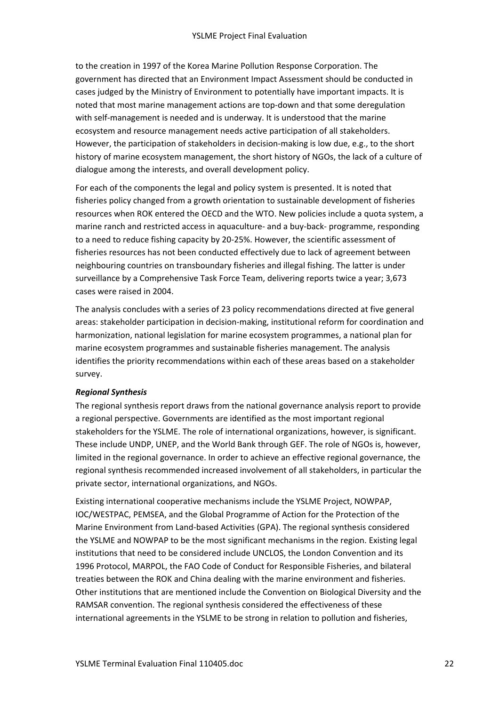to the creation in 1997 of the Korea Marine Pollution Response Corporation. The government has directed that an Environment Impact Assessment should be conducted in cases judged by the Ministry of Environment to potentially have important impacts. It is noted that most marine management actions are top‐down and that some deregulation with self-management is needed and is underway. It is understood that the marine ecosystem and resource management needs active participation of all stakeholders. However, the participation of stakeholders in decision-making is low due, e.g., to the short history of marine ecosystem management, the short history of NGOs, the lack of a culture of dialogue among the interests, and overall development policy.

For each of the components the legal and policy system is presented. It is noted that fisheries policy changed from a growth orientation to sustainable development of fisheries resources when ROK entered the OECD and the WTO. New policies include a quota system, a marine ranch and restricted access in aquaculture‐ and a buy‐back‐ programme, responding to a need to reduce fishing capacity by 20-25%. However, the scientific assessment of fisheries resources has not been conducted effectively due to lack of agreement between neighbouring countries on transboundary fisheries and illegal fishing. The latter is under surveillance by a Comprehensive Task Force Team, delivering reports twice a year; 3,673 cases were raised in 2004.

The analysis concludes with a series of 23 policy recommendations directed at five general areas: stakeholder participation in decision‐making, institutional reform for coordination and harmonization, national legislation for marine ecosystem programmes, a national plan for marine ecosystem programmes and sustainable fisheries management. The analysis identifies the priority recommendations within each of these areas based on a stakeholder survey.

### *Regional Synthesis*

The regional synthesis report draws from the national governance analysis report to provide a regional perspective. Governments are identified as the most important regional stakeholders for the YSLME. The role of international organizations, however, is significant. These include UNDP, UNEP, and the World Bank through GEF. The role of NGOs is, however, limited in the regional governance. In order to achieve an effective regional governance, the regional synthesis recommended increased involvement of all stakeholders, in particular the private sector, international organizations, and NGOs.

Existing international cooperative mechanisms include the YSLME Project, NOWPAP, IOC/WESTPAC, PEMSEA, and the Global Programme of Action for the Protection of the Marine Environment from Land‐based Activities (GPA). The regional synthesis considered the YSLME and NOWPAP to be the most significant mechanisms in the region. Existing legal institutions that need to be considered include UNCLOS, the London Convention and its 1996 Protocol, MARPOL, the FAO Code of Conduct for Responsible Fisheries, and bilateral treaties between the ROK and China dealing with the marine environment and fisheries. Other institutions that are mentioned include the Convention on Biological Diversity and the RAMSAR convention. The regional synthesis considered the effectiveness of these international agreements in the YSLME to be strong in relation to pollution and fisheries,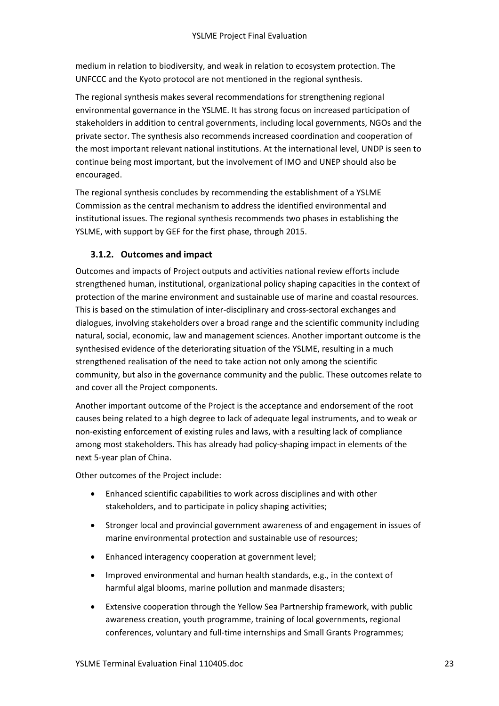medium in relation to biodiversity, and weak in relation to ecosystem protection. The UNFCCC and the Kyoto protocol are not mentioned in the regional synthesis.

The regional synthesis makes several recommendations for strengthening regional environmental governance in the YSLME. It has strong focus on increased participation of stakeholders in addition to central governments, including local governments, NGOs and the private sector. The synthesis also recommends increased coordination and cooperation of the most important relevant national institutions. At the international level, UNDP is seen to continue being most important, but the involvement of IMO and UNEP should also be encouraged.

The regional synthesis concludes by recommending the establishment of a YSLME Commission as the central mechanism to address the identified environmental and institutional issues. The regional synthesis recommends two phases in establishing the YSLME, with support by GEF for the first phase, through 2015.

# **3.1.2. Outcomes and impact**

Outcomes and impacts of Project outputs and activities national review efforts include strengthened human, institutional, organizational policy shaping capacities in the context of protection of the marine environment and sustainable use of marine and coastal resources. This is based on the stimulation of inter‐disciplinary and cross‐sectoral exchanges and dialogues, involving stakeholders over a broad range and the scientific community including natural, social, economic, law and management sciences. Another important outcome is the synthesised evidence of the deteriorating situation of the YSLME, resulting in a much strengthened realisation of the need to take action not only among the scientific community, but also in the governance community and the public. These outcomes relate to and cover all the Project components.

Another important outcome of the Project is the acceptance and endorsement of the root causes being related to a high degree to lack of adequate legal instruments, and to weak or non‐existing enforcement of existing rules and laws, with a resulting lack of compliance among most stakeholders. This has already had policy‐shaping impact in elements of the next 5‐year plan of China.

Other outcomes of the Project include:

- Enhanced scientific capabilities to work across disciplines and with other stakeholders, and to participate in policy shaping activities;
- Stronger local and provincial government awareness of and engagement in issues of marine environmental protection and sustainable use of resources;
- Enhanced interagency cooperation at government level;
- Improved environmental and human health standards, e.g., in the context of harmful algal blooms, marine pollution and manmade disasters;
- Extensive cooperation through the Yellow Sea Partnership framework, with public awareness creation, youth programme, training of local governments, regional conferences, voluntary and full‐time internships and Small Grants Programmes;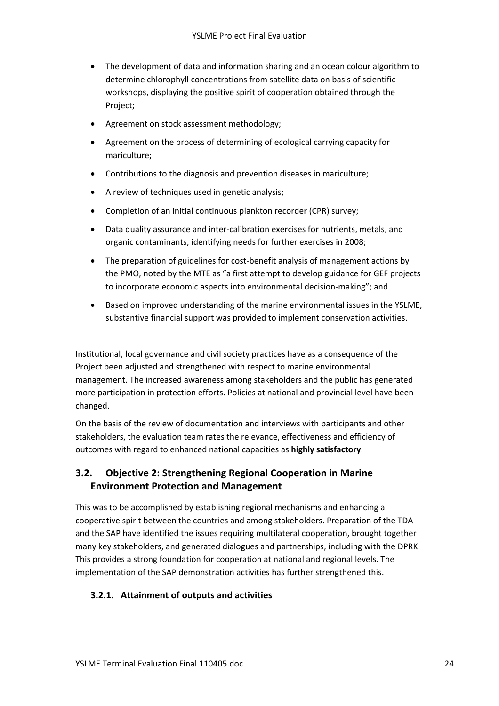- The development of data and information sharing and an ocean colour algorithm to determine chlorophyll concentrations from satellite data on basis of scientific workshops, displaying the positive spirit of cooperation obtained through the Project;
- Agreement on stock assessment methodology;
- Agreement on the process of determining of ecological carrying capacity for mariculture;
- Contributions to the diagnosis and prevention diseases in mariculture;
- A review of techniques used in genetic analysis;
- Completion of an initial continuous plankton recorder (CPR) survey;
- Data quality assurance and inter-calibration exercises for nutrients, metals, and organic contaminants, identifying needs for further exercises in 2008;
- The preparation of guidelines for cost-benefit analysis of management actions by the PMO, noted by the MTE as "a first attempt to develop guidance for GEF projects to incorporate economic aspects into environmental decision‐making"; and
- Based on improved understanding of the marine environmental issues in the YSLME, substantive financial support was provided to implement conservation activities.

Institutional, local governance and civil society practices have as a consequence of the Project been adjusted and strengthened with respect to marine environmental management. The increased awareness among stakeholders and the public has generated more participation in protection efforts. Policies at national and provincial level have been changed.

On the basis of the review of documentation and interviews with participants and other stakeholders, the evaluation team rates the relevance, effectiveness and efficiency of outcomes with regard to enhanced national capacities as **highly satisfactory**.

# **3.2. Objective 2: Strengthening Regional Cooperation in Marine Environment Protection and Management**

This was to be accomplished by establishing regional mechanisms and enhancing a cooperative spirit between the countries and among stakeholders. Preparation of the TDA and the SAP have identified the issues requiring multilateral cooperation, brought together many key stakeholders, and generated dialogues and partnerships, including with the DPRK. This provides a strong foundation for cooperation at national and regional levels. The implementation of the SAP demonstration activities has further strengthened this.

# **3.2.1. Attainment of outputs and activities**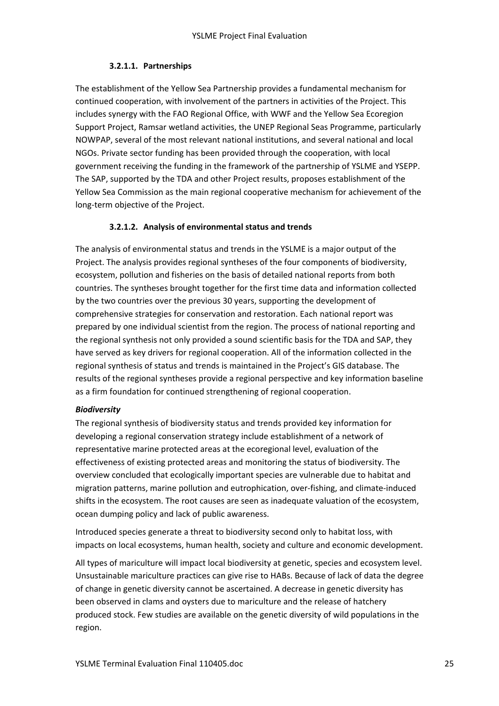### **3.2.1.1. Partnerships**

The establishment of the Yellow Sea Partnership provides a fundamental mechanism for continued cooperation, with involvement of the partners in activities of the Project. This includes synergy with the FAO Regional Office, with WWF and the Yellow Sea Ecoregion Support Project, Ramsar wetland activities, the UNEP Regional Seas Programme, particularly NOWPAP, several of the most relevant national institutions, and several national and local NGOs. Private sector funding has been provided through the cooperation, with local government receiving the funding in the framework of the partnership of YSLME and YSEPP. The SAP, supported by the TDA and other Project results, proposes establishment of the Yellow Sea Commission as the main regional cooperative mechanism for achievement of the long‐term objective of the Project.

### **3.2.1.2. Analysis of environmental status and trends**

The analysis of environmental status and trends in the YSLME is a major output of the Project. The analysis provides regional syntheses of the four components of biodiversity, ecosystem, pollution and fisheries on the basis of detailed national reports from both countries. The syntheses brought together for the first time data and information collected by the two countries over the previous 30 years, supporting the development of comprehensive strategies for conservation and restoration. Each national report was prepared by one individual scientist from the region. The process of national reporting and the regional synthesis not only provided a sound scientific basis for the TDA and SAP, they have served as key drivers for regional cooperation. All of the information collected in the regional synthesis of status and trends is maintained in the Project's GIS database. The results of the regional syntheses provide a regional perspective and key information baseline as a firm foundation for continued strengthening of regional cooperation.

#### *Biodiversity*

The regional synthesis of biodiversity status and trends provided key information for developing a regional conservation strategy include establishment of a network of representative marine protected areas at the ecoregional level, evaluation of the effectiveness of existing protected areas and monitoring the status of biodiversity. The overview concluded that ecologically important species are vulnerable due to habitat and migration patterns, marine pollution and eutrophication, over-fishing, and climate-induced shifts in the ecosystem. The root causes are seen as inadequate valuation of the ecosystem, ocean dumping policy and lack of public awareness.

Introduced species generate a threat to biodiversity second only to habitat loss, with impacts on local ecosystems, human health, society and culture and economic development.

All types of mariculture will impact local biodiversity at genetic, species and ecosystem level. Unsustainable mariculture practices can give rise to HABs. Because of lack of data the degree of change in genetic diversity cannot be ascertained. A decrease in genetic diversity has been observed in clams and oysters due to mariculture and the release of hatchery produced stock. Few studies are available on the genetic diversity of wild populations in the region.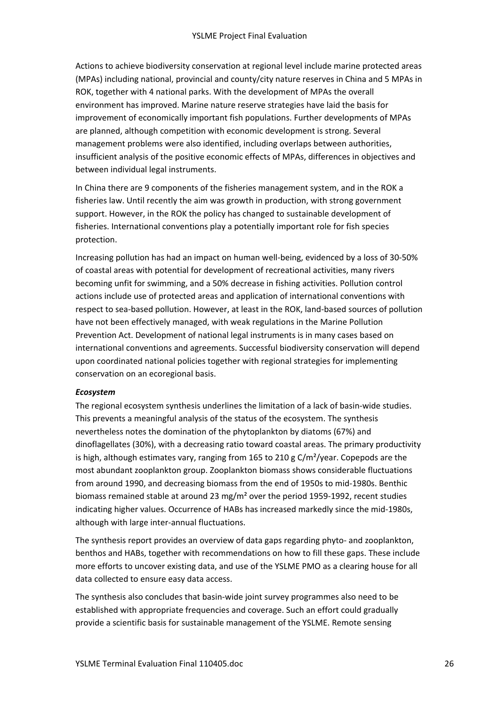Actions to achieve biodiversity conservation at regional level include marine protected areas (MPAs) including national, provincial and county/city nature reserves in China and 5 MPAs in ROK, together with 4 national parks. With the development of MPAs the overall environment has improved. Marine nature reserve strategies have laid the basis for improvement of economically important fish populations. Further developments of MPAs are planned, although competition with economic development is strong. Several management problems were also identified, including overlaps between authorities, insufficient analysis of the positive economic effects of MPAs, differences in objectives and between individual legal instruments.

In China there are 9 components of the fisheries management system, and in the ROK a fisheries law. Until recently the aim was growth in production, with strong government support. However, in the ROK the policy has changed to sustainable development of fisheries. International conventions play a potentially important role for fish species protection.

Increasing pollution has had an impact on human well‐being, evidenced by a loss of 30‐50% of coastal areas with potential for development of recreational activities, many rivers becoming unfit for swimming, and a 50% decrease in fishing activities. Pollution control actions include use of protected areas and application of international conventions with respect to sea‐based pollution. However, at least in the ROK, land‐based sources of pollution have not been effectively managed, with weak regulations in the Marine Pollution Prevention Act. Development of national legal instruments is in many cases based on international conventions and agreements. Successful biodiversity conservation will depend upon coordinated national policies together with regional strategies for implementing conservation on an ecoregional basis.

#### *Ecosystem*

The regional ecosystem synthesis underlines the limitation of a lack of basin-wide studies. This prevents a meaningful analysis of the status of the ecosystem. The synthesis nevertheless notes the domination of the phytoplankton by diatoms (67%) and dinoflagellates (30%), with a decreasing ratio toward coastal areas. The primary productivity is high, although estimates vary, ranging from 165 to 210 g  $C/m^2$ /year. Copepods are the most abundant zooplankton group. Zooplankton biomass shows considerable fluctuations from around 1990, and decreasing biomass from the end of 1950s to mid-1980s. Benthic biomass remained stable at around 23 mg/m<sup>2</sup> over the period 1959-1992, recent studies indicating higher values. Occurrence of HABs has increased markedly since the mid‐1980s, although with large inter‐annual fluctuations.

The synthesis report provides an overview of data gaps regarding phyto- and zooplankton, benthos and HABs, together with recommendations on how to fill these gaps. These include more efforts to uncover existing data, and use of the YSLME PMO as a clearing house for all data collected to ensure easy data access.

The synthesis also concludes that basin‐wide joint survey programmes also need to be established with appropriate frequencies and coverage. Such an effort could gradually provide a scientific basis for sustainable management of the YSLME. Remote sensing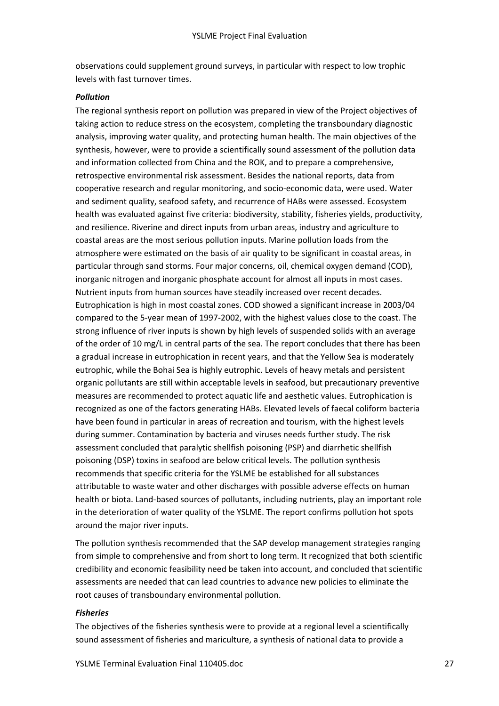observations could supplement ground surveys, in particular with respect to low trophic levels with fast turnover times.

#### *Pollution*

The regional synthesis report on pollution was prepared in view of the Project objectives of taking action to reduce stress on the ecosystem, completing the transboundary diagnostic analysis, improving water quality, and protecting human health. The main objectives of the synthesis, however, were to provide a scientifically sound assessment of the pollution data and information collected from China and the ROK, and to prepare a comprehensive, retrospective environmental risk assessment. Besides the national reports, data from cooperative research and regular monitoring, and socio‐economic data, were used. Water and sediment quality, seafood safety, and recurrence of HABs were assessed. Ecosystem health was evaluated against five criteria: biodiversity, stability, fisheries yields, productivity, and resilience. Riverine and direct inputs from urban areas, industry and agriculture to coastal areas are the most serious pollution inputs. Marine pollution loads from the atmosphere were estimated on the basis of air quality to be significant in coastal areas, in particular through sand storms. Four major concerns, oil, chemical oxygen demand (COD), inorganic nitrogen and inorganic phosphate account for almost all inputs in most cases. Nutrient inputs from human sources have steadily increased over recent decades. Eutrophication is high in most coastal zones. COD showed a significant increase in 2003/04 compared to the 5‐year mean of 1997‐2002, with the highest values close to the coast. The strong influence of river inputs is shown by high levels of suspended solids with an average of the order of 10 mg/L in central parts of the sea. The report concludes that there has been a gradual increase in eutrophication in recent years, and that the Yellow Sea is moderately eutrophic, while the Bohai Sea is highly eutrophic. Levels of heavy metals and persistent organic pollutants are still within acceptable levels in seafood, but precautionary preventive measures are recommended to protect aquatic life and aesthetic values. Eutrophication is recognized as one of the factors generating HABs. Elevated levels of faecal coliform bacteria have been found in particular in areas of recreation and tourism, with the highest levels during summer. Contamination by bacteria and viruses needs further study. The risk assessment concluded that paralytic shellfish poisoning (PSP) and diarrhetic shellfish poisoning (DSP) toxins in seafood are below critical levels. The pollution synthesis recommends that specific criteria for the YSLME be established for all substances attributable to waste water and other discharges with possible adverse effects on human health or biota. Land-based sources of pollutants, including nutrients, play an important role in the deterioration of water quality of the YSLME. The report confirms pollution hot spots around the major river inputs.

The pollution synthesis recommended that the SAP develop management strategies ranging from simple to comprehensive and from short to long term. It recognized that both scientific credibility and economic feasibility need be taken into account, and concluded that scientific assessments are needed that can lead countries to advance new policies to eliminate the root causes of transboundary environmental pollution.

#### *Fisheries*

The objectives of the fisheries synthesis were to provide at a regional level a scientifically sound assessment of fisheries and mariculture, a synthesis of national data to provide a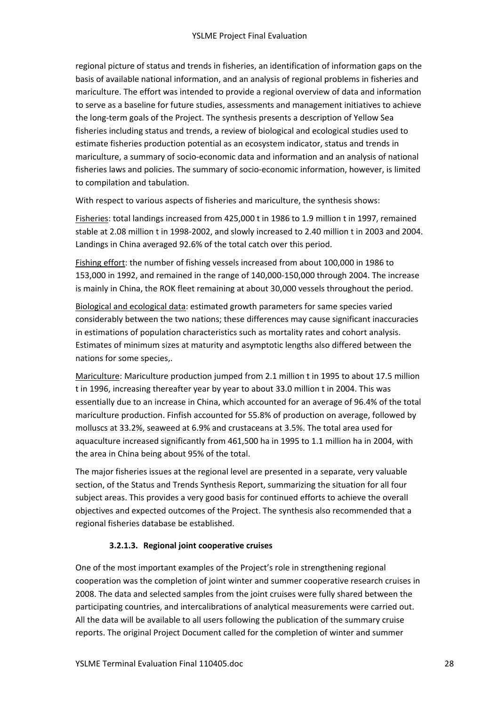regional picture of status and trends in fisheries, an identification of information gaps on the basis of available national information, and an analysis of regional problems in fisheries and mariculture. The effort was intended to provide a regional overview of data and information to serve as a baseline for future studies, assessments and management initiatives to achieve the long‐term goals of the Project. The synthesis presents a description of Yellow Sea fisheries including status and trends, a review of biological and ecological studies used to estimate fisheries production potential as an ecosystem indicator, status and trends in mariculture, a summary of socio‐economic data and information and an analysis of national fisheries laws and policies. The summary of socio‐economic information, however, is limited to compilation and tabulation.

With respect to various aspects of fisheries and mariculture, the synthesis shows:

Fisheries: total landings increased from 425,000 t in 1986 to 1.9 million t in 1997, remained stable at 2.08 million t in 1998‐2002, and slowly increased to 2.40 million t in 2003 and 2004. Landings in China averaged 92.6% of the total catch over this period.

Fishing effort: the number of fishing vessels increased from about 100,000 in 1986 to 153,000 in 1992, and remained in the range of 140,000‐150,000 through 2004. The increase is mainly in China, the ROK fleet remaining at about 30,000 vessels throughout the period.

Biological and ecological data: estimated growth parameters for same species varied considerably between the two nations; these differences may cause significant inaccuracies in estimations of population characteristics such as mortality rates and cohort analysis. Estimates of minimum sizes at maturity and asymptotic lengths also differed between the nations for some species,.

Mariculture: Mariculture production jumped from 2.1 million t in 1995 to about 17.5 million t in 1996, increasing thereafter year by year to about 33.0 million t in 2004. This was essentially due to an increase in China, which accounted for an average of 96.4% of the total mariculture production. Finfish accounted for 55.8% of production on average, followed by molluscs at 33.2%, seaweed at 6.9% and crustaceans at 3.5%. The total area used for aquaculture increased significantly from 461,500 ha in 1995 to 1.1 million ha in 2004, with the area in China being about 95% of the total.

The major fisheries issues at the regional level are presented in a separate, very valuable section, of the Status and Trends Synthesis Report, summarizing the situation for all four subject areas. This provides a very good basis for continued efforts to achieve the overall objectives and expected outcomes of the Project. The synthesis also recommended that a regional fisheries database be established.

# **3.2.1.3. Regional joint cooperative cruises**

One of the most important examples of the Project's role in strengthening regional cooperation was the completion of joint winter and summer cooperative research cruises in 2008. The data and selected samples from the joint cruises were fully shared between the participating countries, and intercalibrations of analytical measurements were carried out. All the data will be available to all users following the publication of the summary cruise reports. The original Project Document called for the completion of winter and summer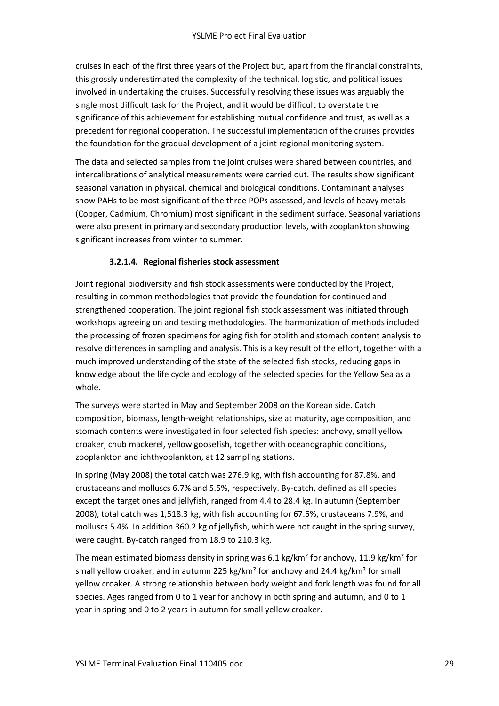cruises in each of the first three years of the Project but, apart from the financial constraints, this grossly underestimated the complexity of the technical, logistic, and political issues involved in undertaking the cruises. Successfully resolving these issues was arguably the single most difficult task for the Project, and it would be difficult to overstate the significance of this achievement for establishing mutual confidence and trust, as well as a precedent for regional cooperation. The successful implementation of the cruises provides the foundation for the gradual development of a joint regional monitoring system.

The data and selected samples from the joint cruises were shared between countries, and intercalibrations of analytical measurements were carried out. The results show significant seasonal variation in physical, chemical and biological conditions. Contaminant analyses show PAHs to be most significant of the three POPs assessed, and levels of heavy metals (Copper, Cadmium, Chromium) most significant in the sediment surface. Seasonal variations were also present in primary and secondary production levels, with zooplankton showing significant increases from winter to summer.

## **3.2.1.4. Regional fisheries stock assessment**

Joint regional biodiversity and fish stock assessments were conducted by the Project, resulting in common methodologies that provide the foundation for continued and strengthened cooperation. The joint regional fish stock assessment was initiated through workshops agreeing on and testing methodologies. The harmonization of methods included the processing of frozen specimens for aging fish for otolith and stomach content analysis to resolve differences in sampling and analysis. This is a key result of the effort, together with a much improved understanding of the state of the selected fish stocks, reducing gaps in knowledge about the life cycle and ecology of the selected species for the Yellow Sea as a whole.

The surveys were started in May and September 2008 on the Korean side. Catch composition, biomass, length‐weight relationships, size at maturity, age composition, and stomach contents were investigated in four selected fish species: anchovy, small yellow croaker, chub mackerel, yellow goosefish, together with oceanographic conditions, zooplankton and ichthyoplankton, at 12 sampling stations.

In spring (May 2008) the total catch was 276.9 kg, with fish accounting for 87.8%, and crustaceans and molluscs 6.7% and 5.5%, respectively. By‐catch, defined as all species except the target ones and jellyfish, ranged from 4.4 to 28.4 kg. In autumn (September 2008), total catch was 1,518.3 kg, with fish accounting for 67.5%, crustaceans 7.9%, and molluscs 5.4%. In addition 360.2 kg of jellyfish, which were not caught in the spring survey, were caught. By‐catch ranged from 18.9 to 210.3 kg.

The mean estimated biomass density in spring was 6.1 kg/km<sup>2</sup> for anchovy, 11.9 kg/km<sup>2</sup> for small yellow croaker, and in autumn 225 kg/km<sup>2</sup> for anchovy and 24.4 kg/km<sup>2</sup> for small yellow croaker. A strong relationship between body weight and fork length was found for all species. Ages ranged from 0 to 1 year for anchovy in both spring and autumn, and 0 to 1 year in spring and 0 to 2 years in autumn for small yellow croaker.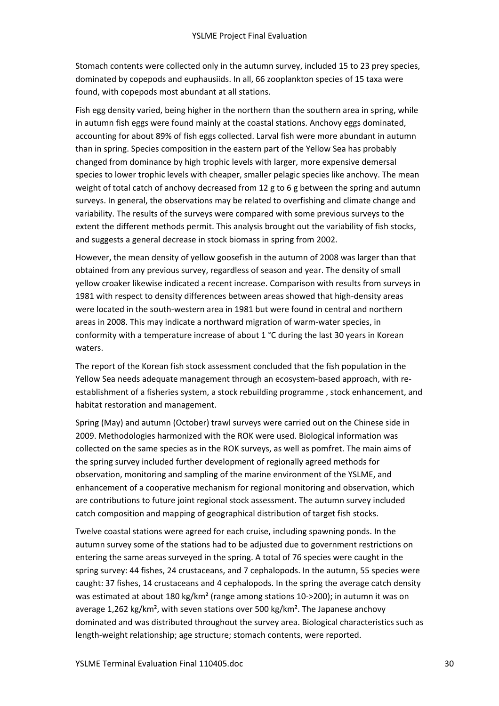Stomach contents were collected only in the autumn survey, included 15 to 23 prey species, dominated by copepods and euphausiids. In all, 66 zooplankton species of 15 taxa were found, with copepods most abundant at all stations.

Fish egg density varied, being higher in the northern than the southern area in spring, while in autumn fish eggs were found mainly at the coastal stations. Anchovy eggs dominated, accounting for about 89% of fish eggs collected. Larval fish were more abundant in autumn than in spring. Species composition in the eastern part of the Yellow Sea has probably changed from dominance by high trophic levels with larger, more expensive demersal species to lower trophic levels with cheaper, smaller pelagic species like anchovy. The mean weight of total catch of anchovy decreased from 12 g to 6 g between the spring and autumn surveys. In general, the observations may be related to overfishing and climate change and variability. The results of the surveys were compared with some previous surveys to the extent the different methods permit. This analysis brought out the variability of fish stocks, and suggests a general decrease in stock biomass in spring from 2002.

However, the mean density of yellow goosefish in the autumn of 2008 was larger than that obtained from any previous survey, regardless of season and year. The density of small yellow croaker likewise indicated a recent increase. Comparison with results from surveys in 1981 with respect to density differences between areas showed that high‐density areas were located in the south-western area in 1981 but were found in central and northern areas in 2008. This may indicate a northward migration of warm‐water species, in conformity with a temperature increase of about 1 °C during the last 30 years in Korean waters.

The report of the Korean fish stock assessment concluded that the fish population in the Yellow Sea needs adequate management through an ecosystem‐based approach, with re‐ establishment of a fisheries system, a stock rebuilding programme , stock enhancement, and habitat restoration and management.

Spring (May) and autumn (October) trawl surveys were carried out on the Chinese side in 2009. Methodologies harmonized with the ROK were used. Biological information was collected on the same species as in the ROK surveys, as well as pomfret. The main aims of the spring survey included further development of regionally agreed methods for observation, monitoring and sampling of the marine environment of the YSLME, and enhancement of a cooperative mechanism for regional monitoring and observation, which are contributions to future joint regional stock assessment. The autumn survey included catch composition and mapping of geographical distribution of target fish stocks.

Twelve coastal stations were agreed for each cruise, including spawning ponds. In the autumn survey some of the stations had to be adjusted due to government restrictions on entering the same areas surveyed in the spring. A total of 76 species were caught in the spring survey: 44 fishes, 24 crustaceans, and 7 cephalopods. In the autumn, 55 species were caught: 37 fishes, 14 crustaceans and 4 cephalopods. In the spring the average catch density was estimated at about 180 kg/km² (range among stations 10‐>200); in autumn it was on average 1,262 kg/km<sup>2</sup>, with seven stations over 500 kg/km<sup>2</sup>. The Japanese anchovy dominated and was distributed throughout the survey area. Biological characteristics such as length‐weight relationship; age structure; stomach contents, were reported.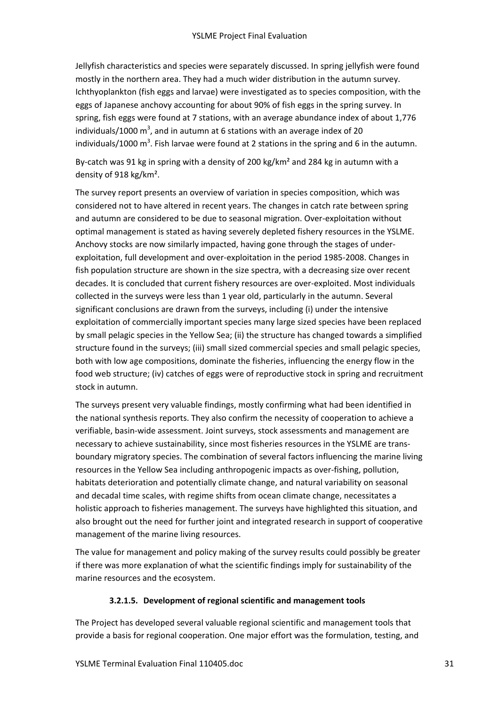Jellyfish characteristics and species were separately discussed. In spring jellyfish were found mostly in the northern area. They had a much wider distribution in the autumn survey. Ichthyoplankton (fish eggs and larvae) were investigated as to species composition, with the eggs of Japanese anchovy accounting for about 90% of fish eggs in the spring survey. In spring, fish eggs were found at 7 stations, with an average abundance index of about 1,776 individuals/1000  $m^3$ , and in autumn at 6 stations with an average index of 20 individuals/1000 m<sup>3</sup>. Fish larvae were found at 2 stations in the spring and 6 in the autumn.

By-catch was 91 kg in spring with a density of 200 kg/km<sup>2</sup> and 284 kg in autumn with a density of 918 kg/km².

The survey report presents an overview of variation in species composition, which was considered not to have altered in recent years. The changes in catch rate between spring and autumn are considered to be due to seasonal migration. Over‐exploitation without optimal management is stated as having severely depleted fishery resources in the YSLME. Anchovy stocks are now similarly impacted, having gone through the stages of under‐ exploitation, full development and over‐exploitation in the period 1985‐2008. Changes in fish population structure are shown in the size spectra, with a decreasing size over recent decades. It is concluded that current fishery resources are over‐exploited. Most individuals collected in the surveys were less than 1 year old, particularly in the autumn. Several significant conclusions are drawn from the surveys, including (i) under the intensive exploitation of commercially important species many large sized species have been replaced by small pelagic species in the Yellow Sea; (ii) the structure has changed towards a simplified structure found in the surveys; (iii) small sized commercial species and small pelagic species, both with low age compositions, dominate the fisheries, influencing the energy flow in the food web structure; (iv) catches of eggs were of reproductive stock in spring and recruitment stock in autumn.

The surveys present very valuable findings, mostly confirming what had been identified in the national synthesis reports. They also confirm the necessity of cooperation to achieve a verifiable, basin‐wide assessment. Joint surveys, stock assessments and management are necessary to achieve sustainability, since most fisheries resources in the YSLME are trans‐ boundary migratory species. The combination of several factors influencing the marine living resources in the Yellow Sea including anthropogenic impacts as over‐fishing, pollution, habitats deterioration and potentially climate change, and natural variability on seasonal and decadal time scales, with regime shifts from ocean climate change, necessitates a holistic approach to fisheries management. The surveys have highlighted this situation, and also brought out the need for further joint and integrated research in support of cooperative management of the marine living resources.

The value for management and policy making of the survey results could possibly be greater if there was more explanation of what the scientific findings imply for sustainability of the marine resources and the ecosystem.

# **3.2.1.5. Development of regional scientific and management tools**

The Project has developed several valuable regional scientific and management tools that provide a basis for regional cooperation. One major effort was the formulation, testing, and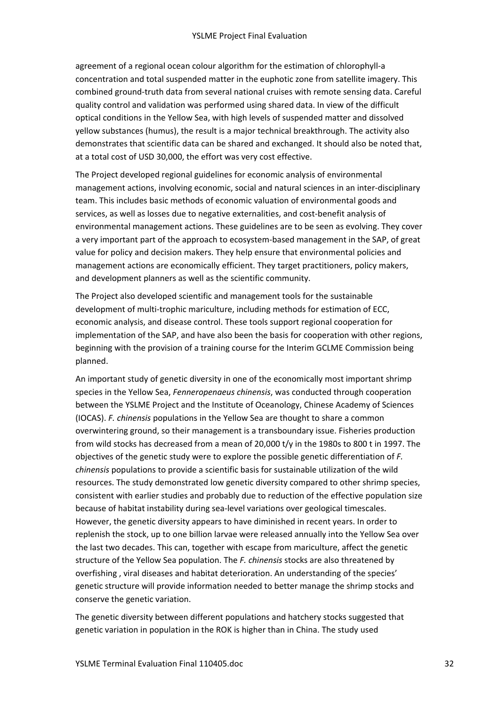agreement of a regional ocean colour algorithm for the estimation of chlorophyll-a concentration and total suspended matter in the euphotic zone from satellite imagery. This combined ground‐truth data from several national cruises with remote sensing data. Careful quality control and validation was performed using shared data. In view of the difficult optical conditions in the Yellow Sea, with high levels of suspended matter and dissolved yellow substances (humus), the result is a major technical breakthrough. The activity also demonstrates that scientific data can be shared and exchanged. It should also be noted that, at a total cost of USD 30,000, the effort was very cost effective.

The Project developed regional guidelines for economic analysis of environmental management actions, involving economic, social and natural sciences in an inter‐disciplinary team. This includes basic methods of economic valuation of environmental goods and services, as well as losses due to negative externalities, and cost-benefit analysis of environmental management actions. These guidelines are to be seen as evolving. They cover a very important part of the approach to ecosystem‐based management in the SAP, of great value for policy and decision makers. They help ensure that environmental policies and management actions are economically efficient. They target practitioners, policy makers, and development planners as well as the scientific community.

The Project also developed scientific and management tools for the sustainable development of multi‐trophic mariculture, including methods for estimation of ECC, economic analysis, and disease control. These tools support regional cooperation for implementation of the SAP, and have also been the basis for cooperation with other regions, beginning with the provision of a training course for the Interim GCLME Commission being planned.

An important study of genetic diversity in one of the economically most important shrimp species in the Yellow Sea, *Fenneropenaeus chinensis*, was conducted through cooperation between the YSLME Project and the Institute of Oceanology, Chinese Academy of Sciences (IOCAS). *F. chinensis* populations in the Yellow Sea are thought to share a common overwintering ground, so their management is a transboundary issue. Fisheries production from wild stocks has decreased from a mean of 20,000 t/y in the 1980s to 800 t in 1997. The objectives of the genetic study were to explore the possible genetic differentiation of *F. chinensis* populations to provide a scientific basis for sustainable utilization of the wild resources. The study demonstrated low genetic diversity compared to other shrimp species, consistent with earlier studies and probably due to reduction of the effective population size because of habitat instability during sea‐level variations over geological timescales. However, the genetic diversity appears to have diminished in recent years. In order to replenish the stock, up to one billion larvae were released annually into the Yellow Sea over the last two decades. This can, together with escape from mariculture, affect the genetic structure of the Yellow Sea population. The *F. chinensis* stocks are also threatened by overfishing , viral diseases and habitat deterioration. An understanding of the species' genetic structure will provide information needed to better manage the shrimp stocks and conserve the genetic variation.

The genetic diversity between different populations and hatchery stocks suggested that genetic variation in population in the ROK is higher than in China. The study used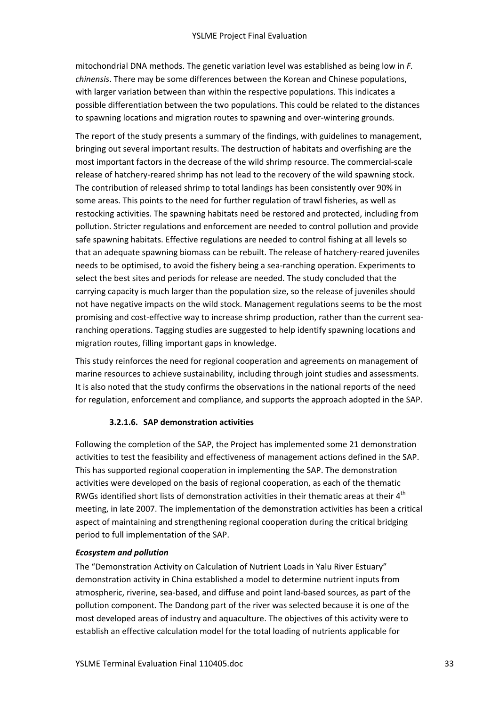mitochondrial DNA methods. The genetic variation level was established as being low in *F. chinensis*. There may be some differences between the Korean and Chinese populations, with larger variation between than within the respective populations. This indicates a possible differentiation between the two populations. This could be related to the distances to spawning locations and migration routes to spawning and over‐wintering grounds.

The report of the study presents a summary of the findings, with guidelines to management, bringing out several important results. The destruction of habitats and overfishing are the most important factors in the decrease of the wild shrimp resource. The commercial‐scale release of hatchery-reared shrimp has not lead to the recovery of the wild spawning stock. The contribution of released shrimp to total landings has been consistently over 90% in some areas. This points to the need for further regulation of trawl fisheries, as well as restocking activities. The spawning habitats need be restored and protected, including from pollution. Stricter regulations and enforcement are needed to control pollution and provide safe spawning habitats. Effective regulations are needed to control fishing at all levels so that an adequate spawning biomass can be rebuilt. The release of hatchery‐reared juveniles needs to be optimised, to avoid the fishery being a sea‐ranching operation. Experiments to select the best sites and periods for release are needed. The study concluded that the carrying capacity is much larger than the population size, so the release of juveniles should not have negative impacts on the wild stock. Management regulations seems to be the most promising and cost-effective way to increase shrimp production, rather than the current searanching operations. Tagging studies are suggested to help identify spawning locations and migration routes, filling important gaps in knowledge.

This study reinforces the need for regional cooperation and agreements on management of marine resources to achieve sustainability, including through joint studies and assessments. It is also noted that the study confirms the observations in the national reports of the need for regulation, enforcement and compliance, and supports the approach adopted in the SAP.

### **3.2.1.6. SAP demonstration activities**

Following the completion of the SAP, the Project has implemented some 21 demonstration activities to test the feasibility and effectiveness of management actions defined in the SAP. This has supported regional cooperation in implementing the SAP. The demonstration activities were developed on the basis of regional cooperation, as each of the thematic RWGs identified short lists of demonstration activities in their thematic areas at their 4<sup>th</sup> meeting, in late 2007. The implementation of the demonstration activities has been a critical aspect of maintaining and strengthening regional cooperation during the critical bridging period to full implementation of the SAP.

### *Ecosystem and pollution*

The "Demonstration Activity on Calculation of Nutrient Loads in Yalu River Estuary" demonstration activity in China established a model to determine nutrient inputs from atmospheric, riverine, sea‐based, and diffuse and point land‐based sources, as part of the pollution component. The Dandong part of the river was selected because it is one of the most developed areas of industry and aquaculture. The objectives of this activity were to establish an effective calculation model for the total loading of nutrients applicable for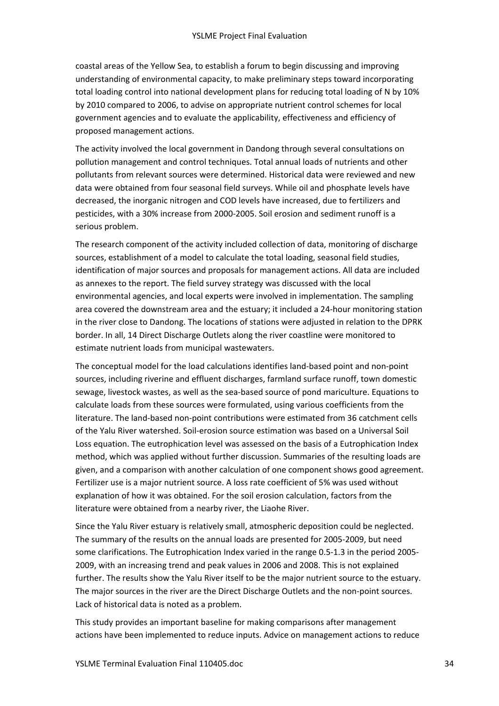coastal areas of the Yellow Sea, to establish a forum to begin discussing and improving understanding of environmental capacity, to make preliminary steps toward incorporating total loading control into national development plans for reducing total loading of N by 10% by 2010 compared to 2006, to advise on appropriate nutrient control schemes for local government agencies and to evaluate the applicability, effectiveness and efficiency of proposed management actions.

The activity involved the local government in Dandong through several consultations on pollution management and control techniques. Total annual loads of nutrients and other pollutants from relevant sources were determined. Historical data were reviewed and new data were obtained from four seasonal field surveys. While oil and phosphate levels have decreased, the inorganic nitrogen and COD levels have increased, due to fertilizers and pesticides, with a 30% increase from 2000‐2005. Soil erosion and sediment runoff is a serious problem.

The research component of the activity included collection of data, monitoring of discharge sources, establishment of a model to calculate the total loading, seasonal field studies, identification of major sources and proposals for management actions. All data are included as annexes to the report. The field survey strategy was discussed with the local environmental agencies, and local experts were involved in implementation. The sampling area covered the downstream area and the estuary; it included a 24‐hour monitoring station in the river close to Dandong. The locations of stations were adjusted in relation to the DPRK border. In all, 14 Direct Discharge Outlets along the river coastline were monitored to estimate nutrient loads from municipal wastewaters.

The conceptual model for the load calculations identifies land‐based point and non‐point sources, including riverine and effluent discharges, farmland surface runoff, town domestic sewage, livestock wastes, as well as the sea-based source of pond mariculture. Equations to calculate loads from these sources were formulated, using various coefficients from the literature. The land‐based non‐point contributions were estimated from 36 catchment cells of the Yalu River watershed. Soil‐erosion source estimation was based on a Universal Soil Loss equation. The eutrophication level was assessed on the basis of a Eutrophication Index method, which was applied without further discussion. Summaries of the resulting loads are given, and a comparison with another calculation of one component shows good agreement. Fertilizer use is a major nutrient source. A loss rate coefficient of 5% was used without explanation of how it was obtained. For the soil erosion calculation, factors from the literature were obtained from a nearby river, the Liaohe River.

Since the Yalu River estuary is relatively small, atmospheric deposition could be neglected. The summary of the results on the annual loads are presented for 2005‐2009, but need some clarifications. The Eutrophication Index varied in the range 0.5-1.3 in the period 2005– 2009, with an increasing trend and peak values in 2006 and 2008. This is not explained further. The results show the Yalu River itself to be the major nutrient source to the estuary. The major sources in the river are the Direct Discharge Outlets and the non‐point sources. Lack of historical data is noted as a problem.

This study provides an important baseline for making comparisons after management actions have been implemented to reduce inputs. Advice on management actions to reduce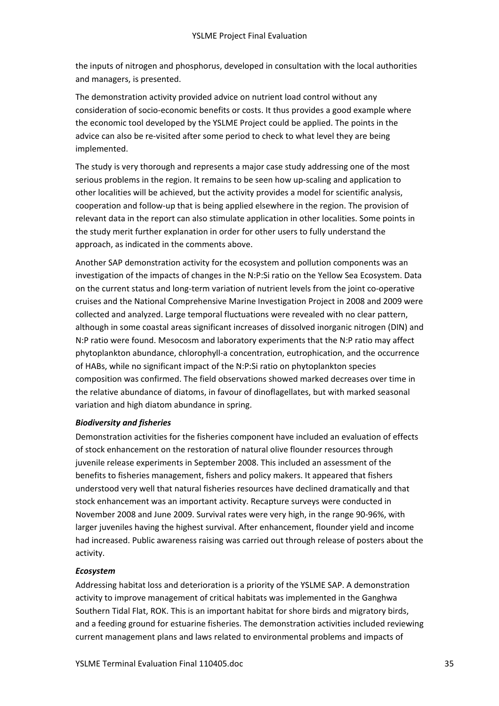the inputs of nitrogen and phosphorus, developed in consultation with the local authorities and managers, is presented.

The demonstration activity provided advice on nutrient load control without any consideration of socio‐economic benefits or costs. It thus provides a good example where the economic tool developed by the YSLME Project could be applied. The points in the advice can also be re‐visited after some period to check to what level they are being implemented.

The study is very thorough and represents a major case study addressing one of the most serious problems in the region. It remains to be seen how up-scaling and application to other localities will be achieved, but the activity provides a model for scientific analysis, cooperation and follow‐up that is being applied elsewhere in the region. The provision of relevant data in the report can also stimulate application in other localities. Some points in the study merit further explanation in order for other users to fully understand the approach, as indicated in the comments above.

Another SAP demonstration activity for the ecosystem and pollution components was an investigation of the impacts of changes in the N:P:Si ratio on the Yellow Sea Ecosystem. Data on the current status and long-term variation of nutrient levels from the joint co-operative cruises and the National Comprehensive Marine Investigation Project in 2008 and 2009 were collected and analyzed. Large temporal fluctuations were revealed with no clear pattern, although in some coastal areas significant increases of dissolved inorganic nitrogen (DIN) and N:P ratio were found. Mesocosm and laboratory experiments that the N:P ratio may affect phytoplankton abundance, chlorophyll‐a concentration, eutrophication, and the occurrence of HABs, while no significant impact of the N:P:Si ratio on phytoplankton species composition was confirmed. The field observations showed marked decreases over time in the relative abundance of diatoms, in favour of dinoflagellates, but with marked seasonal variation and high diatom abundance in spring.

### *Biodiversity and fisheries*

Demonstration activities for the fisheries component have included an evaluation of effects of stock enhancement on the restoration of natural olive flounder resources through juvenile release experiments in September 2008. This included an assessment of the benefits to fisheries management, fishers and policy makers. It appeared that fishers understood very well that natural fisheries resources have declined dramatically and that stock enhancement was an important activity. Recapture surveys were conducted in November 2008 and June 2009. Survival rates were very high, in the range 90‐96%, with larger juveniles having the highest survival. After enhancement, flounder yield and income had increased. Public awareness raising was carried out through release of posters about the activity.

### *Ecosystem*

Addressing habitat loss and deterioration is a priority of the YSLME SAP. A demonstration activity to improve management of critical habitats was implemented in the Ganghwa Southern Tidal Flat, ROK. This is an important habitat for shore birds and migratory birds, and a feeding ground for estuarine fisheries. The demonstration activities included reviewing current management plans and laws related to environmental problems and impacts of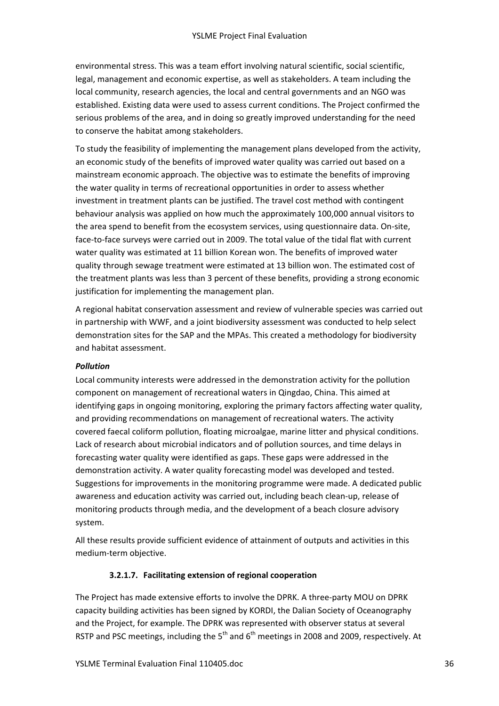environmental stress. This was a team effort involving natural scientific, social scientific, legal, management and economic expertise, as well as stakeholders. A team including the local community, research agencies, the local and central governments and an NGO was established. Existing data were used to assess current conditions. The Project confirmed the serious problems of the area, and in doing so greatly improved understanding for the need to conserve the habitat among stakeholders.

To study the feasibility of implementing the management plans developed from the activity, an economic study of the benefits of improved water quality was carried out based on a mainstream economic approach. The objective was to estimate the benefits of improving the water quality in terms of recreational opportunities in order to assess whether investment in treatment plants can be justified. The travel cost method with contingent behaviour analysis was applied on how much the approximately 100,000 annual visitors to the area spend to benefit from the ecosystem services, using questionnaire data. On‐site, face-to-face surveys were carried out in 2009. The total value of the tidal flat with current water quality was estimated at 11 billion Korean won. The benefits of improved water quality through sewage treatment were estimated at 13 billion won. The estimated cost of the treatment plants was less than 3 percent of these benefits, providing a strong economic justification for implementing the management plan.

A regional habitat conservation assessment and review of vulnerable species was carried out in partnership with WWF, and a joint biodiversity assessment was conducted to help select demonstration sites for the SAP and the MPAs. This created a methodology for biodiversity and habitat assessment.

# *Pollution*

Local community interests were addressed in the demonstration activity for the pollution component on management of recreational waters in Qingdao, China. This aimed at identifying gaps in ongoing monitoring, exploring the primary factors affecting water quality, and providing recommendations on management of recreational waters. The activity covered faecal coliform pollution, floating microalgae, marine litter and physical conditions. Lack of research about microbial indicators and of pollution sources, and time delays in forecasting water quality were identified as gaps. These gaps were addressed in the demonstration activity. A water quality forecasting model was developed and tested. Suggestions for improvements in the monitoring programme were made. A dedicated public awareness and education activity was carried out, including beach clean‐up, release of monitoring products through media, and the development of a beach closure advisory system.

All these results provide sufficient evidence of attainment of outputs and activities in this medium‐term objective.

# **3.2.1.7. Facilitating extension of regional cooperation**

The Project has made extensive efforts to involve the DPRK. A three‐party MOU on DPRK capacity building activities has been signed by KORDI, the Dalian Society of Oceanography and the Project, for example. The DPRK was represented with observer status at several RSTP and PSC meetings, including the  $5<sup>th</sup>$  and  $6<sup>th</sup>$  meetings in 2008 and 2009, respectively. At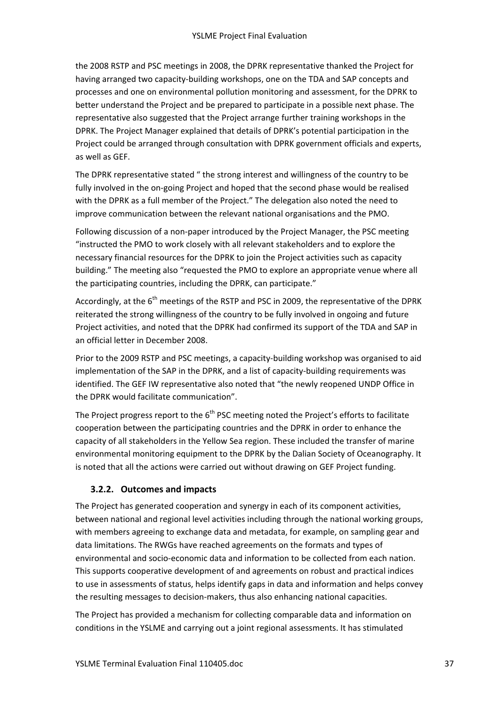the 2008 RSTP and PSC meetings in 2008, the DPRK representative thanked the Project for having arranged two capacity-building workshops, one on the TDA and SAP concepts and processes and one on environmental pollution monitoring and assessment, for the DPRK to better understand the Project and be prepared to participate in a possible next phase. The representative also suggested that the Project arrange further training workshops in the DPRK. The Project Manager explained that details of DPRK's potential participation in the Project could be arranged through consultation with DPRK government officials and experts, as well as GEF.

The DPRK representative stated " the strong interest and willingness of the country to be fully involved in the on-going Project and hoped that the second phase would be realised with the DPRK as a full member of the Project." The delegation also noted the need to improve communication between the relevant national organisations and the PMO.

Following discussion of a non‐paper introduced by the Project Manager, the PSC meeting "instructed the PMO to work closely with all relevant stakeholders and to explore the necessary financial resources for the DPRK to join the Project activities such as capacity building." The meeting also "requested the PMO to explore an appropriate venue where all the participating countries, including the DPRK, can participate."

Accordingly, at the 6<sup>th</sup> meetings of the RSTP and PSC in 2009, the representative of the DPRK reiterated the strong willingness of the country to be fully involved in ongoing and future Project activities, and noted that the DPRK had confirmed its support of the TDA and SAP in an official letter in December 2008.

Prior to the 2009 RSTP and PSC meetings, a capacity‐building workshop was organised to aid implementation of the SAP in the DPRK, and a list of capacity-building requirements was identified. The GEF IW representative also noted that "the newly reopened UNDP Office in the DPRK would facilitate communication".

The Project progress report to the  $6<sup>th</sup>$  PSC meeting noted the Project's efforts to facilitate cooperation between the participating countries and the DPRK in order to enhance the capacity of all stakeholders in the Yellow Sea region. These included the transfer of marine environmental monitoring equipment to the DPRK by the Dalian Society of Oceanography. It is noted that all the actions were carried out without drawing on GEF Project funding.

# **3.2.2. Outcomes and impacts**

The Project has generated cooperation and synergy in each of its component activities, between national and regional level activities including through the national working groups, with members agreeing to exchange data and metadata, for example, on sampling gear and data limitations. The RWGs have reached agreements on the formats and types of environmental and socio‐economic data and information to be collected from each nation. This supports cooperative development of and agreements on robust and practical indices to use in assessments of status, helps identify gaps in data and information and helps convey the resulting messages to decision‐makers, thus also enhancing national capacities.

The Project has provided a mechanism for collecting comparable data and information on conditions in the YSLME and carrying out a joint regional assessments. It has stimulated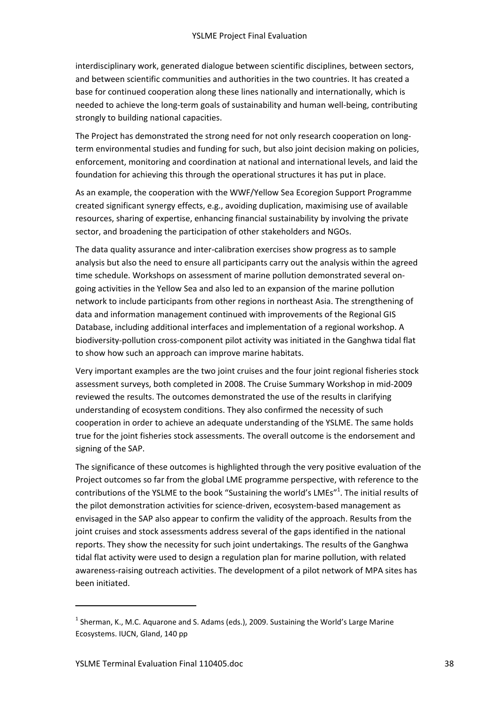interdisciplinary work, generated dialogue between scientific disciplines, between sectors, and between scientific communities and authorities in the two countries. It has created a base for continued cooperation along these lines nationally and internationally, which is needed to achieve the long‐term goals of sustainability and human well‐being, contributing strongly to building national capacities.

The Project has demonstrated the strong need for not only research cooperation on long‐ term environmental studies and funding for such, but also joint decision making on policies, enforcement, monitoring and coordination at national and international levels, and laid the foundation for achieving this through the operational structures it has put in place.

As an example, the cooperation with the WWF/Yellow Sea Ecoregion Support Programme created significant synergy effects, e.g., avoiding duplication, maximising use of available resources, sharing of expertise, enhancing financial sustainability by involving the private sector, and broadening the participation of other stakeholders and NGOs.

The data quality assurance and inter‐calibration exercises show progress as to sample analysis but also the need to ensure all participants carry out the analysis within the agreed time schedule. Workshops on assessment of marine pollution demonstrated several on‐ going activities in the Yellow Sea and also led to an expansion of the marine pollution network to include participants from other regions in northeast Asia. The strengthening of data and information management continued with improvements of the Regional GIS Database, including additional interfaces and implementation of a regional workshop. A biodiversity‐pollution cross‐component pilot activity was initiated in the Ganghwa tidal flat to show how such an approach can improve marine habitats.

Very important examples are the two joint cruises and the four joint regional fisheries stock assessment surveys, both completed in 2008. The Cruise Summary Workshop in mid‐2009 reviewed the results. The outcomes demonstrated the use of the results in clarifying understanding of ecosystem conditions. They also confirmed the necessity of such cooperation in order to achieve an adequate understanding of the YSLME. The same holds true for the joint fisheries stock assessments. The overall outcome is the endorsement and signing of the SAP.

The significance of these outcomes is highlighted through the very positive evaluation of the Project outcomes so far from the global LME programme perspective, with reference to the contributions of the YSLME to the book "Sustaining the world's LMEs"<sup>1</sup>. The initial results of the pilot demonstration activities for science‐driven, ecosystem‐based management as envisaged in the SAP also appear to confirm the validity of the approach. Results from the joint cruises and stock assessments address several of the gaps identified in the national reports. They show the necessity for such joint undertakings. The results of the Ganghwa tidal flat activity were used to design a regulation plan for marine pollution, with related awareness‐raising outreach activities. The development of a pilot network of MPA sites has been initiated.

 $<sup>1</sup>$  Sherman, K., M.C. Aquarone and S. Adams (eds.), 2009. Sustaining the World's Large Marine</sup> Ecosystems. IUCN, Gland, 140 pp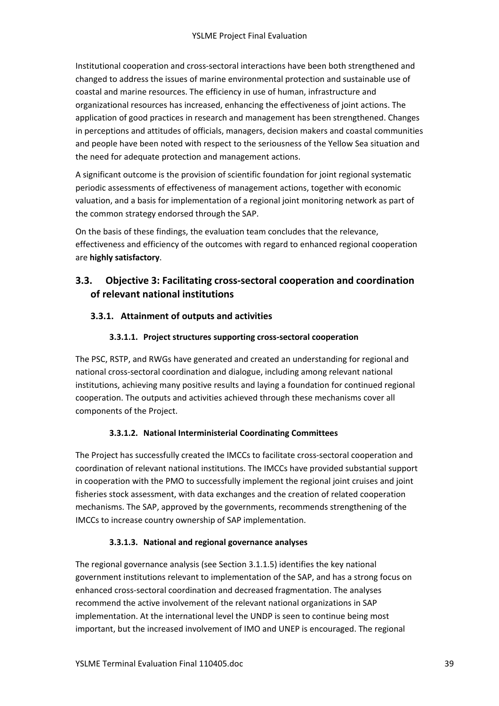Institutional cooperation and cross‐sectoral interactions have been both strengthened and changed to address the issues of marine environmental protection and sustainable use of coastal and marine resources. The efficiency in use of human, infrastructure and organizational resources has increased, enhancing the effectiveness of joint actions. The application of good practices in research and management has been strengthened. Changes in perceptions and attitudes of officials, managers, decision makers and coastal communities and people have been noted with respect to the seriousness of the Yellow Sea situation and the need for adequate protection and management actions.

A significant outcome is the provision of scientific foundation for joint regional systematic periodic assessments of effectiveness of management actions, together with economic valuation, and a basis for implementation of a regional joint monitoring network as part of the common strategy endorsed through the SAP.

On the basis of these findings, the evaluation team concludes that the relevance, effectiveness and efficiency of the outcomes with regard to enhanced regional cooperation are **highly satisfactory**.

# **3.3. Objective 3: Facilitating cross‐sectoral cooperation and coordination of relevant national institutions**

# **3.3.1. Attainment of outputs and activities**

# **3.3.1.1. Project structures supporting cross‐sectoral cooperation**

The PSC, RSTP, and RWGs have generated and created an understanding for regional and national cross‐sectoral coordination and dialogue, including among relevant national institutions, achieving many positive results and laying a foundation for continued regional cooperation. The outputs and activities achieved through these mechanisms cover all components of the Project.

# **3.3.1.2. National Interministerial Coordinating Committees**

The Project has successfully created the IMCCs to facilitate cross‐sectoral cooperation and coordination of relevant national institutions. The IMCCs have provided substantial support in cooperation with the PMO to successfully implement the regional joint cruises and joint fisheries stock assessment, with data exchanges and the creation of related cooperation mechanisms. The SAP, approved by the governments, recommends strengthening of the IMCCs to increase country ownership of SAP implementation.

# **3.3.1.3. National and regional governance analyses**

The regional governance analysis (see Section 3.1.1.5) identifies the key national government institutions relevant to implementation of the SAP, and has a strong focus on enhanced cross‐sectoral coordination and decreased fragmentation. The analyses recommend the active involvement of the relevant national organizations in SAP implementation. At the international level the UNDP is seen to continue being most important, but the increased involvement of IMO and UNEP is encouraged. The regional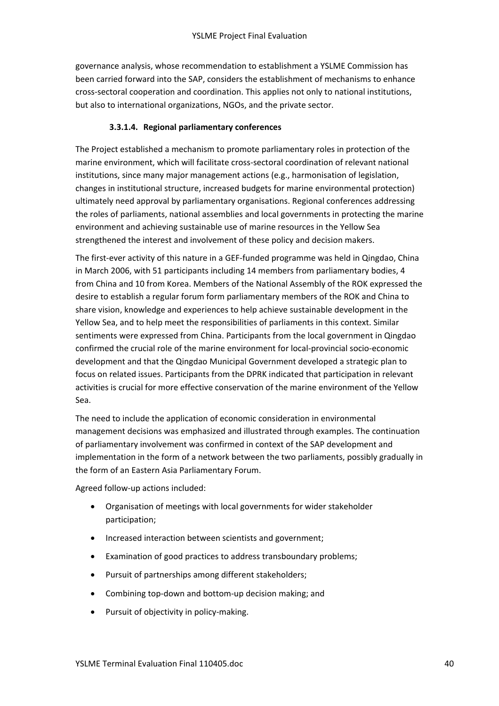governance analysis, whose recommendation to establishment a YSLME Commission has been carried forward into the SAP, considers the establishment of mechanisms to enhance cross‐sectoral cooperation and coordination. This applies not only to national institutions, but also to international organizations, NGOs, and the private sector.

#### **3.3.1.4. Regional parliamentary conferences**

The Project established a mechanism to promote parliamentary roles in protection of the marine environment, which will facilitate cross‐sectoral coordination of relevant national institutions, since many major management actions (e.g., harmonisation of legislation, changes in institutional structure, increased budgets for marine environmental protection) ultimately need approval by parliamentary organisations. Regional conferences addressing the roles of parliaments, national assemblies and local governments in protecting the marine environment and achieving sustainable use of marine resources in the Yellow Sea strengthened the interest and involvement of these policy and decision makers.

The first-ever activity of this nature in a GEF-funded programme was held in Qingdao, China in March 2006, with 51 participants including 14 members from parliamentary bodies, 4 from China and 10 from Korea. Members of the National Assembly of the ROK expressed the desire to establish a regular forum form parliamentary members of the ROK and China to share vision, knowledge and experiences to help achieve sustainable development in the Yellow Sea, and to help meet the responsibilities of parliaments in this context. Similar sentiments were expressed from China. Participants from the local government in Qingdao confirmed the crucial role of the marine environment for local‐provincial socio‐economic development and that the Qingdao Municipal Government developed a strategic plan to focus on related issues. Participants from the DPRK indicated that participation in relevant activities is crucial for more effective conservation of the marine environment of the Yellow Sea.

The need to include the application of economic consideration in environmental management decisions was emphasized and illustrated through examples. The continuation of parliamentary involvement was confirmed in context of the SAP development and implementation in the form of a network between the two parliaments, possibly gradually in the form of an Eastern Asia Parliamentary Forum.

Agreed follow‐up actions included:

- Organisation of meetings with local governments for wider stakeholder participation;
- Increased interaction between scientists and government;
- Examination of good practices to address transboundary problems;
- Pursuit of partnerships among different stakeholders;
- Combining top‐down and bottom‐up decision making; and
- Pursuit of objectivity in policy‐making.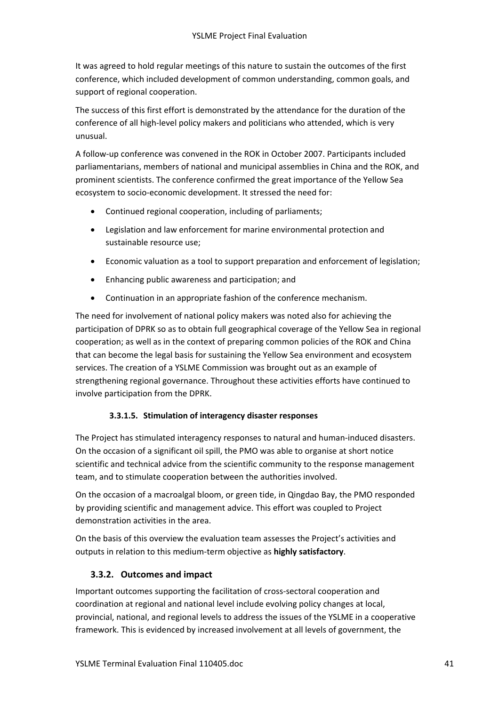It was agreed to hold regular meetings of this nature to sustain the outcomes of the first conference, which included development of common understanding, common goals, and support of regional cooperation.

The success of this first effort is demonstrated by the attendance for the duration of the conference of all high-level policy makers and politicians who attended, which is very unusual.

A follow‐up conference was convened in the ROK in October 2007. Participants included parliamentarians, members of national and municipal assemblies in China and the ROK, and prominent scientists. The conference confirmed the great importance of the Yellow Sea ecosystem to socio‐economic development. It stressed the need for:

- Continued regional cooperation, including of parliaments;
- Legislation and law enforcement for marine environmental protection and sustainable resource use;
- Economic valuation as a tool to support preparation and enforcement of legislation;
- Enhancing public awareness and participation; and
- Continuation in an appropriate fashion of the conference mechanism.

The need for involvement of national policy makers was noted also for achieving the participation of DPRK so as to obtain full geographical coverage of the Yellow Sea in regional cooperation; as well as in the context of preparing common policies of the ROK and China that can become the legal basis for sustaining the Yellow Sea environment and ecosystem services. The creation of a YSLME Commission was brought out as an example of strengthening regional governance. Throughout these activities efforts have continued to involve participation from the DPRK.

# **3.3.1.5. Stimulation of interagency disaster responses**

The Project has stimulated interagency responses to natural and human‐induced disasters. On the occasion of a significant oil spill, the PMO was able to organise at short notice scientific and technical advice from the scientific community to the response management team, and to stimulate cooperation between the authorities involved.

On the occasion of a macroalgal bloom, or green tide, in Qingdao Bay, the PMO responded by providing scientific and management advice. This effort was coupled to Project demonstration activities in the area.

On the basis of this overview the evaluation team assesses the Project's activities and outputs in relation to this medium‐term objective as **highly satisfactory**.

# **3.3.2. Outcomes and impact**

Important outcomes supporting the facilitation of cross‐sectoral cooperation and coordination at regional and national level include evolving policy changes at local, provincial, national, and regional levels to address the issues of the YSLME in a cooperative framework. This is evidenced by increased involvement at all levels of government, the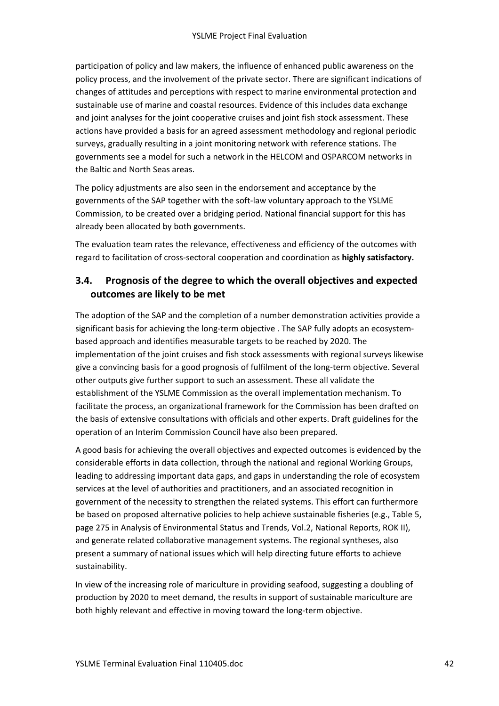participation of policy and law makers, the influence of enhanced public awareness on the policy process, and the involvement of the private sector. There are significant indications of changes of attitudes and perceptions with respect to marine environmental protection and sustainable use of marine and coastal resources. Evidence of this includes data exchange and joint analyses for the joint cooperative cruises and joint fish stock assessment. These actions have provided a basis for an agreed assessment methodology and regional periodic surveys, gradually resulting in a joint monitoring network with reference stations. The governments see a model for such a network in the HELCOM and OSPARCOM networks in the Baltic and North Seas areas.

The policy adjustments are also seen in the endorsement and acceptance by the governments of the SAP together with the soft‐law voluntary approach to the YSLME Commission, to be created over a bridging period. National financial support for this has already been allocated by both governments.

The evaluation team rates the relevance, effectiveness and efficiency of the outcomes with regard to facilitation of cross‐sectoral cooperation and coordination as **highly satisfactory.**

# **3.4. Prognosis of the degree to which the overall objectives and expected outcomes are likely to be met**

The adoption of the SAP and the completion of a number demonstration activities provide a significant basis for achieving the long-term objective . The SAP fully adopts an ecosystembased approach and identifies measurable targets to be reached by 2020. The implementation of the joint cruises and fish stock assessments with regional surveys likewise give a convincing basis for a good prognosis of fulfilment of the long-term objective. Several other outputs give further support to such an assessment. These all validate the establishment of the YSLME Commission as the overall implementation mechanism. To facilitate the process, an organizational framework for the Commission has been drafted on the basis of extensive consultations with officials and other experts. Draft guidelines for the operation of an Interim Commission Council have also been prepared.

A good basis for achieving the overall objectives and expected outcomes is evidenced by the considerable efforts in data collection, through the national and regional Working Groups, leading to addressing important data gaps, and gaps in understanding the role of ecosystem services at the level of authorities and practitioners, and an associated recognition in government of the necessity to strengthen the related systems. This effort can furthermore be based on proposed alternative policies to help achieve sustainable fisheries (e.g., Table 5, page 275 in Analysis of Environmental Status and Trends, Vol.2, National Reports, ROK II), and generate related collaborative management systems. The regional syntheses, also present a summary of national issues which will help directing future efforts to achieve sustainability.

In view of the increasing role of mariculture in providing seafood, suggesting a doubling of production by 2020 to meet demand, the results in support of sustainable mariculture are both highly relevant and effective in moving toward the long-term objective.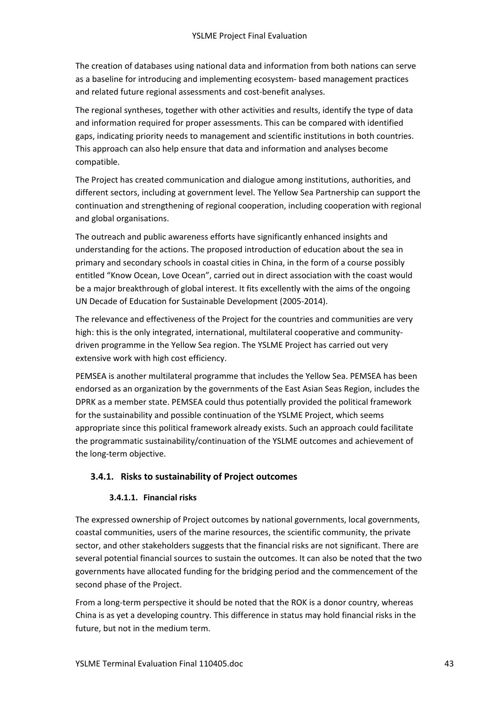The creation of databases using national data and information from both nations can serve as a baseline for introducing and implementing ecosystem‐ based management practices and related future regional assessments and cost‐benefit analyses.

The regional syntheses, together with other activities and results, identify the type of data and information required for proper assessments. This can be compared with identified gaps, indicating priority needs to management and scientific institutions in both countries. This approach can also help ensure that data and information and analyses become compatible.

The Project has created communication and dialogue among institutions, authorities, and different sectors, including at government level. The Yellow Sea Partnership can support the continuation and strengthening of regional cooperation, including cooperation with regional and global organisations.

The outreach and public awareness efforts have significantly enhanced insights and understanding for the actions. The proposed introduction of education about the sea in primary and secondary schools in coastal cities in China, in the form of a course possibly entitled "Know Ocean, Love Ocean", carried out in direct association with the coast would be a major breakthrough of global interest. It fits excellently with the aims of the ongoing UN Decade of Education for Sustainable Development (2005‐2014).

The relevance and effectiveness of the Project for the countries and communities are very high: this is the only integrated, international, multilateral cooperative and communitydriven programme in the Yellow Sea region. The YSLME Project has carried out very extensive work with high cost efficiency.

PEMSEA is another multilateral programme that includes the Yellow Sea. PEMSEA has been endorsed as an organization by the governments of the East Asian Seas Region, includes the DPRK as a member state. PEMSEA could thus potentially provided the political framework for the sustainability and possible continuation of the YSLME Project, which seems appropriate since this political framework already exists. Such an approach could facilitate the programmatic sustainability/continuation of the YSLME outcomes and achievement of the long‐term objective.

# **3.4.1. Risks to sustainability of Project outcomes**

### **3.4.1.1. Financial risks**

The expressed ownership of Project outcomes by national governments, local governments, coastal communities, users of the marine resources, the scientific community, the private sector, and other stakeholders suggests that the financial risks are not significant. There are several potential financial sources to sustain the outcomes. It can also be noted that the two governments have allocated funding for the bridging period and the commencement of the second phase of the Project.

From a long-term perspective it should be noted that the ROK is a donor country, whereas China is as yet a developing country. This difference in status may hold financial risks in the future, but not in the medium term.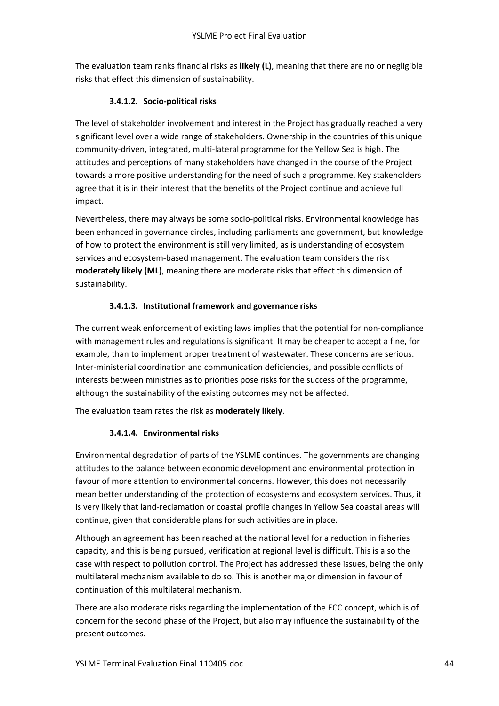The evaluation team ranks financial risks as **likely (L)**, meaning that there are no or negligible risks that effect this dimension of sustainability.

## **3.4.1.2. Socio‐political risks**

The level of stakeholder involvement and interest in the Project has gradually reached a very significant level over a wide range of stakeholders. Ownership in the countries of this unique community-driven, integrated, multi-lateral programme for the Yellow Sea is high. The attitudes and perceptions of many stakeholders have changed in the course of the Project towards a more positive understanding for the need of such a programme. Key stakeholders agree that it is in their interest that the benefits of the Project continue and achieve full impact.

Nevertheless, there may always be some socio‐political risks. Environmental knowledge has been enhanced in governance circles, including parliaments and government, but knowledge of how to protect the environment is still very limited, as is understanding of ecosystem services and ecosystem-based management. The evaluation team considers the risk **moderately likely (ML)**, meaning there are moderate risks that effect this dimension of sustainability.

# **3.4.1.3. Institutional framework and governance risks**

The current weak enforcement of existing laws implies that the potential for non‐compliance with management rules and regulations is significant. It may be cheaper to accept a fine, for example, than to implement proper treatment of wastewater. These concerns are serious. Inter‐ministerial coordination and communication deficiencies, and possible conflicts of interests between ministries as to priorities pose risks for the success of the programme, although the sustainability of the existing outcomes may not be affected.

The evaluation team rates the risk as **moderately likely**.

# **3.4.1.4. Environmental risks**

Environmental degradation of parts of the YSLME continues. The governments are changing attitudes to the balance between economic development and environmental protection in favour of more attention to environmental concerns. However, this does not necessarily mean better understanding of the protection of ecosystems and ecosystem services. Thus, it is very likely that land‐reclamation or coastal profile changes in Yellow Sea coastal areas will continue, given that considerable plans for such activities are in place.

Although an agreement has been reached at the national level for a reduction in fisheries capacity, and this is being pursued, verification at regional level is difficult. This is also the case with respect to pollution control. The Project has addressed these issues, being the only multilateral mechanism available to do so. This is another major dimension in favour of continuation of this multilateral mechanism.

There are also moderate risks regarding the implementation of the ECC concept, which is of concern for the second phase of the Project, but also may influence the sustainability of the present outcomes.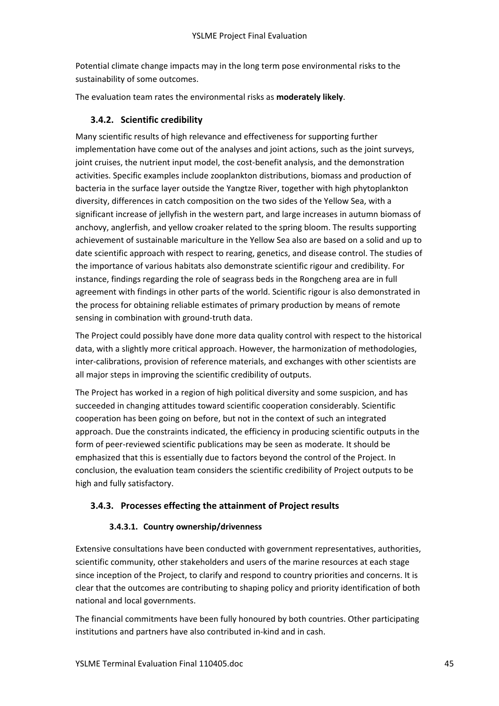Potential climate change impacts may in the long term pose environmental risks to the sustainability of some outcomes.

The evaluation team rates the environmental risks as **moderately likely**.

## **3.4.2. Scientific credibility**

Many scientific results of high relevance and effectiveness for supporting further implementation have come out of the analyses and joint actions, such as the joint surveys, joint cruises, the nutrient input model, the cost-benefit analysis, and the demonstration activities. Specific examples include zooplankton distributions, biomass and production of bacteria in the surface layer outside the Yangtze River, together with high phytoplankton diversity, differences in catch composition on the two sides of the Yellow Sea, with a significant increase of jellyfish in the western part, and large increases in autumn biomass of anchovy, anglerfish, and yellow croaker related to the spring bloom. The results supporting achievement of sustainable mariculture in the Yellow Sea also are based on a solid and up to date scientific approach with respect to rearing, genetics, and disease control. The studies of the importance of various habitats also demonstrate scientific rigour and credibility. For instance, findings regarding the role of seagrass beds in the Rongcheng area are in full agreement with findings in other parts of the world. Scientific rigour is also demonstrated in the process for obtaining reliable estimates of primary production by means of remote sensing in combination with ground-truth data.

The Project could possibly have done more data quality control with respect to the historical data, with a slightly more critical approach. However, the harmonization of methodologies, inter-calibrations, provision of reference materials, and exchanges with other scientists are all major steps in improving the scientific credibility of outputs.

The Project has worked in a region of high political diversity and some suspicion, and has succeeded in changing attitudes toward scientific cooperation considerably. Scientific cooperation has been going on before, but not in the context of such an integrated approach. Due the constraints indicated, the efficiency in producing scientific outputs in the form of peer-reviewed scientific publications may be seen as moderate. It should be emphasized that this is essentially due to factors beyond the control of the Project. In conclusion, the evaluation team considers the scientific credibility of Project outputs to be high and fully satisfactory.

### **3.4.3. Processes effecting the attainment of Project results**

### **3.4.3.1. Country ownership/drivenness**

Extensive consultations have been conducted with government representatives, authorities, scientific community, other stakeholders and users of the marine resources at each stage since inception of the Project, to clarify and respond to country priorities and concerns. It is clear that the outcomes are contributing to shaping policy and priority identification of both national and local governments.

The financial commitments have been fully honoured by both countries. Other participating institutions and partners have also contributed in‐kind and in cash.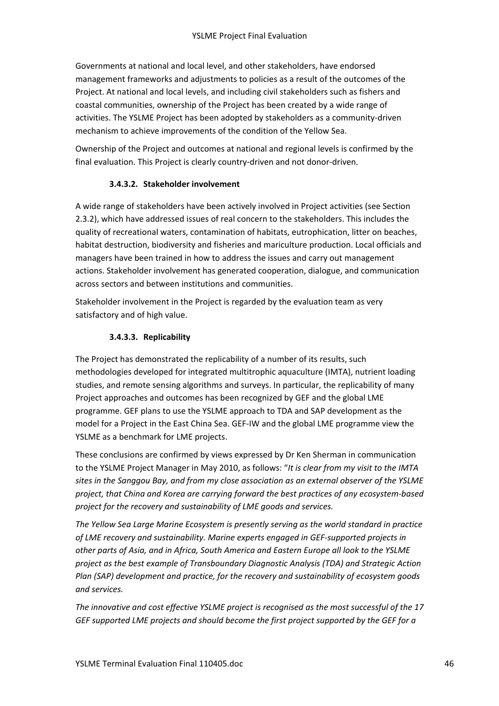Governments at national and local level, and other stakeholders, have endorsed management frameworks and adjustments to policies as a result of the outcomes of the Project. At national and local levels, and including civil stakeholders such as fishers and coastal communities, ownership of the Project has been created by a wide range of activities. The YSLME Project has been adopted by stakeholders as a community‐driven mechanism to achieve improvements of the condition of the Yellow Sea.

Ownership of the Project and outcomes at national and regional levels is confirmed by the final evaluation. This Project is clearly country-driven and not donor-driven.

## **3.4.3.2. Stakeholder involvement**

A wide range of stakeholders have been actively involved in Project activities (see Section 2.3.2), which have addressed issues of real concern to the stakeholders. This includes the quality of recreational waters, contamination of habitats, eutrophication, litter on beaches, habitat destruction, biodiversity and fisheries and mariculture production. Local officials and managers have been trained in how to address the issues and carry out management actions. Stakeholder involvement has generated cooperation, dialogue, and communication across sectors and between institutions and communities.

Stakeholder involvement in the Project is regarded by the evaluation team as very satisfactory and of high value.

## **3.4.3.3. Replicability**

The Project has demonstrated the replicability of a number of its results, such methodologies developed for integrated multitrophic aquaculture (IMTA), nutrient loading studies, and remote sensing algorithms and surveys. In particular, the replicability of many Project approaches and outcomes has been recognized by GEF and the global LME programme. GEF plans to use the YSLME approach to TDA and SAP development as the model for a Project in the East China Sea. GEF‐IW and the global LME programme view the YSLME as a benchmark for LME projects.

These conclusions are confirmed by views expressed by Dr Ken Sherman in communication to the YSLME Project Manager in May 2010, as follows: "*It is clear from my visit to the IMTA sites in the Sanggou Bay, and from my close association as an external observer of the YSLME project, that China and Korea are carrying forward the best practices of any ecosystem‐based project for the recovery and sustainability of LME goods and services.*

*The Yellow Sea Large Marine Ecosystem is presently serving as the world standard in practice of LME recovery and sustainability. Marine experts engaged in GEF‐supported projects in other parts of Asia, and in Africa, South America and Eastern Europe all look to the YSLME project as the best example of Transboundary Diagnostic Analysis (TDA) and Strategic Action Plan (SAP) development and practice, for the recovery and sustainability of ecosystem goods and services.*

*The innovative and cost effective YSLME project is recognised as the most successful of the 17 GEF supported LME projects and should become the first project supported by the GEF for a*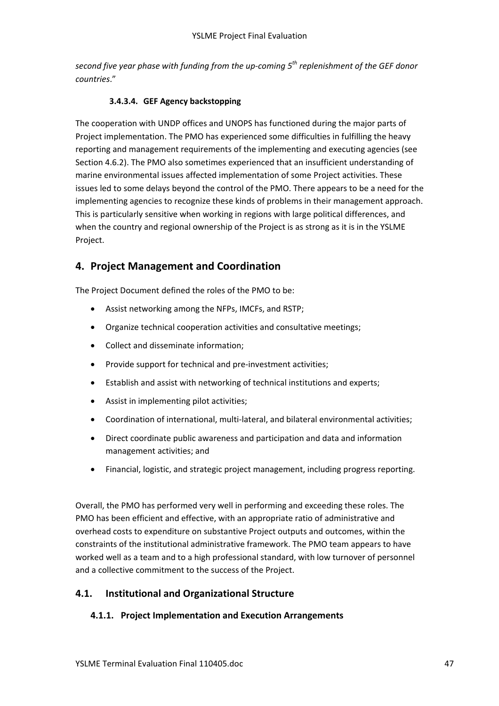*second five year phase with funding from the up‐coming 5th replenishment of the GEF donor countries*."

### **3.4.3.4. GEF Agency backstopping**

The cooperation with UNDP offices and UNOPS has functioned during the major parts of Project implementation. The PMO has experienced some difficulties in fulfilling the heavy reporting and management requirements of the implementing and executing agencies (see Section 4.6.2). The PMO also sometimes experienced that an insufficient understanding of marine environmental issues affected implementation of some Project activities. These issues led to some delays beyond the control of the PMO. There appears to be a need for the implementing agencies to recognize these kinds of problems in their management approach. This is particularly sensitive when working in regions with large political differences, and when the country and regional ownership of the Project is as strong as it is in the YSLME Project.

# **4. Project Management and Coordination**

The Project Document defined the roles of the PMO to be:

- Assist networking among the NFPs, IMCFs, and RSTP;
- Organize technical cooperation activities and consultative meetings;
- Collect and disseminate information;
- Provide support for technical and pre-investment activities;
- Establish and assist with networking of technical institutions and experts;
- Assist in implementing pilot activities;
- Coordination of international, multi‐lateral, and bilateral environmental activities;
- Direct coordinate public awareness and participation and data and information management activities; and
- Financial, logistic, and strategic project management, including progress reporting.

Overall, the PMO has performed very well in performing and exceeding these roles. The PMO has been efficient and effective, with an appropriate ratio of administrative and overhead costs to expenditure on substantive Project outputs and outcomes, within the constraints of the institutional administrative framework. The PMO team appears to have worked well as a team and to a high professional standard, with low turnover of personnel and a collective commitment to the success of the Project.

# **4.1. Institutional and Organizational Structure**

# **4.1.1. Project Implementation and Execution Arrangements**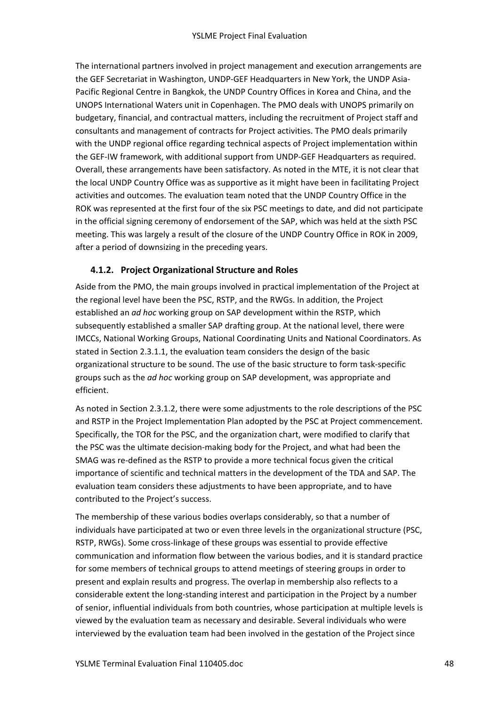The international partners involved in project management and execution arrangements are the GEF Secretariat in Washington, UNDP‐GEF Headquarters in New York, the UNDP Asia‐ Pacific Regional Centre in Bangkok, the UNDP Country Offices in Korea and China, and the UNOPS International Waters unit in Copenhagen. The PMO deals with UNOPS primarily on budgetary, financial, and contractual matters, including the recruitment of Project staff and consultants and management of contracts for Project activities. The PMO deals primarily with the UNDP regional office regarding technical aspects of Project implementation within the GEF‐IW framework, with additional support from UNDP‐GEF Headquarters as required. Overall, these arrangements have been satisfactory. As noted in the MTE, it is not clear that the local UNDP Country Office was as supportive as it might have been in facilitating Project activities and outcomes. The evaluation team noted that the UNDP Country Office in the ROK was represented at the first four of the six PSC meetings to date, and did not participate in the official signing ceremony of endorsement of the SAP, which was held at the sixth PSC meeting. This was largely a result of the closure of the UNDP Country Office in ROK in 2009, after a period of downsizing in the preceding years.

# **4.1.2. Project Organizational Structure and Roles**

Aside from the PMO, the main groups involved in practical implementation of the Project at the regional level have been the PSC, RSTP, and the RWGs. In addition, the Project established an *ad hoc* working group on SAP development within the RSTP, which subsequently established a smaller SAP drafting group. At the national level, there were IMCCs, National Working Groups, National Coordinating Units and National Coordinators. As stated in Section 2.3.1.1, the evaluation team considers the design of the basic organizational structure to be sound. The use of the basic structure to form task‐specific groups such as the *ad hoc* working group on SAP development, was appropriate and efficient.

As noted in Section 2.3.1.2, there were some adjustments to the role descriptions of the PSC and RSTP in the Project Implementation Plan adopted by the PSC at Project commencement. Specifically, the TOR for the PSC, and the organization chart, were modified to clarify that the PSC was the ultimate decision‐making body for the Project, and what had been the SMAG was re‐defined as the RSTP to provide a more technical focus given the critical importance of scientific and technical matters in the development of the TDA and SAP. The evaluation team considers these adjustments to have been appropriate, and to have contributed to the Project's success.

The membership of these various bodies overlaps considerably, so that a number of individuals have participated at two or even three levels in the organizational structure (PSC, RSTP, RWGs). Some cross‐linkage of these groups was essential to provide effective communication and information flow between the various bodies, and it is standard practice for some members of technical groups to attend meetings of steering groups in order to present and explain results and progress. The overlap in membership also reflects to a considerable extent the long‐standing interest and participation in the Project by a number of senior, influential individuals from both countries, whose participation at multiple levels is viewed by the evaluation team as necessary and desirable. Several individuals who were interviewed by the evaluation team had been involved in the gestation of the Project since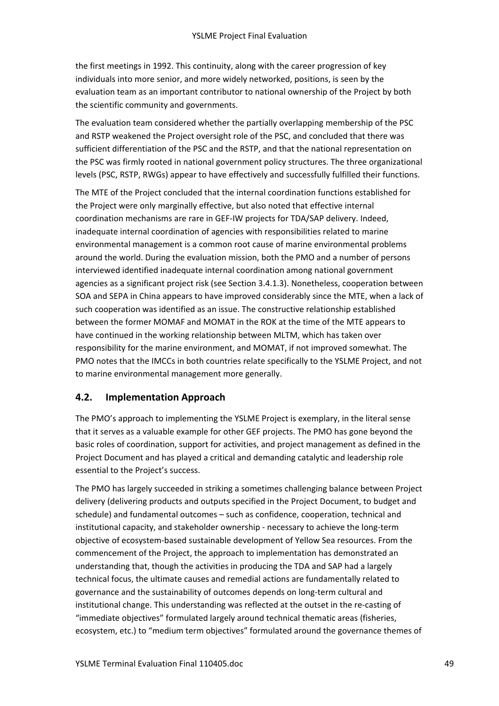the first meetings in 1992. This continuity, along with the career progression of key individuals into more senior, and more widely networked, positions, is seen by the evaluation team as an important contributor to national ownership of the Project by both the scientific community and governments.

The evaluation team considered whether the partially overlapping membership of the PSC and RSTP weakened the Project oversight role of the PSC, and concluded that there was sufficient differentiation of the PSC and the RSTP, and that the national representation on the PSC was firmly rooted in national government policy structures. The three organizational levels (PSC, RSTP, RWGs) appear to have effectively and successfully fulfilled their functions.

The MTE of the Project concluded that the internal coordination functions established for the Project were only marginally effective, but also noted that effective internal coordination mechanisms are rare in GEF‐IW projects for TDA/SAP delivery. Indeed, inadequate internal coordination of agencies with responsibilities related to marine environmental management is a common root cause of marine environmental problems around the world. During the evaluation mission, both the PMO and a number of persons interviewed identified inadequate internal coordination among national government agencies as a significant project risk (see Section 3.4.1.3). Nonetheless, cooperation between SOA and SEPA in China appears to have improved considerably since the MTE, when a lack of such cooperation was identified as an issue. The constructive relationship established between the former MOMAF and MOMAT in the ROK at the time of the MTE appears to have continued in the working relationship between MLTM, which has taken over responsibility for the marine environment, and MOMAT, if not improved somewhat. The PMO notes that the IMCCs in both countries relate specifically to the YSLME Project, and not to marine environmental management more generally.

# **4.2. Implementation Approach**

The PMO's approach to implementing the YSLME Project is exemplary, in the literal sense that it serves as a valuable example for other GEF projects. The PMO has gone beyond the basic roles of coordination, support for activities, and project management as defined in the Project Document and has played a critical and demanding catalytic and leadership role essential to the Project's success.

The PMO has largely succeeded in striking a sometimes challenging balance between Project delivery (delivering products and outputs specified in the Project Document, to budget and schedule) and fundamental outcomes – such as confidence, cooperation, technical and institutional capacity, and stakeholder ownership ‐ necessary to achieve the long‐term objective of ecosystem‐based sustainable development of Yellow Sea resources. From the commencement of the Project, the approach to implementation has demonstrated an understanding that, though the activities in producing the TDA and SAP had a largely technical focus, the ultimate causes and remedial actions are fundamentally related to governance and the sustainability of outcomes depends on long‐term cultural and institutional change. This understanding was reflected at the outset in the re‐casting of "immediate objectives" formulated largely around technical thematic areas (fisheries, ecosystem, etc.) to "medium term objectives" formulated around the governance themes of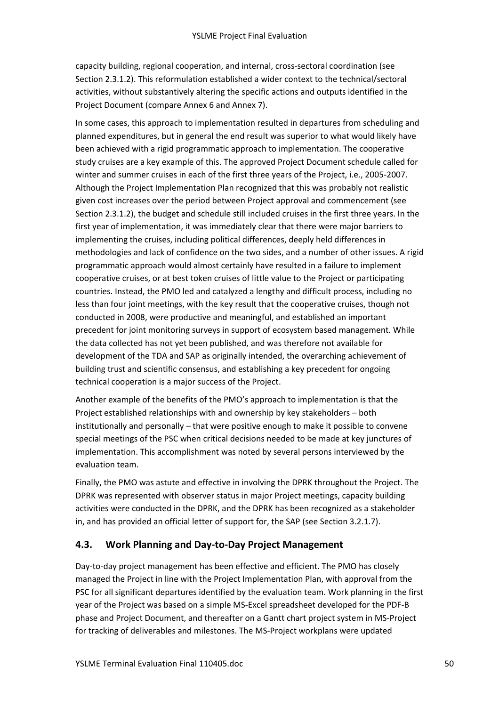capacity building, regional cooperation, and internal, cross‐sectoral coordination (see Section 2.3.1.2). This reformulation established a wider context to the technical/sectoral activities, without substantively altering the specific actions and outputs identified in the Project Document (compare Annex 6 and Annex 7).

In some cases, this approach to implementation resulted in departures from scheduling and planned expenditures, but in general the end result was superior to what would likely have been achieved with a rigid programmatic approach to implementation. The cooperative study cruises are a key example of this. The approved Project Document schedule called for winter and summer cruises in each of the first three years of the Project, i.e., 2005‐2007. Although the Project Implementation Plan recognized that this was probably not realistic given cost increases over the period between Project approval and commencement (see Section 2.3.1.2), the budget and schedule still included cruises in the first three years. In the first year of implementation, it was immediately clear that there were major barriers to implementing the cruises, including political differences, deeply held differences in methodologies and lack of confidence on the two sides, and a number of other issues. A rigid programmatic approach would almost certainly have resulted in a failure to implement cooperative cruises, or at best token cruises of little value to the Project or participating countries. Instead, the PMO led and catalyzed a lengthy and difficult process, including no less than four joint meetings, with the key result that the cooperative cruises, though not conducted in 2008, were productive and meaningful, and established an important precedent for joint monitoring surveys in support of ecosystem based management. While the data collected has not yet been published, and was therefore not available for development of the TDA and SAP as originally intended, the overarching achievement of building trust and scientific consensus, and establishing a key precedent for ongoing technical cooperation is a major success of the Project.

Another example of the benefits of the PMO's approach to implementation is that the Project established relationships with and ownership by key stakeholders – both institutionally and personally – that were positive enough to make it possible to convene special meetings of the PSC when critical decisions needed to be made at key junctures of implementation. This accomplishment was noted by several persons interviewed by the evaluation team.

Finally, the PMO was astute and effective in involving the DPRK throughout the Project. The DPRK was represented with observer status in major Project meetings, capacity building activities were conducted in the DPRK, and the DPRK has been recognized as a stakeholder in, and has provided an official letter of support for, the SAP (see Section 3.2.1.7).

# **4.3. Work Planning and Day‐to‐Day Project Management**

Day-to-day project management has been effective and efficient. The PMO has closely managed the Project in line with the Project Implementation Plan, with approval from the PSC for all significant departures identified by the evaluation team. Work planning in the first year of the Project was based on a simple MS‐Excel spreadsheet developed for the PDF‐B phase and Project Document, and thereafter on a Gantt chart project system in MS‐Project for tracking of deliverables and milestones. The MS‐Project workplans were updated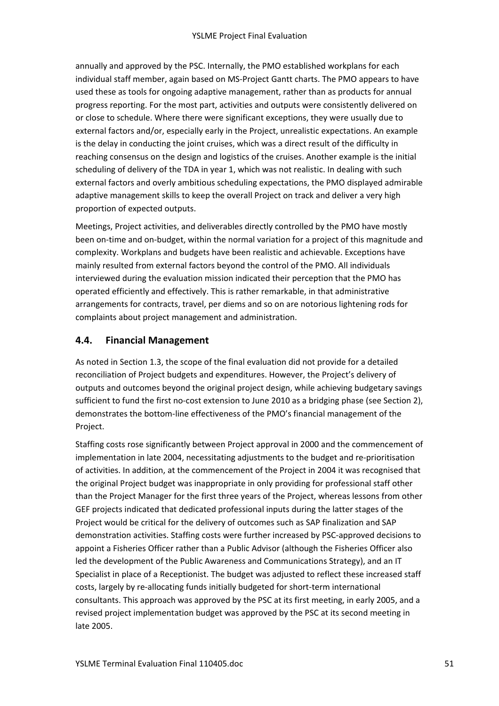annually and approved by the PSC. Internally, the PMO established workplans for each individual staff member, again based on MS‐Project Gantt charts. The PMO appears to have used these as tools for ongoing adaptive management, rather than as products for annual progress reporting. For the most part, activities and outputs were consistently delivered on or close to schedule. Where there were significant exceptions, they were usually due to external factors and/or, especially early in the Project, unrealistic expectations. An example is the delay in conducting the joint cruises, which was a direct result of the difficulty in reaching consensus on the design and logistics of the cruises. Another example is the initial scheduling of delivery of the TDA in year 1, which was not realistic. In dealing with such external factors and overly ambitious scheduling expectations, the PMO displayed admirable adaptive management skills to keep the overall Project on track and deliver a very high proportion of expected outputs.

Meetings, Project activities, and deliverables directly controlled by the PMO have mostly been on-time and on-budget, within the normal variation for a project of this magnitude and complexity. Workplans and budgets have been realistic and achievable. Exceptions have mainly resulted from external factors beyond the control of the PMO. All individuals interviewed during the evaluation mission indicated their perception that the PMO has operated efficiently and effectively. This is rather remarkable, in that administrative arrangements for contracts, travel, per diems and so on are notorious lightening rods for complaints about project management and administration.

# **4.4. Financial Management**

As noted in Section 1.3, the scope of the final evaluation did not provide for a detailed reconciliation of Project budgets and expenditures. However, the Project's delivery of outputs and outcomes beyond the original project design, while achieving budgetary savings sufficient to fund the first no-cost extension to June 2010 as a bridging phase (see Section 2), demonstrates the bottom‐line effectiveness of the PMO's financial management of the Project.

Staffing costs rose significantly between Project approval in 2000 and the commencement of implementation in late 2004, necessitating adjustments to the budget and re-prioritisation of activities. In addition, at the commencement of the Project in 2004 it was recognised that the original Project budget was inappropriate in only providing for professional staff other than the Project Manager for the first three years of the Project, whereas lessons from other GEF projects indicated that dedicated professional inputs during the latter stages of the Project would be critical for the delivery of outcomes such as SAP finalization and SAP demonstration activities. Staffing costs were further increased by PSC‐approved decisions to appoint a Fisheries Officer rather than a Public Advisor (although the Fisheries Officer also led the development of the Public Awareness and Communications Strategy), and an IT Specialist in place of a Receptionist. The budget was adjusted to reflect these increased staff costs, largely by re‐allocating funds initially budgeted for short‐term international consultants. This approach was approved by the PSC at its first meeting, in early 2005, and a revised project implementation budget was approved by the PSC at its second meeting in late 2005.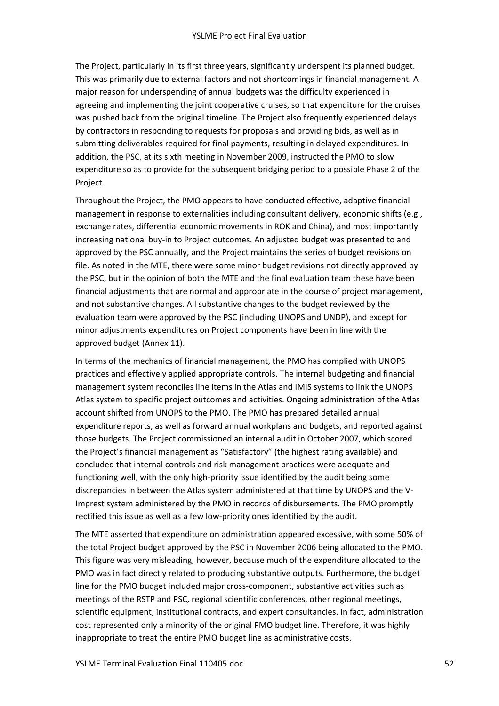The Project, particularly in its first three years, significantly underspent its planned budget. This was primarily due to external factors and not shortcomings in financial management. A major reason for underspending of annual budgets was the difficulty experienced in agreeing and implementing the joint cooperative cruises, so that expenditure for the cruises was pushed back from the original timeline. The Project also frequently experienced delays by contractors in responding to requests for proposals and providing bids, as well as in submitting deliverables required for final payments, resulting in delayed expenditures. In addition, the PSC, at its sixth meeting in November 2009, instructed the PMO to slow expenditure so as to provide for the subsequent bridging period to a possible Phase 2 of the Project.

Throughout the Project, the PMO appears to have conducted effective, adaptive financial management in response to externalities including consultant delivery, economic shifts (e.g., exchange rates, differential economic movements in ROK and China), and most importantly increasing national buy‐in to Project outcomes. An adjusted budget was presented to and approved by the PSC annually, and the Project maintains the series of budget revisions on file. As noted in the MTE, there were some minor budget revisions not directly approved by the PSC, but in the opinion of both the MTE and the final evaluation team these have been financial adjustments that are normal and appropriate in the course of project management, and not substantive changes. All substantive changes to the budget reviewed by the evaluation team were approved by the PSC (including UNOPS and UNDP), and except for minor adjustments expenditures on Project components have been in line with the approved budget (Annex 11).

In terms of the mechanics of financial management, the PMO has complied with UNOPS practices and effectively applied appropriate controls. The internal budgeting and financial management system reconciles line items in the Atlas and IMIS systems to link the UNOPS Atlas system to specific project outcomes and activities. Ongoing administration of the Atlas account shifted from UNOPS to the PMO. The PMO has prepared detailed annual expenditure reports, as well as forward annual workplans and budgets, and reported against those budgets. The Project commissioned an internal audit in October 2007, which scored the Project's financial management as "Satisfactory" (the highest rating available) and concluded that internal controls and risk management practices were adequate and functioning well, with the only high‐priority issue identified by the audit being some discrepancies in between the Atlas system administered at that time by UNOPS and the V‐ Imprest system administered by the PMO in records of disbursements. The PMO promptly rectified this issue as well as a few low‐priority ones identified by the audit.

The MTE asserted that expenditure on administration appeared excessive, with some 50% of the total Project budget approved by the PSC in November 2006 being allocated to the PMO. This figure was very misleading, however, because much of the expenditure allocated to the PMO was in fact directly related to producing substantive outputs. Furthermore, the budget line for the PMO budget included major cross‐component, substantive activities such as meetings of the RSTP and PSC, regional scientific conferences, other regional meetings, scientific equipment, institutional contracts, and expert consultancies. In fact, administration cost represented only a minority of the original PMO budget line. Therefore, it was highly inappropriate to treat the entire PMO budget line as administrative costs.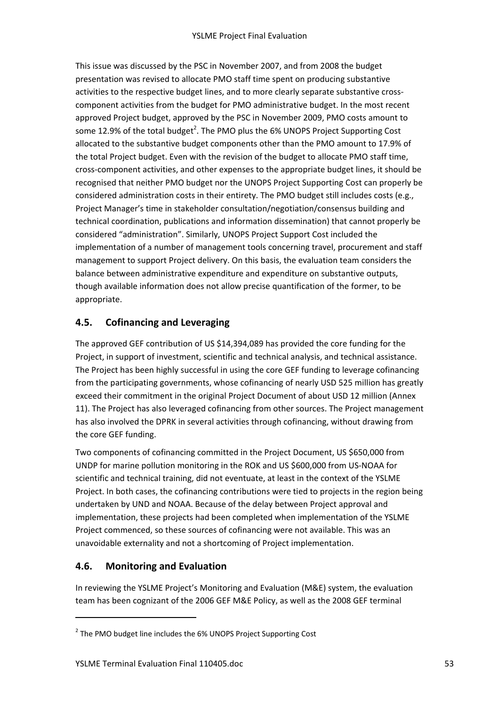This issue was discussed by the PSC in November 2007, and from 2008 the budget presentation was revised to allocate PMO staff time spent on producing substantive activities to the respective budget lines, and to more clearly separate substantive crosscomponent activities from the budget for PMO administrative budget. In the most recent approved Project budget, approved by the PSC in November 2009, PMO costs amount to some 12.9% of the total budget<sup>2</sup>. The PMO plus the 6% UNOPS Project Supporting Cost allocated to the substantive budget components other than the PMO amount to 17.9% of the total Project budget. Even with the revision of the budget to allocate PMO staff time, cross‐component activities, and other expenses to the appropriate budget lines, it should be recognised that neither PMO budget nor the UNOPS Project Supporting Cost can properly be considered administration costs in their entirety. The PMO budget still includes costs (e.g., Project Manager's time in stakeholder consultation/negotiation/consensus building and technical coordination, publications and information dissemination) that cannot properly be considered "administration". Similarly, UNOPS Project Support Cost included the implementation of a number of management tools concerning travel, procurement and staff management to support Project delivery. On this basis, the evaluation team considers the balance between administrative expenditure and expenditure on substantive outputs, though available information does not allow precise quantification of the former, to be appropriate.

# **4.5. Cofinancing and Leveraging**

The approved GEF contribution of US \$14,394,089 has provided the core funding for the Project, in support of investment, scientific and technical analysis, and technical assistance. The Project has been highly successful in using the core GEF funding to leverage cofinancing from the participating governments, whose cofinancing of nearly USD 525 million has greatly exceed their commitment in the original Project Document of about USD 12 million (Annex 11). The Project has also leveraged cofinancing from other sources. The Project management has also involved the DPRK in several activities through cofinancing, without drawing from the core GEF funding.

Two components of cofinancing committed in the Project Document, US \$650,000 from UNDP for marine pollution monitoring in the ROK and US \$600,000 from US‐NOAA for scientific and technical training, did not eventuate, at least in the context of the YSLME Project. In both cases, the cofinancing contributions were tied to projects in the region being undertaken by UND and NOAA. Because of the delay between Project approval and implementation, these projects had been completed when implementation of the YSLME Project commenced, so these sources of cofinancing were not available. This was an unavoidable externality and not a shortcoming of Project implementation.

## **4.6. Monitoring and Evaluation**

In reviewing the YSLME Project's Monitoring and Evaluation (M&E) system, the evaluation team has been cognizant of the 2006 GEF M&E Policy, as well as the 2008 GEF terminal

 $2$  The PMO budget line includes the 6% UNOPS Project Supporting Cost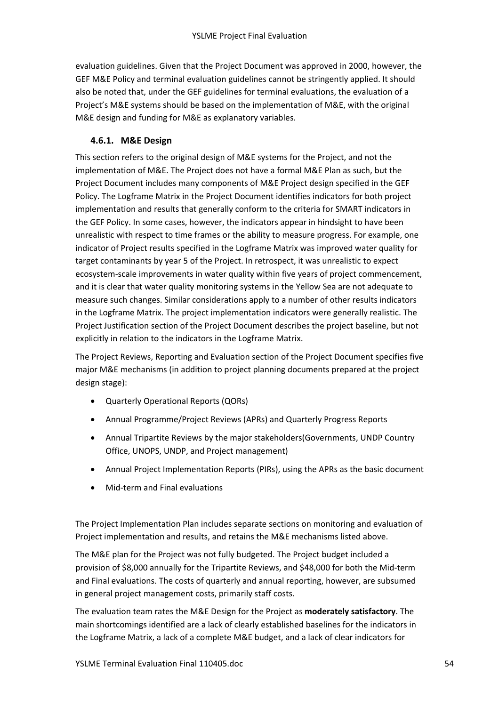evaluation guidelines. Given that the Project Document was approved in 2000, however, the GEF M&E Policy and terminal evaluation guidelines cannot be stringently applied. It should also be noted that, under the GEF guidelines for terminal evaluations, the evaluation of a Project's M&E systems should be based on the implementation of M&E, with the original M&E design and funding for M&E as explanatory variables.

## **4.6.1. M&E Design**

This section refers to the original design of M&E systems for the Project, and not the implementation of M&E. The Project does not have a formal M&E Plan as such, but the Project Document includes many components of M&E Project design specified in the GEF Policy. The Logframe Matrix in the Project Document identifies indicators for both project implementation and results that generally conform to the criteria for SMART indicators in the GEF Policy. In some cases, however, the indicators appear in hindsight to have been unrealistic with respect to time frames or the ability to measure progress. For example, one indicator of Project results specified in the Logframe Matrix was improved water quality for target contaminants by year 5 of the Project. In retrospect, it was unrealistic to expect ecosystem‐scale improvements in water quality within five years of project commencement, and it is clear that water quality monitoring systems in the Yellow Sea are not adequate to measure such changes. Similar considerations apply to a number of other results indicators in the Logframe Matrix. The project implementation indicators were generally realistic. The Project Justification section of the Project Document describes the project baseline, but not explicitly in relation to the indicators in the Logframe Matrix.

The Project Reviews, Reporting and Evaluation section of the Project Document specifies five major M&E mechanisms (in addition to project planning documents prepared at the project design stage):

- Quarterly Operational Reports (QORs)
- Annual Programme/Project Reviews (APRs) and Quarterly Progress Reports
- Annual Tripartite Reviews by the major stakeholders(Governments, UNDP Country Office, UNOPS, UNDP, and Project management)
- Annual Project Implementation Reports (PIRs), using the APRs as the basic document
- Mid‐term and Final evaluations

The Project Implementation Plan includes separate sections on monitoring and evaluation of Project implementation and results, and retains the M&E mechanisms listed above.

The M&E plan for the Project was not fully budgeted. The Project budget included a provision of \$8,000 annually for the Tripartite Reviews, and \$48,000 for both the Mid‐term and Final evaluations. The costs of quarterly and annual reporting, however, are subsumed in general project management costs, primarily staff costs.

The evaluation team rates the M&E Design for the Project as **moderately satisfactory**. The main shortcomings identified are a lack of clearly established baselines for the indicators in the Logframe Matrix, a lack of a complete M&E budget, and a lack of clear indicators for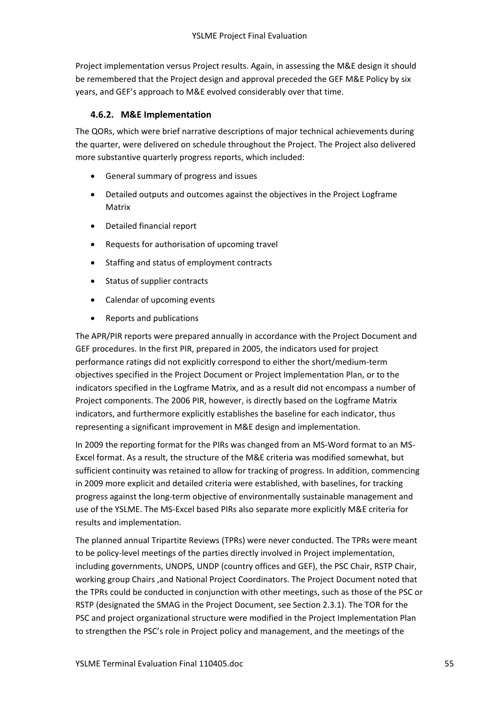Project implementation versus Project results. Again, in assessing the M&E design it should be remembered that the Project design and approval preceded the GEF M&E Policy by six years, and GEF's approach to M&E evolved considerably over that time.

### **4.6.2. M&E Implementation**

The QORs, which were brief narrative descriptions of major technical achievements during the quarter, were delivered on schedule throughout the Project. The Project also delivered more substantive quarterly progress reports, which included:

- General summary of progress and issues
- Detailed outputs and outcomes against the objectives in the Project Logframe Matrix
- Detailed financial report
- Requests for authorisation of upcoming travel
- Staffing and status of employment contracts
- Status of supplier contracts
- Calendar of upcoming events
- Reports and publications

The APR/PIR reports were prepared annually in accordance with the Project Document and GEF procedures. In the first PIR, prepared in 2005, the indicators used for project performance ratings did not explicitly correspond to either the short/medium‐term objectives specified in the Project Document or Project Implementation Plan, or to the indicators specified in the Logframe Matrix, and as a result did not encompass a number of Project components. The 2006 PIR, however, is directly based on the Logframe Matrix indicators, and furthermore explicitly establishes the baseline for each indicator, thus representing a significant improvement in M&E design and implementation.

In 2009 the reporting format for the PIRs was changed from an MS‐Word format to an MS‐ Excel format. As a result, the structure of the M&E criteria was modified somewhat, but sufficient continuity was retained to allow for tracking of progress. In addition, commencing in 2009 more explicit and detailed criteria were established, with baselines, for tracking progress against the long‐term objective of environmentally sustainable management and use of the YSLME. The MS‐Excel based PIRs also separate more explicitly M&E criteria for results and implementation.

The planned annual Tripartite Reviews (TPRs) were never conducted. The TPRs were meant to be policy-level meetings of the parties directly involved in Project implementation, including governments, UNOPS, UNDP (country offices and GEF), the PSC Chair, RSTP Chair, working group Chairs ,and National Project Coordinators. The Project Document noted that the TPRs could be conducted in conjunction with other meetings, such as those of the PSC or RSTP (designated the SMAG in the Project Document, see Section 2.3.1). The TOR for the PSC and project organizational structure were modified in the Project Implementation Plan to strengthen the PSC's role in Project policy and management, and the meetings of the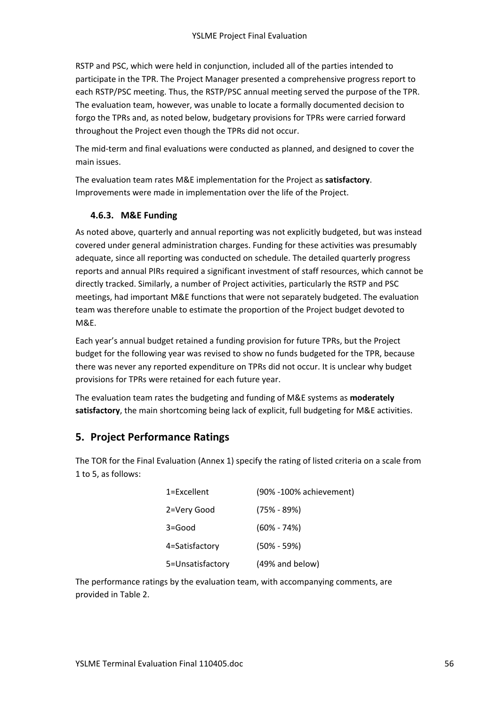RSTP and PSC, which were held in conjunction, included all of the parties intended to participate in the TPR. The Project Manager presented a comprehensive progress report to each RSTP/PSC meeting. Thus, the RSTP/PSC annual meeting served the purpose of the TPR. The evaluation team, however, was unable to locate a formally documented decision to forgo the TPRs and, as noted below, budgetary provisions for TPRs were carried forward throughout the Project even though the TPRs did not occur.

The mid-term and final evaluations were conducted as planned, and designed to cover the main issues.

The evaluation team rates M&E implementation for the Project as **satisfactory**. Improvements were made in implementation over the life of the Project.

## **4.6.3. M&E Funding**

As noted above, quarterly and annual reporting was not explicitly budgeted, but was instead covered under general administration charges. Funding for these activities was presumably adequate, since all reporting was conducted on schedule. The detailed quarterly progress reports and annual PIRs required a significant investment of staff resources, which cannot be directly tracked. Similarly, a number of Project activities, particularly the RSTP and PSC meetings, had important M&E functions that were not separately budgeted. The evaluation team was therefore unable to estimate the proportion of the Project budget devoted to M&E.

Each year's annual budget retained a funding provision for future TPRs, but the Project budget for the following year was revised to show no funds budgeted for the TPR, because there was never any reported expenditure on TPRs did not occur. It is unclear why budget provisions for TPRs were retained for each future year.

The evaluation team rates the budgeting and funding of M&E systems as **moderately satisfactory**, the main shortcoming being lack of explicit, full budgeting for M&E activities.

# **5. Project Performance Ratings**

The TOR for the Final Evaluation (Annex 1) specify the rating of listed criteria on a scale from 1 to 5, as follows:

| 1=Excellent      | (90% -100% achievement) |
|------------------|-------------------------|
| 2=Very Good      | $(75% - 89%)$           |
| 3=Good           | $(60\% - 74\%)$         |
| 4=Satisfactory   | $(50\% - 59\%)$         |
| 5=Unsatisfactory | (49% and below)         |

The performance ratings by the evaluation team, with accompanying comments, are provided in Table 2.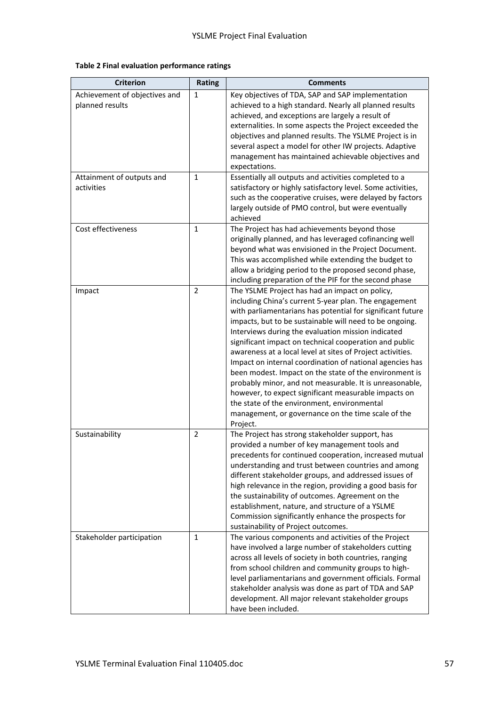## **Table 2 Final evaluation performance ratings**

| <b>Criterion</b>                                 | Rating         | <b>Comments</b>                                                                                                                                                                                                                                                                                                                                                                                                                                                                                                                                                                                                                                                                                                                                                          |
|--------------------------------------------------|----------------|--------------------------------------------------------------------------------------------------------------------------------------------------------------------------------------------------------------------------------------------------------------------------------------------------------------------------------------------------------------------------------------------------------------------------------------------------------------------------------------------------------------------------------------------------------------------------------------------------------------------------------------------------------------------------------------------------------------------------------------------------------------------------|
| Achievement of objectives and<br>planned results | $\mathbf{1}$   | Key objectives of TDA, SAP and SAP implementation<br>achieved to a high standard. Nearly all planned results<br>achieved, and exceptions are largely a result of<br>externalities. In some aspects the Project exceeded the<br>objectives and planned results. The YSLME Project is in<br>several aspect a model for other IW projects. Adaptive<br>management has maintained achievable objectives and<br>expectations.                                                                                                                                                                                                                                                                                                                                                 |
| Attainment of outputs and<br>activities          | $\mathbf{1}$   | Essentially all outputs and activities completed to a<br>satisfactory or highly satisfactory level. Some activities,<br>such as the cooperative cruises, were delayed by factors<br>largely outside of PMO control, but were eventually<br>achieved                                                                                                                                                                                                                                                                                                                                                                                                                                                                                                                      |
| Cost effectiveness                               | 1              | The Project has had achievements beyond those<br>originally planned, and has leveraged cofinancing well<br>beyond what was envisioned in the Project Document.<br>This was accomplished while extending the budget to<br>allow a bridging period to the proposed second phase,<br>including preparation of the PIF for the second phase                                                                                                                                                                                                                                                                                                                                                                                                                                  |
| Impact                                           | $\overline{2}$ | The YSLME Project has had an impact on policy,<br>including China's current 5-year plan. The engagement<br>with parliamentarians has potential for significant future<br>impacts, but to be sustainable will need to be ongoing.<br>Interviews during the evaluation mission indicated<br>significant impact on technical cooperation and public<br>awareness at a local level at sites of Project activities.<br>Impact on internal coordination of national agencies has<br>been modest. Impact on the state of the environment is<br>probably minor, and not measurable. It is unreasonable,<br>however, to expect significant measurable impacts on<br>the state of the environment, environmental<br>management, or governance on the time scale of the<br>Project. |
| Sustainability                                   | 2              | The Project has strong stakeholder support, has<br>provided a number of key management tools and<br>precedents for continued cooperation, increased mutual<br>understanding and trust between countries and among<br>different stakeholder groups, and addressed issues of<br>high relevance in the region, providing a good basis for<br>the sustainability of outcomes. Agreement on the<br>establishment, nature, and structure of a YSLME<br>Commission significantly enhance the prospects for<br>sustainability of Project outcomes.                                                                                                                                                                                                                               |
| Stakeholder participation                        | $\mathbf{1}$   | The various components and activities of the Project<br>have involved a large number of stakeholders cutting<br>across all levels of society in both countries, ranging<br>from school children and community groups to high-<br>level parliamentarians and government officials. Formal<br>stakeholder analysis was done as part of TDA and SAP<br>development. All major relevant stakeholder groups<br>have been included.                                                                                                                                                                                                                                                                                                                                            |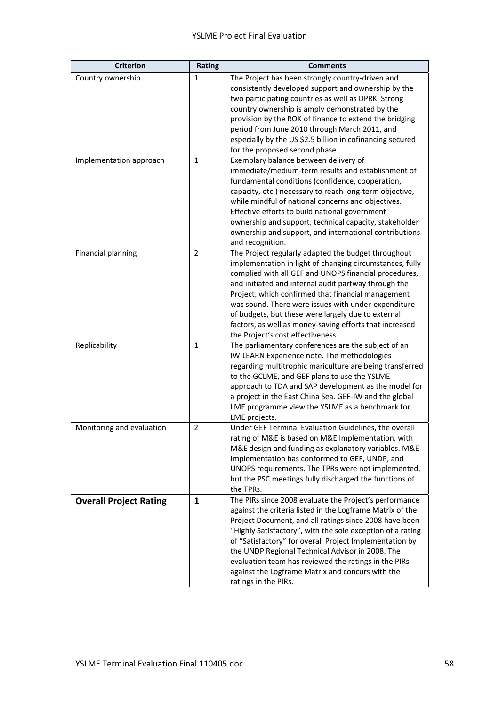## YSLME Project Final Evaluation

| <b>Criterion</b>              | Rating         | <b>Comments</b>                                                                                                                                                                                                                                                                                                                                                                                                                                                                                     |
|-------------------------------|----------------|-----------------------------------------------------------------------------------------------------------------------------------------------------------------------------------------------------------------------------------------------------------------------------------------------------------------------------------------------------------------------------------------------------------------------------------------------------------------------------------------------------|
| Country ownership             | $\mathbf{1}$   | The Project has been strongly country-driven and<br>consistently developed support and ownership by the<br>two participating countries as well as DPRK. Strong<br>country ownership is amply demonstrated by the<br>provision by the ROK of finance to extend the bridging<br>period from June 2010 through March 2011, and<br>especially by the US \$2.5 billion in cofinancing secured<br>for the proposed second phase.                                                                          |
| Implementation approach       | $\mathbf{1}$   | Exemplary balance between delivery of<br>immediate/medium-term results and establishment of<br>fundamental conditions (confidence, cooperation,<br>capacity, etc.) necessary to reach long-term objective,<br>while mindful of national concerns and objectives.<br>Effective efforts to build national government<br>ownership and support, technical capacity, stakeholder<br>ownership and support, and international contributions<br>and recognition.                                          |
| Financial planning            | $\overline{2}$ | The Project regularly adapted the budget throughout<br>implementation in light of changing circumstances, fully<br>complied with all GEF and UNOPS financial procedures,<br>and initiated and internal audit partway through the<br>Project, which confirmed that financial management<br>was sound. There were issues with under-expenditure<br>of budgets, but these were largely due to external<br>factors, as well as money-saving efforts that increased<br>the Project's cost effectiveness. |
| Replicability                 | $\mathbf{1}$   | The parliamentary conferences are the subject of an<br>IW:LEARN Experience note. The methodologies<br>regarding multitrophic mariculture are being transferred<br>to the GCLME, and GEF plans to use the YSLME<br>approach to TDA and SAP development as the model for<br>a project in the East China Sea. GEF-IW and the global<br>LME programme view the YSLME as a benchmark for<br>LME projects.                                                                                                |
| Monitoring and evaluation     | 2              | Under GEF Terminal Evaluation Guidelines, the overall<br>rating of M&E is based on M&E Implementation, with<br>M&E design and funding as explanatory variables. M&E<br>Implementation has conformed to GEF, UNDP, and<br>UNOPS requirements. The TPRs were not implemented,<br>but the PSC meetings fully discharged the functions of<br>the TPRs.                                                                                                                                                  |
| <b>Overall Project Rating</b> | 1              | The PIRs since 2008 evaluate the Project's performance<br>against the criteria listed in the Logframe Matrix of the<br>Project Document, and all ratings since 2008 have been<br>"Highly Satisfactory", with the sole exception of a rating<br>of "Satisfactory" for overall Project Implementation by<br>the UNDP Regional Technical Advisor in 2008. The<br>evaluation team has reviewed the ratings in the PIRs<br>against the Logframe Matrix and concurs with the<br>ratings in the PIRs.      |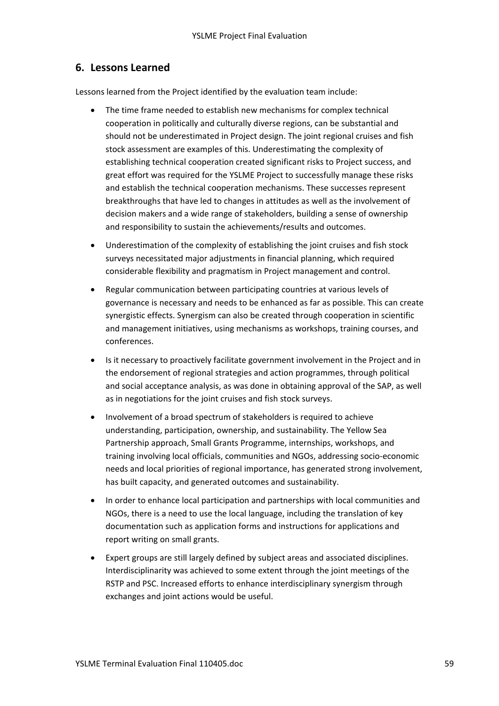## **6. Lessons Learned**

Lessons learned from the Project identified by the evaluation team include:

- The time frame needed to establish new mechanisms for complex technical cooperation in politically and culturally diverse regions, can be substantial and should not be underestimated in Project design. The joint regional cruises and fish stock assessment are examples of this. Underestimating the complexity of establishing technical cooperation created significant risks to Project success, and great effort was required for the YSLME Project to successfully manage these risks and establish the technical cooperation mechanisms. These successes represent breakthroughs that have led to changes in attitudes as well as the involvement of decision makers and a wide range of stakeholders, building a sense of ownership and responsibility to sustain the achievements/results and outcomes.
- Underestimation of the complexity of establishing the joint cruises and fish stock surveys necessitated major adjustments in financial planning, which required considerable flexibility and pragmatism in Project management and control.
- Regular communication between participating countries at various levels of governance is necessary and needs to be enhanced as far as possible. This can create synergistic effects. Synergism can also be created through cooperation in scientific and management initiatives, using mechanisms as workshops, training courses, and conferences.
- Is it necessary to proactively facilitate government involvement in the Project and in the endorsement of regional strategies and action programmes, through political and social acceptance analysis, as was done in obtaining approval of the SAP, as well as in negotiations for the joint cruises and fish stock surveys.
- Involvement of a broad spectrum of stakeholders is required to achieve understanding, participation, ownership, and sustainability. The Yellow Sea Partnership approach, Small Grants Programme, internships, workshops, and training involving local officials, communities and NGOs, addressing socio‐economic needs and local priorities of regional importance, has generated strong involvement, has built capacity, and generated outcomes and sustainability.
- In order to enhance local participation and partnerships with local communities and NGOs, there is a need to use the local language, including the translation of key documentation such as application forms and instructions for applications and report writing on small grants.
- Expert groups are still largely defined by subject areas and associated disciplines. Interdisciplinarity was achieved to some extent through the joint meetings of the RSTP and PSC. Increased efforts to enhance interdisciplinary synergism through exchanges and joint actions would be useful.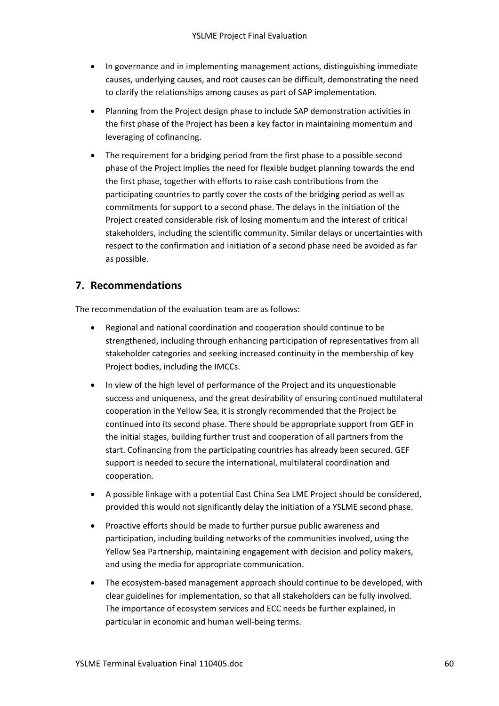- In governance and in implementing management actions, distinguishing immediate causes, underlying causes, and root causes can be difficult, demonstrating the need to clarify the relationships among causes as part of SAP implementation.
- Planning from the Project design phase to include SAP demonstration activities in the first phase of the Project has been a key factor in maintaining momentum and leveraging of cofinancing.
- The requirement for a bridging period from the first phase to a possible second phase of the Project implies the need for flexible budget planning towards the end the first phase, together with efforts to raise cash contributions from the participating countries to partly cover the costs of the bridging period as well as commitments for support to a second phase. The delays in the initiation of the Project created considerable risk of losing momentum and the interest of critical stakeholders, including the scientific community. Similar delays or uncertainties with respect to the confirmation and initiation of a second phase need be avoided as far as possible.

# **7. Recommendations**

The recommendation of the evaluation team are as follows:

- Regional and national coordination and cooperation should continue to be strengthened, including through enhancing participation of representatives from all stakeholder categories and seeking increased continuity in the membership of key Project bodies, including the IMCCs.
- In view of the high level of performance of the Project and its unquestionable success and uniqueness, and the great desirability of ensuring continued multilateral cooperation in the Yellow Sea, it is strongly recommended that the Project be continued into its second phase. There should be appropriate support from GEF in the initial stages, building further trust and cooperation of all partners from the start. Cofinancing from the participating countries has already been secured. GEF support is needed to secure the international, multilateral coordination and cooperation.
- A possible linkage with a potential East China Sea LME Project should be considered, provided this would not significantly delay the initiation of a YSLME second phase.
- Proactive efforts should be made to further pursue public awareness and participation, including building networks of the communities involved, using the Yellow Sea Partnership, maintaining engagement with decision and policy makers, and using the media for appropriate communication.
- The ecosystem‐based management approach should continue to be developed, with clear guidelines for implementation, so that all stakeholders can be fully involved. The importance of ecosystem services and ECC needs be further explained, in particular in economic and human well‐being terms.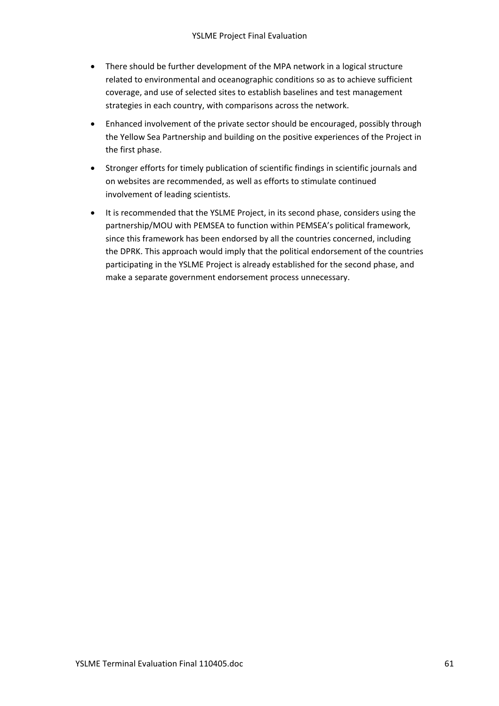- There should be further development of the MPA network in a logical structure related to environmental and oceanographic conditions so as to achieve sufficient coverage, and use of selected sites to establish baselines and test management strategies in each country, with comparisons across the network.
- Enhanced involvement of the private sector should be encouraged, possibly through the Yellow Sea Partnership and building on the positive experiences of the Project in the first phase.
- Stronger efforts for timely publication of scientific findings in scientific journals and on websites are recommended, as well as efforts to stimulate continued involvement of leading scientists.
- It is recommended that the YSLME Project, in its second phase, considers using the partnership/MOU with PEMSEA to function within PEMSEA's political framework, since this framework has been endorsed by all the countries concerned, including the DPRK. This approach would imply that the political endorsement of the countries participating in the YSLME Project is already established for the second phase, and make a separate government endorsement process unnecessary.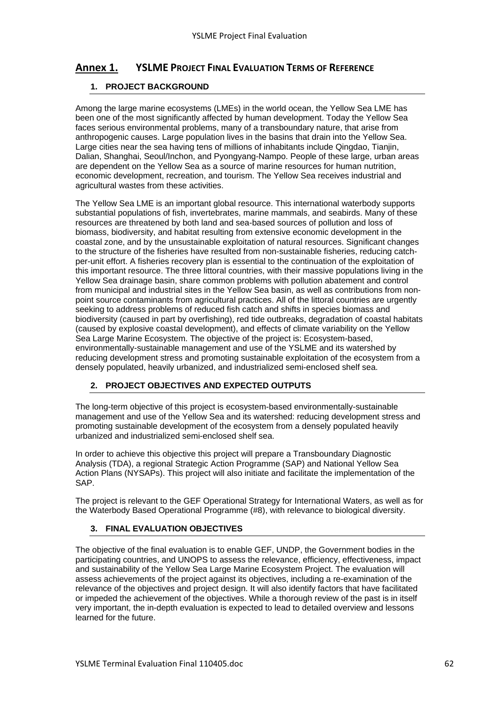## **Annex 1. YSLME PROJECT FINAL EVALUATION TERMS OF REFERENCE**

### **1. PROJECT BACKGROUND**

Among the large marine ecosystems (LMEs) in the world ocean, the Yellow Sea LME has been one of the most significantly affected by human development. Today the Yellow Sea faces serious environmental problems, many of a transboundary nature, that arise from anthropogenic causes. Large population lives in the basins that drain into the Yellow Sea. Large cities near the sea having tens of millions of inhabitants include Qingdao, Tianjin, Dalian, Shanghai, Seoul/Inchon, and Pyongyang-Nampo. People of these large, urban areas are dependent on the Yellow Sea as a source of marine resources for human nutrition, economic development, recreation, and tourism. The Yellow Sea receives industrial and agricultural wastes from these activities.

The Yellow Sea LME is an important global resource. This international waterbody supports substantial populations of fish, invertebrates, marine mammals, and seabirds. Many of these resources are threatened by both land and sea-based sources of pollution and loss of biomass, biodiversity, and habitat resulting from extensive economic development in the coastal zone, and by the unsustainable exploitation of natural resources. Significant changes to the structure of the fisheries have resulted from non-sustainable fisheries, reducing catchper-unit effort. A fisheries recovery plan is essential to the continuation of the exploitation of this important resource. The three littoral countries, with their massive populations living in the Yellow Sea drainage basin, share common problems with pollution abatement and control from municipal and industrial sites in the Yellow Sea basin, as well as contributions from nonpoint source contaminants from agricultural practices. All of the littoral countries are urgently seeking to address problems of reduced fish catch and shifts in species biomass and biodiversity (caused in part by overfishing), red tide outbreaks, degradation of coastal habitats (caused by explosive coastal development), and effects of climate variability on the Yellow Sea Large Marine Ecosystem. The objective of the project is: Ecosystem-based, environmentally-sustainable management and use of the YSLME and its watershed by reducing development stress and promoting sustainable exploitation of the ecosystem from a densely populated, heavily urbanized, and industrialized semi-enclosed shelf sea.

#### **2. PROJECT OBJECTIVES AND EXPECTED OUTPUTS**

The long-term objective of this project is ecosystem-based environmentally-sustainable management and use of the Yellow Sea and its watershed: reducing development stress and promoting sustainable development of the ecosystem from a densely populated heavily urbanized and industrialized semi-enclosed shelf sea.

In order to achieve this objective this project will prepare a Transboundary Diagnostic Analysis (TDA), a regional Strategic Action Programme (SAP) and National Yellow Sea Action Plans (NYSAPs). This project will also initiate and facilitate the implementation of the SAP.

The project is relevant to the GEF Operational Strategy for International Waters, as well as for the Waterbody Based Operational Programme (#8), with relevance to biological diversity.

#### **3. FINAL EVALUATION OBJECTIVES**

The objective of the final evaluation is to enable GEF, UNDP, the Government bodies in the participating countries, and UNOPS to assess the relevance, efficiency, effectiveness, impact and sustainability of the Yellow Sea Large Marine Ecosystem Project. The evaluation will assess achievements of the project against its objectives, including a re-examination of the relevance of the objectives and project design. It will also identify factors that have facilitated or impeded the achievement of the objectives. While a thorough review of the past is in itself very important, the in-depth evaluation is expected to lead to detailed overview and lessons learned for the future.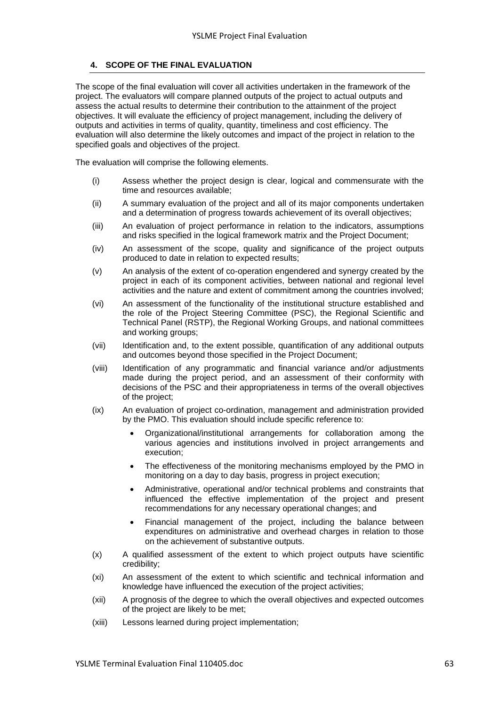#### **4. SCOPE OF THE FINAL EVALUATION**

The scope of the final evaluation will cover all activities undertaken in the framework of the project. The evaluators will compare planned outputs of the project to actual outputs and assess the actual results to determine their contribution to the attainment of the project objectives. It will evaluate the efficiency of project management, including the delivery of outputs and activities in terms of quality, quantity, timeliness and cost efficiency. The evaluation will also determine the likely outcomes and impact of the project in relation to the specified goals and objectives of the project.

The evaluation will comprise the following elements.

- (i) Assess whether the project design is clear, logical and commensurate with the time and resources available;
- (ii) A summary evaluation of the project and all of its major components undertaken and a determination of progress towards achievement of its overall objectives;
- (iii) An evaluation of project performance in relation to the indicators, assumptions and risks specified in the logical framework matrix and the Project Document;
- (iv) An assessment of the scope, quality and significance of the project outputs produced to date in relation to expected results;
- (v) An analysis of the extent of co-operation engendered and synergy created by the project in each of its component activities, between national and regional level activities and the nature and extent of commitment among the countries involved;
- (vi) An assessment of the functionality of the institutional structure established and the role of the Project Steering Committee (PSC), the Regional Scientific and Technical Panel (RSTP), the Regional Working Groups, and national committees and working groups;
- (vii) Identification and, to the extent possible, quantification of any additional outputs and outcomes beyond those specified in the Project Document;
- (viii) Identification of any programmatic and financial variance and/or adjustments made during the project period, and an assessment of their conformity with decisions of the PSC and their appropriateness in terms of the overall objectives of the project;
- (ix) An evaluation of project co-ordination, management and administration provided by the PMO. This evaluation should include specific reference to:
	- Organizational/institutional arrangements for collaboration among the various agencies and institutions involved in project arrangements and execution;
	- The effectiveness of the monitoring mechanisms employed by the PMO in monitoring on a day to day basis, progress in project execution;
	- Administrative, operational and/or technical problems and constraints that influenced the effective implementation of the project and present recommendations for any necessary operational changes; and
	- Financial management of the project, including the balance between expenditures on administrative and overhead charges in relation to those on the achievement of substantive outputs.
- (x) A qualified assessment of the extent to which project outputs have scientific credibility;
- (xi) An assessment of the extent to which scientific and technical information and knowledge have influenced the execution of the project activities;
- (xii) A prognosis of the degree to which the overall objectives and expected outcomes of the project are likely to be met;
- (xiii) Lessons learned during project implementation;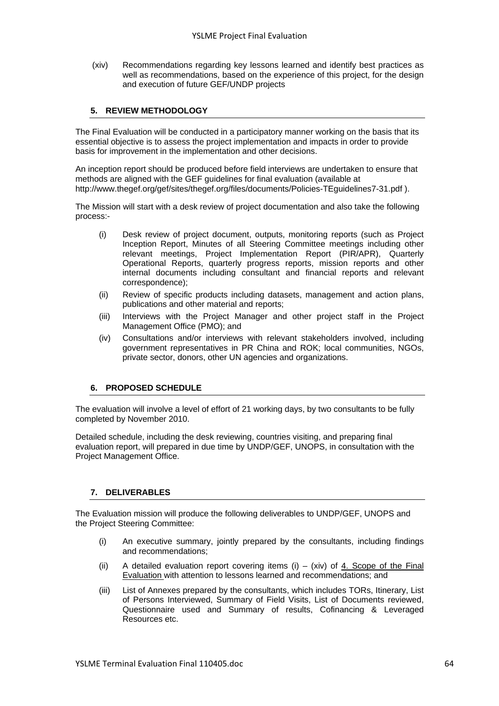(xiv) Recommendations regarding key lessons learned and identify best practices as well as recommendations, based on the experience of this project, for the design and execution of future GEF/UNDP projects

### **5. REVIEW METHODOLOGY**

The Final Evaluation will be conducted in a participatory manner working on the basis that its essential objective is to assess the project implementation and impacts in order to provide basis for improvement in the implementation and other decisions.

An inception report should be produced before field interviews are undertaken to ensure that methods are aligned with the GEF guidelines for final evaluation (available at http://www.thegef.org/gef/sites/thegef.org/files/documents/Policies-TEguidelines7-31.pdf ).

The Mission will start with a desk review of project documentation and also take the following process:-

- (i) Desk review of project document, outputs, monitoring reports (such as Project Inception Report, Minutes of all Steering Committee meetings including other relevant meetings, Project Implementation Report (PIR/APR), Quarterly Operational Reports, quarterly progress reports, mission reports and other internal documents including consultant and financial reports and relevant correspondence);
- (ii) Review of specific products including datasets, management and action plans, publications and other material and reports;
- (iii) Interviews with the Project Manager and other project staff in the Project Management Office (PMO); and
- (iv) Consultations and/or interviews with relevant stakeholders involved, including government representatives in PR China and ROK; local communities, NGOs, private sector, donors, other UN agencies and organizations.

### **6. PROPOSED SCHEDULE**

The evaluation will involve a level of effort of 21 working days, by two consultants to be fully completed by November 2010.

Detailed schedule, including the desk reviewing, countries visiting, and preparing final evaluation report, will prepared in due time by UNDP/GEF, UNOPS, in consultation with the Project Management Office.

### **7. DELIVERABLES**

The Evaluation mission will produce the following deliverables to UNDP/GEF, UNOPS and the Project Steering Committee:

- (i) An executive summary, jointly prepared by the consultants, including findings and recommendations;
- (ii) A detailed evaluation report covering items  $(i) (xiv)$  of 4. Scope of the Final Evaluation with attention to lessons learned and recommendations; and
- (iii) List of Annexes prepared by the consultants, which includes TORs, Itinerary, List of Persons Interviewed, Summary of Field Visits, List of Documents reviewed, Questionnaire used and Summary of results, Cofinancing & Leveraged Resources etc.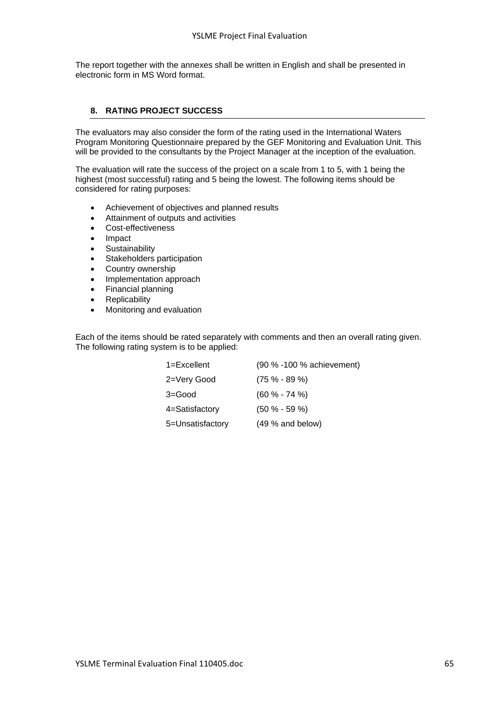The report together with the annexes shall be written in English and shall be presented in electronic form in MS Word format.

### **8. RATING PROJECT SUCCESS**

The evaluators may also consider the form of the rating used in the International Waters Program Monitoring Questionnaire prepared by the GEF Monitoring and Evaluation Unit. This will be provided to the consultants by the Project Manager at the inception of the evaluation.

The evaluation will rate the success of the project on a scale from 1 to 5, with 1 being the highest (most successful) rating and 5 being the lowest. The following items should be considered for rating purposes:

- Achievement of objectives and planned results
- Attainment of outputs and activities
- Cost-effectiveness
- Impact
- **•** Sustainability
- Stakeholders participation
- Country ownership
- Implementation approach
- Financial planning
- **Replicability**
- Monitoring and evaluation

Each of the items should be rated separately with comments and then an overall rating given. The following rating system is to be applied:

| 1=Excellent      | (90 % -100 % achievement) |
|------------------|---------------------------|
| 2=Very Good      | $(75 \% - 89%)$           |
| 3=Good           | $(60 \% - 74%)$           |
| 4=Satisfactory   | $(50 \% - 59%)$           |
| 5=Unsatisfactory | (49 % and below)          |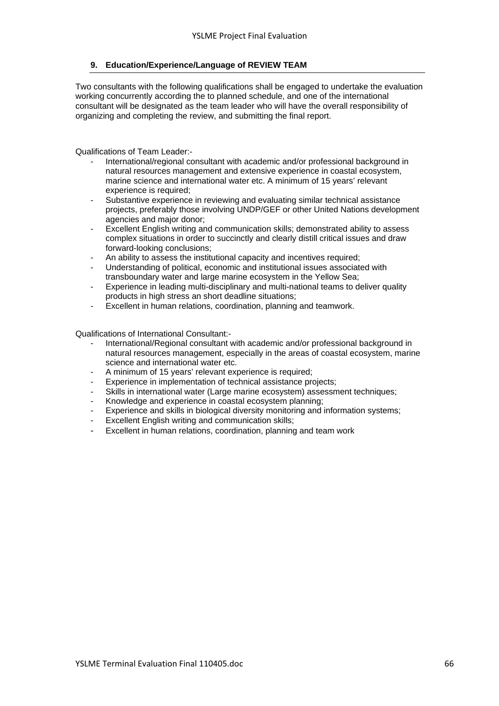#### **9. Education/Experience/Language of REVIEW TEAM**

Two consultants with the following qualifications shall be engaged to undertake the evaluation working concurrently according the to planned schedule, and one of the international consultant will be designated as the team leader who will have the overall responsibility of organizing and completing the review, and submitting the final report.

Qualifications of Team Leader:-

- International/regional consultant with academic and/or professional background in natural resources management and extensive experience in coastal ecosystem, marine science and international water etc. A minimum of 15 years' relevant experience is required:
- Substantive experience in reviewing and evaluating similar technical assistance projects, preferably those involving UNDP/GEF or other United Nations development agencies and major donor;
- Excellent English writing and communication skills; demonstrated ability to assess complex situations in order to succinctly and clearly distill critical issues and draw forward-looking conclusions;
- An ability to assess the institutional capacity and incentives required;
- Understanding of political, economic and institutional issues associated with transboundary water and large marine ecosystem in the Yellow Sea;
- Experience in leading multi-disciplinary and multi-national teams to deliver quality products in high stress an short deadline situations;
- Excellent in human relations, coordination, planning and teamwork.

Qualifications of International Consultant:-

- International/Regional consultant with academic and/or professional background in natural resources management, especially in the areas of coastal ecosystem, marine science and international water etc.
- A minimum of 15 years' relevant experience is required;
- Experience in implementation of technical assistance projects;
- Skills in international water (Large marine ecosystem) assessment techniques;
- Knowledge and experience in coastal ecosystem planning;
- Experience and skills in biological diversity monitoring and information systems;
- Excellent English writing and communication skills;
- Excellent in human relations, coordination, planning and team work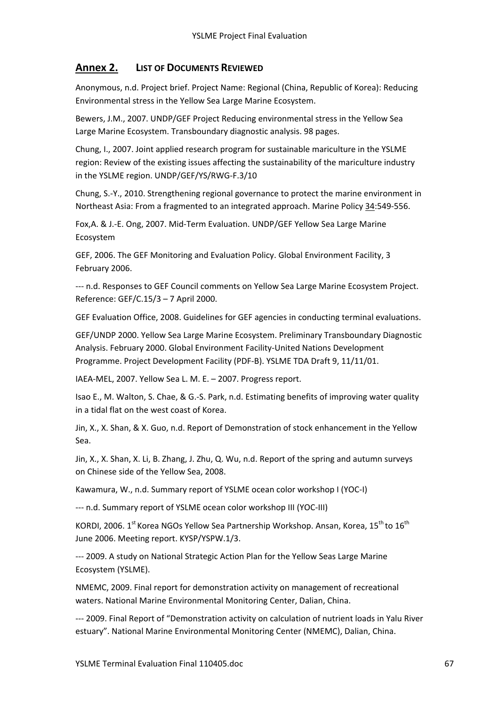## **Annex 2. LIST OF DOCUMENTS REVIEWED**

Anonymous, n.d. Project brief. Project Name: Regional (China, Republic of Korea): Reducing Environmental stress in the Yellow Sea Large Marine Ecosystem.

Bewers, J.M., 2007. UNDP/GEF Project Reducing environmental stress in the Yellow Sea Large Marine Ecosystem. Transboundary diagnostic analysis. 98 pages.

Chung, I., 2007. Joint applied research program for sustainable mariculture in the YSLME region: Review of the existing issues affecting the sustainability of the mariculture industry in the YSLME region. UNDP/GEF/YS/RWG‐F.3/10

Chung, S.‐Y., 2010. Strengthening regional governance to protect the marine environment in Northeast Asia: From a fragmented to an integrated approach. Marine Policy 34:549‐556.

Fox,A. & J.‐E. Ong, 2007. Mid‐Term Evaluation. UNDP/GEF Yellow Sea Large Marine Ecosystem

GEF, 2006. The GEF Monitoring and Evaluation Policy. Global Environment Facility, 3 February 2006.

--- n.d. Responses to GEF Council comments on Yellow Sea Large Marine Ecosystem Project. Reference: GEF/C.15/3 – 7 April 2000.

GEF Evaluation Office, 2008. Guidelines for GEF agencies in conducting terminal evaluations.

GEF/UNDP 2000. Yellow Sea Large Marine Ecosystem. Preliminary Transboundary Diagnostic Analysis. February 2000. Global Environment Facility‐United Nations Development Programme. Project Development Facility (PDF‐B). YSLME TDA Draft 9, 11/11/01.

IAEA‐MEL, 2007. Yellow Sea L. M. E. – 2007. Progress report.

Isao E., M. Walton, S. Chae, & G.‐S. Park, n.d. Estimating benefits of improving water quality in a tidal flat on the west coast of Korea.

Jin, X., X. Shan, & X. Guo, n.d. Report of Demonstration of stock enhancement in the Yellow Sea.

Jin, X., X. Shan, X. Li, B. Zhang, J. Zhu, Q. Wu, n.d. Report of the spring and autumn surveys on Chinese side of the Yellow Sea, 2008.

Kawamura, W., n.d. Summary report of YSLME ocean color workshop I (YOC‐I)

‐‐‐ n.d. Summary report of YSLME ocean color workshop III (YOC‐III)

KORDI, 2006. 1<sup>st</sup> Korea NGOs Yellow Sea Partnership Workshop. Ansan, Korea, 15<sup>th</sup> to 16<sup>th</sup> June 2006. Meeting report. KYSP/YSPW.1/3.

‐‐‐ 2009. A study on National Strategic Action Plan for the Yellow Seas Large Marine Ecosystem (YSLME).

NMEMC, 2009. Final report for demonstration activity on management of recreational waters. National Marine Environmental Monitoring Center, Dalian, China.

‐‐‐ 2009. Final Report of "Demonstration activity on calculation of nutrient loads in Yalu River estuary". National Marine Environmental Monitoring Center (NMEMC), Dalian, China.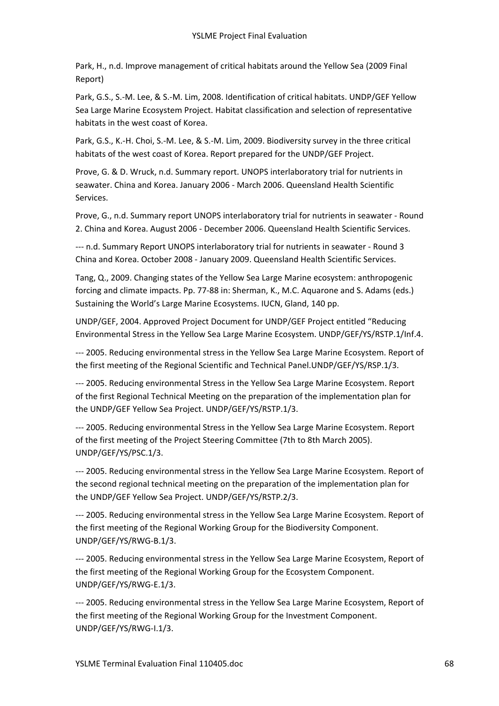Park, H., n.d. Improve management of critical habitats around the Yellow Sea (2009 Final Report)

Park, G.S., S.‐M. Lee, & S.‐M. Lim, 2008. Identification of critical habitats. UNDP/GEF Yellow Sea Large Marine Ecosystem Project. Habitat classification and selection of representative habitats in the west coast of Korea.

Park, G.S., K.‐H. Choi, S.‐M. Lee, & S.‐M. Lim, 2009. Biodiversity survey in the three critical habitats of the west coast of Korea. Report prepared for the UNDP/GEF Project.

Prove, G. & D. Wruck, n.d. Summary report. UNOPS interlaboratory trial for nutrients in seawater. China and Korea. January 2006 ‐ March 2006. Queensland Health Scientific Services.

Prove, G., n.d. Summary report UNOPS interlaboratory trial for nutrients in seawater ‐ Round 2. China and Korea. August 2006 ‐ December 2006. Queensland Health Scientific Services.

‐‐‐ n.d. Summary Report UNOPS interlaboratory trial for nutrients in seawater ‐ Round 3 China and Korea. October 2008 ‐ January 2009. Queensland Health Scientific Services.

Tang, Q., 2009. Changing states of the Yellow Sea Large Marine ecosystem: anthropogenic forcing and climate impacts. Pp. 77‐88 in: Sherman, K., M.C. Aquarone and S. Adams (eds.) Sustaining the World's Large Marine Ecosystems. IUCN, Gland, 140 pp.

UNDP/GEF, 2004. Approved Project Document for UNDP/GEF Project entitled "Reducing Environmental Stress in the Yellow Sea Large Marine Ecosystem. UNDP/GEF/YS/RSTP.1/Inf.4.

‐‐‐ 2005. Reducing environmental stress in the Yellow Sea Large Marine Ecosystem. Report of the first meeting of the Regional Scientific and Technical Panel.UNDP/GEF/YS/RSP.1/3.

‐‐‐ 2005. Reducing environmental Stress in the Yellow Sea Large Marine Ecosystem. Report of the first Regional Technical Meeting on the preparation of the implementation plan for the UNDP/GEF Yellow Sea Project. UNDP/GEF/YS/RSTP.1/3.

‐‐‐ 2005. Reducing environmental Stress in the Yellow Sea Large Marine Ecosystem. Report of the first meeting of the Project Steering Committee (7th to 8th March 2005). UNDP/GEF/YS/PSC.1/3.

‐‐‐ 2005. Reducing environmental stress in the Yellow Sea Large Marine Ecosystem. Report of the second regional technical meeting on the preparation of the implementation plan for the UNDP/GEF Yellow Sea Project. UNDP/GEF/YS/RSTP.2/3.

‐‐‐ 2005. Reducing environmental stress in the Yellow Sea Large Marine Ecosystem. Report of the first meeting of the Regional Working Group for the Biodiversity Component. UNDP/GEF/YS/RWG‐B.1/3.

‐‐‐ 2005. Reducing environmental stress in the Yellow Sea Large Marine Ecosystem, Report of the first meeting of the Regional Working Group for the Ecosystem Component. UNDP/GEF/YS/RWG‐E.1/3.

‐‐‐ 2005. Reducing environmental stress in the Yellow Sea Large Marine Ecosystem, Report of the first meeting of the Regional Working Group for the Investment Component. UNDP/GEF/YS/RWG‐I.1/3.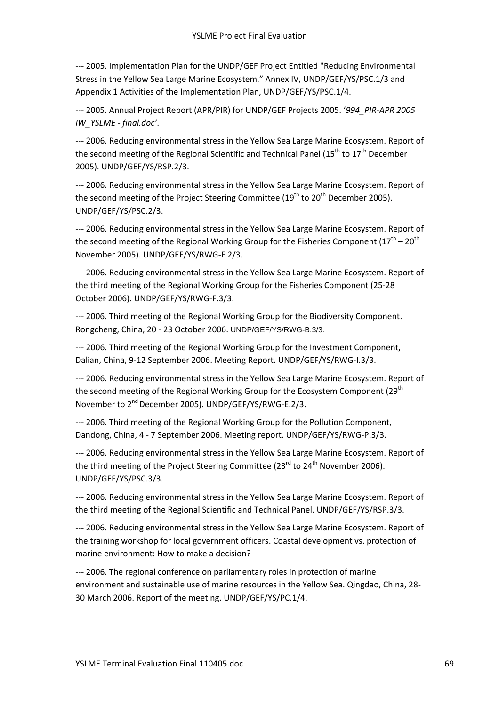‐‐‐ 2005. Implementation Plan for the UNDP/GEF Project Entitled "Reducing Environmental Stress in the Yellow Sea Large Marine Ecosystem." Annex IV, UNDP/GEF/YS/PSC.1/3 and Appendix 1 Activities of the Implementation Plan, UNDP/GEF/YS/PSC.1/4.

‐‐‐ 2005. Annual Project Report (APR/PIR) for UNDP/GEF Projects 2005. '*994\_PIR‐APR 2005 IW\_YSLME ‐ final.doc'*.

‐‐‐ 2006. Reducing environmental stress in the Yellow Sea Large Marine Ecosystem. Report of the second meeting of the Regional Scientific and Technical Panel ( $15<sup>th</sup>$  to  $17<sup>th</sup>$  December 2005). UNDP/GEF/YS/RSP.2/3.

‐‐‐ 2006. Reducing environmental stress in the Yellow Sea Large Marine Ecosystem. Report of the second meeting of the Project Steering Committee  $(19<sup>th</sup>$  to  $20<sup>th</sup>$  December 2005). UNDP/GEF/YS/PSC.2/3.

--- 2006. Reducing environmental stress in the Yellow Sea Large Marine Ecosystem. Report of the second meeting of the Regional Working Group for the Fisheries Component  $(17<sup>th</sup> - 20<sup>th</sup>$ November 2005). UNDP/GEF/YS/RWG‐F 2/3.

--- 2006. Reducing environmental stress in the Yellow Sea Large Marine Ecosystem. Report of the third meeting of the Regional Working Group for the Fisheries Component (25‐28 October 2006). UNDP/GEF/YS/RWG‐F.3/3.

‐‐‐ 2006. Third meeting of the Regional Working Group for the Biodiversity Component. Rongcheng, China, 20 ‐ 23 October 2006. UNDP/GEF/YS/RWG-B.3/3.

‐‐‐ 2006. Third meeting of the Regional Working Group for the Investment Component, Dalian, China, 9‐12 September 2006. Meeting Report. UNDP/GEF/YS/RWG‐I.3/3.

--- 2006. Reducing environmental stress in the Yellow Sea Large Marine Ecosystem. Report of the second meeting of the Regional Working Group for the Ecosystem Component  $(29<sup>th</sup>$ November to 2<sup>nd</sup> December 2005). UNDP/GEF/YS/RWG-E.2/3.

‐‐‐ 2006. Third meeting of the Regional Working Group for the Pollution Component, Dandong, China, 4 ‐ 7 September 2006. Meeting report. UNDP/GEF/YS/RWG‐P.3/3.

--- 2006. Reducing environmental stress in the Yellow Sea Large Marine Ecosystem. Report of the third meeting of the Project Steering Committee  $(23<sup>rd</sup>$  to  $24<sup>th</sup>$  November 2006). UNDP/GEF/YS/PSC.3/3.

--- 2006. Reducing environmental stress in the Yellow Sea Large Marine Ecosystem. Report of the third meeting of the Regional Scientific and Technical Panel. UNDP/GEF/YS/RSP.3/3.

‐‐‐ 2006. Reducing environmental stress in the Yellow Sea Large Marine Ecosystem. Report of the training workshop for local government officers. Coastal development vs. protection of marine environment: How to make a decision?

‐‐‐ 2006. The regional conference on parliamentary roles in protection of marine environment and sustainable use of marine resources in the Yellow Sea. Qingdao, China, 28‐ 30 March 2006. Report of the meeting. UNDP/GEF/YS/PC.1/4.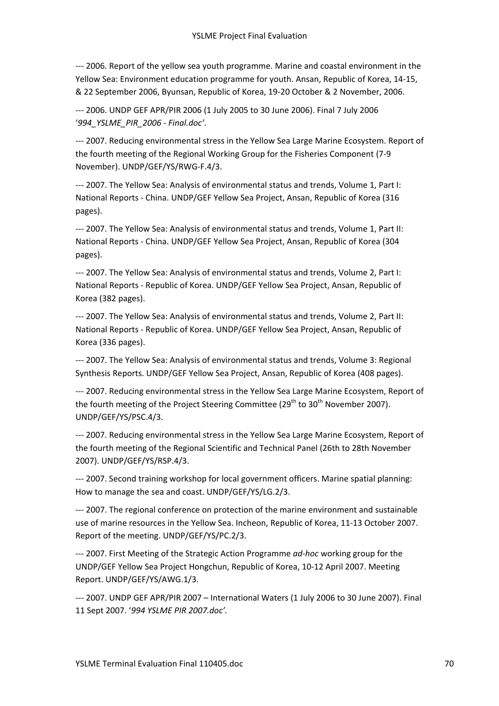‐‐‐ 2006. Report of the yellow sea youth programme. Marine and coastal environment in the Yellow Sea: Environment education programme for youth. Ansan, Republic of Korea, 14‐15, & 22 September 2006, Byunsan, Republic of Korea, 19‐20 October & 2 November, 2006.

‐‐‐ 2006. UNDP GEF APR/PIR 2006 (1 July 2005 to 30 June 2006). Final 7 July 2006 '*994\_YSLME\_PIR\_2006 ‐ Final.doc'*.

‐‐‐ 2007. Reducing environmental stress in the Yellow Sea Large Marine Ecosystem. Report of the fourth meeting of the Regional Working Group for the Fisheries Component (7‐9 November). UNDP/GEF/YS/RWG‐F.4/3.

‐‐‐ 2007. The Yellow Sea: Analysis of environmental status and trends, Volume 1, Part I: National Reports ‐ China. UNDP/GEF Yellow Sea Project, Ansan, Republic of Korea (316 pages).

--- 2007. The Yellow Sea: Analysis of environmental status and trends, Volume 1, Part II: National Reports ‐ China. UNDP/GEF Yellow Sea Project, Ansan, Republic of Korea (304 pages).

‐‐‐ 2007. The Yellow Sea: Analysis of environmental status and trends, Volume 2, Part I: National Reports ‐ Republic of Korea. UNDP/GEF Yellow Sea Project, Ansan, Republic of Korea (382 pages).

‐‐‐ 2007. The Yellow Sea: Analysis of environmental status and trends, Volume 2, Part II: National Reports ‐ Republic of Korea. UNDP/GEF Yellow Sea Project, Ansan, Republic of Korea (336 pages).

--- 2007. The Yellow Sea: Analysis of environmental status and trends, Volume 3: Regional Synthesis Reports. UNDP/GEF Yellow Sea Project, Ansan, Republic of Korea (408 pages).

--- 2007. Reducing environmental stress in the Yellow Sea Large Marine Ecosystem, Report of the fourth meeting of the Project Steering Committee ( $29<sup>th</sup>$  to  $30<sup>th</sup>$  November 2007). UNDP/GEF/YS/PSC.4/3.

‐‐‐ 2007. Reducing environmental stress in the Yellow Sea Large Marine Ecosystem, Report of the fourth meeting of the Regional Scientific and Technical Panel (26th to 28th November 2007). UNDP/GEF/YS/RSP.4/3.

‐‐‐ 2007. Second training workshop for local government officers. Marine spatial planning: How to manage the sea and coast. UNDP/GEF/YS/LG.2/3.

‐‐‐ 2007. The regional conference on protection of the marine environment and sustainable use of marine resources in the Yellow Sea. Incheon, Republic of Korea, 11‐13 October 2007. Report of the meeting. UNDP/GEF/YS/PC.2/3.

‐‐‐ 2007. First Meeting of the Strategic Action Programme *ad‐hoc* working group for the UNDP/GEF Yellow Sea Project Hongchun, Republic of Korea, 10‐12 April 2007. Meeting Report. UNDP/GEF/YS/AWG.1/3.

‐‐‐ 2007. UNDP GEF APR/PIR 2007 – International Waters (1 July 2006 to 30 June 2007). Final 11 Sept 2007. '*994 YSLME PIR 2007.doc'.*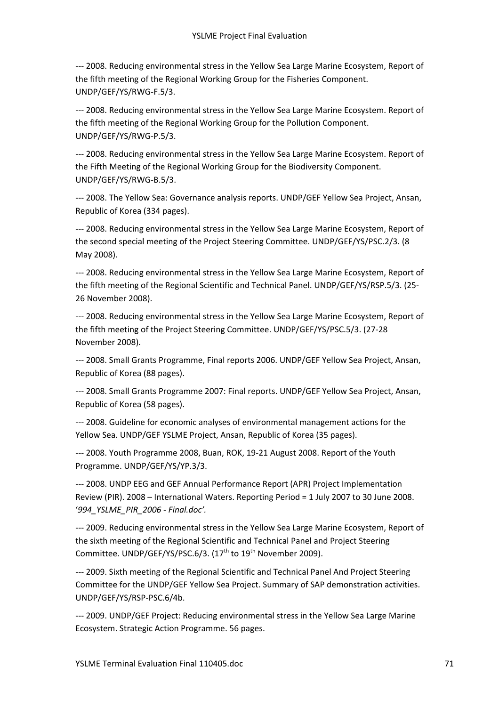‐‐‐ 2008. Reducing environmental stress in the Yellow Sea Large Marine Ecosystem, Report of the fifth meeting of the Regional Working Group for the Fisheries Component. UNDP/GEF/YS/RWG‐F.5/3.

--- 2008. Reducing environmental stress in the Yellow Sea Large Marine Ecosystem. Report of the fifth meeting of the Regional Working Group for the Pollution Component. UNDP/GEF/YS/RWG‐P.5/3.

‐‐‐ 2008. Reducing environmental stress in the Yellow Sea Large Marine Ecosystem. Report of the Fifth Meeting of the Regional Working Group for the Biodiversity Component. UNDP/GEF/YS/RWG‐B.5/3.

‐‐‐ 2008. The Yellow Sea: Governance analysis reports. UNDP/GEF Yellow Sea Project, Ansan, Republic of Korea (334 pages).

--- 2008. Reducing environmental stress in the Yellow Sea Large Marine Ecosystem, Report of the second special meeting of the Project Steering Committee. UNDP/GEF/YS/PSC.2/3. (8 May 2008).

--- 2008. Reducing environmental stress in the Yellow Sea Large Marine Ecosystem, Report of the fifth meeting of the Regional Scientific and Technical Panel. UNDP/GEF/YS/RSP.5/3. (25‐ 26 November 2008).

‐‐‐ 2008. Reducing environmental stress in the Yellow Sea Large Marine Ecosystem, Report of the fifth meeting of the Project Steering Committee. UNDP/GEF/YS/PSC.5/3. (27‐28 November 2008).

--- 2008. Small Grants Programme, Final reports 2006. UNDP/GEF Yellow Sea Project, Ansan, Republic of Korea (88 pages).

‐‐‐ 2008. Small Grants Programme 2007: Final reports. UNDP/GEF Yellow Sea Project, Ansan, Republic of Korea (58 pages).

‐‐‐ 2008. Guideline for economic analyses of environmental management actions for the Yellow Sea. UNDP/GEF YSLME Project, Ansan, Republic of Korea (35 pages).

‐‐‐ 2008. Youth Programme 2008, Buan, ROK, 19‐21 August 2008. Report of the Youth Programme. UNDP/GEF/YS/YP.3/3.

‐‐‐ 2008. UNDP EEG and GEF Annual Performance Report (APR) Project Implementation Review (PIR). 2008 – International Waters. Reporting Period = 1 July 2007 to 30 June 2008. '*994\_YSLME\_PIR\_2006 ‐ Final.doc'.*

‐‐‐ 2009. Reducing environmental stress in the Yellow Sea Large Marine Ecosystem, Report of the sixth meeting of the Regional Scientific and Technical Panel and Project Steering Committee. UNDP/GEF/YS/PSC.6/3.  $(17<sup>th</sup>$  to  $19<sup>th</sup>$  November 2009).

‐‐‐ 2009. Sixth meeting of the Regional Scientific and Technical Panel And Project Steering Committee for the UNDP/GEF Yellow Sea Project. Summary of SAP demonstration activities. UNDP/GEF/YS/RSP‐PSC.6/4b.

‐‐‐ 2009. UNDP/GEF Project: Reducing environmental stress in the Yellow Sea Large Marine Ecosystem. Strategic Action Programme. 56 pages.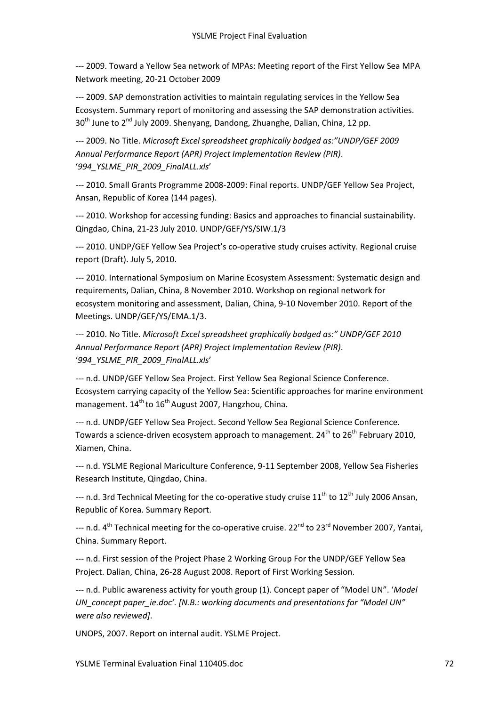‐‐‐ 2009. Toward a Yellow Sea network of MPAs: Meeting report of the First Yellow Sea MPA Network meeting, 20‐21 October 2009

‐‐‐ 2009. SAP demonstration activities to maintain regulating services in the Yellow Sea Ecosystem. Summary report of monitoring and assessing the SAP demonstration activities.  $30<sup>th</sup>$  June to  $2<sup>nd</sup>$  July 2009. Shenyang, Dandong, Zhuanghe, Dalian, China, 12 pp.

‐‐‐ 2009. No Title. *Microsoft Excel spreadsheet graphically badged as:"UNDP/GEF 2009 Annual Performance Report (APR) Project Implementation Review (PIR)*. '*994\_YSLME\_PIR\_2009\_FinalALL.xls*'

‐‐‐ 2010. Small Grants Programme 2008‐2009: Final reports. UNDP/GEF Yellow Sea Project, Ansan, Republic of Korea (144 pages).

‐‐‐ 2010. Workshop for accessing funding: Basics and approaches to financial sustainability. Qingdao, China, 21‐23 July 2010. UNDP/GEF/YS/SIW.1/3

--- 2010. UNDP/GEF Yellow Sea Project's co-operative study cruises activity. Regional cruise report (Draft). July 5, 2010.

‐‐‐ 2010. International Symposium on Marine Ecosystem Assessment: Systematic design and requirements, Dalian, China, 8 November 2010. Workshop on regional network for ecosystem monitoring and assessment, Dalian, China, 9‐10 November 2010. Report of the Meetings. UNDP/GEF/YS/EMA.1/3.

‐‐‐ 2010. No Title. *Microsoft Excel spreadsheet graphically badged as:" UNDP/GEF 2010 Annual Performance Report (APR) Project Implementation Review (PIR)*. '*994\_YSLME\_PIR\_2009\_FinalALL.xls*'

‐‐‐ n.d. UNDP/GEF Yellow Sea Project. First Yellow Sea Regional Science Conference. Ecosystem carrying capacity of the Yellow Sea: Scientific approaches for marine environment management. 14<sup>th</sup> to 16<sup>th</sup> August 2007, Hangzhou, China.

--- n.d. UNDP/GEF Yellow Sea Project. Second Yellow Sea Regional Science Conference. Towards a science-driven ecosystem approach to management.  $24<sup>th</sup>$  to  $26<sup>th</sup>$  February 2010, Xiamen, China.

‐‐‐ n.d. YSLME Regional Mariculture Conference, 9‐11 September 2008, Yellow Sea Fisheries Research Institute, Qingdao, China.

--- n.d. 3rd Technical Meeting for the co-operative study cruise  $11^{th}$  to  $12^{th}$  July 2006 Ansan, Republic of Korea. Summary Report.

--- n.d.  $4^{th}$  Technical meeting for the co-operative cruise. 22<sup>nd</sup> to 23<sup>rd</sup> November 2007, Yantai, China. Summary Report.

‐‐‐ n.d. First session of the Project Phase 2 Working Group For the UNDP/GEF Yellow Sea Project. Dalian, China, 26‐28 August 2008. Report of First Working Session.

‐‐‐ n.d. Public awareness activity for youth group (1). Concept paper of "Model UN". '*Model UN\_concept paper\_ie.doc'. [N.B.: working documents and presentations for "Model UN" were also reviewed]*.

UNOPS, 2007. Report on internal audit. YSLME Project.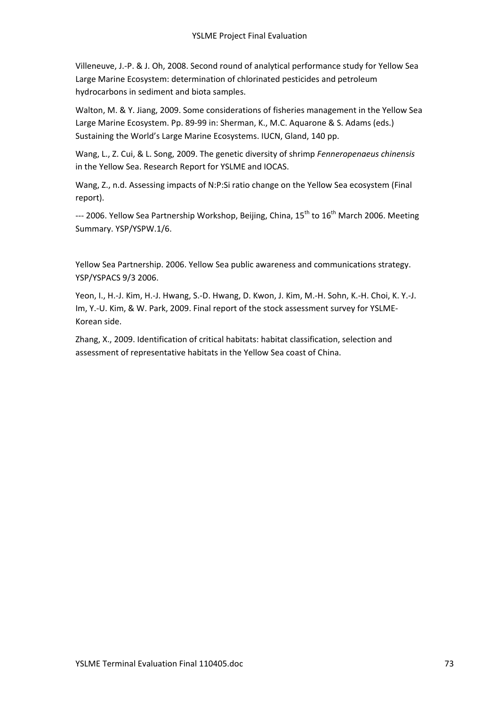Villeneuve, J.‐P. & J. Oh, 2008. Second round of analytical performance study for Yellow Sea Large Marine Ecosystem: determination of chlorinated pesticides and petroleum hydrocarbons in sediment and biota samples.

Walton, M. & Y. Jiang, 2009. Some considerations of fisheries management in the Yellow Sea Large Marine Ecosystem. Pp. 89‐99 in: Sherman, K., M.C. Aquarone & S. Adams (eds.) Sustaining the World's Large Marine Ecosystems. IUCN, Gland, 140 pp.

Wang, L., Z. Cui, & L. Song, 2009. The genetic diversity of shrimp *Fenneropenaeus chinensis* in the Yellow Sea. Research Report for YSLME and IOCAS.

Wang, Z., n.d. Assessing impacts of N:P:Si ratio change on the Yellow Sea ecosystem (Final report).

--- 2006. Yellow Sea Partnership Workshop, Beijing, China, 15<sup>th</sup> to 16<sup>th</sup> March 2006. Meeting Summary. YSP/YSPW.1/6.

Yellow Sea Partnership. 2006. Yellow Sea public awareness and communications strategy. YSP/YSPACS 9/3 2006.

Yeon, I., H.‐J. Kim, H.‐J. Hwang, S.‐D. Hwang, D. Kwon, J. Kim, M.‐H. Sohn, K.‐H. Choi, K. Y.‐J. Im, Y.‐U. Kim, & W. Park, 2009. Final report of the stock assessment survey for YSLME‐ Korean side.

Zhang, X., 2009. Identification of critical habitats: habitat classification, selection and assessment of representative habitats in the Yellow Sea coast of China.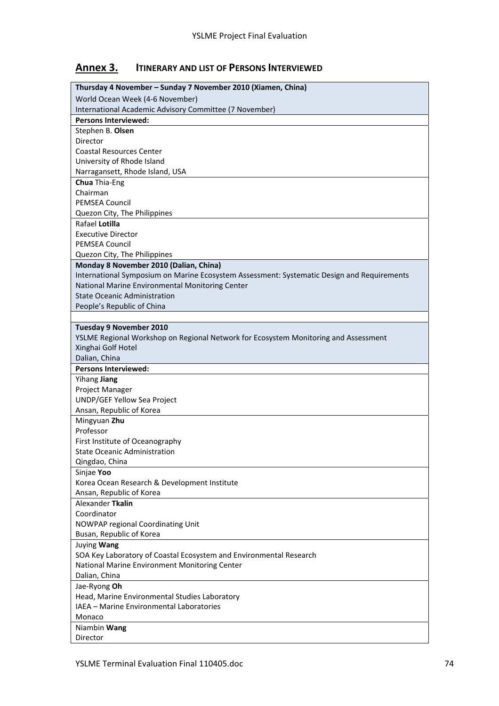# **Annex 3. ITINERARY AND LIST OF PERSONS INTERVIEWED**

| Thursday 4 November - Sunday 7 November 2010 (Xiamen, China)                               |
|--------------------------------------------------------------------------------------------|
| World Ocean Week (4-6 November)                                                            |
| International Academic Advisory Committee (7 November)                                     |
| <b>Persons Interviewed:</b>                                                                |
| Stephen B. Olsen                                                                           |
| Director                                                                                   |
| <b>Coastal Resources Center</b>                                                            |
| University of Rhode Island                                                                 |
| Narragansett, Rhode Island, USA                                                            |
| Chua Thia-Eng                                                                              |
| Chairman                                                                                   |
| <b>PEMSEA Council</b>                                                                      |
| Quezon City, The Philippines                                                               |
| Rafael Lotilla                                                                             |
| <b>Executive Director</b>                                                                  |
| <b>PEMSEA Council</b>                                                                      |
| Quezon City, The Philippines                                                               |
| Monday 8 November 2010 (Dalian, China)                                                     |
| International Symposium on Marine Ecosystem Assessment: Systematic Design and Requirements |
| National Marine Environmental Monitoring Center                                            |
| <b>State Oceanic Administration</b>                                                        |
| People's Republic of China                                                                 |
|                                                                                            |
| <b>Tuesday 9 November 2010</b>                                                             |
| YSLME Regional Workshop on Regional Network for Ecosystem Monitoring and Assessment        |
| Xinghai Golf Hotel                                                                         |
| Dalian, China                                                                              |
|                                                                                            |
| <b>Persons Interviewed:</b>                                                                |
| Yihang Jiang                                                                               |
| Project Manager                                                                            |
| <b>UNDP/GEF Yellow Sea Project</b>                                                         |
| Ansan, Republic of Korea                                                                   |
| Mingyuan Zhu                                                                               |
| Professor                                                                                  |
| First Institute of Oceanography                                                            |
| <b>State Oceanic Administration</b>                                                        |
| Qingdao, China                                                                             |
| Sinjae Yoo                                                                                 |
| Korea Ocean Research & Development Institute                                               |
| Ansan, Republic of Korea                                                                   |
| Alexander Tkalin                                                                           |
| Coordinator                                                                                |
| NOWPAP regional Coordinating Unit                                                          |
| Busan, Republic of Korea                                                                   |
| Juying Wang                                                                                |
| SOA Key Laboratory of Coastal Ecosystem and Environmental Research                         |
| National Marine Environment Monitoring Center                                              |
| Dalian, China                                                                              |
| Jae-Ryong Oh                                                                               |
| Head, Marine Environmental Studies Laboratory                                              |
| IAEA - Marine Environmental Laboratories                                                   |
| Monaco                                                                                     |
| Niambin Wang                                                                               |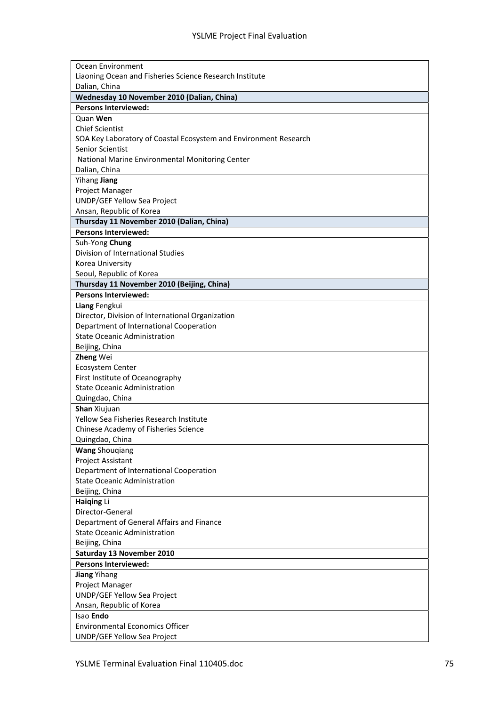| Ocean Environment                                                |
|------------------------------------------------------------------|
| Liaoning Ocean and Fisheries Science Research Institute          |
| Dalian, China                                                    |
| Wednesday 10 November 2010 (Dalian, China)                       |
| <b>Persons Interviewed:</b>                                      |
| <b>Ouan Wen</b>                                                  |
| <b>Chief Scientist</b>                                           |
| SOA Key Laboratory of Coastal Ecosystem and Environment Research |
| Senior Scientist                                                 |
|                                                                  |
| National Marine Environmental Monitoring Center<br>Dalian, China |
|                                                                  |
| Yihang Jiang                                                     |
| Project Manager                                                  |
| UNDP/GEF Yellow Sea Project                                      |
| Ansan, Republic of Korea                                         |
| Thursday 11 November 2010 (Dalian, China)                        |
| <b>Persons Interviewed:</b>                                      |
| Suh-Yong Chung                                                   |
| Division of International Studies                                |
| Korea University                                                 |
| Seoul, Republic of Korea                                         |
| Thursday 11 November 2010 (Beijing, China)                       |
| <b>Persons Interviewed:</b>                                      |
| Liang Fengkui                                                    |
| Director, Division of International Organization                 |
| Department of International Cooperation                          |
| <b>State Oceanic Administration</b>                              |
| Beijing, China                                                   |
| Zheng Wei                                                        |
| <b>Ecosystem Center</b>                                          |
| First Institute of Oceanography                                  |
| <b>State Oceanic Administration</b>                              |
| Quingdao, China                                                  |
| <b>Shan Xiujuan</b>                                              |
| Yellow Sea Fisheries Research Institute                          |
| Chinese Academy of Fisheries Science                             |
| Quingdao, China                                                  |
| <b>Wang Shouqiang</b>                                            |
| Project Assistant                                                |
| Department of International Cooperation                          |
| <b>State Oceanic Administration</b>                              |
| Beijing, China                                                   |
| Haiqing Li                                                       |
| Director-General                                                 |
| Department of General Affairs and Finance                        |
| <b>State Oceanic Administration</b>                              |
| Beijing, China                                                   |
| Saturday 13 November 2010                                        |
| <b>Persons Interviewed:</b>                                      |
| <b>Jiang Yihang</b>                                              |
| Project Manager                                                  |
| <b>UNDP/GEF Yellow Sea Project</b>                               |
| Ansan, Republic of Korea                                         |
| Isao Endo                                                        |
| <b>Environmental Economics Officer</b>                           |
| UNDP/GEF Yellow Sea Project                                      |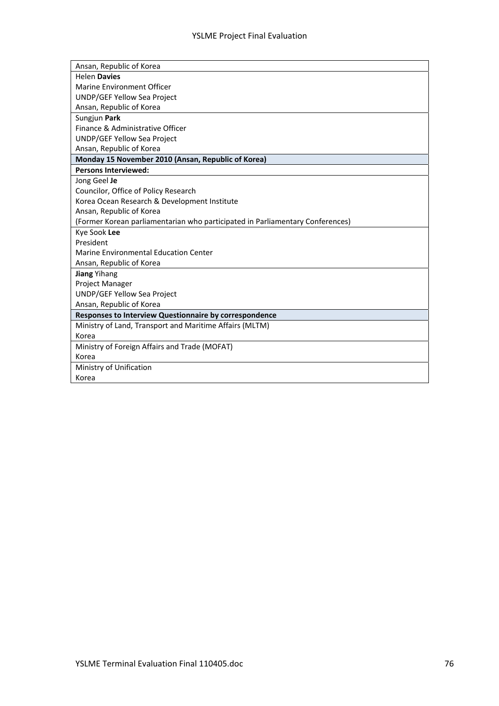| Ansan, Republic of Korea                                                      |
|-------------------------------------------------------------------------------|
| <b>Helen Davies</b>                                                           |
| Marine Environment Officer                                                    |
| <b>UNDP/GEF Yellow Sea Project</b>                                            |
| Ansan, Republic of Korea                                                      |
| Sungjun Park                                                                  |
| Finance & Administrative Officer                                              |
| UNDP/GEF Yellow Sea Project                                                   |
| Ansan, Republic of Korea                                                      |
| Monday 15 November 2010 (Ansan, Republic of Korea)                            |
| <b>Persons Interviewed:</b>                                                   |
| Jong Geel Je                                                                  |
| Councilor, Office of Policy Research                                          |
| Korea Ocean Research & Development Institute                                  |
| Ansan, Republic of Korea                                                      |
| (Former Korean parliamentarian who participated in Parliamentary Conferences) |
| Kye Sook Lee                                                                  |
| President                                                                     |
| Marine Environmental Education Center                                         |
| Ansan, Republic of Korea                                                      |
| <b>Jiang Yihang</b>                                                           |
| Project Manager                                                               |
| UNDP/GEF Yellow Sea Project                                                   |
| Ansan, Republic of Korea                                                      |
| Responses to Interview Questionnaire by correspondence                        |
| Ministry of Land, Transport and Maritime Affairs (MLTM)                       |
| Korea                                                                         |
| Ministry of Foreign Affairs and Trade (MOFAT)                                 |
| Korea                                                                         |
| Ministry of Unification                                                       |
| Korea                                                                         |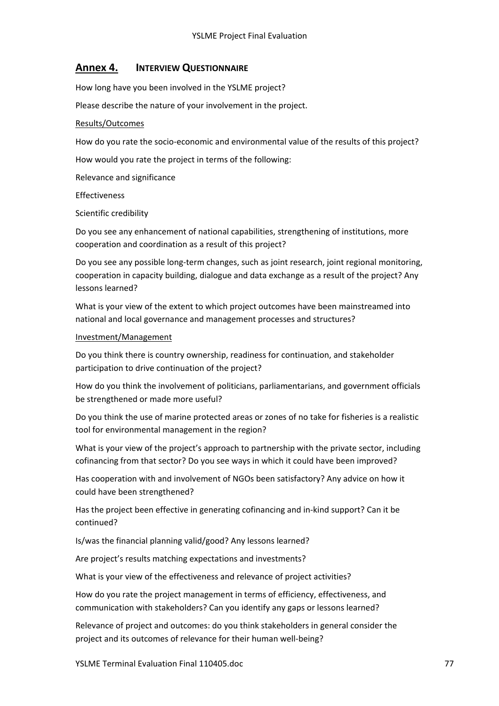### **Annex 4. INTERVIEW QUESTIONNAIRE**

How long have you been involved in the YSLME project?

Please describe the nature of your involvement in the project.

#### Results/Outcomes

How do you rate the socio-economic and environmental value of the results of this project?

How would you rate the project in terms of the following:

Relevance and significance

#### Effectiveness

Scientific credibility

Do you see any enhancement of national capabilities, strengthening of institutions, more cooperation and coordination as a result of this project?

Do you see any possible long-term changes, such as joint research, joint regional monitoring, cooperation in capacity building, dialogue and data exchange as a result of the project? Any lessons learned?

What is your view of the extent to which project outcomes have been mainstreamed into national and local governance and management processes and structures?

#### Investment/Management

Do you think there is country ownership, readiness for continuation, and stakeholder participation to drive continuation of the project?

How do you think the involvement of politicians, parliamentarians, and government officials be strengthened or made more useful?

Do you think the use of marine protected areas or zones of no take for fisheries is a realistic tool for environmental management in the region?

What is your view of the project's approach to partnership with the private sector, including cofinancing from that sector? Do you see ways in which it could have been improved?

Has cooperation with and involvement of NGOs been satisfactory? Any advice on how it could have been strengthened?

Has the project been effective in generating cofinancing and in‐kind support? Can it be continued?

Is/was the financial planning valid/good? Any lessons learned?

Are project's results matching expectations and investments?

What is your view of the effectiveness and relevance of project activities?

How do you rate the project management in terms of efficiency, effectiveness, and communication with stakeholders? Can you identify any gaps or lessons learned?

Relevance of project and outcomes: do you think stakeholders in general consider the project and its outcomes of relevance for their human well‐being?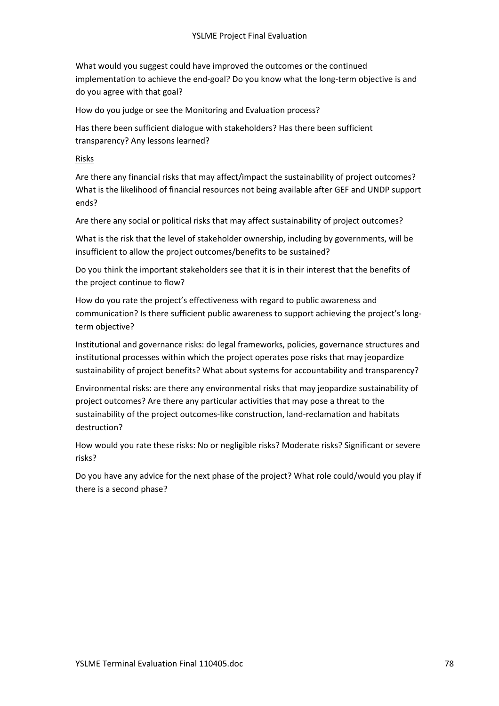What would you suggest could have improved the outcomes or the continued implementation to achieve the end‐goal? Do you know what the long‐term objective is and do you agree with that goal?

How do you judge or see the Monitoring and Evaluation process?

Has there been sufficient dialogue with stakeholders? Has there been sufficient transparency? Any lessons learned?

#### Risks

Are there any financial risks that may affect/impact the sustainability of project outcomes? What is the likelihood of financial resources not being available after GEF and UNDP support ends?

Are there any social or political risks that may affect sustainability of project outcomes?

What is the risk that the level of stakeholder ownership, including by governments, will be insufficient to allow the project outcomes/benefits to be sustained?

Do you think the important stakeholders see that it is in their interest that the benefits of the project continue to flow?

How do you rate the project's effectiveness with regard to public awareness and communication? Is there sufficient public awareness to support achieving the project's long‐ term objective?

Institutional and governance risks: do legal frameworks, policies, governance structures and institutional processes within which the project operates pose risks that may jeopardize sustainability of project benefits? What about systems for accountability and transparency?

Environmental risks: are there any environmental risks that may jeopardize sustainability of project outcomes? Are there any particular activities that may pose a threat to the sustainability of the project outcomes‐like construction, land‐reclamation and habitats destruction?

How would you rate these risks: No or negligible risks? Moderate risks? Significant or severe risks?

Do you have any advice for the next phase of the project? What role could/would you play if there is a second phase?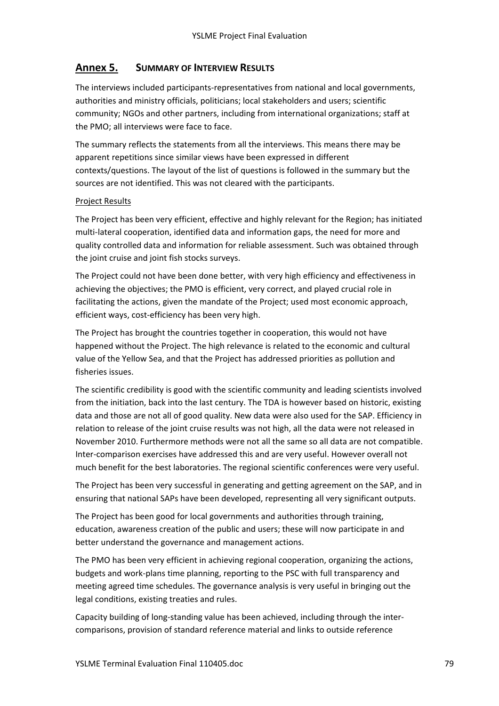## **Annex 5. SUMMARY OF INTERVIEW RESULTS**

The interviews included participants‐representatives from national and local governments, authorities and ministry officials, politicians; local stakeholders and users; scientific community; NGOs and other partners, including from international organizations; staff at the PMO; all interviews were face to face.

The summary reflects the statements from all the interviews. This means there may be apparent repetitions since similar views have been expressed in different contexts/questions. The layout of the list of questions is followed in the summary but the sources are not identified. This was not cleared with the participants.

### Project Results

The Project has been very efficient, effective and highly relevant for the Region; has initiated multi‐lateral cooperation, identified data and information gaps, the need for more and quality controlled data and information for reliable assessment. Such was obtained through the joint cruise and joint fish stocks surveys.

The Project could not have been done better, with very high efficiency and effectiveness in achieving the objectives; the PMO is efficient, very correct, and played crucial role in facilitating the actions, given the mandate of the Project; used most economic approach, efficient ways, cost-efficiency has been very high.

The Project has brought the countries together in cooperation, this would not have happened without the Project. The high relevance is related to the economic and cultural value of the Yellow Sea, and that the Project has addressed priorities as pollution and fisheries issues.

The scientific credibility is good with the scientific community and leading scientists involved from the initiation, back into the last century. The TDA is however based on historic, existing data and those are not all of good quality. New data were also used for the SAP. Efficiency in relation to release of the joint cruise results was not high, all the data were not released in November 2010. Furthermore methods were not all the same so all data are not compatible. Inter-comparison exercises have addressed this and are very useful. However overall not much benefit for the best laboratories. The regional scientific conferences were very useful.

The Project has been very successful in generating and getting agreement on the SAP, and in ensuring that national SAPs have been developed, representing all very significant outputs.

The Project has been good for local governments and authorities through training, education, awareness creation of the public and users; these will now participate in and better understand the governance and management actions.

The PMO has been very efficient in achieving regional cooperation, organizing the actions, budgets and work‐plans time planning, reporting to the PSC with full transparency and meeting agreed time schedules. The governance analysis is very useful in bringing out the legal conditions, existing treaties and rules.

Capacity building of long‐standing value has been achieved, including through the inter‐ comparisons, provision of standard reference material and links to outside reference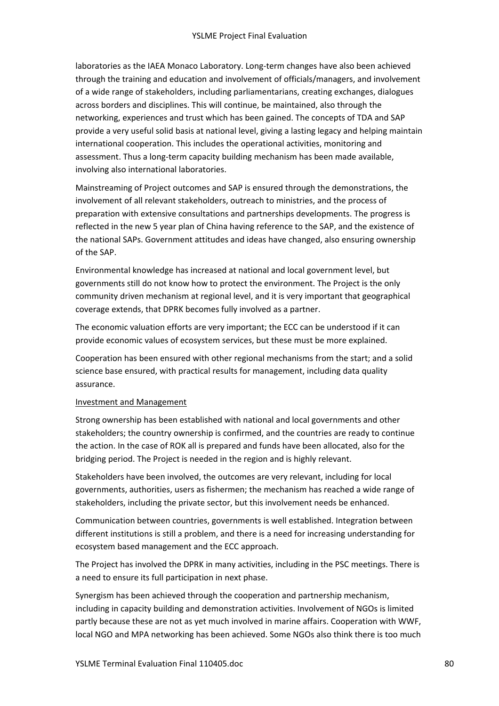laboratories as the IAEA Monaco Laboratory. Long‐term changes have also been achieved through the training and education and involvement of officials/managers, and involvement of a wide range of stakeholders, including parliamentarians, creating exchanges, dialogues across borders and disciplines. This will continue, be maintained, also through the networking, experiences and trust which has been gained. The concepts of TDA and SAP provide a very useful solid basis at national level, giving a lasting legacy and helping maintain international cooperation. This includes the operational activities, monitoring and assessment. Thus a long‐term capacity building mechanism has been made available, involving also international laboratories.

Mainstreaming of Project outcomes and SAP is ensured through the demonstrations, the involvement of all relevant stakeholders, outreach to ministries, and the process of preparation with extensive consultations and partnerships developments. The progress is reflected in the new 5 year plan of China having reference to the SAP, and the existence of the national SAPs. Government attitudes and ideas have changed, also ensuring ownership of the SAP.

Environmental knowledge has increased at national and local government level, but governments still do not know how to protect the environment. The Project is the only community driven mechanism at regional level, and it is very important that geographical coverage extends, that DPRK becomes fully involved as a partner.

The economic valuation efforts are very important; the ECC can be understood if it can provide economic values of ecosystem services, but these must be more explained.

Cooperation has been ensured with other regional mechanisms from the start; and a solid science base ensured, with practical results for management, including data quality assurance.

#### Investment and Management

Strong ownership has been established with national and local governments and other stakeholders; the country ownership is confirmed, and the countries are ready to continue the action. In the case of ROK all is prepared and funds have been allocated, also for the bridging period. The Project is needed in the region and is highly relevant.

Stakeholders have been involved, the outcomes are very relevant, including for local governments, authorities, users as fishermen; the mechanism has reached a wide range of stakeholders, including the private sector, but this involvement needs be enhanced.

Communication between countries, governments is well established. Integration between different institutions is still a problem, and there is a need for increasing understanding for ecosystem based management and the ECC approach.

The Project has involved the DPRK in many activities, including in the PSC meetings. There is a need to ensure its full participation in next phase.

Synergism has been achieved through the cooperation and partnership mechanism, including in capacity building and demonstration activities. Involvement of NGOs is limited partly because these are not as yet much involved in marine affairs. Cooperation with WWF, local NGO and MPA networking has been achieved. Some NGOs also think there is too much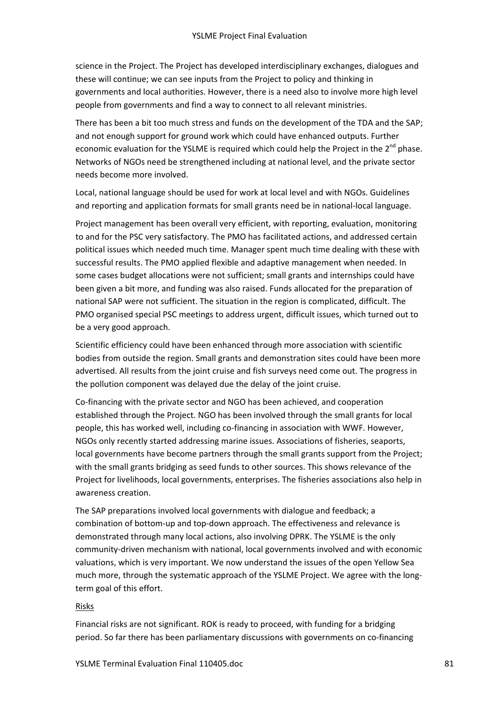science in the Project. The Project has developed interdisciplinary exchanges, dialogues and these will continue; we can see inputs from the Project to policy and thinking in governments and local authorities. However, there is a need also to involve more high level people from governments and find a way to connect to all relevant ministries.

There has been a bit too much stress and funds on the development of the TDA and the SAP; and not enough support for ground work which could have enhanced outputs. Further economic evaluation for the YSLME is required which could help the Project in the 2<sup>nd</sup> phase. Networks of NGOs need be strengthened including at national level, and the private sector needs become more involved.

Local, national language should be used for work at local level and with NGOs. Guidelines and reporting and application formats for small grants need be in national-local language.

Project management has been overall very efficient, with reporting, evaluation, monitoring to and for the PSC very satisfactory. The PMO has facilitated actions, and addressed certain political issues which needed much time. Manager spent much time dealing with these with successful results. The PMO applied flexible and adaptive management when needed. In some cases budget allocations were not sufficient; small grants and internships could have been given a bit more, and funding was also raised. Funds allocated for the preparation of national SAP were not sufficient. The situation in the region is complicated, difficult. The PMO organised special PSC meetings to address urgent, difficult issues, which turned out to be a very good approach.

Scientific efficiency could have been enhanced through more association with scientific bodies from outside the region. Small grants and demonstration sites could have been more advertised. All results from the joint cruise and fish surveys need come out. The progress in the pollution component was delayed due the delay of the joint cruise.

Co‐financing with the private sector and NGO has been achieved, and cooperation established through the Project. NGO has been involved through the small grants for local people, this has worked well, including co‐financing in association with WWF. However, NGOs only recently started addressing marine issues. Associations of fisheries, seaports, local governments have become partners through the small grants support from the Project; with the small grants bridging as seed funds to other sources. This shows relevance of the Project for livelihoods, local governments, enterprises. The fisheries associations also help in awareness creation.

The SAP preparations involved local governments with dialogue and feedback; a combination of bottom‐up and top‐down approach. The effectiveness and relevance is demonstrated through many local actions, also involving DPRK. The YSLME is the only community-driven mechanism with national, local governments involved and with economic valuations, which is very important. We now understand the issues of the open Yellow Sea much more, through the systematic approach of the YSLME Project. We agree with the longterm goal of this effort.

### Risks

Financial risks are not significant. ROK is ready to proceed, with funding for a bridging period. So far there has been parliamentary discussions with governments on co-financing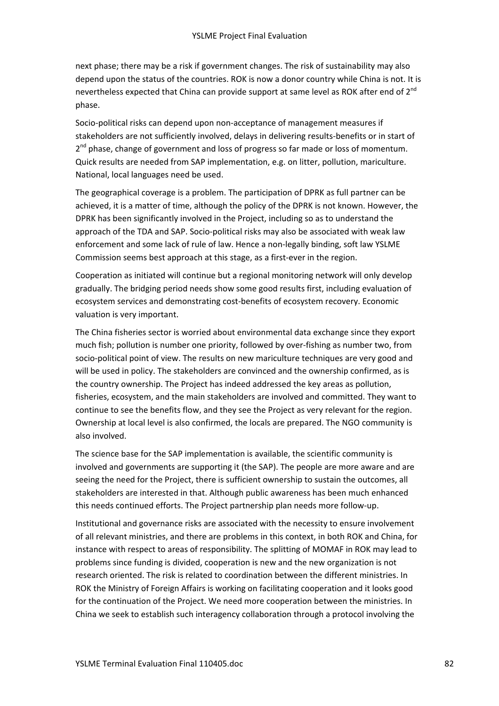next phase; there may be a risk if government changes. The risk of sustainability may also depend upon the status of the countries. ROK is now a donor country while China is not. It is nevertheless expected that China can provide support at same level as ROK after end of 2<sup>nd</sup> phase.

Socio‐political risks can depend upon non‐acceptance of management measures if stakeholders are not sufficiently involved, delays in delivering results‐benefits or in start of 2<sup>nd</sup> phase, change of government and loss of progress so far made or loss of momentum. Quick results are needed from SAP implementation, e.g. on litter, pollution, mariculture. National, local languages need be used.

The geographical coverage is a problem. The participation of DPRK as full partner can be achieved, it is a matter of time, although the policy of the DPRK is not known. However, the DPRK has been significantly involved in the Project, including so as to understand the approach of the TDA and SAP. Socio‐political risks may also be associated with weak law enforcement and some lack of rule of law. Hence a non‐legally binding, soft law YSLME Commission seems best approach at this stage, as a first-ever in the region.

Cooperation as initiated will continue but a regional monitoring network will only develop gradually. The bridging period needs show some good results first, including evaluation of ecosystem services and demonstrating cost‐benefits of ecosystem recovery. Economic valuation is very important.

The China fisheries sector is worried about environmental data exchange since they export much fish; pollution is number one priority, followed by over-fishing as number two, from socio-political point of view. The results on new mariculture techniques are very good and will be used in policy. The stakeholders are convinced and the ownership confirmed, as is the country ownership. The Project has indeed addressed the key areas as pollution, fisheries, ecosystem, and the main stakeholders are involved and committed. They want to continue to see the benefits flow, and they see the Project as very relevant for the region. Ownership at local level is also confirmed, the locals are prepared. The NGO community is also involved.

The science base for the SAP implementation is available, the scientific community is involved and governments are supporting it (the SAP). The people are more aware and are seeing the need for the Project, there is sufficient ownership to sustain the outcomes, all stakeholders are interested in that. Although public awareness has been much enhanced this needs continued efforts. The Project partnership plan needs more follow‐up.

Institutional and governance risks are associated with the necessity to ensure involvement of all relevant ministries, and there are problems in this context, in both ROK and China, for instance with respect to areas of responsibility. The splitting of MOMAF in ROK may lead to problems since funding is divided, cooperation is new and the new organization is not research oriented. The risk is related to coordination between the different ministries. In ROK the Ministry of Foreign Affairs is working on facilitating cooperation and it looks good for the continuation of the Project. We need more cooperation between the ministries. In China we seek to establish such interagency collaboration through a protocol involving the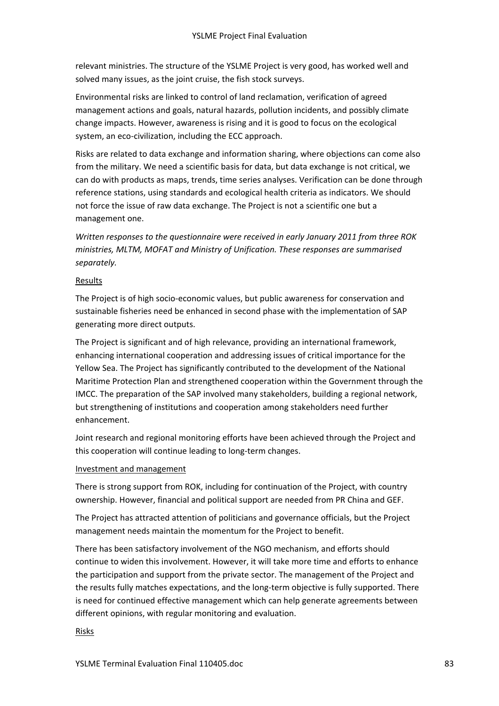relevant ministries. The structure of the YSLME Project is very good, has worked well and solved many issues, as the joint cruise, the fish stock surveys.

Environmental risks are linked to control of land reclamation, verification of agreed management actions and goals, natural hazards, pollution incidents, and possibly climate change impacts. However, awareness is rising and it is good to focus on the ecological system, an eco-civilization, including the ECC approach.

Risks are related to data exchange and information sharing, where objections can come also from the military. We need a scientific basis for data, but data exchange is not critical, we can do with products as maps, trends, time series analyses. Verification can be done through reference stations, using standards and ecological health criteria as indicators. We should not force the issue of raw data exchange. The Project is not a scientific one but a management one.

*Written responses to the questionnaire were received in early January 2011 from three ROK ministries, MLTM, MOFAT and Ministry of Unification. These responses are summarised separately.*

### Results

The Project is of high socio‐economic values, but public awareness for conservation and sustainable fisheries need be enhanced in second phase with the implementation of SAP generating more direct outputs.

The Project is significant and of high relevance, providing an international framework, enhancing international cooperation and addressing issues of critical importance for the Yellow Sea. The Project has significantly contributed to the development of the National Maritime Protection Plan and strengthened cooperation within the Government through the IMCC. The preparation of the SAP involved many stakeholders, building a regional network, but strengthening of institutions and cooperation among stakeholders need further enhancement.

Joint research and regional monitoring efforts have been achieved through the Project and this cooperation will continue leading to long‐term changes.

#### Investment and management

There is strong support from ROK, including for continuation of the Project, with country ownership. However, financial and political support are needed from PR China and GEF.

The Project has attracted attention of politicians and governance officials, but the Project management needs maintain the momentum for the Project to benefit.

There has been satisfactory involvement of the NGO mechanism, and efforts should continue to widen this involvement. However, it will take more time and efforts to enhance the participation and support from the private sector. The management of the Project and the results fully matches expectations, and the long‐term objective is fully supported. There is need for continued effective management which can help generate agreements between different opinions, with regular monitoring and evaluation.

### Risks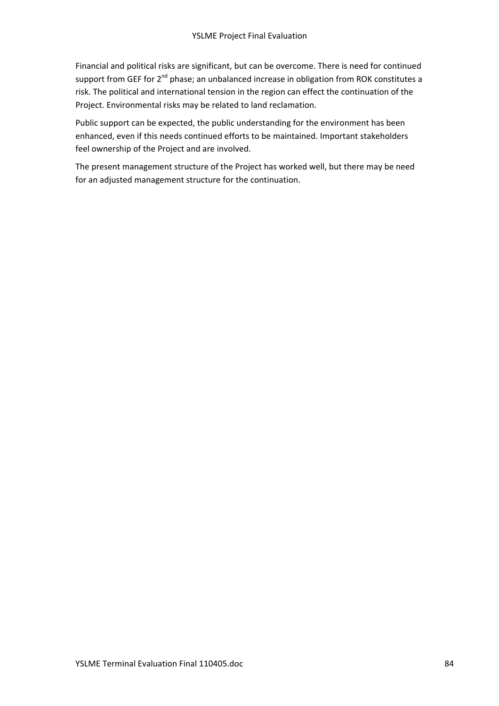Financial and political risks are significant, but can be overcome. There is need for continued support from GEF for 2<sup>nd</sup> phase; an unbalanced increase in obligation from ROK constitutes a risk. The political and international tension in the region can effect the continuation of the Project. Environmental risks may be related to land reclamation.

Public support can be expected, the public understanding for the environment has been enhanced, even if this needs continued efforts to be maintained. Important stakeholders feel ownership of the Project and are involved.

The present management structure of the Project has worked well, but there may be need for an adjusted management structure for the continuation.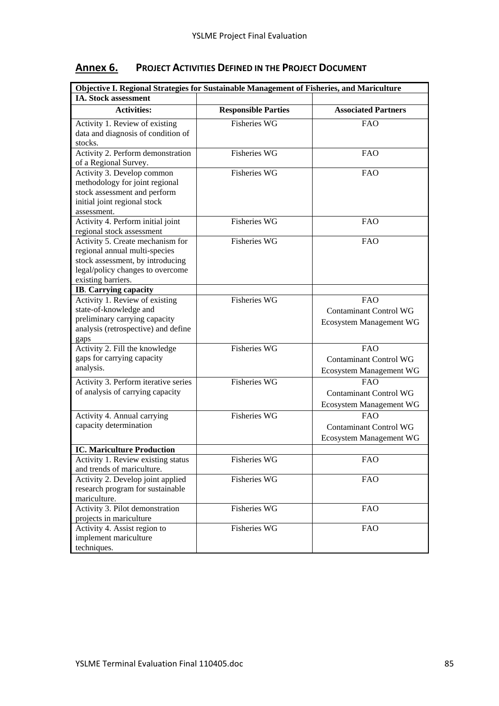# **Annex 6. PROJECT ACTIVITIES DEFINED IN THE PROJECT DOCUMENT**

| Objective I. Regional Strategies for Sustainable Management of Fisheries, and Mariculture                                                                       |                            |                                                                        |
|-----------------------------------------------------------------------------------------------------------------------------------------------------------------|----------------------------|------------------------------------------------------------------------|
| <b>IA. Stock assessment</b>                                                                                                                                     |                            |                                                                        |
| <b>Activities:</b>                                                                                                                                              | <b>Responsible Parties</b> | <b>Associated Partners</b>                                             |
| Activity 1. Review of existing<br>data and diagnosis of condition of<br>stocks.                                                                                 | <b>Fisheries WG</b>        | FAO                                                                    |
| Activity 2. Perform demonstration<br>of a Regional Survey.                                                                                                      | <b>Fisheries WG</b>        | <b>FAO</b>                                                             |
| Activity 3. Develop common<br>methodology for joint regional<br>stock assessment and perform<br>initial joint regional stock<br>assessment.                     | <b>Fisheries WG</b>        | FAO                                                                    |
| Activity 4. Perform initial joint<br>regional stock assessment                                                                                                  | <b>Fisheries WG</b>        | <b>FAO</b>                                                             |
| Activity 5. Create mechanism for<br>regional annual multi-species<br>stock assessment, by introducing<br>legal/policy changes to overcome<br>existing barriers. | <b>Fisheries WG</b>        | <b>FAO</b>                                                             |
| IB. Carrying capacity                                                                                                                                           |                            |                                                                        |
| Activity 1. Review of existing<br>state-of-knowledge and<br>preliminary carrying capacity<br>analysis (retrospective) and define<br>gaps                        | <b>Fisheries WG</b>        | <b>FAO</b><br>Contaminant Control WG<br>Ecosystem Management WG        |
| Activity 2. Fill the knowledge<br>gaps for carrying capacity<br>analysis.                                                                                       | <b>Fisheries WG</b>        | <b>FAO</b><br><b>Contaminant Control WG</b><br>Ecosystem Management WG |
| Activity 3. Perform iterative series<br>of analysis of carrying capacity                                                                                        | <b>Fisheries WG</b>        | <b>FAO</b><br><b>Contaminant Control WG</b><br>Ecosystem Management WG |
| Activity 4. Annual carrying<br>capacity determination                                                                                                           | <b>Fisheries WG</b>        | <b>FAO</b><br>Contaminant Control WG<br>Ecosystem Management WG        |
| <b>IC. Mariculture Production</b>                                                                                                                               |                            |                                                                        |
| Activity 1. Review existing status<br>and trends of mariculture.                                                                                                | Fisheries WG               | <b>FAO</b>                                                             |
| Activity 2. Develop joint applied<br>research program for sustainable<br>mariculture.                                                                           | <b>Fisheries WG</b>        | <b>FAO</b>                                                             |
| Activity 3. Pilot demonstration<br>projects in mariculture                                                                                                      | Fisheries WG               | <b>FAO</b>                                                             |
| Activity 4. Assist region to<br>implement mariculture<br>techniques.                                                                                            | <b>Fisheries WG</b>        | <b>FAO</b>                                                             |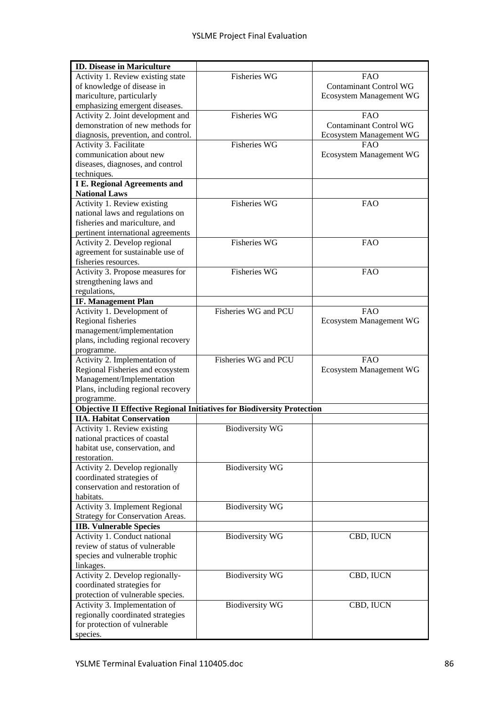| <b>ID. Disease in Mariculture</b>                                              |                        |                               |
|--------------------------------------------------------------------------------|------------------------|-------------------------------|
| Activity 1. Review existing state                                              | Fisheries WG           | FAO                           |
| of knowledge of disease in                                                     |                        | <b>Contaminant Control WG</b> |
| mariculture, particularly                                                      |                        | Ecosystem Management WG       |
| emphasizing emergent diseases.                                                 |                        |                               |
| Activity 2. Joint development and                                              | <b>Fisheries WG</b>    | FAO                           |
| demonstration of new methods for                                               |                        | <b>Contaminant Control WG</b> |
| diagnosis, prevention, and control.                                            |                        | Ecosystem Management WG       |
| Activity 3. Facilitate                                                         | <b>Fisheries WG</b>    | FAO                           |
| communication about new                                                        |                        | Ecosystem Management WG       |
| diseases, diagnoses, and control                                               |                        |                               |
| techniques.                                                                    |                        |                               |
| <b>I E. Regional Agreements and</b>                                            |                        |                               |
| <b>National Laws</b>                                                           |                        |                               |
| Activity 1. Review existing                                                    | <b>Fisheries WG</b>    | <b>FAO</b>                    |
| national laws and regulations on                                               |                        |                               |
| fisheries and mariculture, and                                                 |                        |                               |
| pertinent international agreements                                             |                        |                               |
| Activity 2. Develop regional                                                   | <b>Fisheries WG</b>    | <b>FAO</b>                    |
| agreement for sustainable use of                                               |                        |                               |
| fisheries resources.                                                           |                        |                               |
| Activity 3. Propose measures for                                               | <b>Fisheries WG</b>    | <b>FAO</b>                    |
| strengthening laws and                                                         |                        |                               |
| regulations,                                                                   |                        |                               |
| <b>IF. Management Plan</b>                                                     |                        |                               |
| Activity 1. Development of                                                     | Fisheries WG and PCU   | <b>FAO</b>                    |
| Regional fisheries                                                             |                        | Ecosystem Management WG       |
| management/implementation                                                      |                        |                               |
| plans, including regional recovery                                             |                        |                               |
| programme.                                                                     | Fisheries WG and PCU   | <b>FAO</b>                    |
| Activity 2. Implementation of                                                  |                        |                               |
| Regional Fisheries and ecosystem<br>Management/Implementation                  |                        | Ecosystem Management WG       |
| Plans, including regional recovery                                             |                        |                               |
| programme.                                                                     |                        |                               |
| <b>Objective II Effective Regional Initiatives for Biodiversity Protection</b> |                        |                               |
| <b>IIA. Habitat Conservation</b>                                               |                        |                               |
| Activity 1. Review existing                                                    | <b>Biodiversity WG</b> |                               |
| national practices of coastal                                                  |                        |                               |
| habitat use, conservation, and                                                 |                        |                               |
| restoration.                                                                   |                        |                               |
| Activity 2. Develop regionally                                                 | <b>Biodiversity WG</b> |                               |
| coordinated strategies of                                                      |                        |                               |
| conservation and restoration of                                                |                        |                               |
| habitats.                                                                      |                        |                               |
| Activity 3. Implement Regional                                                 | <b>Biodiversity WG</b> |                               |
| Strategy for Conservation Areas.                                               |                        |                               |
| <b>IIB. Vulnerable Species</b>                                                 |                        |                               |
| Activity 1. Conduct national                                                   | <b>Biodiversity WG</b> | CBD, IUCN                     |
| review of status of vulnerable                                                 |                        |                               |
| species and vulnerable trophic                                                 |                        |                               |
| linkages.                                                                      |                        |                               |
| Activity 2. Develop regionally-                                                | <b>Biodiversity WG</b> | CBD, IUCN                     |
| coordinated strategies for                                                     |                        |                               |
| protection of vulnerable species.                                              |                        |                               |
| Activity 3. Implementation of                                                  | <b>Biodiversity WG</b> | CBD, IUCN                     |
| regionally coordinated strategies                                              |                        |                               |
| for protection of vulnerable                                                   |                        |                               |
| species.                                                                       |                        |                               |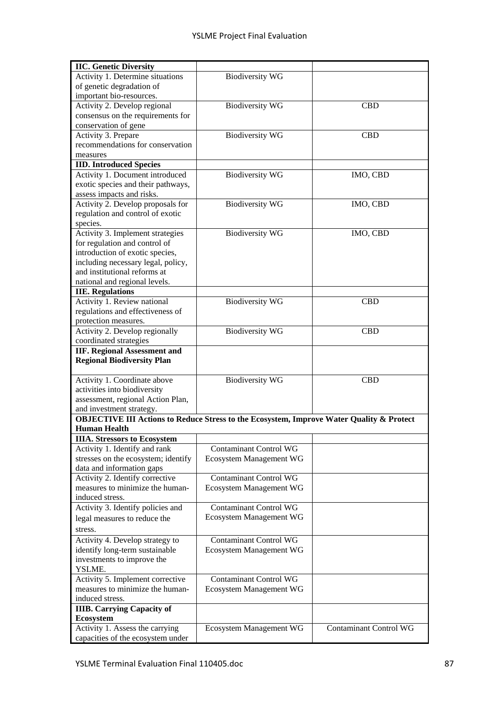| <b>IIC. Genetic Diversity</b>                                                                                              |                               |                               |
|----------------------------------------------------------------------------------------------------------------------------|-------------------------------|-------------------------------|
| Activity 1. Determine situations                                                                                           | <b>Biodiversity WG</b>        |                               |
| of genetic degradation of                                                                                                  |                               |                               |
| important bio-resources.                                                                                                   |                               |                               |
| Activity 2. Develop regional                                                                                               | <b>Biodiversity WG</b>        | <b>CBD</b>                    |
| consensus on the requirements for                                                                                          |                               |                               |
| conservation of gene                                                                                                       |                               |                               |
| Activity 3. Prepare                                                                                                        | <b>Biodiversity WG</b>        | <b>CBD</b>                    |
| recommendations for conservation                                                                                           |                               |                               |
| measures                                                                                                                   |                               |                               |
| <b>IID.</b> Introduced Species                                                                                             |                               |                               |
| Activity 1. Document introduced                                                                                            | <b>Biodiversity WG</b>        | IMO, CBD                      |
| exotic species and their pathways,                                                                                         |                               |                               |
| assess impacts and risks.                                                                                                  |                               |                               |
| Activity 2. Develop proposals for                                                                                          | <b>Biodiversity WG</b>        | IMO, CBD                      |
| regulation and control of exotic                                                                                           |                               |                               |
| species.                                                                                                                   |                               |                               |
| Activity 3. Implement strategies                                                                                           | <b>Biodiversity WG</b>        | IMO, CBD                      |
| for regulation and control of                                                                                              |                               |                               |
| introduction of exotic species,                                                                                            |                               |                               |
| including necessary legal, policy,                                                                                         |                               |                               |
| and institutional reforms at                                                                                               |                               |                               |
| national and regional levels.                                                                                              |                               |                               |
| <b>IIE.</b> Regulations                                                                                                    |                               |                               |
| Activity 1. Review national                                                                                                | <b>Biodiversity WG</b>        | <b>CBD</b>                    |
| regulations and effectiveness of                                                                                           |                               |                               |
| protection measures.                                                                                                       |                               |                               |
| Activity 2. Develop regionally                                                                                             | <b>Biodiversity WG</b>        | <b>CBD</b>                    |
| coordinated strategies                                                                                                     |                               |                               |
| <b>IIF. Regional Assessment and</b>                                                                                        |                               |                               |
|                                                                                                                            |                               |                               |
| <b>Regional Biodiversity Plan</b>                                                                                          |                               |                               |
|                                                                                                                            |                               | <b>CBD</b>                    |
| Activity 1. Coordinate above                                                                                               | <b>Biodiversity WG</b>        |                               |
| activities into biodiversity                                                                                               |                               |                               |
| assessment, regional Action Plan,<br>and investment strategy.                                                              |                               |                               |
|                                                                                                                            |                               |                               |
| <b>OBJECTIVE III Actions to Reduce Stress to the Ecosystem, Improve Water Quality &amp; Protect</b><br><b>Human Health</b> |                               |                               |
| <b>IIIA.</b> Stressors to Ecosystem                                                                                        |                               |                               |
| Activity 1. Identify and rank                                                                                              | <b>Contaminant Control WG</b> |                               |
| stresses on the ecosystem; identify                                                                                        | Ecosystem Management WG       |                               |
| data and information gaps                                                                                                  |                               |                               |
| Activity 2. Identify corrective                                                                                            | <b>Contaminant Control WG</b> |                               |
| measures to minimize the human-                                                                                            | Ecosystem Management WG       |                               |
| induced stress.                                                                                                            |                               |                               |
|                                                                                                                            | Contaminant Control WG        |                               |
| Activity 3. Identify policies and<br>legal measures to reduce the                                                          | Ecosystem Management WG       |                               |
| stress.                                                                                                                    |                               |                               |
|                                                                                                                            | Contaminant Control WG        |                               |
| Activity 4. Develop strategy to                                                                                            |                               |                               |
| identify long-term sustainable                                                                                             | Ecosystem Management WG       |                               |
| investments to improve the<br>YSLME.                                                                                       |                               |                               |
|                                                                                                                            | Contaminant Control WG        |                               |
| Activity 5. Implement corrective<br>measures to minimize the human-                                                        |                               |                               |
| induced stress.                                                                                                            | Ecosystem Management WG       |                               |
|                                                                                                                            |                               |                               |
| <b>IIIB.</b> Carrying Capacity of                                                                                          |                               |                               |
| Ecosystem<br>Activity 1. Assess the carrying                                                                               | Ecosystem Management WG       | <b>Contaminant Control WG</b> |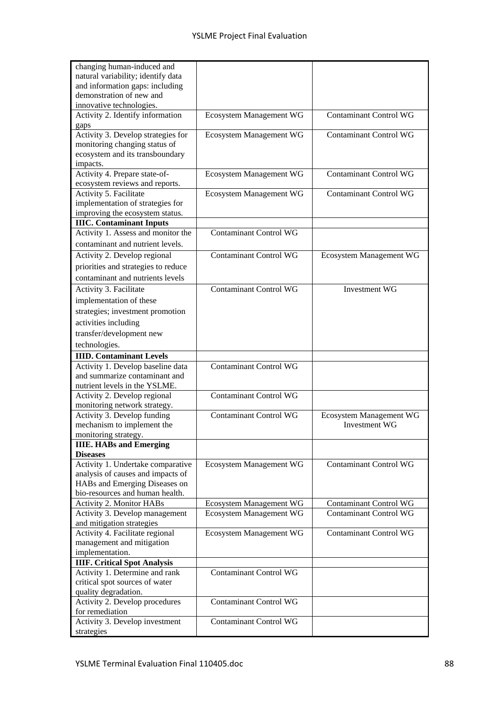| changing human-induced and                                       |                               |                                                 |
|------------------------------------------------------------------|-------------------------------|-------------------------------------------------|
| natural variability; identify data                               |                               |                                                 |
| and information gaps: including                                  |                               |                                                 |
| demonstration of new and                                         |                               |                                                 |
| innovative technologies.                                         |                               |                                                 |
| Activity 2. Identify information                                 | Ecosystem Management WG       | <b>Contaminant Control WG</b>                   |
| gaps                                                             |                               |                                                 |
| Activity 3. Develop strategies for                               | Ecosystem Management WG       | <b>Contaminant Control WG</b>                   |
| monitoring changing status of<br>ecosystem and its transboundary |                               |                                                 |
| impacts.                                                         |                               |                                                 |
| Activity 4. Prepare state-of-                                    | Ecosystem Management WG       | <b>Contaminant Control WG</b>                   |
| ecosystem reviews and reports.                                   |                               |                                                 |
| Activity 5. Facilitate                                           | Ecosystem Management WG       | <b>Contaminant Control WG</b>                   |
| implementation of strategies for                                 |                               |                                                 |
| improving the ecosystem status.                                  |                               |                                                 |
| <b>IIIC.</b> Contaminant Inputs                                  |                               |                                                 |
| Activity 1. Assess and monitor the                               | <b>Contaminant Control WG</b> |                                                 |
| contaminant and nutrient levels.                                 |                               |                                                 |
| Activity 2. Develop regional                                     | <b>Contaminant Control WG</b> | Ecosystem Management WG                         |
| priorities and strategies to reduce                              |                               |                                                 |
| contaminant and nutrients levels                                 |                               |                                                 |
| Activity 3. Facilitate                                           | <b>Contaminant Control WG</b> | <b>Investment WG</b>                            |
| implementation of these                                          |                               |                                                 |
| strategies; investment promotion                                 |                               |                                                 |
| activities including                                             |                               |                                                 |
| transfer/development new                                         |                               |                                                 |
|                                                                  |                               |                                                 |
| technologies.<br><b>IIID.</b> Contaminant Levels                 |                               |                                                 |
|                                                                  |                               |                                                 |
|                                                                  |                               |                                                 |
| Activity 1. Develop baseline data                                | <b>Contaminant Control WG</b> |                                                 |
| and summarize contaminant and                                    |                               |                                                 |
| nutrient levels in the YSLME.                                    |                               |                                                 |
| Activity 2. Develop regional                                     | <b>Contaminant Control WG</b> |                                                 |
| monitoring network strategy.                                     |                               |                                                 |
| Activity 3. Develop funding                                      | <b>Contaminant Control WG</b> | Ecosystem Management WG<br><b>Investment WG</b> |
| mechanism to implement the<br>monitoring strategy.               |                               |                                                 |
| <b>IIIE. HABs and Emerging</b>                                   |                               |                                                 |
| <b>Diseases</b>                                                  |                               |                                                 |
| Activity 1. Undertake comparative                                | Ecosystem Management WG       | Contaminant Control WG                          |
| analysis of causes and impacts of                                |                               |                                                 |
| HABs and Emerging Diseases on                                    |                               |                                                 |
| bio-resources and human health.                                  |                               |                                                 |
| <b>Activity 2. Monitor HABs</b>                                  | Ecosystem Management WG       | <b>Contaminant Control WG</b>                   |
| Activity 3. Develop management                                   | Ecosystem Management WG       | <b>Contaminant Control WG</b>                   |
| and mitigation strategies                                        |                               |                                                 |
| Activity 4. Facilitate regional                                  | Ecosystem Management WG       | <b>Contaminant Control WG</b>                   |
| management and mitigation                                        |                               |                                                 |
| implementation.                                                  |                               |                                                 |
| <b>IIIF. Critical Spot Analysis</b>                              | <b>Contaminant Control WG</b> |                                                 |
| Activity 1. Determine and rank<br>critical spot sources of water |                               |                                                 |
| quality degradation.                                             |                               |                                                 |
| Activity 2. Develop procedures                                   | <b>Contaminant Control WG</b> |                                                 |
| for remediation                                                  |                               |                                                 |
| Activity 3. Develop investment<br>strategies                     | <b>Contaminant Control WG</b> |                                                 |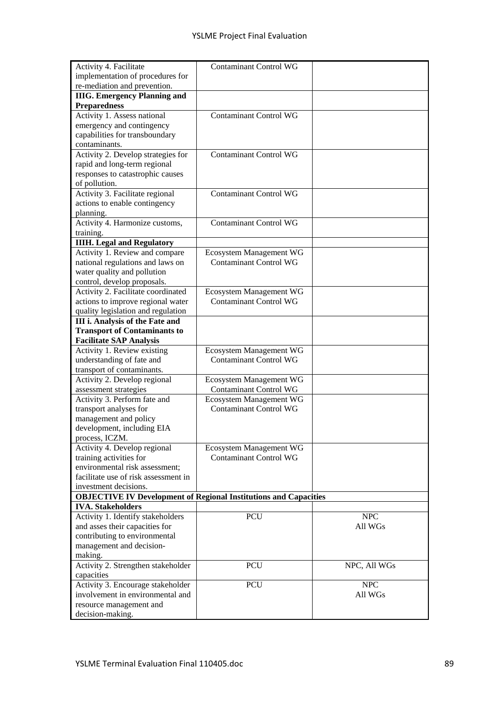| Activity 4. Facilitate                                                  | <b>Contaminant Control WG</b> |                             |
|-------------------------------------------------------------------------|-------------------------------|-----------------------------|
| implementation of procedures for                                        |                               |                             |
| re-mediation and prevention.                                            |                               |                             |
| <b>IIIG.</b> Emergency Planning and                                     |                               |                             |
| <b>Preparedness</b>                                                     |                               |                             |
| Activity 1. Assess national                                             | <b>Contaminant Control WG</b> |                             |
| emergency and contingency                                               |                               |                             |
| capabilities for transboundary                                          |                               |                             |
| contaminants.                                                           |                               |                             |
| Activity 2. Develop strategies for                                      | Contaminant Control WG        |                             |
| rapid and long-term regional                                            |                               |                             |
| responses to catastrophic causes                                        |                               |                             |
| of pollution.                                                           |                               |                             |
| Activity 3. Facilitate regional                                         | <b>Contaminant Control WG</b> |                             |
| actions to enable contingency                                           |                               |                             |
| planning.                                                               |                               |                             |
| Activity 4. Harmonize customs,                                          | <b>Contaminant Control WG</b> |                             |
| training.                                                               |                               |                             |
| <b>IIIH.</b> Legal and Regulatory                                       |                               |                             |
| Activity 1. Review and compare                                          | Ecosystem Management WG       |                             |
| national regulations and laws on                                        | <b>Contaminant Control WG</b> |                             |
| water quality and pollution                                             |                               |                             |
| control, develop proposals.                                             |                               |                             |
| Activity 2. Facilitate coordinated                                      | Ecosystem Management WG       |                             |
|                                                                         | <b>Contaminant Control WG</b> |                             |
| actions to improve regional water                                       |                               |                             |
| quality legislation and regulation                                      |                               |                             |
| <b>III</b> i. Analysis of the Fate and                                  |                               |                             |
| <b>Transport of Contaminants to</b>                                     |                               |                             |
| <b>Facilitate SAP Analysis</b>                                          |                               |                             |
| Activity 1. Review existing                                             | Ecosystem Management WG       |                             |
| understanding of fate and                                               | <b>Contaminant Control WG</b> |                             |
| transport of contaminants.                                              |                               |                             |
| Activity 2. Develop regional                                            | Ecosystem Management WG       |                             |
| assessment strategies                                                   | <b>Contaminant Control WG</b> |                             |
| Activity 3. Perform fate and                                            | Ecosystem Management WG       |                             |
| transport analyses for                                                  | <b>Contaminant Control WG</b> |                             |
| management and policy                                                   |                               |                             |
| development, including EIA                                              |                               |                             |
| process, ICZM.                                                          |                               |                             |
| Activity 4. Develop regional                                            | Ecosystem Management WG       |                             |
| training activities for                                                 | <b>Contaminant Control WG</b> |                             |
| environmental risk assessment;                                          |                               |                             |
| facilitate use of risk assessment in                                    |                               |                             |
| investment decisions.                                                   |                               |                             |
| <b>OBJECTIVE IV Development of Regional Institutions and Capacities</b> |                               |                             |
| <b>IVA.</b> Stakeholders                                                |                               |                             |
| Activity 1. Identify stakeholders                                       | <b>PCU</b>                    | <b>NPC</b>                  |
| and asses their capacities for                                          |                               | All WGs                     |
| contributing to environmental                                           |                               |                             |
| management and decision-                                                |                               |                             |
| making.                                                                 |                               |                             |
| Activity 2. Strengthen stakeholder                                      | <b>PCU</b>                    | NPC, All WGs                |
| capacities                                                              |                               |                             |
| Activity 3. Encourage stakeholder                                       | PCU                           | $\ensuremath{\mathsf{NPC}}$ |
| involvement in environmental and                                        |                               | All WGs                     |
| resource management and                                                 |                               |                             |
| decision-making.                                                        |                               |                             |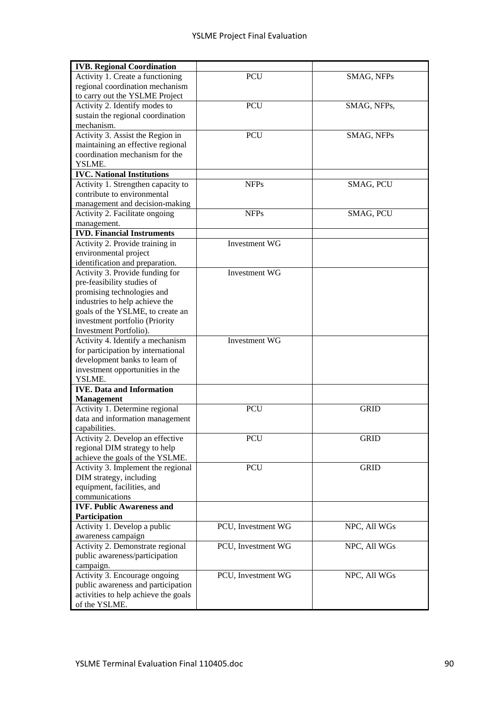| <b>IVB. Regional Coordination</b>                                 |                      |                   |
|-------------------------------------------------------------------|----------------------|-------------------|
| Activity 1. Create a functioning                                  | <b>PCU</b>           | <b>SMAG, NFPs</b> |
| regional coordination mechanism                                   |                      |                   |
| to carry out the YSLME Project                                    |                      |                   |
| Activity 2. Identify modes to                                     | PCU                  | SMAG, NFPs,       |
| sustain the regional coordination                                 |                      |                   |
| mechanism.                                                        |                      |                   |
| Activity 3. Assist the Region in                                  | <b>PCU</b>           | SMAG, NFPs        |
| maintaining an effective regional                                 |                      |                   |
| coordination mechanism for the                                    |                      |                   |
| YSLME.                                                            |                      |                   |
| <b>IVC. National Institutions</b>                                 |                      |                   |
| Activity 1. Strengthen capacity to                                | <b>NFPs</b>          | SMAG, PCU         |
| contribute to environmental                                       |                      |                   |
| management and decision-making                                    |                      |                   |
| Activity 2. Facilitate ongoing<br>management.                     | <b>NFPs</b>          | SMAG, PCU         |
| <b>IVD. Financial Instruments</b>                                 |                      |                   |
| Activity 2. Provide training in                                   | <b>Investment WG</b> |                   |
| environmental project                                             |                      |                   |
| identification and preparation.                                   |                      |                   |
| Activity 3. Provide funding for                                   | <b>Investment WG</b> |                   |
| pre-feasibility studies of                                        |                      |                   |
| promising technologies and                                        |                      |                   |
| industries to help achieve the                                    |                      |                   |
| goals of the YSLME, to create an                                  |                      |                   |
| investment portfolio (Priority                                    |                      |                   |
| Investment Portfolio).                                            |                      |                   |
| Activity 4. Identify a mechanism                                  | <b>Investment WG</b> |                   |
| for participation by international                                |                      |                   |
| development banks to learn of                                     |                      |                   |
| investment opportunities in the                                   |                      |                   |
| YSLME.                                                            |                      |                   |
| <b>IVE.</b> Data and Information                                  |                      |                   |
| <b>Management</b>                                                 |                      |                   |
| Activity 1. Determine regional                                    | <b>PCU</b>           | <b>GRID</b>       |
| data and information management                                   |                      |                   |
| capabilities.                                                     |                      |                   |
| Activity 2. Develop an effective<br>regional DIM strategy to help | PCU                  | GRID              |
| achieve the goals of the YSLME.                                   |                      |                   |
| Activity 3. Implement the regional                                | PCU                  | <b>GRID</b>       |
| DIM strategy, including                                           |                      |                   |
| equipment, facilities, and                                        |                      |                   |
| communications                                                    |                      |                   |
| <b>IVF. Public Awareness and</b>                                  |                      |                   |
| Participation                                                     |                      |                   |
| Activity 1. Develop a public                                      | PCU, Investment WG   | NPC, All WGs      |
| awareness campaign                                                |                      |                   |
| Activity 2. Demonstrate regional                                  | PCU, Investment WG   | NPC, All WGs      |
| public awareness/participation                                    |                      |                   |
| campaign.                                                         |                      |                   |
| Activity 3. Encourage ongoing                                     | PCU, Investment WG   | NPC, All WGs      |
| public awareness and participation                                |                      |                   |
| activities to help achieve the goals                              |                      |                   |
| of the YSLME.                                                     |                      |                   |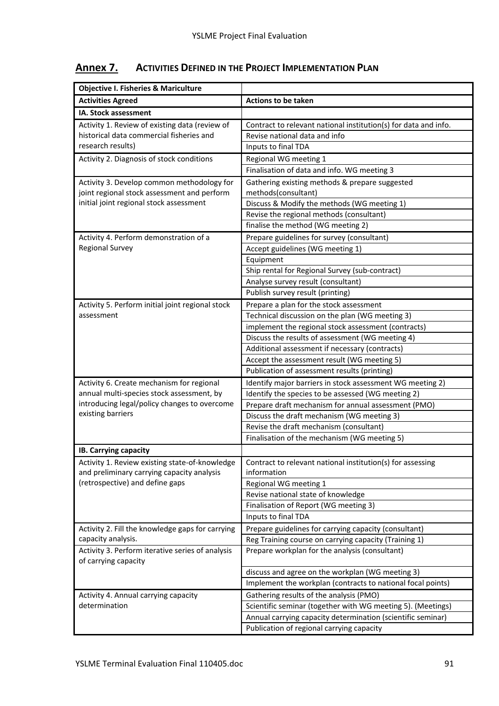| <b>ACTIVITIES DEFINED IN THE PROJECT IMPLEMENTATION PLAN</b><br>Annex 7. |  |
|--------------------------------------------------------------------------|--|
|--------------------------------------------------------------------------|--|

| <b>Objective I. Fisheries &amp; Mariculture</b>                          |                                                                 |
|--------------------------------------------------------------------------|-----------------------------------------------------------------|
| <b>Activities Agreed</b>                                                 | <b>Actions to be taken</b>                                      |
| IA. Stock assessment                                                     |                                                                 |
| Activity 1. Review of existing data (review of                           | Contract to relevant national institution(s) for data and info. |
| historical data commercial fisheries and                                 | Revise national data and info                                   |
| research results)                                                        | Inputs to final TDA                                             |
| Activity 2. Diagnosis of stock conditions                                | Regional WG meeting 1                                           |
|                                                                          | Finalisation of data and info. WG meeting 3                     |
| Activity 3. Develop common methodology for                               | Gathering existing methods & prepare suggested                  |
| joint regional stock assessment and perform                              | methods(consultant)                                             |
| initial joint regional stock assessment                                  | Discuss & Modify the methods (WG meeting 1)                     |
|                                                                          | Revise the regional methods (consultant)                        |
|                                                                          | finalise the method (WG meeting 2)                              |
| Activity 4. Perform demonstration of a                                   | Prepare guidelines for survey (consultant)                      |
| <b>Regional Survey</b>                                                   | Accept guidelines (WG meeting 1)                                |
|                                                                          | Equipment                                                       |
|                                                                          | Ship rental for Regional Survey (sub-contract)                  |
|                                                                          | Analyse survey result (consultant)                              |
|                                                                          | Publish survey result (printing)                                |
| Activity 5. Perform initial joint regional stock                         | Prepare a plan for the stock assessment                         |
| assessment                                                               | Technical discussion on the plan (WG meeting 3)                 |
|                                                                          | implement the regional stock assessment (contracts)             |
|                                                                          | Discuss the results of assessment (WG meeting 4)                |
|                                                                          | Additional assessment if necessary (contracts)                  |
|                                                                          | Accept the assessment result (WG meeting 5)                     |
|                                                                          | Publication of assessment results (printing)                    |
| Activity 6. Create mechanism for regional                                | Identify major barriers in stock assessment WG meeting 2)       |
| annual multi-species stock assessment, by                                | Identify the species to be assessed (WG meeting 2)              |
| introducing legal/policy changes to overcome                             | Prepare draft mechanism for annual assessment (PMO)             |
| existing barriers                                                        | Discuss the draft mechanism (WG meeting 3)                      |
|                                                                          | Revise the draft mechanism (consultant)                         |
|                                                                          | Finalisation of the mechanism (WG meeting 5)                    |
| IB. Carrying capacity                                                    |                                                                 |
| Activity 1. Review existing state-of-knowledge                           | Contract to relevant national institution(s) for assessing      |
| and preliminary carrying capacity analysis                               | information                                                     |
| (retrospective) and define gaps                                          | Regional WG meeting 1                                           |
|                                                                          | Revise national state of knowledge                              |
|                                                                          | Finalisation of Report (WG meeting 3)                           |
|                                                                          | Inputs to final TDA                                             |
| Activity 2. Fill the knowledge gaps for carrying                         | Prepare guidelines for carrying capacity (consultant)           |
| capacity analysis.                                                       | Reg Training course on carrying capacity (Training 1)           |
| Activity 3. Perform iterative series of analysis<br>of carrying capacity | Prepare workplan for the analysis (consultant)                  |
|                                                                          | discuss and agree on the workplan (WG meeting 3)                |
|                                                                          | Implement the workplan (contracts to national focal points)     |
| Activity 4. Annual carrying capacity                                     | Gathering results of the analysis (PMO)                         |
| determination                                                            | Scientific seminar (together with WG meeting 5). (Meetings)     |
|                                                                          | Annual carrying capacity determination (scientific seminar)     |
|                                                                          | Publication of regional carrying capacity                       |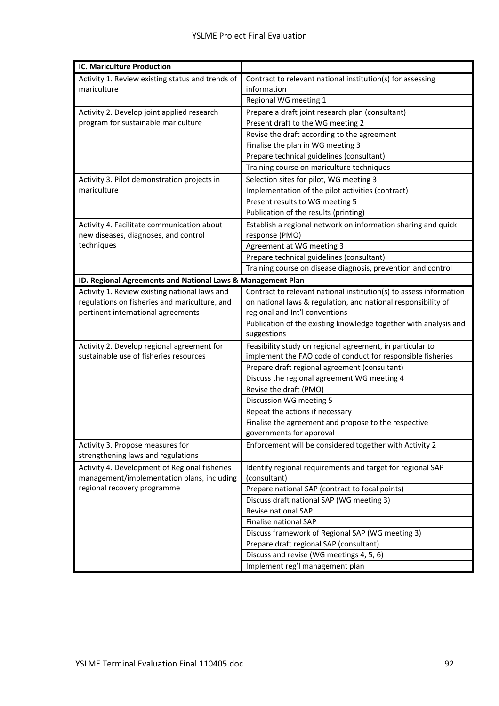| IC. Mariculture Production                                  |                                                                    |
|-------------------------------------------------------------|--------------------------------------------------------------------|
| Activity 1. Review existing status and trends of            | Contract to relevant national institution(s) for assessing         |
| mariculture                                                 | information                                                        |
|                                                             | Regional WG meeting 1                                              |
| Activity 2. Develop joint applied research                  | Prepare a draft joint research plan (consultant)                   |
| program for sustainable mariculture                         | Present draft to the WG meeting 2                                  |
|                                                             | Revise the draft according to the agreement                        |
|                                                             | Finalise the plan in WG meeting 3                                  |
|                                                             | Prepare technical guidelines (consultant)                          |
|                                                             | Training course on mariculture techniques                          |
| Activity 3. Pilot demonstration projects in                 | Selection sites for pilot, WG meeting 3                            |
| mariculture                                                 | Implementation of the pilot activities (contract)                  |
|                                                             | Present results to WG meeting 5                                    |
|                                                             | Publication of the results (printing)                              |
| Activity 4. Facilitate communication about                  | Establish a regional network on information sharing and quick      |
| new diseases, diagnoses, and control                        | response (PMO)                                                     |
| techniques                                                  | Agreement at WG meeting 3                                          |
|                                                             | Prepare technical guidelines (consultant)                          |
|                                                             | Training course on disease diagnosis, prevention and control       |
| ID. Regional Agreements and National Laws & Management Plan |                                                                    |
| Activity 1. Review existing national laws and               | Contract to relevant national institution(s) to assess information |
| regulations on fisheries and mariculture, and               | on national laws & regulation, and national responsibility of      |
| pertinent international agreements                          | regional and Int'l conventions                                     |
|                                                             | Publication of the existing knowledge together with analysis and   |
|                                                             | suggestions                                                        |
| Activity 2. Develop regional agreement for                  | Feasibility study on regional agreement, in particular to          |
| sustainable use of fisheries resources                      | implement the FAO code of conduct for responsible fisheries        |
|                                                             | Prepare draft regional agreement (consultant)                      |
|                                                             | Discuss the regional agreement WG meeting 4                        |
|                                                             | Revise the draft (PMO)                                             |
|                                                             | Discussion WG meeting 5                                            |
|                                                             | Repeat the actions if necessary                                    |
|                                                             | Finalise the agreement and propose to the respective               |
|                                                             | governments for approval                                           |
| Activity 3. Propose measures for                            | Enforcement will be considered together with Activity 2            |
| strengthening laws and regulations                          |                                                                    |
| Activity 4. Development of Regional fisheries               | Identify regional requirements and target for regional SAP         |
| management/implementation plans, including                  | (consultant)                                                       |
| regional recovery programme                                 | Prepare national SAP (contract to focal points)                    |
|                                                             | Discuss draft national SAP (WG meeting 3)                          |
|                                                             | Revise national SAP                                                |
|                                                             | Finalise national SAP                                              |
|                                                             | Discuss framework of Regional SAP (WG meeting 3)                   |
|                                                             | Prepare draft regional SAP (consultant)                            |
|                                                             | Discuss and revise (WG meetings 4, 5, 6)                           |
|                                                             | Implement reg'l management plan                                    |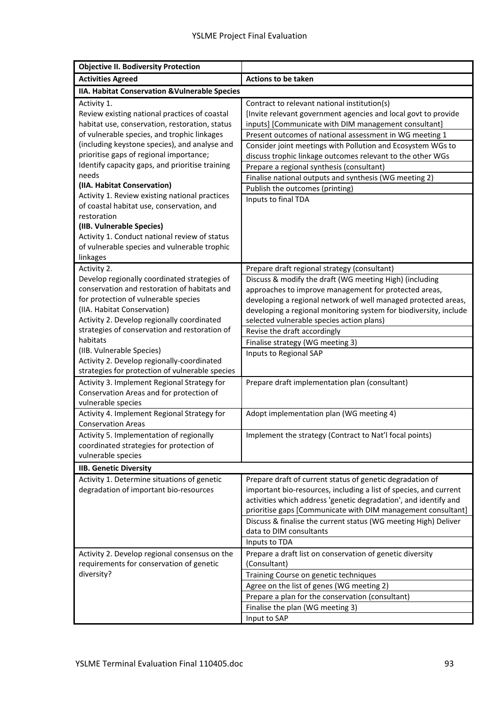| <b>Activities Agreed</b><br><b>Actions to be taken</b><br>IIA. Habitat Conservation & Vulnerable Species<br>Contract to relevant national institution(s)<br>Activity 1.<br>Review existing national practices of coastal<br>[Invite relevant government agencies and local govt to provide<br>inputs] [Communicate with DIM management consultant]<br>habitat use, conservation, restoration, status<br>of vulnerable species, and trophic linkages<br>Present outcomes of national assessment in WG meeting 1<br>(including keystone species), and analyse and<br>Consider joint meetings with Pollution and Ecosystem WGs to<br>prioritise gaps of regional importance;<br>discuss trophic linkage outcomes relevant to the other WGs<br>Identify capacity gaps, and prioritise training<br>Prepare a regional synthesis (consultant)<br>needs<br>Finalise national outputs and synthesis (WG meeting 2)<br>(IIA. Habitat Conservation)<br>Publish the outcomes (printing)<br>Activity 1. Review existing national practices<br>Inputs to final TDA<br>of coastal habitat use, conservation, and<br>restoration |
|-------------------------------------------------------------------------------------------------------------------------------------------------------------------------------------------------------------------------------------------------------------------------------------------------------------------------------------------------------------------------------------------------------------------------------------------------------------------------------------------------------------------------------------------------------------------------------------------------------------------------------------------------------------------------------------------------------------------------------------------------------------------------------------------------------------------------------------------------------------------------------------------------------------------------------------------------------------------------------------------------------------------------------------------------------------------------------------------------------------------|
|                                                                                                                                                                                                                                                                                                                                                                                                                                                                                                                                                                                                                                                                                                                                                                                                                                                                                                                                                                                                                                                                                                                   |
|                                                                                                                                                                                                                                                                                                                                                                                                                                                                                                                                                                                                                                                                                                                                                                                                                                                                                                                                                                                                                                                                                                                   |
|                                                                                                                                                                                                                                                                                                                                                                                                                                                                                                                                                                                                                                                                                                                                                                                                                                                                                                                                                                                                                                                                                                                   |
|                                                                                                                                                                                                                                                                                                                                                                                                                                                                                                                                                                                                                                                                                                                                                                                                                                                                                                                                                                                                                                                                                                                   |
|                                                                                                                                                                                                                                                                                                                                                                                                                                                                                                                                                                                                                                                                                                                                                                                                                                                                                                                                                                                                                                                                                                                   |
|                                                                                                                                                                                                                                                                                                                                                                                                                                                                                                                                                                                                                                                                                                                                                                                                                                                                                                                                                                                                                                                                                                                   |
|                                                                                                                                                                                                                                                                                                                                                                                                                                                                                                                                                                                                                                                                                                                                                                                                                                                                                                                                                                                                                                                                                                                   |
|                                                                                                                                                                                                                                                                                                                                                                                                                                                                                                                                                                                                                                                                                                                                                                                                                                                                                                                                                                                                                                                                                                                   |
|                                                                                                                                                                                                                                                                                                                                                                                                                                                                                                                                                                                                                                                                                                                                                                                                                                                                                                                                                                                                                                                                                                                   |
|                                                                                                                                                                                                                                                                                                                                                                                                                                                                                                                                                                                                                                                                                                                                                                                                                                                                                                                                                                                                                                                                                                                   |
| (IIB. Vulnerable Species)<br>Activity 1. Conduct national review of status                                                                                                                                                                                                                                                                                                                                                                                                                                                                                                                                                                                                                                                                                                                                                                                                                                                                                                                                                                                                                                        |
| of vulnerable species and vulnerable trophic                                                                                                                                                                                                                                                                                                                                                                                                                                                                                                                                                                                                                                                                                                                                                                                                                                                                                                                                                                                                                                                                      |
| linkages                                                                                                                                                                                                                                                                                                                                                                                                                                                                                                                                                                                                                                                                                                                                                                                                                                                                                                                                                                                                                                                                                                          |
| Activity 2.<br>Prepare draft regional strategy (consultant)                                                                                                                                                                                                                                                                                                                                                                                                                                                                                                                                                                                                                                                                                                                                                                                                                                                                                                                                                                                                                                                       |
| Develop regionally coordinated strategies of<br>Discuss & modify the draft (WG meeting High) (including                                                                                                                                                                                                                                                                                                                                                                                                                                                                                                                                                                                                                                                                                                                                                                                                                                                                                                                                                                                                           |
| conservation and restoration of habitats and<br>approaches to improve management for protected areas,                                                                                                                                                                                                                                                                                                                                                                                                                                                                                                                                                                                                                                                                                                                                                                                                                                                                                                                                                                                                             |
| for protection of vulnerable species<br>developing a regional network of well managed protected areas,                                                                                                                                                                                                                                                                                                                                                                                                                                                                                                                                                                                                                                                                                                                                                                                                                                                                                                                                                                                                            |
| (IIA. Habitat Conservation)<br>developing a regional monitoring system for biodiversity, include                                                                                                                                                                                                                                                                                                                                                                                                                                                                                                                                                                                                                                                                                                                                                                                                                                                                                                                                                                                                                  |
| Activity 2. Develop regionally coordinated<br>selected vulnerable species action plans)                                                                                                                                                                                                                                                                                                                                                                                                                                                                                                                                                                                                                                                                                                                                                                                                                                                                                                                                                                                                                           |
| strategies of conservation and restoration of<br>Revise the draft accordingly                                                                                                                                                                                                                                                                                                                                                                                                                                                                                                                                                                                                                                                                                                                                                                                                                                                                                                                                                                                                                                     |
| habitats<br>Finalise strategy (WG meeting 3)                                                                                                                                                                                                                                                                                                                                                                                                                                                                                                                                                                                                                                                                                                                                                                                                                                                                                                                                                                                                                                                                      |
| (IIB. Vulnerable Species)<br>Inputs to Regional SAP<br>Activity 2. Develop regionally-coordinated                                                                                                                                                                                                                                                                                                                                                                                                                                                                                                                                                                                                                                                                                                                                                                                                                                                                                                                                                                                                                 |
| strategies for protection of vulnerable species                                                                                                                                                                                                                                                                                                                                                                                                                                                                                                                                                                                                                                                                                                                                                                                                                                                                                                                                                                                                                                                                   |
| Activity 3. Implement Regional Strategy for<br>Prepare draft implementation plan (consultant)<br>Conservation Areas and for protection of<br>vulnerable species                                                                                                                                                                                                                                                                                                                                                                                                                                                                                                                                                                                                                                                                                                                                                                                                                                                                                                                                                   |
| Activity 4. Implement Regional Strategy for<br>Adopt implementation plan (WG meeting 4)                                                                                                                                                                                                                                                                                                                                                                                                                                                                                                                                                                                                                                                                                                                                                                                                                                                                                                                                                                                                                           |
| <b>Conservation Areas</b>                                                                                                                                                                                                                                                                                                                                                                                                                                                                                                                                                                                                                                                                                                                                                                                                                                                                                                                                                                                                                                                                                         |
| Implement the strategy (Contract to Nat'l focal points)<br>Activity 5. Implementation of regionally<br>coordinated strategies for protection of<br>vulnerable species                                                                                                                                                                                                                                                                                                                                                                                                                                                                                                                                                                                                                                                                                                                                                                                                                                                                                                                                             |
| <b>IIB. Genetic Diversity</b>                                                                                                                                                                                                                                                                                                                                                                                                                                                                                                                                                                                                                                                                                                                                                                                                                                                                                                                                                                                                                                                                                     |
| Prepare draft of current status of genetic degradation of<br>Activity 1. Determine situations of genetic                                                                                                                                                                                                                                                                                                                                                                                                                                                                                                                                                                                                                                                                                                                                                                                                                                                                                                                                                                                                          |
| degradation of important bio-resources<br>important bio-resources, including a list of species, and current                                                                                                                                                                                                                                                                                                                                                                                                                                                                                                                                                                                                                                                                                                                                                                                                                                                                                                                                                                                                       |
| activities which address 'genetic degradation', and identify and                                                                                                                                                                                                                                                                                                                                                                                                                                                                                                                                                                                                                                                                                                                                                                                                                                                                                                                                                                                                                                                  |
| prioritise gaps [Communicate with DIM management consultant]                                                                                                                                                                                                                                                                                                                                                                                                                                                                                                                                                                                                                                                                                                                                                                                                                                                                                                                                                                                                                                                      |
| Discuss & finalise the current status (WG meeting High) Deliver                                                                                                                                                                                                                                                                                                                                                                                                                                                                                                                                                                                                                                                                                                                                                                                                                                                                                                                                                                                                                                                   |
| data to DIM consultants                                                                                                                                                                                                                                                                                                                                                                                                                                                                                                                                                                                                                                                                                                                                                                                                                                                                                                                                                                                                                                                                                           |
| Inputs to TDA                                                                                                                                                                                                                                                                                                                                                                                                                                                                                                                                                                                                                                                                                                                                                                                                                                                                                                                                                                                                                                                                                                     |
| Activity 2. Develop regional consensus on the<br>Prepare a draft list on conservation of genetic diversity                                                                                                                                                                                                                                                                                                                                                                                                                                                                                                                                                                                                                                                                                                                                                                                                                                                                                                                                                                                                        |
| requirements for conservation of genetic<br>(Consultant)<br>diversity?<br>Training Course on genetic techniques                                                                                                                                                                                                                                                                                                                                                                                                                                                                                                                                                                                                                                                                                                                                                                                                                                                                                                                                                                                                   |
| Agree on the list of genes (WG meeting 2)                                                                                                                                                                                                                                                                                                                                                                                                                                                                                                                                                                                                                                                                                                                                                                                                                                                                                                                                                                                                                                                                         |
| Prepare a plan for the conservation (consultant)                                                                                                                                                                                                                                                                                                                                                                                                                                                                                                                                                                                                                                                                                                                                                                                                                                                                                                                                                                                                                                                                  |
| Finalise the plan (WG meeting 3)                                                                                                                                                                                                                                                                                                                                                                                                                                                                                                                                                                                                                                                                                                                                                                                                                                                                                                                                                                                                                                                                                  |
| Input to SAP                                                                                                                                                                                                                                                                                                                                                                                                                                                                                                                                                                                                                                                                                                                                                                                                                                                                                                                                                                                                                                                                                                      |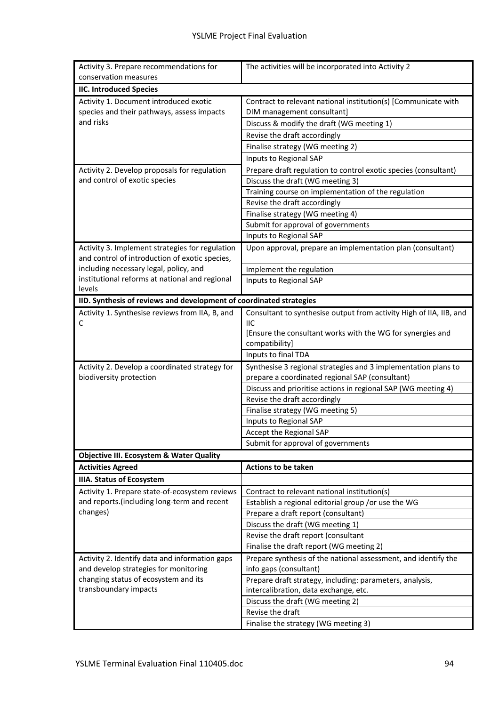| Activity 3. Prepare recommendations for                             | The activities will be incorporated into Activity 2                 |  |
|---------------------------------------------------------------------|---------------------------------------------------------------------|--|
| conservation measures                                               |                                                                     |  |
| <b>IIC. Introduced Species</b>                                      |                                                                     |  |
| Activity 1. Document introduced exotic                              | Contract to relevant national institution(s) [Communicate with      |  |
| species and their pathways, assess impacts                          | DIM management consultant]                                          |  |
| and risks                                                           | Discuss & modify the draft (WG meeting 1)                           |  |
|                                                                     | Revise the draft accordingly                                        |  |
|                                                                     | Finalise strategy (WG meeting 2)                                    |  |
|                                                                     | Inputs to Regional SAP                                              |  |
| Activity 2. Develop proposals for regulation                        | Prepare draft regulation to control exotic species (consultant)     |  |
| and control of exotic species                                       | Discuss the draft (WG meeting 3)                                    |  |
|                                                                     | Training course on implementation of the regulation                 |  |
|                                                                     | Revise the draft accordingly                                        |  |
|                                                                     | Finalise strategy (WG meeting 4)                                    |  |
|                                                                     | Submit for approval of governments                                  |  |
|                                                                     | Inputs to Regional SAP                                              |  |
|                                                                     |                                                                     |  |
| Activity 3. Implement strategies for regulation                     | Upon approval, prepare an implementation plan (consultant)          |  |
| and control of introduction of exotic species,                      |                                                                     |  |
| including necessary legal, policy, and                              | Implement the regulation                                            |  |
| institutional reforms at national and regional<br>levels            | Inputs to Regional SAP                                              |  |
|                                                                     |                                                                     |  |
| IID. Synthesis of reviews and development of coordinated strategies |                                                                     |  |
| Activity 1. Synthesise reviews from IIA, B, and                     | Consultant to synthesise output from activity High of IIA, IIB, and |  |
| C                                                                   | <b>IIC</b>                                                          |  |
|                                                                     | [Ensure the consultant works with the WG for synergies and          |  |
|                                                                     | compatibility]                                                      |  |
|                                                                     | Inputs to final TDA                                                 |  |
| Activity 2. Develop a coordinated strategy for                      | Synthesise 3 regional strategies and 3 implementation plans to      |  |
| biodiversity protection                                             | prepare a coordinated regional SAP (consultant)                     |  |
|                                                                     | Discuss and prioritise actions in regional SAP (WG meeting 4)       |  |
|                                                                     | Revise the draft accordingly                                        |  |
|                                                                     | Finalise strategy (WG meeting 5)                                    |  |
|                                                                     | Inputs to Regional SAP                                              |  |
|                                                                     | Accept the Regional SAP                                             |  |
|                                                                     | Submit for approval of governments                                  |  |
| <b>Objective III. Ecosystem &amp; Water Quality</b>                 |                                                                     |  |
| <b>Activities Agreed</b>                                            | <b>Actions to be taken</b>                                          |  |
| <b>IIIA. Status of Ecosystem</b>                                    |                                                                     |  |
| Activity 1. Prepare state-of-ecosystem reviews                      | Contract to relevant national institution(s)                        |  |
| and reports.(including long-term and recent                         | Establish a regional editorial group /or use the WG                 |  |
| changes)                                                            | Prepare a draft report (consultant)                                 |  |
|                                                                     |                                                                     |  |
|                                                                     | Discuss the draft (WG meeting 1)                                    |  |
|                                                                     | Revise the draft report (consultant                                 |  |
|                                                                     | Finalise the draft report (WG meeting 2)                            |  |
| Activity 2. Identify data and information gaps                      | Prepare synthesis of the national assessment, and identify the      |  |
| and develop strategies for monitoring                               | info gaps (consultant)                                              |  |
| changing status of ecosystem and its                                | Prepare draft strategy, including: parameters, analysis,            |  |
| transboundary impacts                                               | intercalibration, data exchange, etc.                               |  |
|                                                                     | Discuss the draft (WG meeting 2)                                    |  |
|                                                                     |                                                                     |  |
|                                                                     | Revise the draft<br>Finalise the strategy (WG meeting 3)            |  |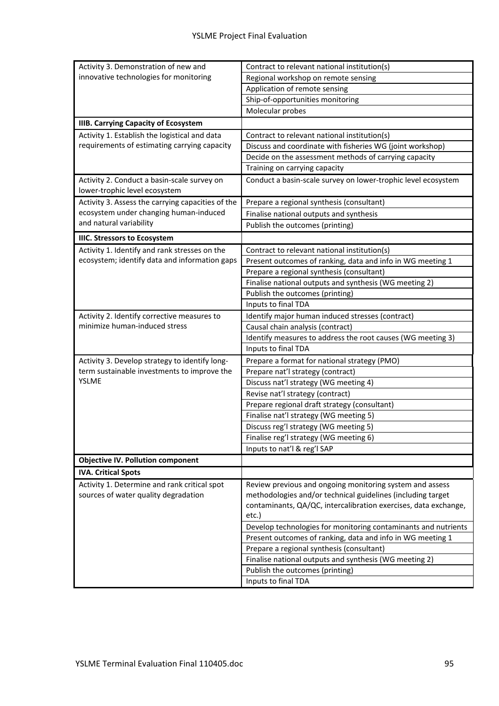| Activity 3. Demonstration of new and                                         | Contract to relevant national institution(s)                    |
|------------------------------------------------------------------------------|-----------------------------------------------------------------|
| innovative technologies for monitoring                                       | Regional workshop on remote sensing                             |
|                                                                              | Application of remote sensing                                   |
|                                                                              | Ship-of-opportunities monitoring                                |
|                                                                              | Molecular probes                                                |
| <b>IIIB. Carrying Capacity of Ecosystem</b>                                  |                                                                 |
| Activity 1. Establish the logistical and data                                | Contract to relevant national institution(s)                    |
| requirements of estimating carrying capacity                                 | Discuss and coordinate with fisheries WG (joint workshop)       |
|                                                                              | Decide on the assessment methods of carrying capacity           |
|                                                                              | Training on carrying capacity                                   |
| Activity 2. Conduct a basin-scale survey on<br>lower-trophic level ecosystem | Conduct a basin-scale survey on lower-trophic level ecosystem   |
| Activity 3. Assess the carrying capacities of the                            | Prepare a regional synthesis (consultant)                       |
| ecosystem under changing human-induced                                       | Finalise national outputs and synthesis                         |
| and natural variability                                                      | Publish the outcomes (printing)                                 |
| <b>IIIC. Stressors to Ecosystem</b>                                          |                                                                 |
| Activity 1. Identify and rank stresses on the                                | Contract to relevant national institution(s)                    |
| ecosystem; identify data and information gaps                                | Present outcomes of ranking, data and info in WG meeting 1      |
|                                                                              | Prepare a regional synthesis (consultant)                       |
|                                                                              | Finalise national outputs and synthesis (WG meeting 2)          |
|                                                                              | Publish the outcomes (printing)                                 |
|                                                                              | Inputs to final TDA                                             |
| Activity 2. Identify corrective measures to                                  | Identify major human induced stresses (contract)                |
| minimize human-induced stress                                                | Causal chain analysis (contract)                                |
|                                                                              | Identify measures to address the root causes (WG meeting 3)     |
|                                                                              | Inputs to final TDA                                             |
| Activity 3. Develop strategy to identify long-                               | Prepare a format for national strategy (PMO)                    |
| term sustainable investments to improve the                                  | Prepare nat'l strategy (contract)                               |
| <b>YSLME</b>                                                                 | Discuss nat'l strategy (WG meeting 4)                           |
|                                                                              | Revise nat'l strategy (contract)                                |
|                                                                              | Prepare regional draft strategy (consultant)                    |
|                                                                              | Finalise nat'l strategy (WG meeting 5)                          |
|                                                                              | Discuss reg'l strategy (WG meeting 5)                           |
|                                                                              | Finalise reg'l strategy (WG meeting 6)                          |
|                                                                              | Inputs to nat'l & reg'l SAP                                     |
| <b>Objective IV. Pollution component</b>                                     |                                                                 |
| <b>IVA. Critical Spots</b>                                                   |                                                                 |
| Activity 1. Determine and rank critical spot                                 | Review previous and ongoing monitoring system and assess        |
| sources of water quality degradation                                         | methodologies and/or technical guidelines (including target     |
|                                                                              | contaminants, QA/QC, intercalibration exercises, data exchange, |
|                                                                              | etc.)                                                           |
|                                                                              | Develop technologies for monitoring contaminants and nutrients  |
|                                                                              | Present outcomes of ranking, data and info in WG meeting 1      |
|                                                                              | Prepare a regional synthesis (consultant)                       |
|                                                                              | Finalise national outputs and synthesis (WG meeting 2)          |
|                                                                              | Publish the outcomes (printing)                                 |
|                                                                              | Inputs to final TDA                                             |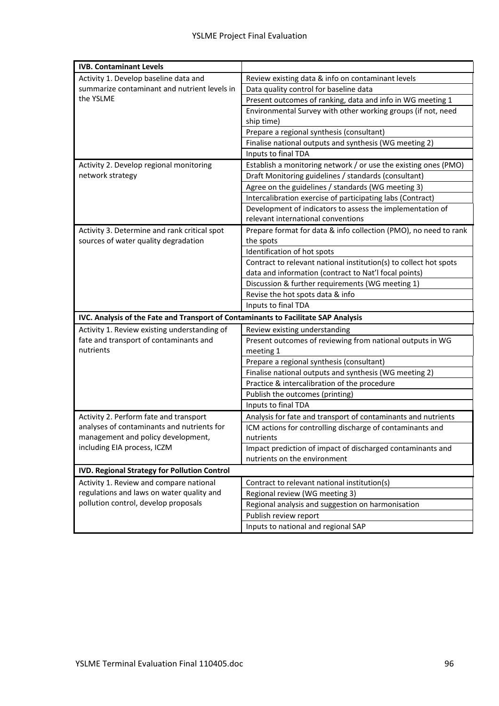| <b>IVB. Contaminant Levels</b>                                                     |                                                                   |
|------------------------------------------------------------------------------------|-------------------------------------------------------------------|
| Activity 1. Develop baseline data and                                              | Review existing data & info on contaminant levels                 |
| summarize contaminant and nutrient levels in                                       | Data quality control for baseline data                            |
| the YSLME                                                                          | Present outcomes of ranking, data and info in WG meeting 1        |
|                                                                                    | Environmental Survey with other working groups (if not, need      |
|                                                                                    | ship time)                                                        |
|                                                                                    | Prepare a regional synthesis (consultant)                         |
|                                                                                    | Finalise national outputs and synthesis (WG meeting 2)            |
|                                                                                    | Inputs to final TDA                                               |
| Activity 2. Develop regional monitoring                                            | Establish a monitoring network / or use the existing ones (PMO)   |
| network strategy                                                                   | Draft Monitoring guidelines / standards (consultant)              |
|                                                                                    | Agree on the guidelines / standards (WG meeting 3)                |
|                                                                                    | Intercalibration exercise of participating labs (Contract)        |
|                                                                                    | Development of indicators to assess the implementation of         |
|                                                                                    | relevant international conventions                                |
| Activity 3. Determine and rank critical spot                                       | Prepare format for data & info collection (PMO), no need to rank  |
| sources of water quality degradation                                               | the spots                                                         |
|                                                                                    | Identification of hot spots                                       |
|                                                                                    | Contract to relevant national institution(s) to collect hot spots |
|                                                                                    | data and information (contract to Nat'l focal points)             |
|                                                                                    | Discussion & further requirements (WG meeting 1)                  |
|                                                                                    | Revise the hot spots data & info                                  |
|                                                                                    | Inputs to final TDA                                               |
| IVC. Analysis of the Fate and Transport of Contaminants to Facilitate SAP Analysis |                                                                   |
| Activity 1. Review existing understanding of                                       | Review existing understanding                                     |
| fate and transport of contaminants and                                             | Present outcomes of reviewing from national outputs in WG         |
| nutrients                                                                          | meeting 1                                                         |
|                                                                                    | Prepare a regional synthesis (consultant)                         |
|                                                                                    | Finalise national outputs and synthesis (WG meeting 2)            |
|                                                                                    | Practice & intercalibration of the procedure                      |
|                                                                                    | Publish the outcomes (printing)                                   |
|                                                                                    | Inputs to final TDA                                               |
| Activity 2. Perform fate and transport                                             | Analysis for fate and transport of contaminants and nutrients     |
| analyses of contaminants and nutrients for                                         | ICM actions for controlling discharge of contaminants and         |
| management and policy development,                                                 | nutrients                                                         |
| including EIA process, ICZM                                                        | Impact prediction of impact of discharged contaminants and        |
|                                                                                    | nutrients on the environment                                      |
| <b>IVD. Regional Strategy for Pollution Control</b>                                |                                                                   |
| Activity 1. Review and compare national                                            | Contract to relevant national institution(s)                      |
| regulations and laws on water quality and                                          | Regional review (WG meeting 3)                                    |
| pollution control, develop proposals                                               | Regional analysis and suggestion on harmonisation                 |
|                                                                                    | Publish review report                                             |
|                                                                                    | Inputs to national and regional SAP                               |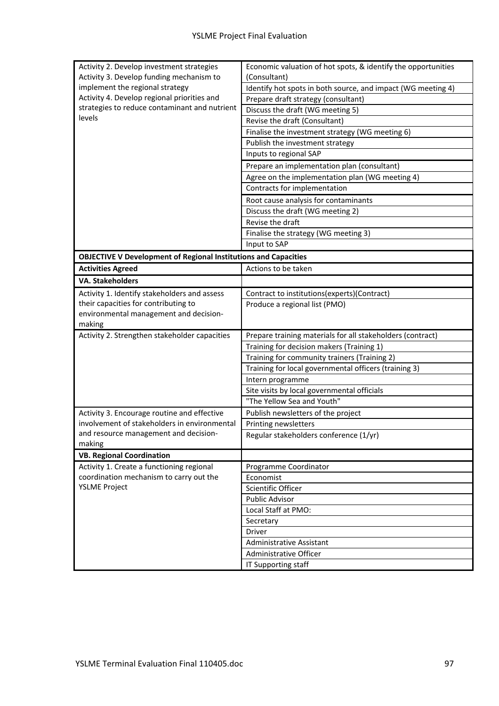| Activity 2. Develop investment strategies                              | Economic valuation of hot spots, & identify the opportunities |
|------------------------------------------------------------------------|---------------------------------------------------------------|
| Activity 3. Develop funding mechanism to                               | (Consultant)                                                  |
| implement the regional strategy                                        | Identify hot spots in both source, and impact (WG meeting 4)  |
| Activity 4. Develop regional priorities and                            | Prepare draft strategy (consultant)                           |
| strategies to reduce contaminant and nutrient                          | Discuss the draft (WG meeting 5)                              |
| levels                                                                 | Revise the draft (Consultant)                                 |
|                                                                        | Finalise the investment strategy (WG meeting 6)               |
|                                                                        | Publish the investment strategy                               |
|                                                                        | Inputs to regional SAP                                        |
|                                                                        | Prepare an implementation plan (consultant)                   |
|                                                                        | Agree on the implementation plan (WG meeting 4)               |
|                                                                        | Contracts for implementation                                  |
|                                                                        | Root cause analysis for contaminants                          |
|                                                                        | Discuss the draft (WG meeting 2)                              |
|                                                                        | Revise the draft                                              |
|                                                                        | Finalise the strategy (WG meeting 3)                          |
|                                                                        | Input to SAP                                                  |
| <b>OBJECTIVE V Development of Regional Institutions and Capacities</b> |                                                               |
| <b>Activities Agreed</b>                                               | Actions to be taken                                           |
| <b>VA. Stakeholders</b>                                                |                                                               |
| Activity 1. Identify stakeholders and assess                           | Contract to institutions(experts)(Contract)                   |
| their capacities for contributing to                                   | Produce a regional list (PMO)                                 |
| environmental management and decision-                                 |                                                               |
| making                                                                 |                                                               |
| Activity 2. Strengthen stakeholder capacities                          | Prepare training materials for all stakeholders (contract)    |
|                                                                        | Training for decision makers (Training 1)                     |
|                                                                        | Training for community trainers (Training 2)                  |
|                                                                        | Training for local governmental officers (training 3)         |
|                                                                        | Intern programme                                              |
|                                                                        | Site visits by local governmental officials                   |
|                                                                        | "The Yellow Sea and Youth"                                    |
| Activity 3. Encourage routine and effective                            | Publish newsletters of the project                            |
| involvement of stakeholders in environmental                           | Printing newsletters                                          |
| and resource management and decision-                                  | Regular stakeholders conference (1/yr)                        |
| making                                                                 |                                                               |
| <b>VB. Regional Coordination</b>                                       |                                                               |
| Activity 1. Create a functioning regional                              | Programme Coordinator                                         |
| coordination mechanism to carry out the                                | Economist                                                     |
| <b>YSLME Project</b>                                                   | Scientific Officer                                            |
|                                                                        | Public Advisor                                                |
|                                                                        | Local Staff at PMO:                                           |
|                                                                        | Secretary                                                     |
|                                                                        | <b>Driver</b>                                                 |
|                                                                        | Administrative Assistant                                      |
|                                                                        | Administrative Officer                                        |
|                                                                        | IT Supporting staff                                           |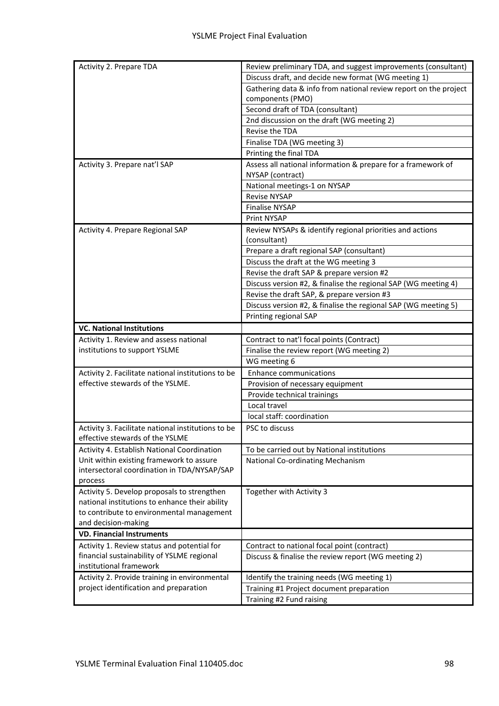| Activity 2. Prepare TDA                            | Review preliminary TDA, and suggest improvements (consultant)    |
|----------------------------------------------------|------------------------------------------------------------------|
|                                                    | Discuss draft, and decide new format (WG meeting 1)              |
|                                                    | Gathering data & info from national review report on the project |
|                                                    | components (PMO)                                                 |
|                                                    | Second draft of TDA (consultant)                                 |
|                                                    | 2nd discussion on the draft (WG meeting 2)                       |
|                                                    | Revise the TDA                                                   |
|                                                    | Finalise TDA (WG meeting 3)                                      |
|                                                    | Printing the final TDA                                           |
| Activity 3. Prepare nat'l SAP                      | Assess all national information & prepare for a framework of     |
|                                                    | NYSAP (contract)                                                 |
|                                                    | National meetings-1 on NYSAP                                     |
|                                                    | <b>Revise NYSAP</b>                                              |
|                                                    | <b>Finalise NYSAP</b>                                            |
|                                                    | Print NYSAP                                                      |
| Activity 4. Prepare Regional SAP                   | Review NYSAPs & identify regional priorities and actions         |
|                                                    | (consultant)                                                     |
|                                                    | Prepare a draft regional SAP (consultant)                        |
|                                                    | Discuss the draft at the WG meeting 3                            |
|                                                    | Revise the draft SAP & prepare version #2                        |
|                                                    | Discuss version #2, & finalise the regional SAP (WG meeting 4)   |
|                                                    | Revise the draft SAP, & prepare version #3                       |
|                                                    | Discuss version #2, & finalise the regional SAP (WG meeting 5)   |
|                                                    | Printing regional SAP                                            |
| <b>VC. National Institutions</b>                   |                                                                  |
| Activity 1. Review and assess national             | Contract to nat'l focal points (Contract)                        |
| institutions to support YSLME                      | Finalise the review report (WG meeting 2)                        |
|                                                    | WG meeting 6                                                     |
| Activity 2. Facilitate national institutions to be | Enhance communications                                           |
| effective stewards of the YSLME.                   | Provision of necessary equipment                                 |
|                                                    | Provide technical trainings                                      |
|                                                    | Local travel                                                     |
|                                                    | local staff: coordination                                        |
| Activity 3. Facilitate national institutions to be | PSC to discuss                                                   |
| effective stewards of the YSLME                    |                                                                  |
| Activity 4. Establish National Coordination        | To be carried out by National institutions                       |
| Unit within existing framework to assure           | National Co-ordinating Mechanism                                 |
| intersectoral coordination in TDA/NYSAP/SAP        |                                                                  |
| process                                            |                                                                  |
| Activity 5. Develop proposals to strengthen        | Together with Activity 3                                         |
| national institutions to enhance their ability     |                                                                  |
| to contribute to environmental management          |                                                                  |
| and decision-making                                |                                                                  |
| <b>VD. Financial Instruments</b>                   |                                                                  |
| Activity 1. Review status and potential for        | Contract to national focal point (contract)                      |
| financial sustainability of YSLME regional         | Discuss & finalise the review report (WG meeting 2)              |
| institutional framework                            |                                                                  |
| Activity 2. Provide training in environmental      | Identify the training needs (WG meeting 1)                       |
| project identification and preparation             | Training #1 Project document preparation                         |
|                                                    | Training #2 Fund raising                                         |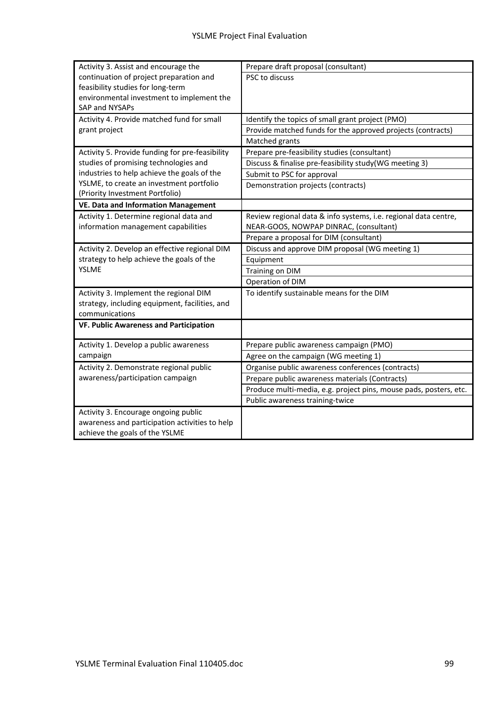| Activity 3. Assist and encourage the            | Prepare draft proposal (consultant)                               |
|-------------------------------------------------|-------------------------------------------------------------------|
| continuation of project preparation and         | PSC to discuss                                                    |
| feasibility studies for long-term               |                                                                   |
| environmental investment to implement the       |                                                                   |
| SAP and NYSAPs                                  |                                                                   |
| Activity 4. Provide matched fund for small      | Identify the topics of small grant project (PMO)                  |
| grant project                                   | Provide matched funds for the approved projects (contracts)       |
|                                                 | Matched grants                                                    |
| Activity 5. Provide funding for pre-feasibility | Prepare pre-feasibility studies (consultant)                      |
| studies of promising technologies and           | Discuss & finalise pre-feasibility study(WG meeting 3)            |
| industries to help achieve the goals of the     | Submit to PSC for approval                                        |
| YSLME, to create an investment portfolio        | Demonstration projects (contracts)                                |
| (Priority Investment Portfolio)                 |                                                                   |
| VE. Data and Information Management             |                                                                   |
| Activity 1. Determine regional data and         | Review regional data & info systems, i.e. regional data centre,   |
| information management capabilities             | NEAR-GOOS, NOWPAP DINRAC, (consultant)                            |
|                                                 | Prepare a proposal for DIM (consultant)                           |
| Activity 2. Develop an effective regional DIM   | Discuss and approve DIM proposal (WG meeting 1)                   |
| strategy to help achieve the goals of the       | Equipment                                                         |
| <b>YSLME</b>                                    | Training on DIM                                                   |
|                                                 | Operation of DIM                                                  |
| Activity 3. Implement the regional DIM          | To identify sustainable means for the DIM                         |
| strategy, including equipment, facilities, and  |                                                                   |
| communications                                  |                                                                   |
| VF. Public Awareness and Participation          |                                                                   |
| Activity 1. Develop a public awareness          | Prepare public awareness campaign (PMO)                           |
| campaign                                        | Agree on the campaign (WG meeting 1)                              |
| Activity 2. Demonstrate regional public         | Organise public awareness conferences (contracts)                 |
| awareness/participation campaign                | Prepare public awareness materials (Contracts)                    |
|                                                 | Produce multi-media, e.g. project pins, mouse pads, posters, etc. |
|                                                 | Public awareness training-twice                                   |
| Activity 3. Encourage ongoing public            |                                                                   |
| awareness and participation activities to help  |                                                                   |
| achieve the goals of the YSLME                  |                                                                   |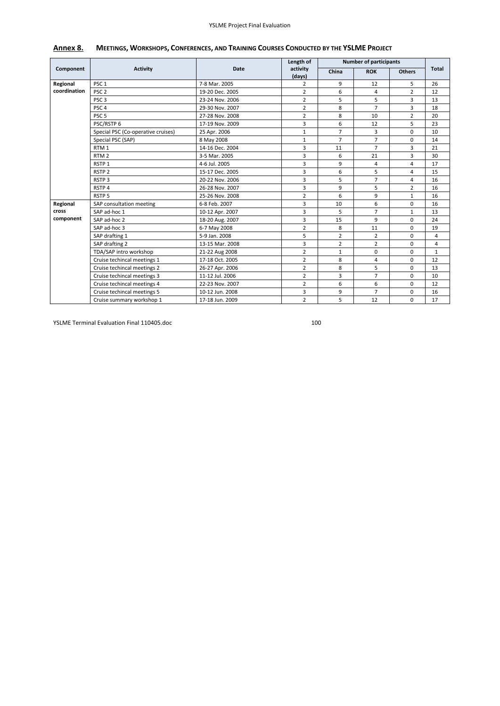## **Annex 8. MEETINGS, WORKSHOPS, CONFERENCES, AND TRAINING COURSES CONDUCTED BY THE YSLME PROJECT**

YSLME Terminal Evaluation Final 110405.doc **100** and 100

|              |                                    |                 | Length of          | <b>Number of participants</b> |                |                |                |
|--------------|------------------------------------|-----------------|--------------------|-------------------------------|----------------|----------------|----------------|
| Component    | <b>Activity</b>                    | <b>Date</b>     | activity<br>(days) | China                         | <b>ROK</b>     | <b>Others</b>  | <b>Total</b>   |
| Regional     | PSC <sub>1</sub>                   | 7-8 Mar. 2005   | $\overline{2}$     | 9                             | 12             | 5              | 26             |
| coordination | PSC <sub>2</sub>                   | 19-20 Dec. 2005 | $\overline{2}$     | 6                             | 4              | $\overline{2}$ | 12             |
|              | PSC <sub>3</sub>                   | 23-24 Nov. 2006 | $\overline{2}$     | 5                             | 5              | 3              | 13             |
|              | PSC <sub>4</sub>                   | 29-30 Nov. 2007 | $\overline{2}$     | 8                             | $\overline{7}$ | 3              | 18             |
|              | PSC <sub>5</sub>                   | 27-28 Nov. 2008 | $\overline{2}$     | 8                             | 10             | $\overline{2}$ | 20             |
|              | PSC/RSTP 6                         | 17-19 Nov. 2009 | 3                  | 6                             | 12             | 5              | 23             |
|              | Special PSC (Co-operative cruises) | 25 Apr. 2006    | $\mathbf{1}$       | $\overline{7}$                | 3              | $\mathbf 0$    | 10             |
|              | Special PSC (SAP)                  | 8 May 2008      | $\mathbf{1}$       | $\overline{7}$                | $\overline{7}$ | $\mathbf{0}$   | 14             |
|              | RTM <sub>1</sub>                   | 14-16 Dec. 2004 | 3                  | 11                            | $\overline{7}$ | 3              | 21             |
|              | RTM <sub>2</sub>                   | 3-5 Mar. 2005   | 3                  | 6                             | 21             | 3              | 30             |
|              | RSTP <sub>1</sub>                  | 4-6 Jul. 2005   | 3                  | 9                             | 4              | 4              | 17             |
|              | RSTP <sub>2</sub>                  | 15-17 Dec. 2005 | 3                  | 6                             | 5              | 4              | 15             |
|              | RSTP <sub>3</sub>                  | 20-22 Nov. 2006 | 3                  | 5                             | $\overline{7}$ | 4              | 16             |
|              | RSTP <sub>4</sub>                  | 26-28 Nov. 2007 | 3                  | 9                             | 5              | $\overline{2}$ | 16             |
|              | RSTP <sub>5</sub>                  | 25-26 Nov. 2008 | $\overline{2}$     | 6                             | 9              | $\mathbf{1}$   | 16             |
| Regional     | SAP consultation meeting           | 6-8 Feb. 2007   | 3                  | 10                            | 6              | $\mathbf 0$    | 16             |
| cross        | SAP ad-hoc 1                       | 10-12 Apr. 2007 | 3                  | 5                             | $\overline{7}$ | $\mathbf{1}$   | 13             |
| component    | SAP ad-hoc 2                       | 18-20 Aug. 2007 | 3                  | 15                            | 9              | $\mathbf{0}$   | 24             |
|              | SAP ad-hoc 3                       | 6-7 May 2008    | $\overline{2}$     | 8                             | 11             | $\Omega$       | 19             |
|              | SAP drafting 1                     | 5-9 Jan. 2008   | 5                  | $\overline{2}$                | $\overline{2}$ | $\mathbf{0}$   | 4              |
|              | SAP drafting 2                     | 13-15 Mar. 2008 | 3                  | $\overline{2}$                | $\overline{2}$ | $\mathbf 0$    | $\overline{4}$ |
|              | TDA/SAP intro workshop             | 21-22 Aug 2008  | $\overline{2}$     | $\mathbf{1}$                  | $\mathbf 0$    | $\mathbf 0$    | $\mathbf{1}$   |
|              | Cruise techincal meetings 1        | 17-18 Oct. 2005 | $\overline{2}$     | 8                             | 4              | $\mathbf 0$    | 12             |
|              | Cruise techincal meetings 2        | 26-27 Apr. 2006 | $\overline{2}$     | 8                             | 5              | $\mathbf{0}$   | 13             |
|              | Cruise techincal meetings 3        | 11-12 Jul. 2006 | $\overline{2}$     | $\overline{3}$                | $\overline{7}$ | $\mathbf 0$    | 10             |
|              | Cruise techincal meetings 4        | 22-23 Nov. 2007 | $\overline{2}$     | 6                             | 6              | $\Omega$       | 12             |
|              | Cruise techincal meetings 5        | 10-12 Jun. 2008 | 3                  | 9                             | $\overline{7}$ | $\pmb{0}$      | 16             |
|              | Cruise summary workshop 1          | 17-18 Jun. 2009 | $\overline{2}$     | 5                             | 12             | $\mathbf 0$    | 17             |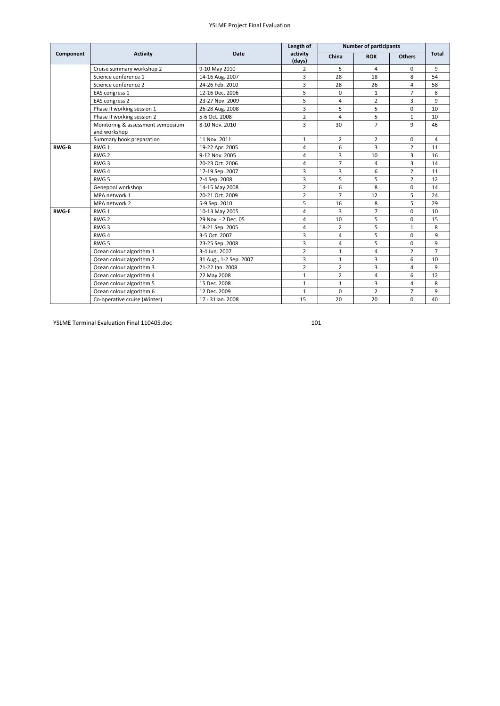|              |                                                   |                        | Length of               | <b>Number of participants</b> |                |                |                |
|--------------|---------------------------------------------------|------------------------|-------------------------|-------------------------------|----------------|----------------|----------------|
| Component    | <b>Activity</b>                                   | <b>Date</b>            | activity<br>(days)      | China                         | <b>ROK</b>     | <b>Others</b>  | <b>Total</b>   |
|              | Cruise summary workshop 2                         | 9-10 May 2010          | $\overline{2}$          | 5                             | 4              | 0              | 9              |
|              | Science conference 1                              | 14-16 Aug. 2007        | 3                       | 28                            | 18             | 8              | 54             |
|              | Science conference 2                              | 24-26 Feb. 2010        | 3                       | 28                            | 26             | 4              | 58             |
|              | EAS congress 1                                    | 12-16 Dec. 2006        | 5                       | $\mathbf 0$                   | $\mathbf{1}$   | $\overline{7}$ | 8              |
|              | EAS congress 2                                    | 23-27 Nov. 2009        | 5                       | 4                             | $\overline{2}$ | 3              | 9              |
|              | Phase II working session 1                        | 26-28 Aug. 2008        | $\overline{\mathbf{3}}$ | 5                             | 5              | 0              | 10             |
|              | Phase II working session 2                        | 5-6 Oct. 2008          | $\overline{2}$          | 4                             | 5              | $\mathbf{1}$   | 10             |
|              | Monitoring & assessment symposium<br>and workshop | 8-10 Nov. 2010         | $\overline{3}$          | 30                            | $\overline{7}$ | 9              | 46             |
|              | Summary book preparation                          | 11 Nov. 2011           | $\mathbf{1}$            | $\overline{2}$                | $\overline{2}$ | $\mathbf 0$    | 4              |
| <b>RWG-B</b> | RWG <sub>1</sub>                                  | 19-22 Apr. 2005        | 4                       | $\boldsymbol{6}$              | 3              | $\overline{2}$ | 11             |
|              | RWG <sub>2</sub>                                  | 9-12 Nov. 2005         | 4                       | 3                             | 10             | 3              | 16             |
|              | RWG <sub>3</sub>                                  | 20-23 Oct. 2006        | 4                       | $\overline{7}$                | 4              | 3              | 14             |
|              | RWG4                                              | 17-19 Sep. 2007        | 3                       | 3                             | 6              | $\overline{2}$ | 11             |
|              | RWG 5                                             | 2-4 Sep. 2008          | 3                       | 5                             | 5              | $\overline{2}$ | 12             |
|              | Genepool workshop                                 | 14-15 May 2008         | $\overline{2}$          | 6                             | 8              | 0              | 14             |
|              | MPA network 1                                     | 20-21 Oct. 2009        | $\overline{2}$          | $\overline{7}$                | 12             | 5              | 24             |
|              | MPA network 2                                     | 5-9 Sep. 2010          | 5                       | 16                            | 8              | 5              | 29             |
| <b>RWG-E</b> | RWG <sub>1</sub>                                  | 10-13 May 2005         | 4                       | 3                             | $\overline{7}$ | 0              | 10             |
|              | RWG <sub>2</sub>                                  | 29 Nov. - 2 Dec. 05    | 4                       | 10                            | 5              | $\overline{0}$ | 15             |
|              | RWG <sub>3</sub>                                  | 18-21 Sep. 2005        | 4                       | $\overline{2}$                | 5              | $\mathbf{1}$   | 8              |
|              | RWG 4                                             | 3-5 Oct. 2007          | 3                       | 4                             | 5              | $\mathbf 0$    | 9              |
|              | RWG <sub>5</sub>                                  | 23-25 Sep. 2008        | 3                       | 4                             | 5              | $\Omega$       | 9              |
|              | Ocean colour algorithm 1                          | 3-4 Jun. 2007          | $\overline{2}$          | $\mathbf{1}$                  | 4              | $\overline{2}$ | $\overline{7}$ |
|              | Ocean colour algorithm 2                          | 31 Aug., 1-2 Sep. 2007 | $\overline{3}$          | $\mathbf{1}$                  | 3              | 6              | 10             |
|              | Ocean colour algorithm 3                          | 21-22 Jan. 2008        | $\overline{2}$          | $\overline{2}$                | 3              | 4              | 9              |
|              | Ocean colour algorithm 4                          | 22 May 2008            | $\mathbf{1}$            | $\overline{2}$                | 4              | 6              | 12             |
|              | Ocean colour algorithm 5                          | 15 Dec. 2008           | $\mathbf{1}$            | $\mathbf 1$                   | 3              | 4              | 8              |
|              | Ocean colour algorithm 6                          | 12 Dec. 2009           | 1                       | $\pmb{0}$                     | $\overline{2}$ | $\overline{7}$ | 9              |
|              | Co-operative cruise (Winter)                      | 17 - 31Jan. 2008       | 15                      | 20                            | 20             | 0              | 40             |

YSLME Terminal Evaluation Final 110405.doc **100 and 120 and 101** and 101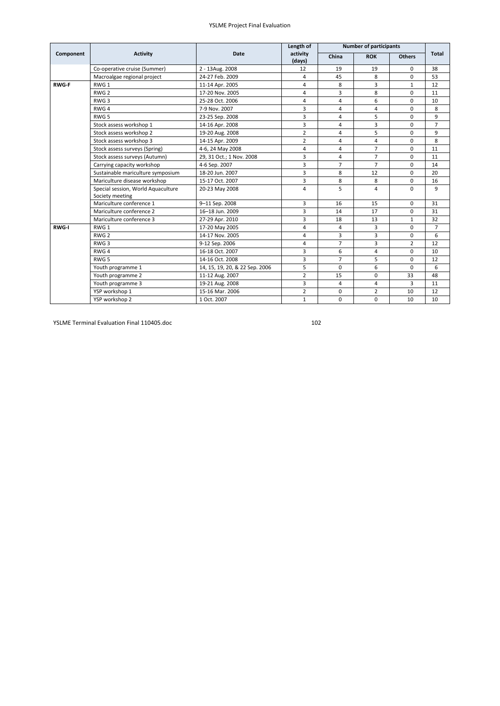|              |                                                       |                                | Length of          | <b>Number of participants</b> |                |                |                |
|--------------|-------------------------------------------------------|--------------------------------|--------------------|-------------------------------|----------------|----------------|----------------|
| Component    | <b>Activity</b>                                       | <b>Date</b>                    | activity<br>(days) | China                         | <b>ROK</b>     | <b>Others</b>  | <b>Total</b>   |
|              | Co-operative cruise (Summer)                          | 2 - 13Aug. 2008                | 12                 | 19                            | 19             | $\Omega$       | 38             |
|              | Macroalgae regional project                           | 24-27 Feb. 2009                | 4                  | 45                            | 8              | $\Omega$       | 53             |
| <b>RWG-F</b> | RWG <sub>1</sub>                                      | 11-14 Apr. 2005                | 4                  | 8                             | 3              | $\mathbf{1}$   | 12             |
|              | RWG <sub>2</sub>                                      | 17-20 Nov. 2005                | 4                  | $\overline{3}$                | 8              | $\Omega$       | 11             |
|              | RWG <sub>3</sub>                                      | 25-28 Oct. 2006                | 4                  | 4                             | 6              | $\mathbf 0$    | 10             |
|              | RWG 4                                                 | 7-9 Nov. 2007                  | $\overline{3}$     | $\overline{4}$                | 4              | $\Omega$       | 8              |
|              | RWG 5                                                 | 23-25 Sep. 2008                | 3                  | 4                             | 5              | $\Omega$       | 9              |
|              | Stock assess workshop 1                               | 14-16 Apr. 2008                | 3                  | 4                             | $\overline{3}$ | $\Omega$       | $\overline{7}$ |
|              | Stock assess workshop 2                               | 19-20 Aug. 2008                | $\overline{2}$     | 4                             | 5              | $\Omega$       | 9              |
|              | Stock assess workshop 3                               | 14-15 Apr. 2009                | $\overline{2}$     | 4                             | 4              | $\mathbf 0$    | 8              |
|              | Stock assess surveys (Spring)                         | 4-6, 24 May 2008               | 4                  | 4                             | $\overline{7}$ | $\Omega$       | 11             |
|              | Stock assess surveys (Autumn)                         | 29, 31 Oct.; 1 Nov. 2008       | 3                  | 4                             | $\overline{7}$ | $\Omega$       | 11             |
|              | Carrying capacity workshop                            | 4-6 Sep. 2007                  | $\overline{3}$     | $\overline{7}$                | $\overline{7}$ | $\Omega$       | 14             |
|              | Sustainable mariculture symposium                     | 18-20 Jun. 2007                | 3                  | 8                             | 12             | $\Omega$       | 20             |
|              | Mariculture disease workshop                          | 15-17 Oct. 2007                | 3                  | 8                             | 8              | $\Omega$       | 16             |
|              | Special session, World Aquaculture<br>Society meeting | 20-23 May 2008                 | 4                  | 5                             | 4              | 0              | 9              |
|              | Mariculture conference 1                              | 9-11 Sep. 2008                 | 3                  | 16                            | 15             | $\mathbf 0$    | 31             |
|              | Mariculture conference 2                              | 16-18 Jun. 2009                | 3                  | 14                            | 17             | $\Omega$       | 31             |
|              | Mariculture conference 3                              | 27-29 Apr. 2010                | 3                  | 18                            | 13             | 1              | 32             |
| <b>RWG-I</b> | RWG <sub>1</sub>                                      | 17-20 May 2005                 | 4                  | 4                             | 3              | $\Omega$       | $\overline{7}$ |
|              | RWG <sub>2</sub>                                      | 14-17 Nov. 2005                | 4                  | 3                             | 3              | $\mathbf 0$    | 6              |
|              | RWG <sub>3</sub>                                      | 9-12 Sep. 2006                 | 4                  | $\overline{7}$                | $\overline{3}$ | $\overline{2}$ | 12             |
|              | RWG 4                                                 | 16-18 Oct. 2007                | 3                  | 6                             | 4              | $\mathbf 0$    | 10             |
|              | RWG 5                                                 | 14-16 Oct. 2008                | 3                  | $\overline{7}$                | 5              | $\Omega$       | 12             |
|              | Youth programme 1                                     | 14, 15, 19, 20, & 22 Sep. 2006 | 5                  | $\pmb{0}$                     | 6              | $\mathbf 0$    | 6              |
|              | Youth programme 2                                     | 11-12 Aug. 2007                | $\overline{2}$     | 15                            | 0              | 33             | 48             |
|              | Youth programme 3                                     | 19-21 Aug. 2008                | 3                  | $\overline{4}$                | 4              | 3              | 11             |
|              | YSP workshop 1                                        | 15-16 Mar. 2006                | $\overline{2}$     | $\mathbf 0$                   | $\overline{2}$ | 10             | 12             |
|              | YSP workshop 2                                        | 1 Oct. 2007                    | $\mathbf{1}$       | $\mathbf 0$                   | 0              | 10             | 10             |

YSLME Terminal Evaluation Final 110405.doc **1008** and 102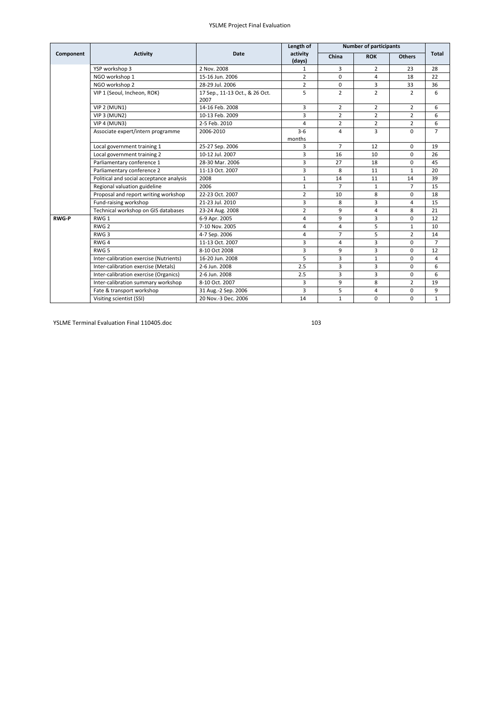|              |                                          |                                        | Length of          | <b>Number of participants</b> |                |                |                |
|--------------|------------------------------------------|----------------------------------------|--------------------|-------------------------------|----------------|----------------|----------------|
| Component    | <b>Activity</b>                          | <b>Date</b>                            | activity<br>(days) | China                         | <b>ROK</b>     | <b>Others</b>  | <b>Total</b>   |
|              | YSP workshop 3                           | 2 Nov. 2008                            | 1                  | 3                             | $\overline{2}$ | 23             | 28             |
|              | NGO workshop 1                           | 15-16 Jun. 2006                        | $\overline{2}$     | $\pmb{0}$                     | 4              | 18             | 22             |
|              | NGO workshop 2                           | 28-29 Jul. 2006                        | $\overline{2}$     | 0                             | 3              | 33             | 36             |
|              | VIP 1 (Seoul, Incheon, ROK)              | 17 Sep., 11-13 Oct., & 26 Oct.<br>2007 | 5                  | $\overline{2}$                | $\overline{2}$ | $\overline{2}$ | 6              |
|              | VIP 2 (MUN1)                             | 14-16 Feb. 2008                        | 3                  | $\overline{2}$                | $\overline{2}$ | $\overline{2}$ | 6              |
|              | VIP 3 (MUN2)                             | 10-13 Feb. 2009                        | 3                  | $\overline{2}$                | $\overline{2}$ | $\overline{2}$ | 6              |
|              | VIP 4 (MUN3)                             | 2-5 Feb. 2010                          | 4                  | $\overline{2}$                | $\overline{2}$ | $\overline{2}$ | 6              |
|              | Associate expert/intern programme        | 2006-2010                              | $3 - 6$<br>months  | 4                             | $\overline{3}$ | $\mathbf 0$    | $\overline{7}$ |
|              | Local government training 1              | 25-27 Sep. 2006                        | 3                  | $\overline{7}$                | 12             | $\mathbf 0$    | 19             |
|              | Local government training 2              | 10-12 Jul. 2007                        | 3                  | 16                            | 10             | 0              | 26             |
|              | Parliamentary conference 1               | 28-30 Mar. 2006                        | 3                  | 27                            | 18             | $\Omega$       | 45             |
|              | Parliamentary conference 2               | 11-13 Oct. 2007                        | 3                  | 8                             | 11             | $\mathbf{1}$   | 20             |
|              | Political and social acceptance analysis | 2008                                   | 1                  | 14                            | 11             | 14             | 39             |
|              | Regional valuation guideline             | 2006                                   | $\mathbf{1}$       | $\overline{7}$                | $\mathbf{1}$   | $\overline{7}$ | 15             |
|              | Proposal and report writing workshop     | 22-23 Oct. 2007                        | $\overline{2}$     | 10                            | 8              | $\Omega$       | 18             |
|              | Fund-raising workshop                    | 21-23 Jul. 2010                        | $\overline{3}$     | 8                             | 3              | 4              | 15             |
|              | Technical workshop on GIS databases      | 23-24 Aug. 2008                        | $\overline{2}$     | $\boldsymbol{9}$              | 4              | 8              | 21             |
| <b>RWG-P</b> | RWG 1                                    | 6-9 Apr. 2005                          | 4                  | 9                             | 3              | $\Omega$       | 12             |
|              | RWG <sub>2</sub>                         | 7-10 Nov. 2005                         | 4                  | $\overline{4}$                | 5              | $\mathbf{1}$   | 10             |
|              | RWG <sub>3</sub>                         | 4-7 Sep. 2006                          | 4                  | $\overline{7}$                | 5              | $\overline{2}$ | 14             |
|              | RWG4                                     | 11-13 Oct. 2007                        | 3                  | $\overline{4}$                | 3              | $\Omega$       | $\overline{7}$ |
|              | RWG <sub>5</sub>                         | 8-10 Oct 2008                          | 3                  | 9                             | 3              | $\Omega$       | 12             |
|              | Inter-calibration exercise (Nutrients)   | 16-20 Jun. 2008                        | 5                  | $\overline{3}$                | $\mathbf{1}$   | $\mathbf{0}$   | 4              |
|              | Inter-calibration exercise (Metals)      | 2-6 Jun. 2008                          | 2.5                | 3                             | 3              | 0              | 6              |
|              | Inter-calibration exercise (Organics)    | 2-6 Jun. 2008                          | 2.5                | 3                             | $\overline{3}$ | 0              | 6              |
|              | Inter-calibration summary workshop       | 8-10 Oct. 2007                         | 3                  | 9                             | 8              | $\overline{2}$ | 19             |
|              | Fate & transport workshop                | 31 Aug.-2 Sep. 2006                    | 3                  | 5                             | 4              | $\mathbf 0$    | 9              |
|              | Visiting scientist (SSI)                 | 20 Nov.-3 Dec. 2006                    | 14                 | $\mathbf 1$                   | 0              | $\mathbf 0$    | $\mathbf{1}$   |

YSLME Terminal Evaluation Final 110405.doc **1008** and 103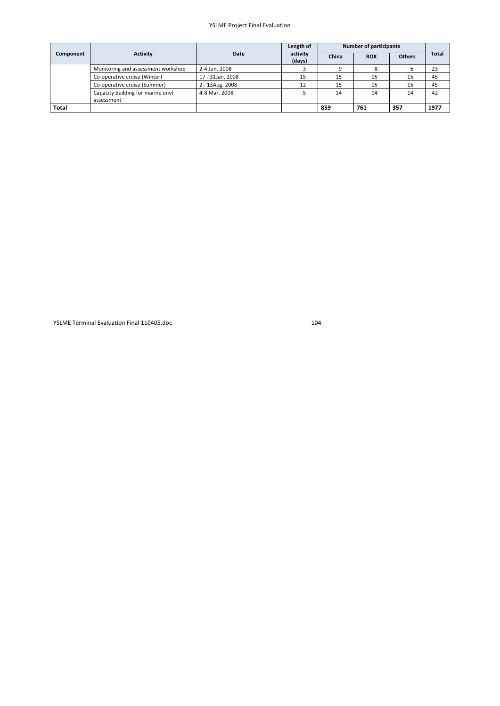|              |                                                 |                  | Length of          |              | <b>Number of participants</b> |               |              |
|--------------|-------------------------------------------------|------------------|--------------------|--------------|-------------------------------|---------------|--------------|
| Component    | <b>Activity</b>                                 | <b>Date</b>      | activity<br>(days) | <b>China</b> | <b>ROK</b>                    | <b>Others</b> | <b>Total</b> |
|              | Monitoring and assessment workshop              | 2-4 Jun. 2008    |                    | 9            |                               | ь             | 23           |
|              | Co-operative cruise (Winter)                    | 17 - 31Jan. 2008 | 15                 | 15           | 15                            | 15            | 45           |
|              | Co-operative cruise (Summer)                    | 2 - 13Aug. 2008  | 12                 | 15           | 15                            | 15            | 45           |
|              | Capacity building for marine envt<br>assessment | 4-8 Mar. 2008    |                    | 14           | 14                            | 14            | 42           |
| <b>Total</b> |                                                 |                  |                    | 859          | 761                           | 357           | 1977         |

YSLME Terminal Evaluation Final 110405.doc **104** and 104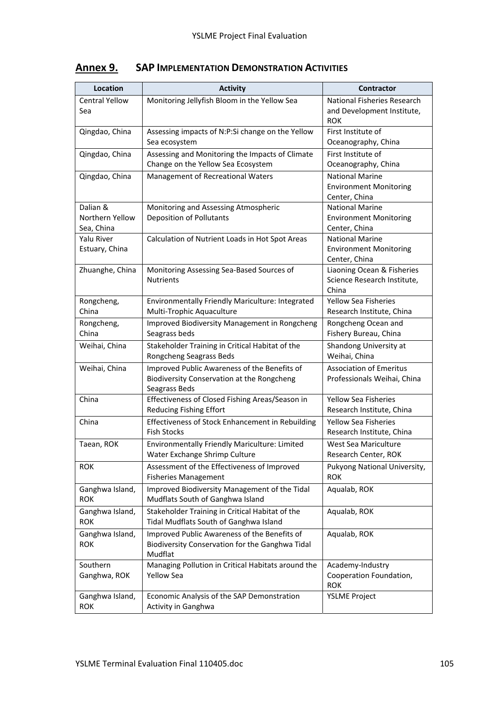| Annex 9. | <b>SAP IMPLEMENTATION DEMONSTRATION ACTIVITIES</b> |
|----------|----------------------------------------------------|
|----------|----------------------------------------------------|

| Location              | <b>Activity</b>                                    | <b>Contractor</b>                           |
|-----------------------|----------------------------------------------------|---------------------------------------------|
| <b>Central Yellow</b> | Monitoring Jellyfish Bloom in the Yellow Sea       | National Fisheries Research                 |
| Sea                   |                                                    | and Development Institute,                  |
|                       |                                                    | <b>ROK</b>                                  |
| Qingdao, China        | Assessing impacts of N:P:Si change on the Yellow   | First Institute of                          |
|                       | Sea ecosystem                                      | Oceanography, China                         |
| Qingdao, China        | Assessing and Monitoring the Impacts of Climate    | First Institute of                          |
|                       | Change on the Yellow Sea Ecosystem                 | Oceanography, China                         |
| Qingdao, China        | Management of Recreational Waters                  | <b>National Marine</b>                      |
|                       |                                                    | <b>Environment Monitoring</b>               |
|                       |                                                    | Center, China                               |
| Dalian &              | Monitoring and Assessing Atmospheric               | <b>National Marine</b>                      |
| Northern Yellow       | Deposition of Pollutants                           | <b>Environment Monitoring</b>               |
| Sea, China            |                                                    | Center, China                               |
| Yalu River            | Calculation of Nutrient Loads in Hot Spot Areas    | <b>National Marine</b>                      |
| Estuary, China        |                                                    | <b>Environment Monitoring</b>               |
| Zhuanghe, China       | Monitoring Assessing Sea-Based Sources of          | Center, China<br>Liaoning Ocean & Fisheries |
|                       | <b>Nutrients</b>                                   | Science Research Institute,                 |
|                       |                                                    | China                                       |
| Rongcheng,            | Environmentally Friendly Mariculture: Integrated   | <b>Yellow Sea Fisheries</b>                 |
| China                 | Multi-Trophic Aquaculture                          | Research Institute, China                   |
| Rongcheng,            | Improved Biodiversity Management in Rongcheng      | Rongcheng Ocean and                         |
| China                 | Seagrass beds                                      | Fishery Bureau, China                       |
| Weihai, China         | Stakeholder Training in Critical Habitat of the    | Shandong University at                      |
|                       | Rongcheng Seagrass Beds                            | Weihai, China                               |
| Weihai, China         | Improved Public Awareness of the Benefits of       | <b>Association of Emeritus</b>              |
|                       | Biodiversity Conservation at the Rongcheng         | Professionals Weihai, China                 |
|                       | Seagrass Beds                                      |                                             |
| China                 | Effectiveness of Closed Fishing Areas/Season in    | <b>Yellow Sea Fisheries</b>                 |
|                       | Reducing Fishing Effort                            | Research Institute, China                   |
| China                 | Effectiveness of Stock Enhancement in Rebuilding   | <b>Yellow Sea Fisheries</b>                 |
|                       | <b>Fish Stocks</b>                                 | Research Institute, China                   |
| Taean, ROK            | Environmentally Friendly Mariculture: Limited      | West Sea Mariculture                        |
|                       | Water Exchange Shrimp Culture                      | Research Center, ROK                        |
| <b>ROK</b>            | Assessment of the Effectiveness of Improved        | Pukyong National University,                |
|                       | <b>Fisheries Management</b>                        | <b>ROK</b>                                  |
| Ganghwa Island,       | Improved Biodiversity Management of the Tidal      | Aqualab, ROK                                |
| <b>ROK</b>            | Mudflats South of Ganghwa Island                   |                                             |
| Ganghwa Island,       | Stakeholder Training in Critical Habitat of the    | Aqualab, ROK                                |
| <b>ROK</b>            | Tidal Mudflats South of Ganghwa Island             |                                             |
| Ganghwa Island,       | Improved Public Awareness of the Benefits of       | Aqualab, ROK                                |
| <b>ROK</b>            | Biodiversity Conservation for the Ganghwa Tidal    |                                             |
|                       | Mudflat                                            |                                             |
| Southern              | Managing Pollution in Critical Habitats around the | Academy-Industry                            |
| Ganghwa, ROK          | <b>Yellow Sea</b>                                  | Cooperation Foundation,                     |
|                       |                                                    | <b>ROK</b>                                  |
| Ganghwa Island,       | Economic Analysis of the SAP Demonstration         | <b>YSLME Project</b>                        |
| <b>ROK</b>            | Activity in Ganghwa                                |                                             |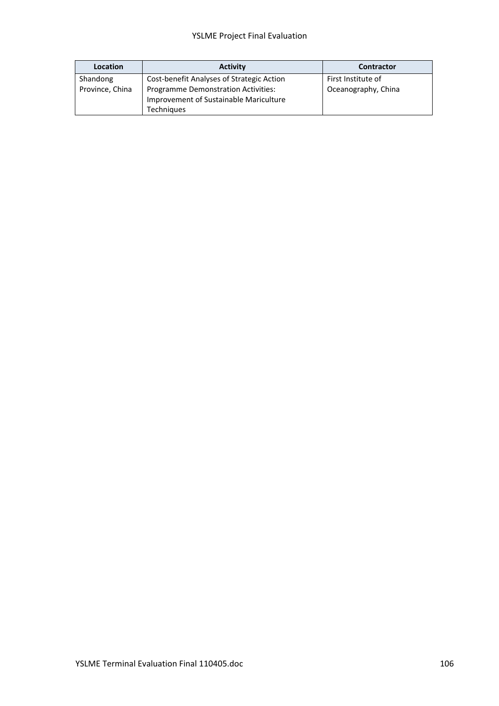| Location        | <b>Activity</b>                                                               | <b>Contractor</b>   |
|-----------------|-------------------------------------------------------------------------------|---------------------|
| Shandong        | Cost-benefit Analyses of Strategic Action                                     | First Institute of  |
| Province, China | Programme Demonstration Activities:<br>Improvement of Sustainable Mariculture | Oceanography, China |
|                 | Techniques                                                                    |                     |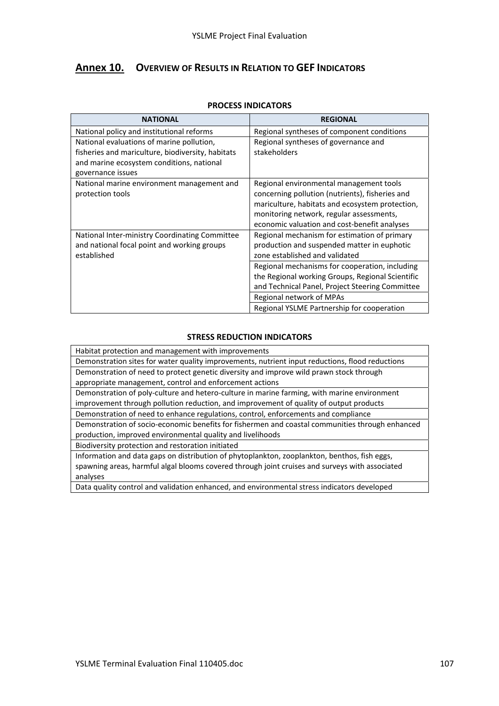# **Annex 10. OVERVIEW OF RESULTS IN RELATION TO GEF INDICATORS**

| <b>NATIONAL</b>                                   | <b>REGIONAL</b>                                  |
|---------------------------------------------------|--------------------------------------------------|
| National policy and institutional reforms         | Regional syntheses of component conditions       |
| National evaluations of marine pollution,         | Regional syntheses of governance and             |
| fisheries and mariculture, biodiversity, habitats | stakeholders                                     |
| and marine ecosystem conditions, national         |                                                  |
| governance issues                                 |                                                  |
| National marine environment management and        | Regional environmental management tools          |
| protection tools                                  | concerning pollution (nutrients), fisheries and  |
|                                                   | mariculture, habitats and ecosystem protection,  |
|                                                   | monitoring network, regular assessments,         |
|                                                   | economic valuation and cost-benefit analyses     |
| National Inter-ministry Coordinating Committee    | Regional mechanism for estimation of primary     |
| and national focal point and working groups       | production and suspended matter in euphotic      |
| established                                       | zone established and validated                   |
|                                                   | Regional mechanisms for cooperation, including   |
|                                                   | the Regional working Groups, Regional Scientific |
|                                                   | and Technical Panel, Project Steering Committee  |
|                                                   | Regional network of MPAs                         |
|                                                   | Regional YSLME Partnership for cooperation       |

#### **PROCESS INDICATORS**

#### **STRESS REDUCTION INDICATORS**

| Habitat protection and management with improvements                                             |
|-------------------------------------------------------------------------------------------------|
| Demonstration sites for water quality improvements, nutrient input reductions, flood reductions |
| Demonstration of need to protect genetic diversity and improve wild prawn stock through         |
| appropriate management, control and enforcement actions                                         |
| Demonstration of poly-culture and hetero-culture in marine farming, with marine environment     |
| improvement through pollution reduction, and improvement of quality of output products          |
| Demonstration of need to enhance regulations, control, enforcements and compliance              |
| Demonstration of socio-economic benefits for fishermen and coastal communities through enhanced |
| production, improved environmental quality and livelihoods                                      |
| Biodiversity protection and restoration initiated                                               |
| Information and data gaps on distribution of phytoplankton, zooplankton, benthos, fish eggs,    |
| spawning areas, harmful algal blooms covered through joint cruises and surveys with associated  |
| analyses                                                                                        |

Data quality control and validation enhanced, and environmental stress indicators developed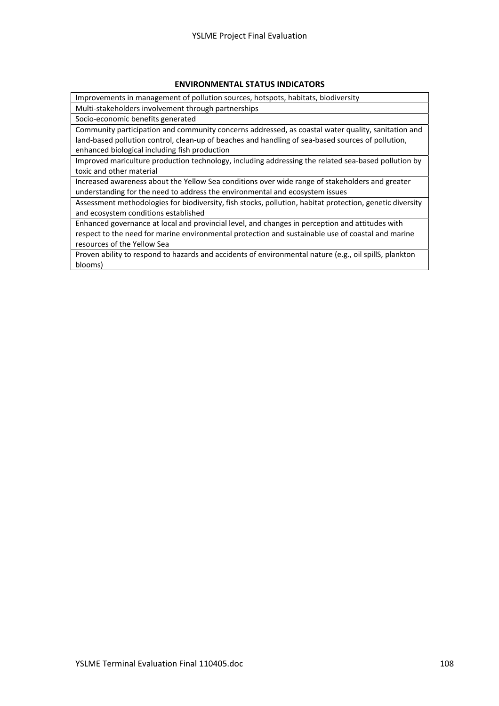#### **ENVIRONMENTAL STATUS INDICATORS**

Improvements in management of pollution sources, hotspots, habitats, biodiversity Multi‐stakeholders involvement through partnerships Socio‐economic benefits generated Community participation and community concerns addressed, as coastal water quality, sanitation and land-based pollution control, clean-up of beaches and handling of sea-based sources of pollution, enhanced biological including fish production Improved mariculture production technology, including addressing the related sea‐based pollution by toxic and other material Increased awareness about the Yellow Sea conditions over wide range of stakeholders and greater understanding for the need to address the environmental and ecosystem issues Assessment methodologies for biodiversity, fish stocks, pollution, habitat protection, genetic diversity and ecosystem conditions established Enhanced governance at local and provincial level, and changes in perception and attitudes with respect to the need for marine environmental protection and sustainable use of coastal and marine resources of the Yellow Sea

Proven ability to respond to hazards and accidents of environmental nature (e.g., oil spillS, plankton blooms)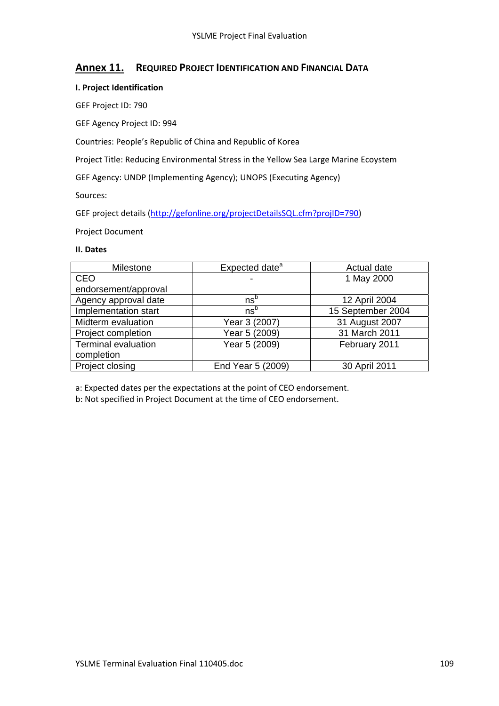## **Annex 11. REQUIRED PROJECT IDENTIFICATION AND FINANCIAL DATA**

#### **I. Project Identification**

GEF Project ID: 790

GEF Agency Project ID: 994

Countries: People's Republic of China and Republic of Korea

Project Title: Reducing Environmental Stress in the Yellow Sea Large Marine Ecoystem

GEF Agency: UNDP (Implementing Agency); UNOPS (Executing Agency)

Sources:

GEF project details (http://gefonline.org/projectDetailsSQL.cfm?projID=790)

#### Project Document

#### **II. Dates**

| Milestone                  | Expected date <sup>a</sup> | Actual date       |
|----------------------------|----------------------------|-------------------|
| <b>CEO</b>                 |                            | 1 May 2000        |
| endorsement/approval       |                            |                   |
| Agency approval date       | ns <sup>b</sup>            | 12 April 2004     |
| Implementation start       | ns <sup>b</sup>            | 15 September 2004 |
| Midterm evaluation         | Year 3 (2007)              | 31 August 2007    |
| Project completion         | Year 5 (2009)              | 31 March 2011     |
| <b>Terminal evaluation</b> | Year 5 (2009)              | February 2011     |
| completion                 |                            |                   |
| Project closing            | End Year 5 (2009)          | 30 April 2011     |

a: Expected dates per the expectations at the point of CEO endorsement.

b: Not specified in Project Document at the time of CEO endorsement.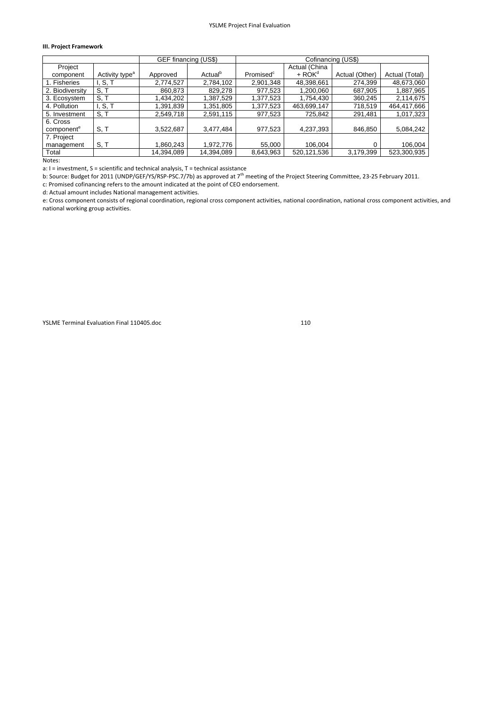#### **III. Project Framework**

|                        |                            | GEF financing (US\$) |                     | Cofinancing (US\$)    |                      |                |                |
|------------------------|----------------------------|----------------------|---------------------|-----------------------|----------------------|----------------|----------------|
| Project                |                            |                      |                     |                       | Actual (China        |                |                |
| component              | Activity type <sup>a</sup> | Approved             | Actual <sup>b</sup> | Promised <sup>c</sup> | $+$ ROK <sup>d</sup> | Actual (Other) | Actual (Total) |
| 1. Fisheries           | , S, T                     | 2,774,527            | 2,784,102           | 2,901,348             | 48,398,661           | 274,399        | 48,673,060     |
| 2. Biodiversity        | S, T                       | 860,873              | 829,278             | 977,523               | 1,200,060            | 687,905        | 1,887,965      |
| 3. Ecosystem           | S, T                       | ,434,202             | 1,387,529           | 1,377,523             | 1,754,430            | 360,245        | 2,114,675      |
| 4. Pollution           | , S, T                     | ,391,839             | 1,351,805           | 1,377,523             | 463,699,147          | 718,519        | 464,417,666    |
| 5. Investment          | S, T                       | 2,549,718            | 2,591,115           | 977,523               | 725,842              | 291,481        | 1,017,323      |
| 6. Cross               |                            |                      |                     |                       |                      |                |                |
| component <sup>e</sup> | S, T                       | 3,522,687            | 3,477,484           | 977,523               | 4,237,393            | 846,850        | 5,084,242      |
| 7. Project             |                            |                      |                     |                       |                      |                |                |
| management             | S, T                       | 1,860,243            | 1,972,776           | 55,000                | 106,004              | 0              | 106,004        |
| Total                  |                            | 14,394,089           | 14,394,089          | 8,643,963             | 520,121,536          | 3,179,399      | 523,300,935    |

Notes:

 $a: I =$  investment,  $S =$  scientific and technical analysis,  $T =$  technical assistance

b: Source: Budget for 2011 (UNDP/GEF/YS/RSP-PSC.7/7b) as approved at 7<sup>th</sup> meeting of the Project Steering Committee, 23-25 February 2011.

c: Promised cofinancing refers to the amount indicated at the point of CEO endorsement.

d: Actual amount includes National management activities.

e: Cross component consists of regional coordination, regional cross component activities, national coordination, national cross component activities, and national working group activities.

YSLME Terminal Evaluation Final 110405.doc **110** and 110